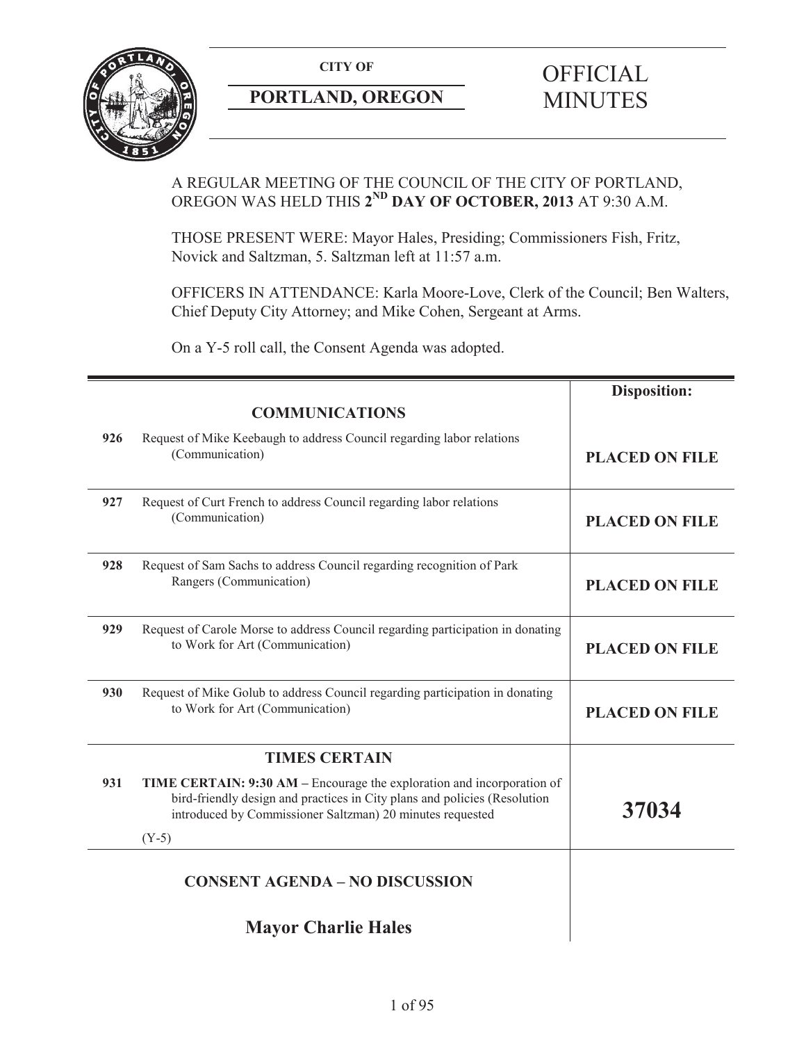

# **PORTLAND, OREGON MINUTES**

# **CITY OF** OFFICIAL

## A REGULAR MEETING OF THE COUNCIL OF THE CITY OF PORTLAND, OREGON WAS HELD THIS **2ND DAY OF OCTOBER, 2013** AT 9:30 A.M.

THOSE PRESENT WERE: Mayor Hales, Presiding; Commissioners Fish, Fritz, Novick and Saltzman, 5. Saltzman left at 11:57 a.m.

OFFICERS IN ATTENDANCE: Karla Moore-Love, Clerk of the Council; Ben Walters, Chief Deputy City Attorney; and Mike Cohen, Sergeant at Arms.

On a Y-5 roll call, the Consent Agenda was adopted.

|     |                                                                                                                                                                                                                  | <b>Disposition:</b>   |
|-----|------------------------------------------------------------------------------------------------------------------------------------------------------------------------------------------------------------------|-----------------------|
|     | <b>COMMUNICATIONS</b>                                                                                                                                                                                            |                       |
| 926 | Request of Mike Keebaugh to address Council regarding labor relations<br>(Communication)                                                                                                                         | <b>PLACED ON FILE</b> |
| 927 | Request of Curt French to address Council regarding labor relations<br>(Communication)                                                                                                                           | <b>PLACED ON FILE</b> |
| 928 | Request of Sam Sachs to address Council regarding recognition of Park<br>Rangers (Communication)                                                                                                                 | <b>PLACED ON FILE</b> |
| 929 | Request of Carole Morse to address Council regarding participation in donating<br>to Work for Art (Communication)                                                                                                | <b>PLACED ON FILE</b> |
| 930 | Request of Mike Golub to address Council regarding participation in donating<br>to Work for Art (Communication)                                                                                                  | <b>PLACED ON FILE</b> |
|     | <b>TIMES CERTAIN</b>                                                                                                                                                                                             |                       |
| 931 | TIME CERTAIN: 9:30 AM – Encourage the exploration and incorporation of<br>bird-friendly design and practices in City plans and policies (Resolution<br>introduced by Commissioner Saltzman) 20 minutes requested | 37034                 |
|     | $(Y-5)$                                                                                                                                                                                                          |                       |
|     | <b>CONSENT AGENDA - NO DISCUSSION</b>                                                                                                                                                                            |                       |
|     | <b>Mayor Charlie Hales</b>                                                                                                                                                                                       |                       |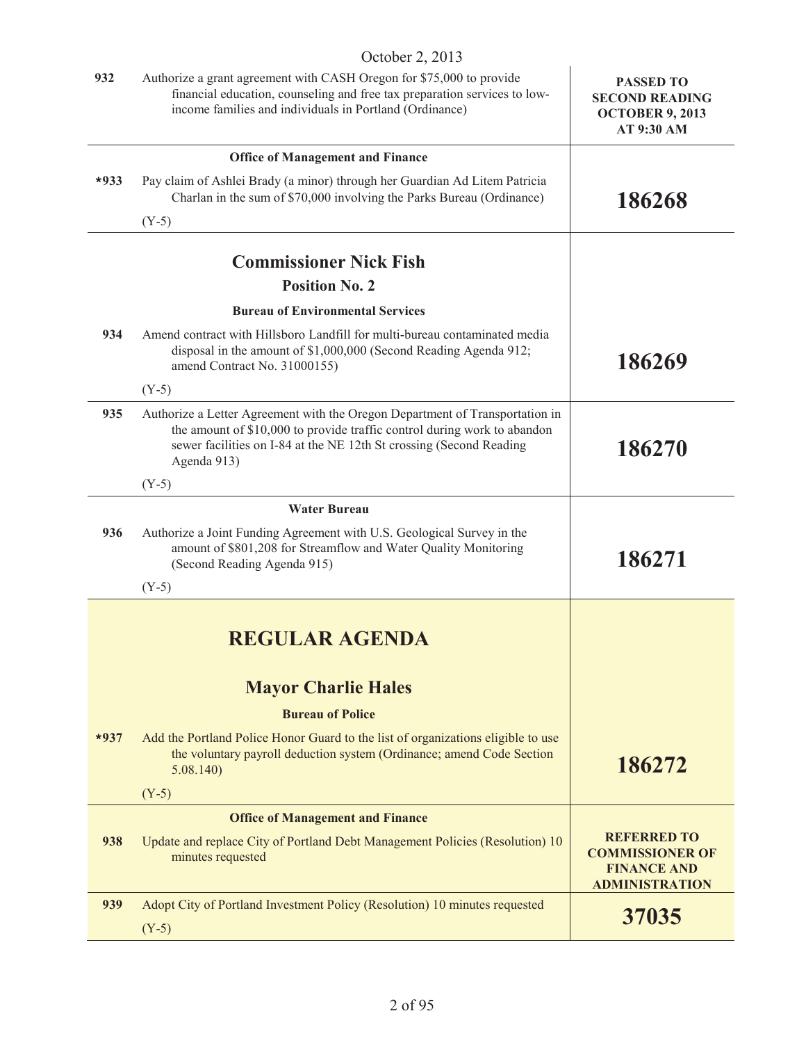|        | OCHOUGH $\angle$ , $\angle$ 019                                                                                                                                                                                                                |                                                                                             |
|--------|------------------------------------------------------------------------------------------------------------------------------------------------------------------------------------------------------------------------------------------------|---------------------------------------------------------------------------------------------|
| 932    | Authorize a grant agreement with CASH Oregon for \$75,000 to provide<br>financial education, counseling and free tax preparation services to low-<br>income families and individuals in Portland (Ordinance)                                   | <b>PASSED TO</b><br><b>SECOND READING</b><br><b>OCTOBER 9, 2013</b><br>AT 9:30 AM           |
|        | <b>Office of Management and Finance</b>                                                                                                                                                                                                        |                                                                                             |
| $*933$ | Pay claim of Ashlei Brady (a minor) through her Guardian Ad Litem Patricia<br>Charlan in the sum of \$70,000 involving the Parks Bureau (Ordinance)                                                                                            | 186268                                                                                      |
|        | $(Y-5)$                                                                                                                                                                                                                                        |                                                                                             |
|        | <b>Commissioner Nick Fish</b>                                                                                                                                                                                                                  |                                                                                             |
|        | <b>Position No. 2</b>                                                                                                                                                                                                                          |                                                                                             |
|        | <b>Bureau of Environmental Services</b>                                                                                                                                                                                                        |                                                                                             |
| 934    | Amend contract with Hillsboro Landfill for multi-bureau contaminated media<br>disposal in the amount of \$1,000,000 (Second Reading Agenda 912;<br>amend Contract No. 31000155)                                                                | 186269                                                                                      |
|        | $(Y-5)$                                                                                                                                                                                                                                        |                                                                                             |
| 935    | Authorize a Letter Agreement with the Oregon Department of Transportation in<br>the amount of \$10,000 to provide traffic control during work to abandon<br>sewer facilities on I-84 at the NE 12th St crossing (Second Reading<br>Agenda 913) | 186270                                                                                      |
|        | $(Y-5)$                                                                                                                                                                                                                                        |                                                                                             |
|        | <b>Water Bureau</b>                                                                                                                                                                                                                            |                                                                                             |
| 936    | Authorize a Joint Funding Agreement with U.S. Geological Survey in the<br>amount of \$801,208 for Streamflow and Water Quality Monitoring<br>(Second Reading Agenda 915)                                                                       | 186271                                                                                      |
|        | $(Y-5)$                                                                                                                                                                                                                                        |                                                                                             |
|        | <b>REGULAR AGENDA</b><br><b>Mayor Charlie Hales</b>                                                                                                                                                                                            |                                                                                             |
|        |                                                                                                                                                                                                                                                |                                                                                             |
| $*937$ | <b>Bureau of Police</b><br>Add the Portland Police Honor Guard to the list of organizations eligible to use<br>the voluntary payroll deduction system (Ordinance; amend Code Section<br>5.08.140                                               | 186272                                                                                      |
|        | $(Y-5)$                                                                                                                                                                                                                                        |                                                                                             |
|        | <b>Office of Management and Finance</b>                                                                                                                                                                                                        |                                                                                             |
| 938    | Update and replace City of Portland Debt Management Policies (Resolution) 10<br>minutes requested                                                                                                                                              | <b>REFERRED TO</b><br><b>COMMISSIONER OF</b><br><b>FINANCE AND</b><br><b>ADMINISTRATION</b> |
| 939    | Adopt City of Portland Investment Policy (Resolution) 10 minutes requested<br>$(Y-5)$                                                                                                                                                          | 37035                                                                                       |
|        |                                                                                                                                                                                                                                                |                                                                                             |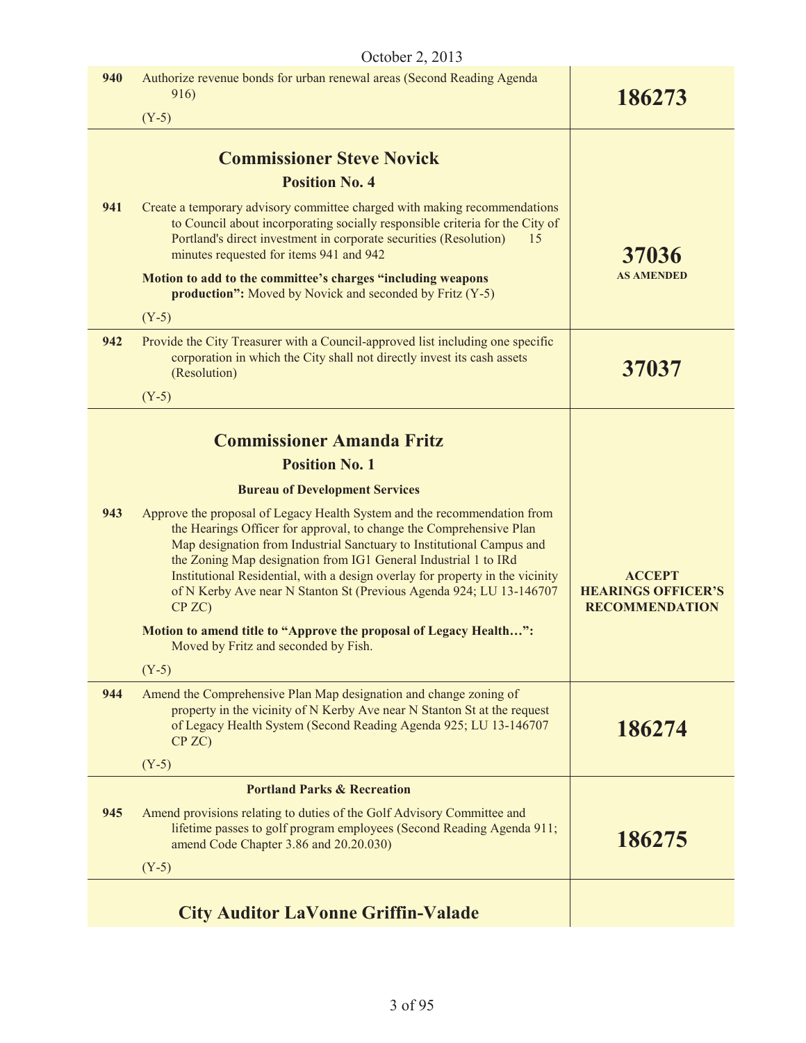|     | October 2, 2013                                                                                                                                                                                                                                                                                                                                                                                                                                               |                                                                     |
|-----|---------------------------------------------------------------------------------------------------------------------------------------------------------------------------------------------------------------------------------------------------------------------------------------------------------------------------------------------------------------------------------------------------------------------------------------------------------------|---------------------------------------------------------------------|
| 940 | Authorize revenue bonds for urban renewal areas (Second Reading Agenda<br>916)                                                                                                                                                                                                                                                                                                                                                                                | 186273                                                              |
|     | $(Y-5)$                                                                                                                                                                                                                                                                                                                                                                                                                                                       |                                                                     |
|     | <b>Commissioner Steve Novick</b>                                                                                                                                                                                                                                                                                                                                                                                                                              |                                                                     |
|     | <b>Position No. 4</b>                                                                                                                                                                                                                                                                                                                                                                                                                                         |                                                                     |
| 941 | Create a temporary advisory committee charged with making recommendations<br>to Council about incorporating socially responsible criteria for the City of<br>Portland's direct investment in corporate securities (Resolution)<br>15<br>minutes requested for items 941 and 942                                                                                                                                                                               | 37036                                                               |
|     | Motion to add to the committee's charges "including weapons<br>production": Moved by Novick and seconded by Fritz (Y-5)                                                                                                                                                                                                                                                                                                                                       | <b>AS AMENDED</b>                                                   |
|     | $(Y-5)$                                                                                                                                                                                                                                                                                                                                                                                                                                                       |                                                                     |
| 942 | Provide the City Treasurer with a Council-approved list including one specific<br>corporation in which the City shall not directly invest its cash assets<br>(Resolution)                                                                                                                                                                                                                                                                                     | 37037                                                               |
|     | $(Y-5)$                                                                                                                                                                                                                                                                                                                                                                                                                                                       |                                                                     |
|     | <b>Commissioner Amanda Fritz</b>                                                                                                                                                                                                                                                                                                                                                                                                                              |                                                                     |
|     | <b>Position No. 1</b>                                                                                                                                                                                                                                                                                                                                                                                                                                         |                                                                     |
|     | <b>Bureau of Development Services</b>                                                                                                                                                                                                                                                                                                                                                                                                                         |                                                                     |
| 943 | Approve the proposal of Legacy Health System and the recommendation from<br>the Hearings Officer for approval, to change the Comprehensive Plan<br>Map designation from Industrial Sanctuary to Institutional Campus and<br>the Zoning Map designation from IG1 General Industrial 1 to IRd<br>Institutional Residential, with a design overlay for property in the vicinity<br>of N Kerby Ave near N Stanton St (Previous Agenda 924; LU 13-146707<br>CP ZC) | <b>ACCEPT</b><br><b>HEARINGS OFFICER'S</b><br><b>RECOMMENDATION</b> |
|     | Motion to amend title to "Approve the proposal of Legacy Health":<br>Moved by Fritz and seconded by Fish.                                                                                                                                                                                                                                                                                                                                                     |                                                                     |
|     | $(Y-5)$                                                                                                                                                                                                                                                                                                                                                                                                                                                       |                                                                     |
| 944 | Amend the Comprehensive Plan Map designation and change zoning of<br>property in the vicinity of N Kerby Ave near N Stanton St at the request<br>of Legacy Health System (Second Reading Agenda 925; LU 13-146707<br>CP ZC                                                                                                                                                                                                                                    | 186274                                                              |
|     | $(Y-5)$                                                                                                                                                                                                                                                                                                                                                                                                                                                       |                                                                     |
|     | <b>Portland Parks &amp; Recreation</b>                                                                                                                                                                                                                                                                                                                                                                                                                        |                                                                     |
| 945 | Amend provisions relating to duties of the Golf Advisory Committee and<br>lifetime passes to golf program employees (Second Reading Agenda 911;<br>amend Code Chapter 3.86 and 20.20.030)                                                                                                                                                                                                                                                                     | 186275                                                              |
|     | $(Y-5)$                                                                                                                                                                                                                                                                                                                                                                                                                                                       |                                                                     |
|     | <b>City Auditor LaVonne Griffin-Valade</b>                                                                                                                                                                                                                                                                                                                                                                                                                    |                                                                     |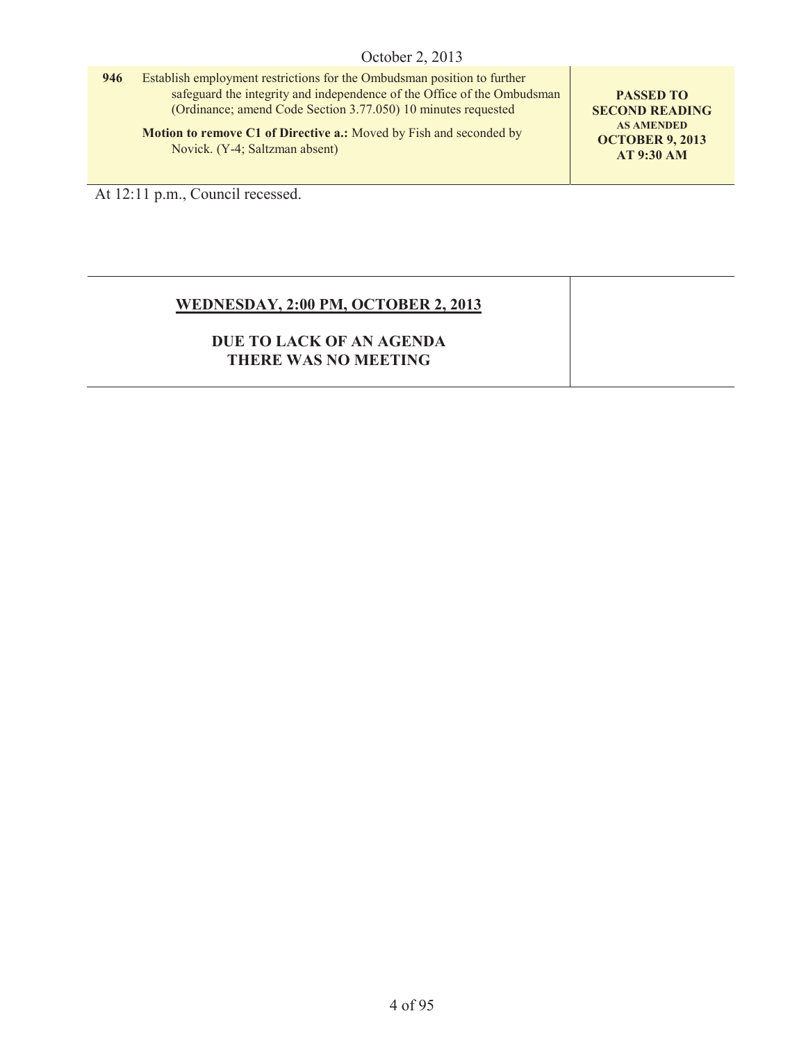| 946 | Establish employment restrictions for the Ombudsman position to further |
|-----|-------------------------------------------------------------------------|
|     | safeguard the integrity and independence of the Office of the Ombudsman |
|     | (Ordinance; amend Code Section 3.77.050) 10 minutes requested           |
|     | Motion to remove C1 of Directive a.: Moved by Fish and seconded by      |

**PASSED TO SECOND READING AS AMENDED OCTOBER 9, 2013 AT 9:30 AM**

At 12:11 p.m., Council recessed.

Novick. (Y-4; Saltzman absent)

## **WEDNESDAY, 2:00 PM, OCTOBER 2, 2013**

## **DUE TO LACK OF AN AGENDA THERE WAS NO MEETING**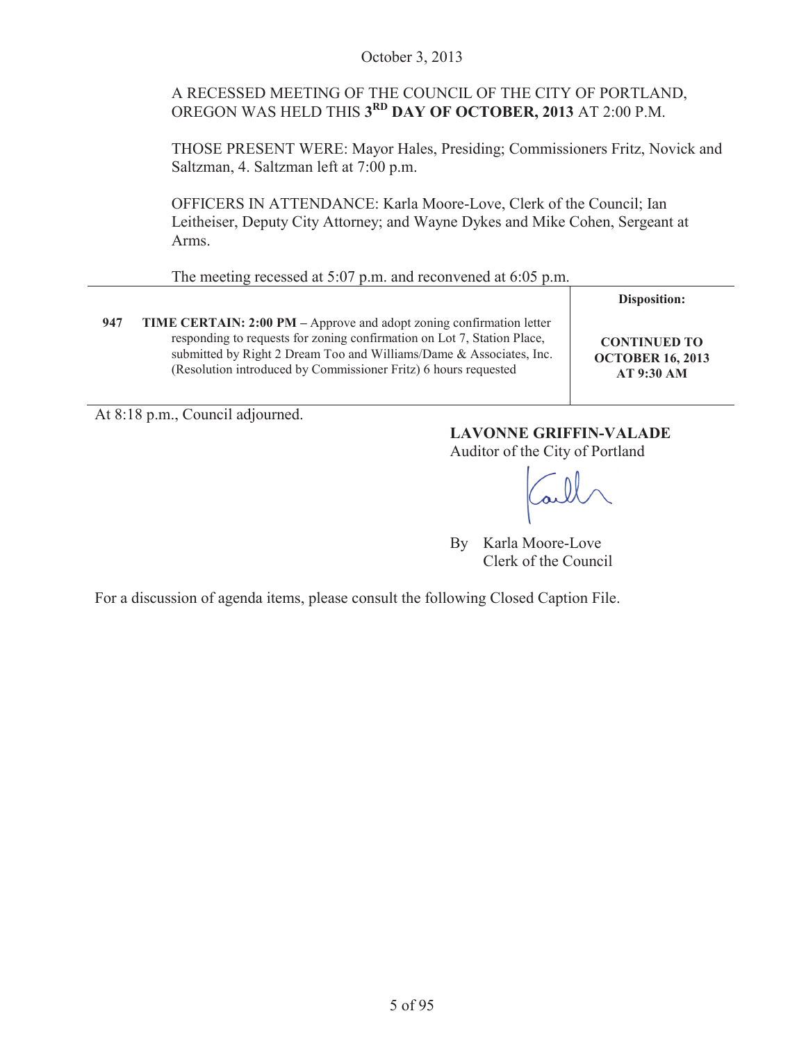### October 3, 2013

## A RECESSED MEETING OF THE COUNCIL OF THE CITY OF PORTLAND, OREGON WAS HELD THIS **3RD DAY OF OCTOBER, 2013** AT 2:00 P.M.

THOSE PRESENT WERE: Mayor Hales, Presiding; Commissioners Fritz, Novick and Saltzman, 4. Saltzman left at 7:00 p.m.

OFFICERS IN ATTENDANCE: Karla Moore-Love, Clerk of the Council; Ian Leitheiser, Deputy City Attorney; and Wayne Dykes and Mike Cohen, Sergeant at Arms.

The meeting recessed at 5:07 p.m. and reconvened at 6:05 p.m.

|     |                                                                                                                                                                                                                                                                                           | Disposition:                                                 |
|-----|-------------------------------------------------------------------------------------------------------------------------------------------------------------------------------------------------------------------------------------------------------------------------------------------|--------------------------------------------------------------|
| 947 | TIME CERTAIN: 2:00 PM – Approve and adopt zoning confirmation letter<br>responding to requests for zoning confirmation on Lot 7, Station Place,<br>submitted by Right 2 Dream Too and Williams/Dame & Associates, Inc.<br>(Resolution introduced by Commissioner Fritz) 6 hours requested | <b>CONTINUED TO</b><br><b>OCTOBER 16, 2013</b><br>AT 9:30 AM |

At 8:18 p.m., Council adjourned.

## **LAVONNE GRIFFIN-VALADE**

Auditor of the City of Portland

By Karla Moore-Love Clerk of the Council

For a discussion of agenda items, please consult the following Closed Caption File.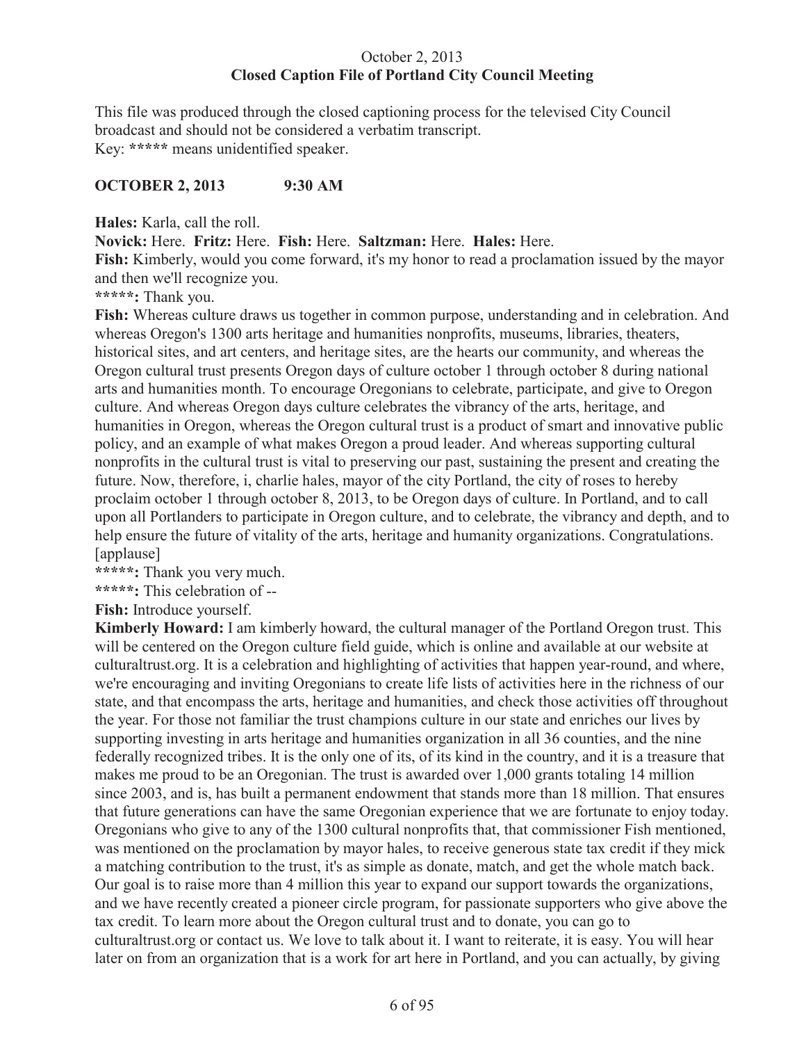## October 2, 2013 **Closed Caption File of Portland City Council Meeting**

This file was produced through the closed captioning process for the televised City Council broadcast and should not be considered a verbatim transcript. Key: **\*\*\*\*\*** means unidentified speaker.

## **OCTOBER 2, 2013 9:30 AM**

**Hales:** Karla, call the roll.

**Novick:** Here. **Fritz:** Here. **Fish:** Here. **Saltzman:** Here. **Hales:** Here.

**Fish:** Kimberly, would you come forward, it's my honor to read a proclamation issued by the mayor and then we'll recognize you.

**\*\*\*\*\*:** Thank you.

**Fish:** Whereas culture draws us together in common purpose, understanding and in celebration. And whereas Oregon's 1300 arts heritage and humanities nonprofits, museums, libraries, theaters, historical sites, and art centers, and heritage sites, are the hearts our community, and whereas the Oregon cultural trust presents Oregon days of culture october 1 through october 8 during national arts and humanities month. To encourage Oregonians to celebrate, participate, and give to Oregon culture. And whereas Oregon days culture celebrates the vibrancy of the arts, heritage, and humanities in Oregon, whereas the Oregon cultural trust is a product of smart and innovative public policy, and an example of what makes Oregon a proud leader. And whereas supporting cultural nonprofits in the cultural trust is vital to preserving our past, sustaining the present and creating the future. Now, therefore, i, charlie hales, mayor of the city Portland, the city of roses to hereby proclaim october 1 through october 8, 2013, to be Oregon days of culture. In Portland, and to call upon all Portlanders to participate in Oregon culture, and to celebrate, the vibrancy and depth, and to help ensure the future of vitality of the arts, heritage and humanity organizations. Congratulations. [applause]

**\*\*\*\*\*:** Thank you very much.

**\*\*\*\*\*:** This celebration of --

**Fish:** Introduce yourself.

**Kimberly Howard:** I am kimberly howard, the cultural manager of the Portland Oregon trust. This will be centered on the Oregon culture field guide, which is online and available at our website at culturaltrust.org. It is a celebration and highlighting of activities that happen year-round, and where, we're encouraging and inviting Oregonians to create life lists of activities here in the richness of our state, and that encompass the arts, heritage and humanities, and check those activities off throughout the year. For those not familiar the trust champions culture in our state and enriches our lives by supporting investing in arts heritage and humanities organization in all 36 counties, and the nine federally recognized tribes. It is the only one of its, of its kind in the country, and it is a treasure that makes me proud to be an Oregonian. The trust is awarded over 1,000 grants totaling 14 million since 2003, and is, has built a permanent endowment that stands more than 18 million. That ensures that future generations can have the same Oregonian experience that we are fortunate to enjoy today. Oregonians who give to any of the 1300 cultural nonprofits that, that commissioner Fish mentioned, was mentioned on the proclamation by mayor hales, to receive generous state tax credit if they mick a matching contribution to the trust, it's as simple as donate, match, and get the whole match back. Our goal is to raise more than 4 million this year to expand our support towards the organizations, and we have recently created a pioneer circle program, for passionate supporters who give above the tax credit. To learn more about the Oregon cultural trust and to donate, you can go to culturaltrust.org or contact us. We love to talk about it. I want to reiterate, it is easy. You will hear later on from an organization that is a work for art here in Portland, and you can actually, by giving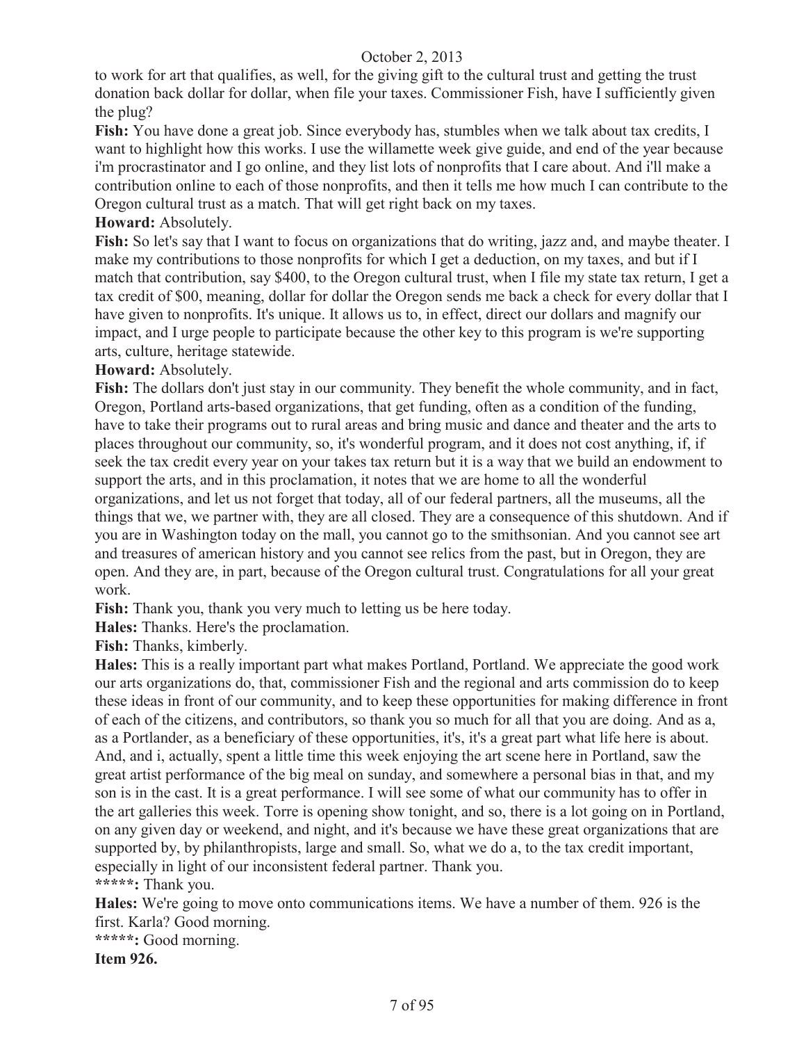to work for art that qualifies, as well, for the giving gift to the cultural trust and getting the trust donation back dollar for dollar, when file your taxes. Commissioner Fish, have I sufficiently given the plug?

**Fish:** You have done a great job. Since everybody has, stumbles when we talk about tax credits, I want to highlight how this works. I use the willamette week give guide, and end of the year because i'm procrastinator and I go online, and they list lots of nonprofits that I care about. And i'll make a contribution online to each of those nonprofits, and then it tells me how much I can contribute to the Oregon cultural trust as a match. That will get right back on my taxes.

## **Howard:** Absolutely.

**Fish:** So let's say that I want to focus on organizations that do writing, jazz and, and maybe theater. I make my contributions to those nonprofits for which I get a deduction, on my taxes, and but if I match that contribution, say \$400, to the Oregon cultural trust, when I file my state tax return, I get a tax credit of \$00, meaning, dollar for dollar the Oregon sends me back a check for every dollar that I have given to nonprofits. It's unique. It allows us to, in effect, direct our dollars and magnify our impact, and I urge people to participate because the other key to this program is we're supporting arts, culture, heritage statewide.

## **Howard:** Absolutely.

**Fish:** The dollars don't just stay in our community. They benefit the whole community, and in fact, Oregon, Portland arts-based organizations, that get funding, often as a condition of the funding, have to take their programs out to rural areas and bring music and dance and theater and the arts to places throughout our community, so, it's wonderful program, and it does not cost anything, if, if seek the tax credit every year on your takes tax return but it is a way that we build an endowment to support the arts, and in this proclamation, it notes that we are home to all the wonderful organizations, and let us not forget that today, all of our federal partners, all the museums, all the things that we, we partner with, they are all closed. They are a consequence of this shutdown. And if you are in Washington today on the mall, you cannot go to the smithsonian. And you cannot see art and treasures of american history and you cannot see relics from the past, but in Oregon, they are open. And they are, in part, because of the Oregon cultural trust. Congratulations for all your great work.

Fish: Thank you, thank you very much to letting us be here today.

**Hales:** Thanks. Here's the proclamation.

**Fish:** Thanks, kimberly.

**Hales:** This is a really important part what makes Portland, Portland. We appreciate the good work our arts organizations do, that, commissioner Fish and the regional and arts commission do to keep these ideas in front of our community, and to keep these opportunities for making difference in front of each of the citizens, and contributors, so thank you so much for all that you are doing. And as a, as a Portlander, as a beneficiary of these opportunities, it's, it's a great part what life here is about. And, and i, actually, spent a little time this week enjoying the art scene here in Portland, saw the great artist performance of the big meal on sunday, and somewhere a personal bias in that, and my son is in the cast. It is a great performance. I will see some of what our community has to offer in the art galleries this week. Torre is opening show tonight, and so, there is a lot going on in Portland, on any given day or weekend, and night, and it's because we have these great organizations that are supported by, by philanthropists, large and small. So, what we do a, to the tax credit important, especially in light of our inconsistent federal partner. Thank you. **\*\*\*\*\*:** Thank you.

**Hales:** We're going to move onto communications items. We have a number of them. 926 is the first. Karla? Good morning.

**\*\*\*\*\*:** Good morning.

**Item 926.**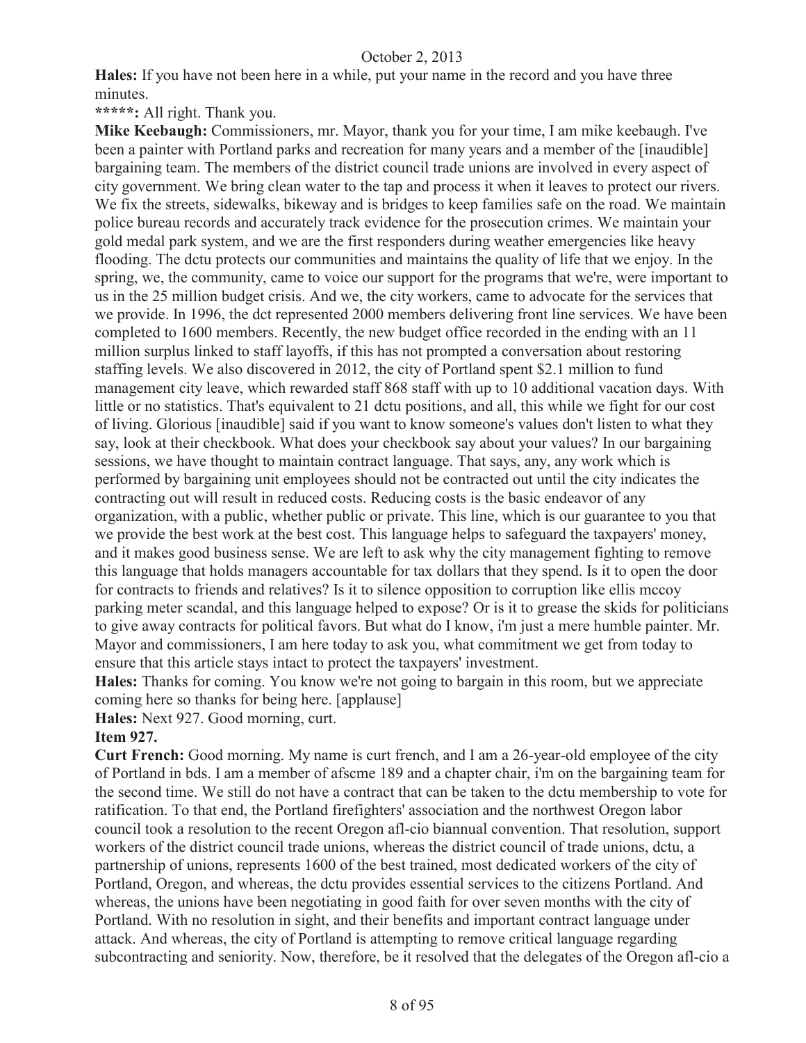**Hales:** If you have not been here in a while, put your name in the record and you have three minutes.

**\*\*\*\*\*:** All right. Thank you.

**Mike Keebaugh:** Commissioners, mr. Mayor, thank you for your time, I am mike keebaugh. I've been a painter with Portland parks and recreation for many years and a member of the [inaudible] bargaining team. The members of the district council trade unions are involved in every aspect of city government. We bring clean water to the tap and process it when it leaves to protect our rivers. We fix the streets, sidewalks, bikeway and is bridges to keep families safe on the road. We maintain police bureau records and accurately track evidence for the prosecution crimes. We maintain your gold medal park system, and we are the first responders during weather emergencies like heavy flooding. The dctu protects our communities and maintains the quality of life that we enjoy. In the spring, we, the community, came to voice our support for the programs that we're, were important to us in the 25 million budget crisis. And we, the city workers, came to advocate for the services that we provide. In 1996, the dct represented 2000 members delivering front line services. We have been completed to 1600 members. Recently, the new budget office recorded in the ending with an 11 million surplus linked to staff layoffs, if this has not prompted a conversation about restoring staffing levels. We also discovered in 2012, the city of Portland spent \$2.1 million to fund management city leave, which rewarded staff 868 staff with up to 10 additional vacation days. With little or no statistics. That's equivalent to 21 dctu positions, and all, this while we fight for our cost of living. Glorious [inaudible] said if you want to know someone's values don't listen to what they say, look at their checkbook. What does your checkbook say about your values? In our bargaining sessions, we have thought to maintain contract language. That says, any, any work which is performed by bargaining unit employees should not be contracted out until the city indicates the contracting out will result in reduced costs. Reducing costs is the basic endeavor of any organization, with a public, whether public or private. This line, which is our guarantee to you that we provide the best work at the best cost. This language helps to safeguard the taxpayers' money, and it makes good business sense. We are left to ask why the city management fighting to remove this language that holds managers accountable for tax dollars that they spend. Is it to open the door for contracts to friends and relatives? Is it to silence opposition to corruption like ellis mccoy parking meter scandal, and this language helped to expose? Or is it to grease the skids for politicians to give away contracts for political favors. But what do I know, i'm just a mere humble painter. Mr. Mayor and commissioners, I am here today to ask you, what commitment we get from today to ensure that this article stays intact to protect the taxpayers' investment.

**Hales:** Thanks for coming. You know we're not going to bargain in this room, but we appreciate coming here so thanks for being here. [applause]

**Hales:** Next 927. Good morning, curt.

#### **Item 927.**

**Curt French:** Good morning. My name is curt french, and I am a 26-year-old employee of the city of Portland in bds. I am a member of afscme 189 and a chapter chair, i'm on the bargaining team for the second time. We still do not have a contract that can be taken to the dctu membership to vote for ratification. To that end, the Portland firefighters' association and the northwest Oregon labor council took a resolution to the recent Oregon afl-cio biannual convention. That resolution, support workers of the district council trade unions, whereas the district council of trade unions, dctu, a partnership of unions, represents 1600 of the best trained, most dedicated workers of the city of Portland, Oregon, and whereas, the dctu provides essential services to the citizens Portland. And whereas, the unions have been negotiating in good faith for over seven months with the city of Portland. With no resolution in sight, and their benefits and important contract language under attack. And whereas, the city of Portland is attempting to remove critical language regarding subcontracting and seniority. Now, therefore, be it resolved that the delegates of the Oregon afl-cio a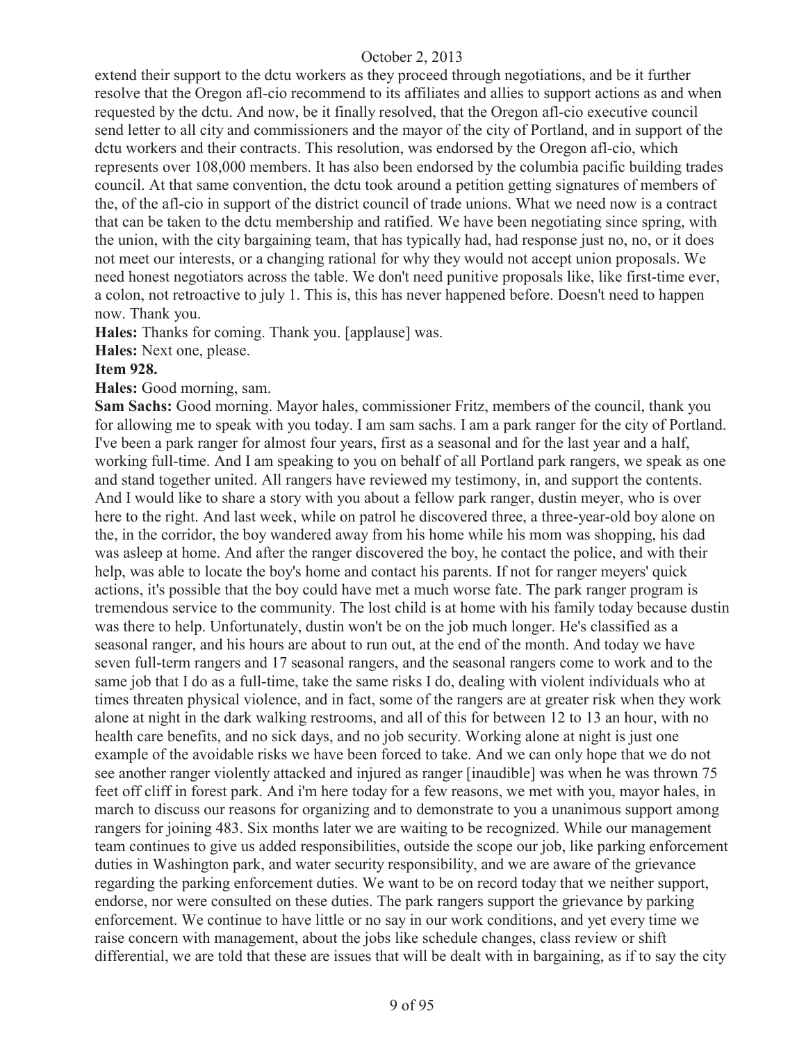extend their support to the dctu workers as they proceed through negotiations, and be it further resolve that the Oregon afl-cio recommend to its affiliates and allies to support actions as and when requested by the dctu. And now, be it finally resolved, that the Oregon afl-cio executive council send letter to all city and commissioners and the mayor of the city of Portland, and in support of the dctu workers and their contracts. This resolution, was endorsed by the Oregon afl-cio, which represents over 108,000 members. It has also been endorsed by the columbia pacific building trades council. At that same convention, the dctu took around a petition getting signatures of members of the, of the afl-cio in support of the district council of trade unions. What we need now is a contract that can be taken to the dctu membership and ratified. We have been negotiating since spring, with the union, with the city bargaining team, that has typically had, had response just no, no, or it does not meet our interests, or a changing rational for why they would not accept union proposals. We need honest negotiators across the table. We don't need punitive proposals like, like first-time ever, a colon, not retroactive to july 1. This is, this has never happened before. Doesn't need to happen now. Thank you.

**Hales:** Thanks for coming. Thank you. [applause] was.

**Hales:** Next one, please.

#### **Item 928.**

**Hales:** Good morning, sam.

**Sam Sachs:** Good morning. Mayor hales, commissioner Fritz, members of the council, thank you for allowing me to speak with you today. I am sam sachs. I am a park ranger for the city of Portland. I've been a park ranger for almost four years, first as a seasonal and for the last year and a half, working full-time. And I am speaking to you on behalf of all Portland park rangers, we speak as one and stand together united. All rangers have reviewed my testimony, in, and support the contents. And I would like to share a story with you about a fellow park ranger, dustin meyer, who is over here to the right. And last week, while on patrol he discovered three, a three-year-old boy alone on the, in the corridor, the boy wandered away from his home while his mom was shopping, his dad was asleep at home. And after the ranger discovered the boy, he contact the police, and with their help, was able to locate the boy's home and contact his parents. If not for ranger meyers' quick actions, it's possible that the boy could have met a much worse fate. The park ranger program is tremendous service to the community. The lost child is at home with his family today because dustin was there to help. Unfortunately, dustin won't be on the job much longer. He's classified as a seasonal ranger, and his hours are about to run out, at the end of the month. And today we have seven full-term rangers and 17 seasonal rangers, and the seasonal rangers come to work and to the same job that I do as a full-time, take the same risks I do, dealing with violent individuals who at times threaten physical violence, and in fact, some of the rangers are at greater risk when they work alone at night in the dark walking restrooms, and all of this for between 12 to 13 an hour, with no health care benefits, and no sick days, and no job security. Working alone at night is just one example of the avoidable risks we have been forced to take. And we can only hope that we do not see another ranger violently attacked and injured as ranger [inaudible] was when he was thrown 75 feet off cliff in forest park. And i'm here today for a few reasons, we met with you, mayor hales, in march to discuss our reasons for organizing and to demonstrate to you a unanimous support among rangers for joining 483. Six months later we are waiting to be recognized. While our management team continues to give us added responsibilities, outside the scope our job, like parking enforcement duties in Washington park, and water security responsibility, and we are aware of the grievance regarding the parking enforcement duties. We want to be on record today that we neither support, endorse, nor were consulted on these duties. The park rangers support the grievance by parking enforcement. We continue to have little or no say in our work conditions, and yet every time we raise concern with management, about the jobs like schedule changes, class review or shift differential, we are told that these are issues that will be dealt with in bargaining, as if to say the city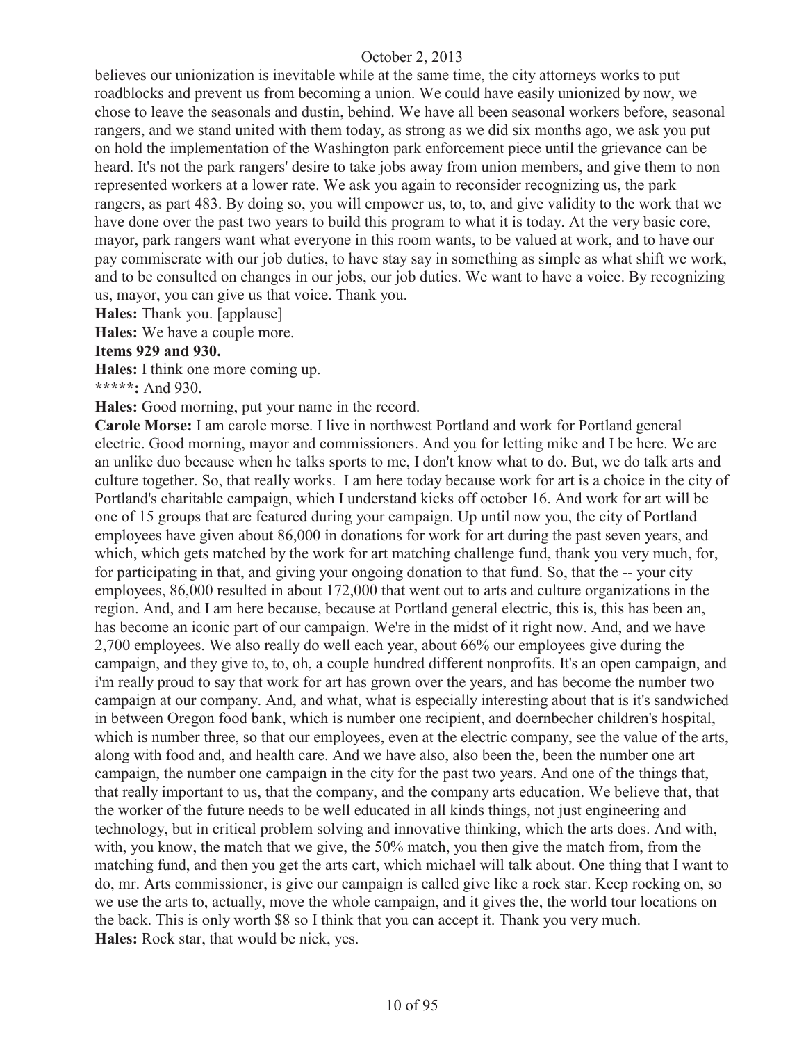believes our unionization is inevitable while at the same time, the city attorneys works to put roadblocks and prevent us from becoming a union. We could have easily unionized by now, we chose to leave the seasonals and dustin, behind. We have all been seasonal workers before, seasonal rangers, and we stand united with them today, as strong as we did six months ago, we ask you put on hold the implementation of the Washington park enforcement piece until the grievance can be heard. It's not the park rangers' desire to take jobs away from union members, and give them to non represented workers at a lower rate. We ask you again to reconsider recognizing us, the park rangers, as part 483. By doing so, you will empower us, to, to, and give validity to the work that we have done over the past two years to build this program to what it is today. At the very basic core, mayor, park rangers want what everyone in this room wants, to be valued at work, and to have our pay commiserate with our job duties, to have stay say in something as simple as what shift we work, and to be consulted on changes in our jobs, our job duties. We want to have a voice. By recognizing us, mayor, you can give us that voice. Thank you.

**Hales:** Thank you. [applause]

**Hales:** We have a couple more.

#### **Items 929 and 930.**

**Hales:** I think one more coming up.

**\*\*\*\*\*:** And 930.

**Hales:** Good morning, put your name in the record.

**Carole Morse:** I am carole morse. I live in northwest Portland and work for Portland general electric. Good morning, mayor and commissioners. And you for letting mike and I be here. We are an unlike duo because when he talks sports to me, I don't know what to do. But, we do talk arts and culture together. So, that really works. I am here today because work for art is a choice in the city of Portland's charitable campaign, which I understand kicks off october 16. And work for art will be one of 15 groups that are featured during your campaign. Up until now you, the city of Portland employees have given about 86,000 in donations for work for art during the past seven years, and which, which gets matched by the work for art matching challenge fund, thank you very much, for, for participating in that, and giving your ongoing donation to that fund. So, that the -- your city employees, 86,000 resulted in about 172,000 that went out to arts and culture organizations in the region. And, and I am here because, because at Portland general electric, this is, this has been an, has become an iconic part of our campaign. We're in the midst of it right now. And, and we have 2,700 employees. We also really do well each year, about 66% our employees give during the campaign, and they give to, to, oh, a couple hundred different nonprofits. It's an open campaign, and i'm really proud to say that work for art has grown over the years, and has become the number two campaign at our company. And, and what, what is especially interesting about that is it's sandwiched in between Oregon food bank, which is number one recipient, and doernbecher children's hospital, which is number three, so that our employees, even at the electric company, see the value of the arts, along with food and, and health care. And we have also, also been the, been the number one art campaign, the number one campaign in the city for the past two years. And one of the things that, that really important to us, that the company, and the company arts education. We believe that, that the worker of the future needs to be well educated in all kinds things, not just engineering and technology, but in critical problem solving and innovative thinking, which the arts does. And with, with, you know, the match that we give, the 50% match, you then give the match from, from the matching fund, and then you get the arts cart, which michael will talk about. One thing that I want to do, mr. Arts commissioner, is give our campaign is called give like a rock star. Keep rocking on, so we use the arts to, actually, move the whole campaign, and it gives the, the world tour locations on the back. This is only worth \$8 so I think that you can accept it. Thank you very much. **Hales:** Rock star, that would be nick, yes.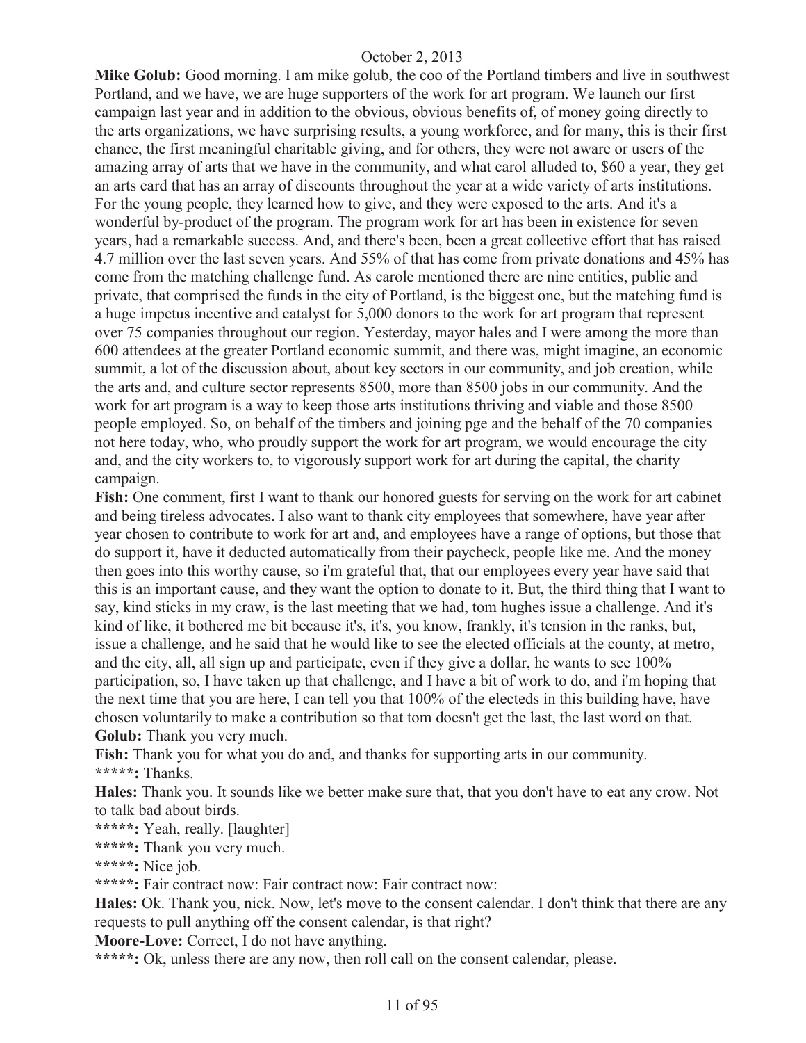**Mike Golub:** Good morning. I am mike golub, the coo of the Portland timbers and live in southwest Portland, and we have, we are huge supporters of the work for art program. We launch our first campaign last year and in addition to the obvious, obvious benefits of, of money going directly to the arts organizations, we have surprising results, a young workforce, and for many, this is their first chance, the first meaningful charitable giving, and for others, they were not aware or users of the amazing array of arts that we have in the community, and what carol alluded to, \$60 a year, they get an arts card that has an array of discounts throughout the year at a wide variety of arts institutions. For the young people, they learned how to give, and they were exposed to the arts. And it's a wonderful by-product of the program. The program work for art has been in existence for seven years, had a remarkable success. And, and there's been, been a great collective effort that has raised 4.7 million over the last seven years. And 55% of that has come from private donations and 45% has come from the matching challenge fund. As carole mentioned there are nine entities, public and private, that comprised the funds in the city of Portland, is the biggest one, but the matching fund is a huge impetus incentive and catalyst for 5,000 donors to the work for art program that represent over 75 companies throughout our region. Yesterday, mayor hales and I were among the more than 600 attendees at the greater Portland economic summit, and there was, might imagine, an economic summit, a lot of the discussion about, about key sectors in our community, and job creation, while the arts and, and culture sector represents 8500, more than 8500 jobs in our community. And the work for art program is a way to keep those arts institutions thriving and viable and those 8500 people employed. So, on behalf of the timbers and joining pge and the behalf of the 70 companies not here today, who, who proudly support the work for art program, we would encourage the city and, and the city workers to, to vigorously support work for art during the capital, the charity campaign.

**Fish:** One comment, first I want to thank our honored guests for serving on the work for art cabinet and being tireless advocates. I also want to thank city employees that somewhere, have year after year chosen to contribute to work for art and, and employees have a range of options, but those that do support it, have it deducted automatically from their paycheck, people like me. And the money then goes into this worthy cause, so i'm grateful that, that our employees every year have said that this is an important cause, and they want the option to donate to it. But, the third thing that I want to say, kind sticks in my craw, is the last meeting that we had, tom hughes issue a challenge. And it's kind of like, it bothered me bit because it's, it's, you know, frankly, it's tension in the ranks, but, issue a challenge, and he said that he would like to see the elected officials at the county, at metro, and the city, all, all sign up and participate, even if they give a dollar, he wants to see 100% participation, so, I have taken up that challenge, and I have a bit of work to do, and i'm hoping that the next time that you are here, I can tell you that 100% of the electeds in this building have, have chosen voluntarily to make a contribution so that tom doesn't get the last, the last word on that. **Golub:** Thank you very much.

**Fish:** Thank you for what you do and, and thanks for supporting arts in our community. **\*\*\*\*\*:** Thanks.

**Hales:** Thank you. It sounds like we better make sure that, that you don't have to eat any crow. Not to talk bad about birds.

**\*\*\*\*\*:** Yeah, really. [laughter]

**\*\*\*\*\*:** Thank you very much.

**\*\*\*\*\*:** Nice job.

**\*\*\*\*\*:** Fair contract now: Fair contract now: Fair contract now:

**Hales:** Ok. Thank you, nick. Now, let's move to the consent calendar. I don't think that there are any requests to pull anything off the consent calendar, is that right?

**Moore-Love:** Correct, I do not have anything.

**\*\*\*\*\*:** Ok, unless there are any now, then roll call on the consent calendar, please.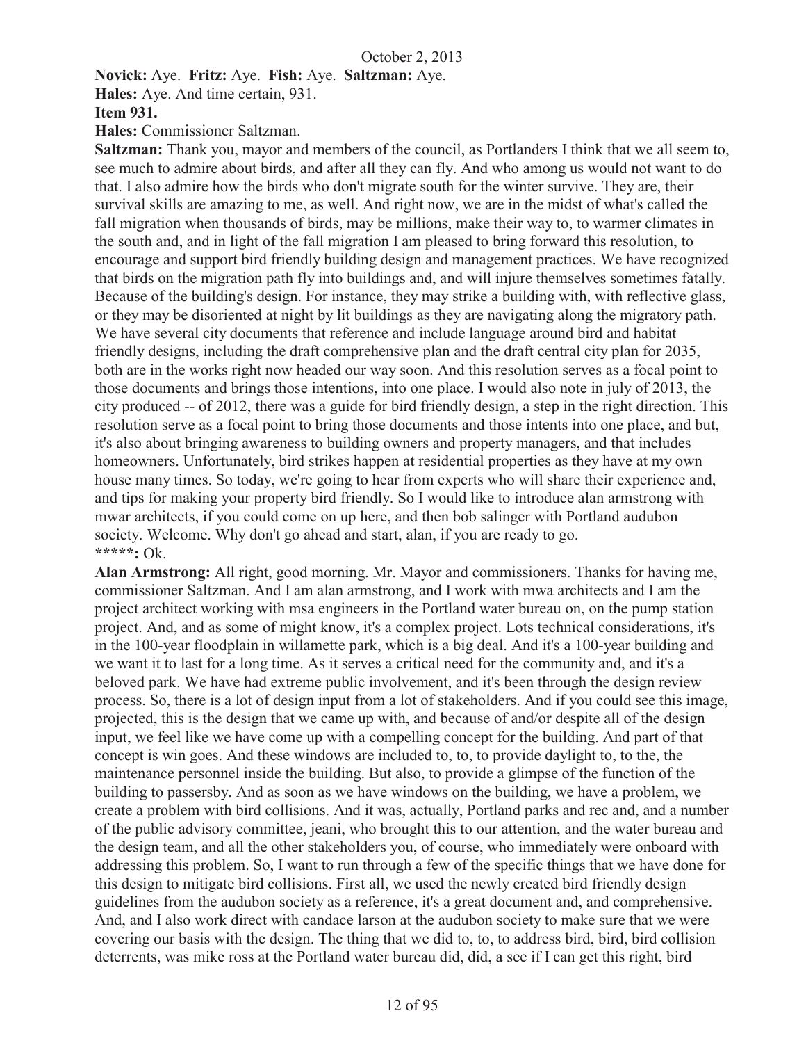**Novick:** Aye. **Fritz:** Aye. **Fish:** Aye. **Saltzman:** Aye.

**Hales:** Aye. And time certain, 931.

#### **Item 931.**

**Hales:** Commissioner Saltzman.

**Saltzman:** Thank you, mayor and members of the council, as Portlanders I think that we all seem to, see much to admire about birds, and after all they can fly. And who among us would not want to do that. I also admire how the birds who don't migrate south for the winter survive. They are, their survival skills are amazing to me, as well. And right now, we are in the midst of what's called the fall migration when thousands of birds, may be millions, make their way to, to warmer climates in the south and, and in light of the fall migration I am pleased to bring forward this resolution, to encourage and support bird friendly building design and management practices. We have recognized that birds on the migration path fly into buildings and, and will injure themselves sometimes fatally. Because of the building's design. For instance, they may strike a building with, with reflective glass, or they may be disoriented at night by lit buildings as they are navigating along the migratory path. We have several city documents that reference and include language around bird and habitat friendly designs, including the draft comprehensive plan and the draft central city plan for 2035, both are in the works right now headed our way soon. And this resolution serves as a focal point to those documents and brings those intentions, into one place. I would also note in july of 2013, the city produced -- of 2012, there was a guide for bird friendly design, a step in the right direction. This resolution serve as a focal point to bring those documents and those intents into one place, and but, it's also about bringing awareness to building owners and property managers, and that includes homeowners. Unfortunately, bird strikes happen at residential properties as they have at my own house many times. So today, we're going to hear from experts who will share their experience and, and tips for making your property bird friendly. So I would like to introduce alan armstrong with mwar architects, if you could come on up here, and then bob salinger with Portland audubon society. Welcome. Why don't go ahead and start, alan, if you are ready to go. **\*\*\*\*\*:** Ok.

**Alan Armstrong:** All right, good morning. Mr. Mayor and commissioners. Thanks for having me, commissioner Saltzman. And I am alan armstrong, and I work with mwa architects and I am the project architect working with msa engineers in the Portland water bureau on, on the pump station project. And, and as some of might know, it's a complex project. Lots technical considerations, it's in the 100-year floodplain in willamette park, which is a big deal. And it's a 100-year building and we want it to last for a long time. As it serves a critical need for the community and, and it's a beloved park. We have had extreme public involvement, and it's been through the design review process. So, there is a lot of design input from a lot of stakeholders. And if you could see this image, projected, this is the design that we came up with, and because of and/or despite all of the design input, we feel like we have come up with a compelling concept for the building. And part of that concept is win goes. And these windows are included to, to, to provide daylight to, to the, the maintenance personnel inside the building. But also, to provide a glimpse of the function of the building to passersby. And as soon as we have windows on the building, we have a problem, we create a problem with bird collisions. And it was, actually, Portland parks and rec and, and a number of the public advisory committee, jeani, who brought this to our attention, and the water bureau and the design team, and all the other stakeholders you, of course, who immediately were onboard with addressing this problem. So, I want to run through a few of the specific things that we have done for this design to mitigate bird collisions. First all, we used the newly created bird friendly design guidelines from the audubon society as a reference, it's a great document and, and comprehensive. And, and I also work direct with candace larson at the audubon society to make sure that we were covering our basis with the design. The thing that we did to, to, to address bird, bird, bird collision deterrents, was mike ross at the Portland water bureau did, did, a see if I can get this right, bird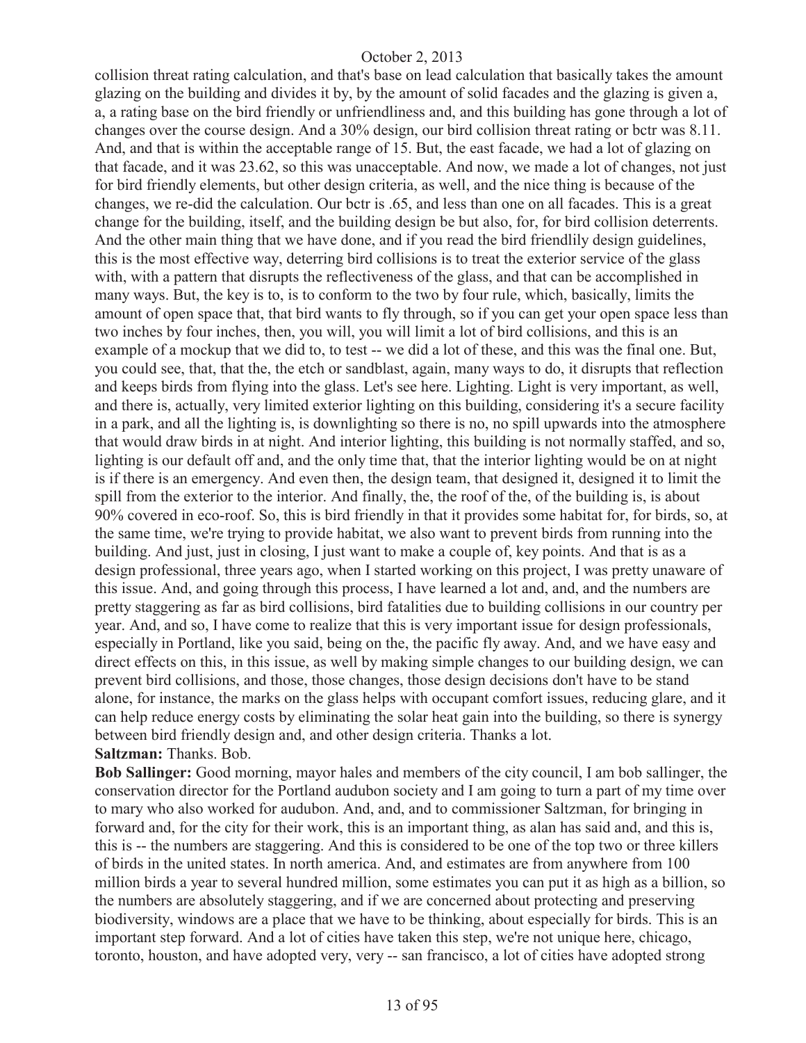collision threat rating calculation, and that's base on lead calculation that basically takes the amount glazing on the building and divides it by, by the amount of solid facades and the glazing is given a, a, a rating base on the bird friendly or unfriendliness and, and this building has gone through a lot of changes over the course design. And a 30% design, our bird collision threat rating or bctr was 8.11. And, and that is within the acceptable range of 15. But, the east facade, we had a lot of glazing on that facade, and it was 23.62, so this was unacceptable. And now, we made a lot of changes, not just for bird friendly elements, but other design criteria, as well, and the nice thing is because of the changes, we re-did the calculation. Our bctr is .65, and less than one on all facades. This is a great change for the building, itself, and the building design be but also, for, for bird collision deterrents. And the other main thing that we have done, and if you read the bird friendlily design guidelines, this is the most effective way, deterring bird collisions is to treat the exterior service of the glass with, with a pattern that disrupts the reflectiveness of the glass, and that can be accomplished in many ways. But, the key is to, is to conform to the two by four rule, which, basically, limits the amount of open space that, that bird wants to fly through, so if you can get your open space less than two inches by four inches, then, you will, you will limit a lot of bird collisions, and this is an example of a mockup that we did to, to test -- we did a lot of these, and this was the final one. But, you could see, that, that the, the etch or sandblast, again, many ways to do, it disrupts that reflection and keeps birds from flying into the glass. Let's see here. Lighting. Light is very important, as well, and there is, actually, very limited exterior lighting on this building, considering it's a secure facility in a park, and all the lighting is, is downlighting so there is no, no spill upwards into the atmosphere that would draw birds in at night. And interior lighting, this building is not normally staffed, and so, lighting is our default off and, and the only time that, that the interior lighting would be on at night is if there is an emergency. And even then, the design team, that designed it, designed it to limit the spill from the exterior to the interior. And finally, the, the roof of the, of the building is, is about 90% covered in eco-roof. So, this is bird friendly in that it provides some habitat for, for birds, so, at the same time, we're trying to provide habitat, we also want to prevent birds from running into the building. And just, just in closing, I just want to make a couple of, key points. And that is as a design professional, three years ago, when I started working on this project, I was pretty unaware of this issue. And, and going through this process, I have learned a lot and, and, and the numbers are pretty staggering as far as bird collisions, bird fatalities due to building collisions in our country per year. And, and so, I have come to realize that this is very important issue for design professionals, especially in Portland, like you said, being on the, the pacific fly away. And, and we have easy and direct effects on this, in this issue, as well by making simple changes to our building design, we can prevent bird collisions, and those, those changes, those design decisions don't have to be stand alone, for instance, the marks on the glass helps with occupant comfort issues, reducing glare, and it can help reduce energy costs by eliminating the solar heat gain into the building, so there is synergy between bird friendly design and, and other design criteria. Thanks a lot. **Saltzman:** Thanks. Bob.

**Bob Sallinger:** Good morning, mayor hales and members of the city council, I am bob sallinger, the conservation director for the Portland audubon society and I am going to turn a part of my time over to mary who also worked for audubon. And, and, and to commissioner Saltzman, for bringing in forward and, for the city for their work, this is an important thing, as alan has said and, and this is, this is -- the numbers are staggering. And this is considered to be one of the top two or three killers of birds in the united states. In north america. And, and estimates are from anywhere from 100 million birds a year to several hundred million, some estimates you can put it as high as a billion, so the numbers are absolutely staggering, and if we are concerned about protecting and preserving biodiversity, windows are a place that we have to be thinking, about especially for birds. This is an important step forward. And a lot of cities have taken this step, we're not unique here, chicago, toronto, houston, and have adopted very, very -- san francisco, a lot of cities have adopted strong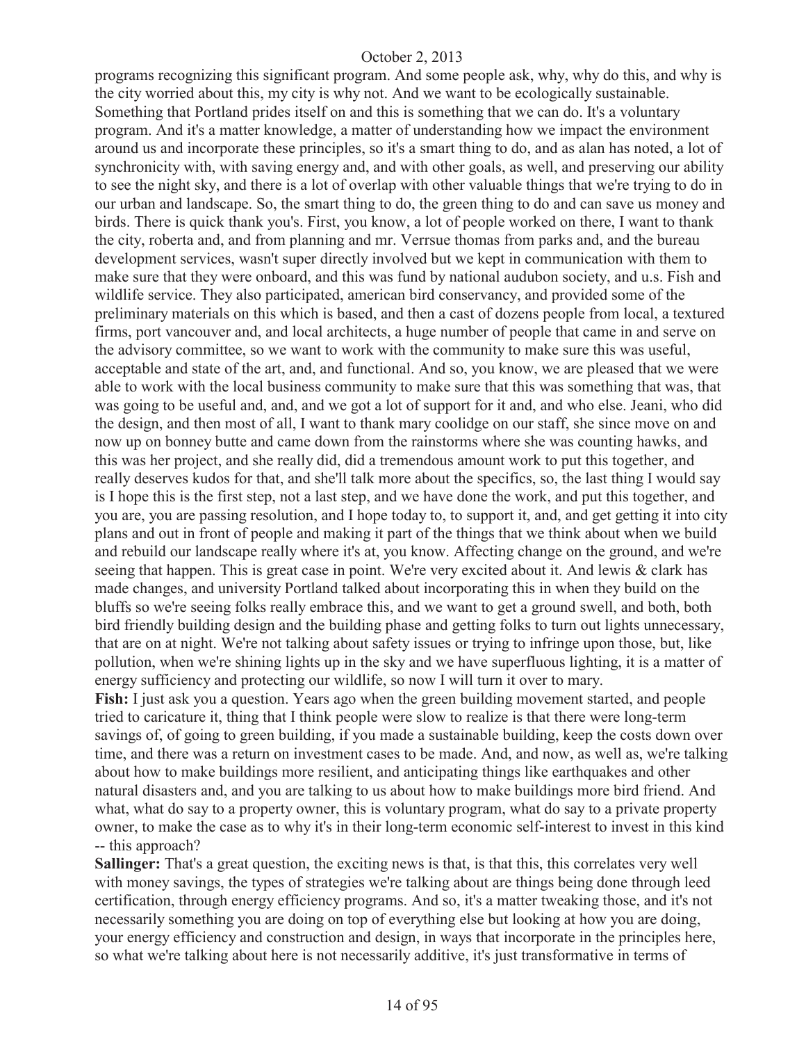programs recognizing this significant program. And some people ask, why, why do this, and why is the city worried about this, my city is why not. And we want to be ecologically sustainable. Something that Portland prides itself on and this is something that we can do. It's a voluntary program. And it's a matter knowledge, a matter of understanding how we impact the environment around us and incorporate these principles, so it's a smart thing to do, and as alan has noted, a lot of synchronicity with, with saving energy and, and with other goals, as well, and preserving our ability to see the night sky, and there is a lot of overlap with other valuable things that we're trying to do in our urban and landscape. So, the smart thing to do, the green thing to do and can save us money and birds. There is quick thank you's. First, you know, a lot of people worked on there, I want to thank the city, roberta and, and from planning and mr. Verrsue thomas from parks and, and the bureau development services, wasn't super directly involved but we kept in communication with them to make sure that they were onboard, and this was fund by national audubon society, and u.s. Fish and wildlife service. They also participated, american bird conservancy, and provided some of the preliminary materials on this which is based, and then a cast of dozens people from local, a textured firms, port vancouver and, and local architects, a huge number of people that came in and serve on the advisory committee, so we want to work with the community to make sure this was useful, acceptable and state of the art, and, and functional. And so, you know, we are pleased that we were able to work with the local business community to make sure that this was something that was, that was going to be useful and, and, and we got a lot of support for it and, and who else. Jeani, who did the design, and then most of all, I want to thank mary coolidge on our staff, she since move on and now up on bonney butte and came down from the rainstorms where she was counting hawks, and this was her project, and she really did, did a tremendous amount work to put this together, and really deserves kudos for that, and she'll talk more about the specifics, so, the last thing I would say is I hope this is the first step, not a last step, and we have done the work, and put this together, and you are, you are passing resolution, and I hope today to, to support it, and, and get getting it into city plans and out in front of people and making it part of the things that we think about when we build and rebuild our landscape really where it's at, you know. Affecting change on the ground, and we're seeing that happen. This is great case in point. We're very excited about it. And lewis & clark has made changes, and university Portland talked about incorporating this in when they build on the bluffs so we're seeing folks really embrace this, and we want to get a ground swell, and both, both bird friendly building design and the building phase and getting folks to turn out lights unnecessary, that are on at night. We're not talking about safety issues or trying to infringe upon those, but, like pollution, when we're shining lights up in the sky and we have superfluous lighting, it is a matter of energy sufficiency and protecting our wildlife, so now I will turn it over to mary. **Fish:** I just ask you a question. Years ago when the green building movement started, and people tried to caricature it, thing that I think people were slow to realize is that there were long-term savings of, of going to green building, if you made a sustainable building, keep the costs down over time, and there was a return on investment cases to be made. And, and now, as well as, we're talking about how to make buildings more resilient, and anticipating things like earthquakes and other natural disasters and, and you are talking to us about how to make buildings more bird friend. And what, what do say to a property owner, this is voluntary program, what do say to a private property owner, to make the case as to why it's in their long-term economic self-interest to invest in this kind

-- this approach?

**Sallinger:** That's a great question, the exciting news is that, is that this, this correlates very well with money savings, the types of strategies we're talking about are things being done through leed certification, through energy efficiency programs. And so, it's a matter tweaking those, and it's not necessarily something you are doing on top of everything else but looking at how you are doing, your energy efficiency and construction and design, in ways that incorporate in the principles here, so what we're talking about here is not necessarily additive, it's just transformative in terms of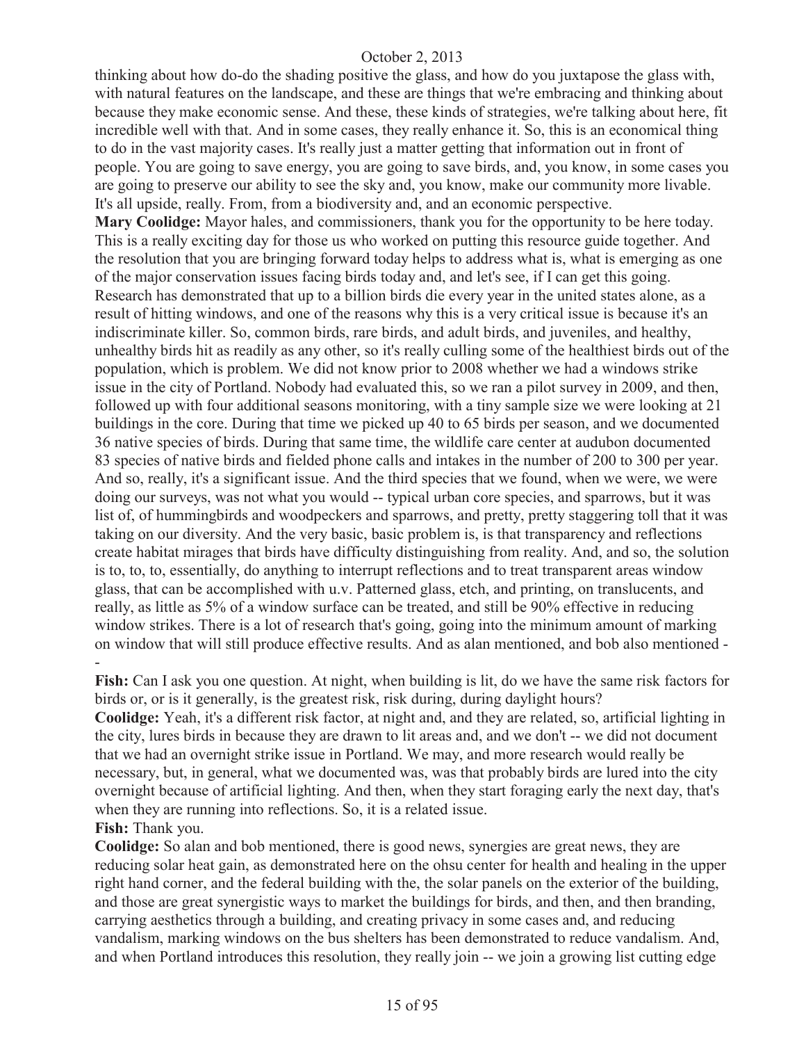thinking about how do-do the shading positive the glass, and how do you juxtapose the glass with, with natural features on the landscape, and these are things that we're embracing and thinking about because they make economic sense. And these, these kinds of strategies, we're talking about here, fit incredible well with that. And in some cases, they really enhance it. So, this is an economical thing to do in the vast majority cases. It's really just a matter getting that information out in front of people. You are going to save energy, you are going to save birds, and, you know, in some cases you are going to preserve our ability to see the sky and, you know, make our community more livable. It's all upside, really. From, from a biodiversity and, and an economic perspective.

**Mary Coolidge:** Mayor hales, and commissioners, thank you for the opportunity to be here today. This is a really exciting day for those us who worked on putting this resource guide together. And the resolution that you are bringing forward today helps to address what is, what is emerging as one of the major conservation issues facing birds today and, and let's see, if I can get this going. Research has demonstrated that up to a billion birds die every year in the united states alone, as a result of hitting windows, and one of the reasons why this is a very critical issue is because it's an indiscriminate killer. So, common birds, rare birds, and adult birds, and juveniles, and healthy, unhealthy birds hit as readily as any other, so it's really culling some of the healthiest birds out of the population, which is problem. We did not know prior to 2008 whether we had a windows strike issue in the city of Portland. Nobody had evaluated this, so we ran a pilot survey in 2009, and then, followed up with four additional seasons monitoring, with a tiny sample size we were looking at 21 buildings in the core. During that time we picked up 40 to 65 birds per season, and we documented 36 native species of birds. During that same time, the wildlife care center at audubon documented 83 species of native birds and fielded phone calls and intakes in the number of 200 to 300 per year. And so, really, it's a significant issue. And the third species that we found, when we were, we were doing our surveys, was not what you would -- typical urban core species, and sparrows, but it was list of, of hummingbirds and woodpeckers and sparrows, and pretty, pretty staggering toll that it was taking on our diversity. And the very basic, basic problem is, is that transparency and reflections create habitat mirages that birds have difficulty distinguishing from reality. And, and so, the solution is to, to, to, essentially, do anything to interrupt reflections and to treat transparent areas window glass, that can be accomplished with u.v. Patterned glass, etch, and printing, on translucents, and really, as little as 5% of a window surface can be treated, and still be 90% effective in reducing window strikes. There is a lot of research that's going, going into the minimum amount of marking on window that will still produce effective results. And as alan mentioned, and bob also mentioned - -

**Fish:** Can I ask you one question. At night, when building is lit, do we have the same risk factors for birds or, or is it generally, is the greatest risk, risk during, during daylight hours?

**Coolidge:** Yeah, it's a different risk factor, at night and, and they are related, so, artificial lighting in the city, lures birds in because they are drawn to lit areas and, and we don't -- we did not document that we had an overnight strike issue in Portland. We may, and more research would really be necessary, but, in general, what we documented was, was that probably birds are lured into the city overnight because of artificial lighting. And then, when they start foraging early the next day, that's when they are running into reflections. So, it is a related issue.

## **Fish:** Thank you.

**Coolidge:** So alan and bob mentioned, there is good news, synergies are great news, they are reducing solar heat gain, as demonstrated here on the ohsu center for health and healing in the upper right hand corner, and the federal building with the, the solar panels on the exterior of the building, and those are great synergistic ways to market the buildings for birds, and then, and then branding, carrying aesthetics through a building, and creating privacy in some cases and, and reducing vandalism, marking windows on the bus shelters has been demonstrated to reduce vandalism. And, and when Portland introduces this resolution, they really join -- we join a growing list cutting edge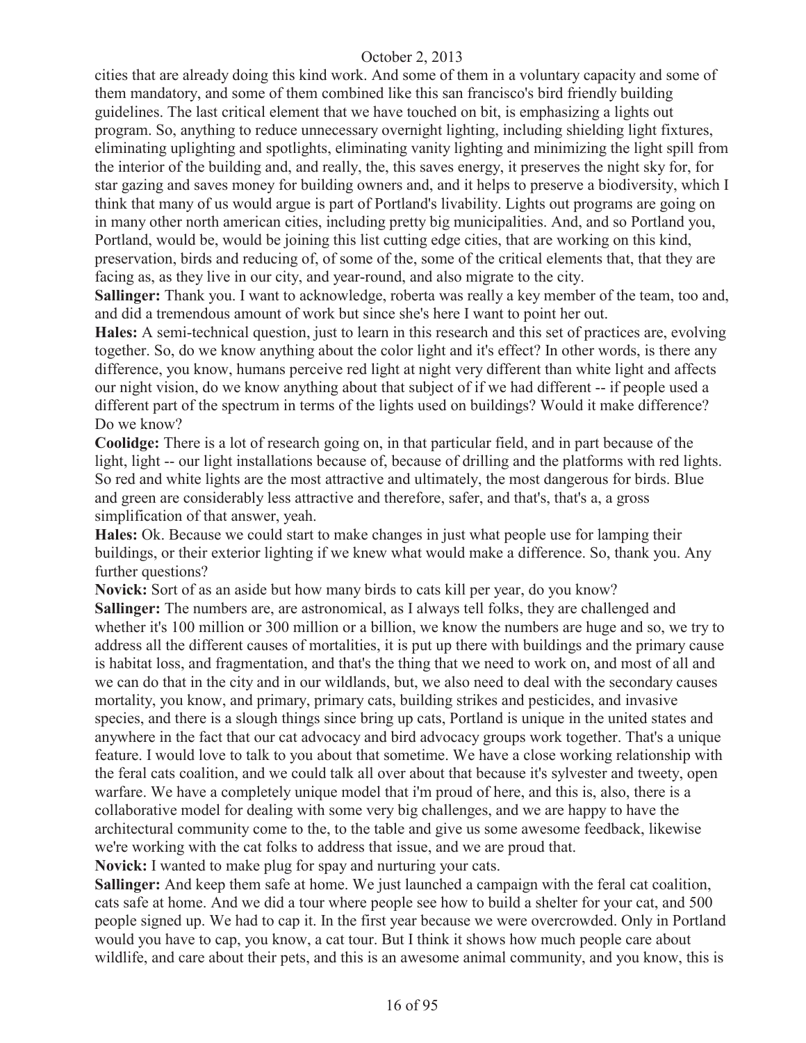cities that are already doing this kind work. And some of them in a voluntary capacity and some of them mandatory, and some of them combined like this san francisco's bird friendly building guidelines. The last critical element that we have touched on bit, is emphasizing a lights out program. So, anything to reduce unnecessary overnight lighting, including shielding light fixtures, eliminating uplighting and spotlights, eliminating vanity lighting and minimizing the light spill from the interior of the building and, and really, the, this saves energy, it preserves the night sky for, for star gazing and saves money for building owners and, and it helps to preserve a biodiversity, which I think that many of us would argue is part of Portland's livability. Lights out programs are going on in many other north american cities, including pretty big municipalities. And, and so Portland you, Portland, would be, would be joining this list cutting edge cities, that are working on this kind, preservation, birds and reducing of, of some of the, some of the critical elements that, that they are facing as, as they live in our city, and year-round, and also migrate to the city.

**Sallinger:** Thank you. I want to acknowledge, roberta was really a key member of the team, too and, and did a tremendous amount of work but since she's here I want to point her out.

**Hales:** A semi-technical question, just to learn in this research and this set of practices are, evolving together. So, do we know anything about the color light and it's effect? In other words, is there any difference, you know, humans perceive red light at night very different than white light and affects our night vision, do we know anything about that subject of if we had different -- if people used a different part of the spectrum in terms of the lights used on buildings? Would it make difference? Do we know?

**Coolidge:** There is a lot of research going on, in that particular field, and in part because of the light, light -- our light installations because of, because of drilling and the platforms with red lights. So red and white lights are the most attractive and ultimately, the most dangerous for birds. Blue and green are considerably less attractive and therefore, safer, and that's, that's a, a gross simplification of that answer, yeah.

**Hales:** Ok. Because we could start to make changes in just what people use for lamping their buildings, or their exterior lighting if we knew what would make a difference. So, thank you. Any further questions?

**Novick:** Sort of as an aside but how many birds to cats kill per year, do you know? Sallinger: The numbers are, are astronomical, as I always tell folks, they are challenged and whether it's 100 million or 300 million or a billion, we know the numbers are huge and so, we try to address all the different causes of mortalities, it is put up there with buildings and the primary cause is habitat loss, and fragmentation, and that's the thing that we need to work on, and most of all and we can do that in the city and in our wildlands, but, we also need to deal with the secondary causes mortality, you know, and primary, primary cats, building strikes and pesticides, and invasive species, and there is a slough things since bring up cats, Portland is unique in the united states and anywhere in the fact that our cat advocacy and bird advocacy groups work together. That's a unique feature. I would love to talk to you about that sometime. We have a close working relationship with the feral cats coalition, and we could talk all over about that because it's sylvester and tweety, open warfare. We have a completely unique model that i'm proud of here, and this is, also, there is a collaborative model for dealing with some very big challenges, and we are happy to have the architectural community come to the, to the table and give us some awesome feedback, likewise we're working with the cat folks to address that issue, and we are proud that.

**Novick:** I wanted to make plug for spay and nurturing your cats.

**Sallinger:** And keep them safe at home. We just launched a campaign with the feral cat coalition, cats safe at home. And we did a tour where people see how to build a shelter for your cat, and 500 people signed up. We had to cap it. In the first year because we were overcrowded. Only in Portland would you have to cap, you know, a cat tour. But I think it shows how much people care about wildlife, and care about their pets, and this is an awesome animal community, and you know, this is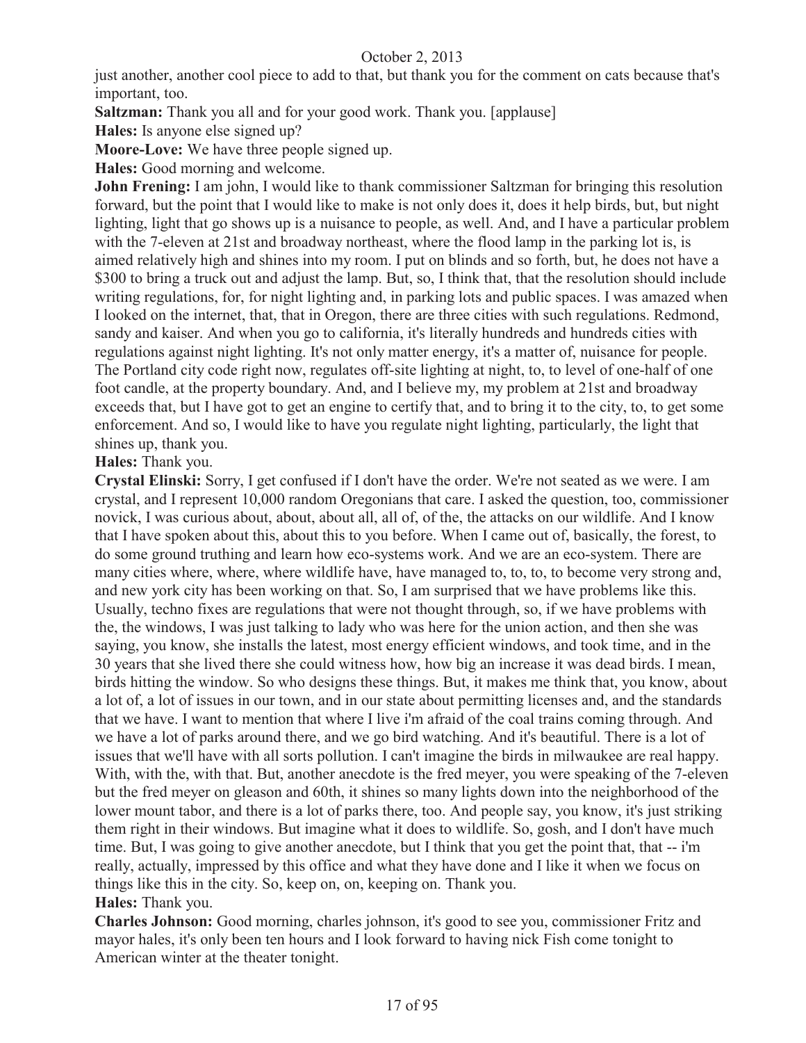just another, another cool piece to add to that, but thank you for the comment on cats because that's important, too.

**Saltzman:** Thank you all and for your good work. Thank you. [applause]

**Hales:** Is anyone else signed up?

**Moore-Love:** We have three people signed up.

**Hales:** Good morning and welcome.

**John Frening:** I am john, I would like to thank commissioner Saltzman for bringing this resolution forward, but the point that I would like to make is not only does it, does it help birds, but, but night lighting, light that go shows up is a nuisance to people, as well. And, and I have a particular problem with the 7-eleven at 21st and broadway northeast, where the flood lamp in the parking lot is, is aimed relatively high and shines into my room. I put on blinds and so forth, but, he does not have a \$300 to bring a truck out and adjust the lamp. But, so, I think that, that the resolution should include writing regulations, for, for night lighting and, in parking lots and public spaces. I was amazed when I looked on the internet, that, that in Oregon, there are three cities with such regulations. Redmond, sandy and kaiser. And when you go to california, it's literally hundreds and hundreds cities with regulations against night lighting. It's not only matter energy, it's a matter of, nuisance for people. The Portland city code right now, regulates off-site lighting at night, to, to level of one-half of one foot candle, at the property boundary. And, and I believe my, my problem at 21st and broadway exceeds that, but I have got to get an engine to certify that, and to bring it to the city, to, to get some enforcement. And so, I would like to have you regulate night lighting, particularly, the light that shines up, thank you.

**Hales:** Thank you.

**Crystal Elinski:** Sorry, I get confused if I don't have the order. We're not seated as we were. I am crystal, and I represent 10,000 random Oregonians that care. I asked the question, too, commissioner novick, I was curious about, about, about all, all of, of the, the attacks on our wildlife. And I know that I have spoken about this, about this to you before. When I came out of, basically, the forest, to do some ground truthing and learn how eco-systems work. And we are an eco-system. There are many cities where, where, where wildlife have, have managed to, to, to, to become very strong and, and new york city has been working on that. So, I am surprised that we have problems like this. Usually, techno fixes are regulations that were not thought through, so, if we have problems with the, the windows, I was just talking to lady who was here for the union action, and then she was saying, you know, she installs the latest, most energy efficient windows, and took time, and in the 30 years that she lived there she could witness how, how big an increase it was dead birds. I mean, birds hitting the window. So who designs these things. But, it makes me think that, you know, about a lot of, a lot of issues in our town, and in our state about permitting licenses and, and the standards that we have. I want to mention that where I live i'm afraid of the coal trains coming through. And we have a lot of parks around there, and we go bird watching. And it's beautiful. There is a lot of issues that we'll have with all sorts pollution. I can't imagine the birds in milwaukee are real happy. With, with the, with that. But, another anecdote is the fred meyer, you were speaking of the 7-eleven but the fred meyer on gleason and 60th, it shines so many lights down into the neighborhood of the lower mount tabor, and there is a lot of parks there, too. And people say, you know, it's just striking them right in their windows. But imagine what it does to wildlife. So, gosh, and I don't have much time. But, I was going to give another anecdote, but I think that you get the point that, that -- i'm really, actually, impressed by this office and what they have done and I like it when we focus on things like this in the city. So, keep on, on, keeping on. Thank you. **Hales:** Thank you.

**Charles Johnson:** Good morning, charles johnson, it's good to see you, commissioner Fritz and mayor hales, it's only been ten hours and I look forward to having nick Fish come tonight to American winter at the theater tonight.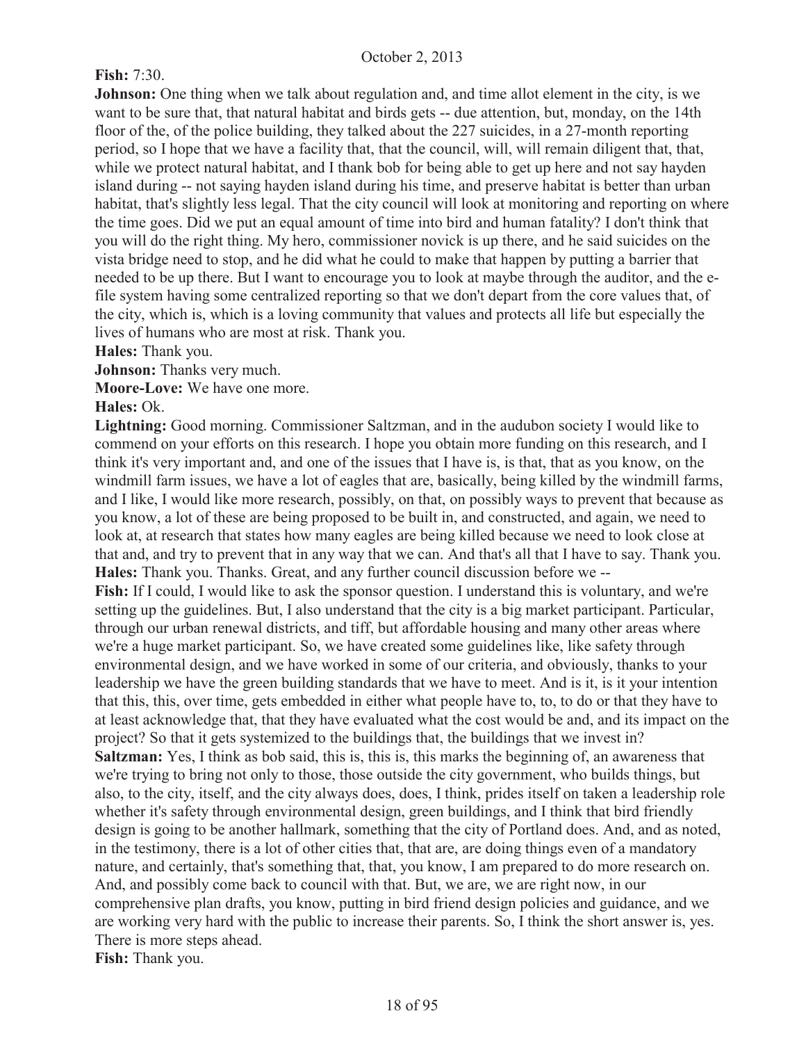## **Fish:** 7:30.

**Johnson:** One thing when we talk about regulation and, and time allot element in the city, is we want to be sure that, that natural habitat and birds gets -- due attention, but, monday, on the 14th floor of the, of the police building, they talked about the 227 suicides, in a 27-month reporting period, so I hope that we have a facility that, that the council, will, will remain diligent that, that, while we protect natural habitat, and I thank bob for being able to get up here and not say hayden island during -- not saying hayden island during his time, and preserve habitat is better than urban habitat, that's slightly less legal. That the city council will look at monitoring and reporting on where the time goes. Did we put an equal amount of time into bird and human fatality? I don't think that you will do the right thing. My hero, commissioner novick is up there, and he said suicides on the vista bridge need to stop, and he did what he could to make that happen by putting a barrier that needed to be up there. But I want to encourage you to look at maybe through the auditor, and the efile system having some centralized reporting so that we don't depart from the core values that, of the city, which is, which is a loving community that values and protects all life but especially the lives of humans who are most at risk. Thank you.

**Hales:** Thank you.

**Johnson:** Thanks very much.

**Moore-Love:** We have one more.

#### **Hales:** Ok.

**Lightning:** Good morning. Commissioner Saltzman, and in the audubon society I would like to commend on your efforts on this research. I hope you obtain more funding on this research, and I think it's very important and, and one of the issues that I have is, is that, that as you know, on the windmill farm issues, we have a lot of eagles that are, basically, being killed by the windmill farms, and I like, I would like more research, possibly, on that, on possibly ways to prevent that because as you know, a lot of these are being proposed to be built in, and constructed, and again, we need to look at, at research that states how many eagles are being killed because we need to look close at that and, and try to prevent that in any way that we can. And that's all that I have to say. Thank you. **Hales:** Thank you. Thanks. Great, and any further council discussion before we --

Fish: If I could, I would like to ask the sponsor question. I understand this is voluntary, and we're setting up the guidelines. But, I also understand that the city is a big market participant. Particular, through our urban renewal districts, and tiff, but affordable housing and many other areas where we're a huge market participant. So, we have created some guidelines like, like safety through environmental design, and we have worked in some of our criteria, and obviously, thanks to your leadership we have the green building standards that we have to meet. And is it, is it your intention that this, this, over time, gets embedded in either what people have to, to, to do or that they have to at least acknowledge that, that they have evaluated what the cost would be and, and its impact on the project? So that it gets systemized to the buildings that, the buildings that we invest in? **Saltzman:** Yes, I think as bob said, this is, this is, this marks the beginning of, an awareness that we're trying to bring not only to those, those outside the city government, who builds things, but also, to the city, itself, and the city always does, does, I think, prides itself on taken a leadership role whether it's safety through environmental design, green buildings, and I think that bird friendly design is going to be another hallmark, something that the city of Portland does. And, and as noted, in the testimony, there is a lot of other cities that, that are, are doing things even of a mandatory nature, and certainly, that's something that, that, you know, I am prepared to do more research on. And, and possibly come back to council with that. But, we are, we are right now, in our comprehensive plan drafts, you know, putting in bird friend design policies and guidance, and we are working very hard with the public to increase their parents. So, I think the short answer is, yes. There is more steps ahead.

**Fish:** Thank you.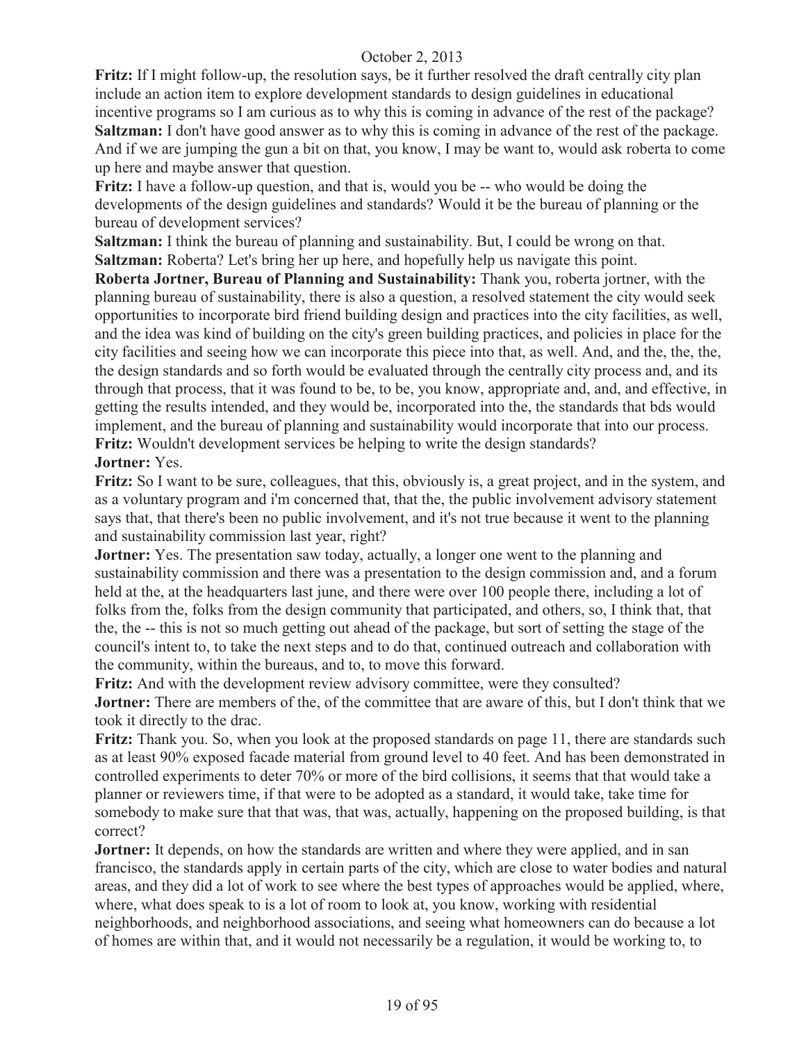**Fritz:** If I might follow-up, the resolution says, be it further resolved the draft centrally city plan include an action item to explore development standards to design guidelines in educational incentive programs so I am curious as to why this is coming in advance of the rest of the package? **Saltzman:** I don't have good answer as to why this is coming in advance of the rest of the package. And if we are jumping the gun a bit on that, you know, I may be want to, would ask roberta to come up here and maybe answer that question.

**Fritz:** I have a follow-up question, and that is, would you be -- who would be doing the developments of the design guidelines and standards? Would it be the bureau of planning or the bureau of development services?

**Saltzman:** I think the bureau of planning and sustainability. But, I could be wrong on that. **Saltzman:** Roberta? Let's bring her up here, and hopefully help us navigate this point.

**Roberta Jortner, Bureau of Planning and Sustainability:** Thank you, roberta jortner, with the planning bureau of sustainability, there is also a question, a resolved statement the city would seek opportunities to incorporate bird friend building design and practices into the city facilities, as well, and the idea was kind of building on the city's green building practices, and policies in place for the city facilities and seeing how we can incorporate this piece into that, as well. And, and the, the, the, the design standards and so forth would be evaluated through the centrally city process and, and its through that process, that it was found to be, to be, you know, appropriate and, and, and effective, in getting the results intended, and they would be, incorporated into the, the standards that bds would implement, and the bureau of planning and sustainability would incorporate that into our process. **Fritz:** Wouldn't development services be helping to write the design standards?

## **Jortner:** Yes.

**Fritz:** So I want to be sure, colleagues, that this, obviously is, a great project, and in the system, and as a voluntary program and i'm concerned that, that the, the public involvement advisory statement says that, that there's been no public involvement, and it's not true because it went to the planning and sustainability commission last year, right?

**Jortner:** Yes. The presentation saw today, actually, a longer one went to the planning and sustainability commission and there was a presentation to the design commission and, and a forum held at the, at the headquarters last june, and there were over 100 people there, including a lot of folks from the, folks from the design community that participated, and others, so, I think that, that the, the -- this is not so much getting out ahead of the package, but sort of setting the stage of the council's intent to, to take the next steps and to do that, continued outreach and collaboration with the community, within the bureaus, and to, to move this forward.

**Fritz:** And with the development review advisory committee, were they consulted?

**Jortner:** There are members of the, of the committee that are aware of this, but I don't think that we took it directly to the drac.

**Fritz:** Thank you. So, when you look at the proposed standards on page 11, there are standards such as at least 90% exposed facade material from ground level to 40 feet. And has been demonstrated in controlled experiments to deter 70% or more of the bird collisions, it seems that that would take a planner or reviewers time, if that were to be adopted as a standard, it would take, take time for somebody to make sure that that was, that was, actually, happening on the proposed building, is that correct?

**Jortner:** It depends, on how the standards are written and where they were applied, and in san francisco, the standards apply in certain parts of the city, which are close to water bodies and natural areas, and they did a lot of work to see where the best types of approaches would be applied, where, where, what does speak to is a lot of room to look at, you know, working with residential neighborhoods, and neighborhood associations, and seeing what homeowners can do because a lot of homes are within that, and it would not necessarily be a regulation, it would be working to, to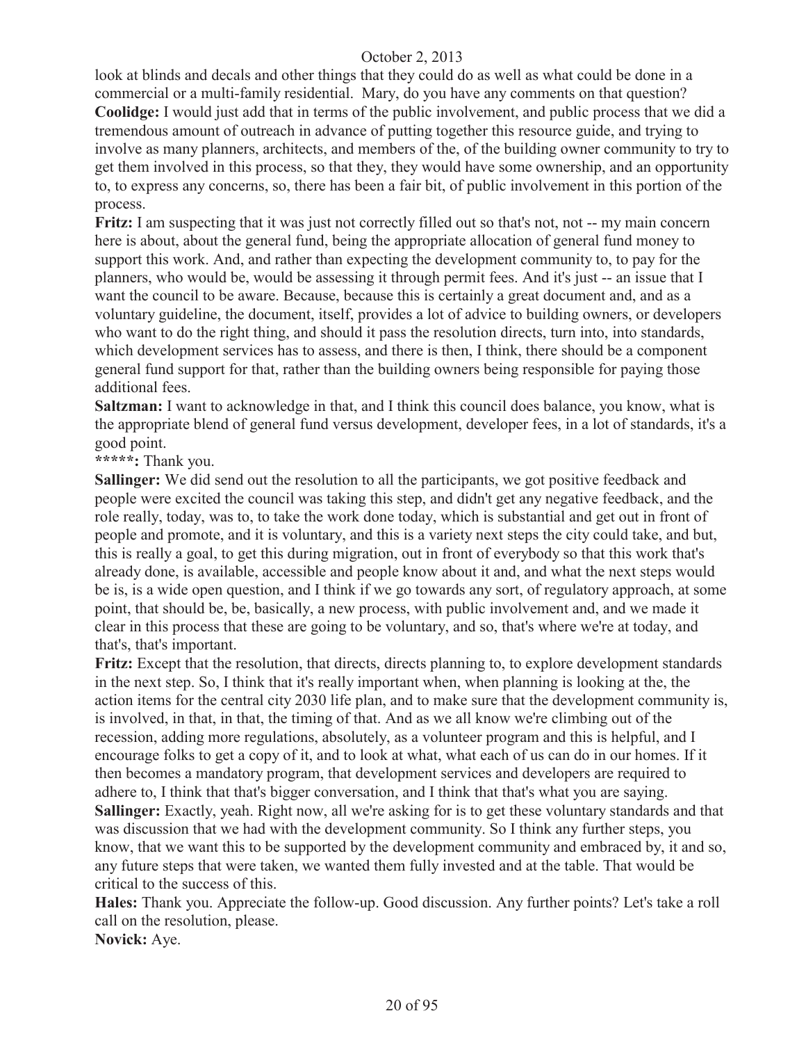look at blinds and decals and other things that they could do as well as what could be done in a commercial or a multi-family residential. Mary, do you have any comments on that question? **Coolidge:** I would just add that in terms of the public involvement, and public process that we did a tremendous amount of outreach in advance of putting together this resource guide, and trying to involve as many planners, architects, and members of the, of the building owner community to try to get them involved in this process, so that they, they would have some ownership, and an opportunity to, to express any concerns, so, there has been a fair bit, of public involvement in this portion of the process.

**Fritz:** I am suspecting that it was just not correctly filled out so that's not, not -- my main concern here is about, about the general fund, being the appropriate allocation of general fund money to support this work. And, and rather than expecting the development community to, to pay for the planners, who would be, would be assessing it through permit fees. And it's just -- an issue that I want the council to be aware. Because, because this is certainly a great document and, and as a voluntary guideline, the document, itself, provides a lot of advice to building owners, or developers who want to do the right thing, and should it pass the resolution directs, turn into, into standards, which development services has to assess, and there is then, I think, there should be a component general fund support for that, rather than the building owners being responsible for paying those additional fees.

**Saltzman:** I want to acknowledge in that, and I think this council does balance, you know, what is the appropriate blend of general fund versus development, developer fees, in a lot of standards, it's a good point.

# **\*\*\*\*\*:** Thank you.

**Sallinger:** We did send out the resolution to all the participants, we got positive feedback and people were excited the council was taking this step, and didn't get any negative feedback, and the role really, today, was to, to take the work done today, which is substantial and get out in front of people and promote, and it is voluntary, and this is a variety next steps the city could take, and but, this is really a goal, to get this during migration, out in front of everybody so that this work that's already done, is available, accessible and people know about it and, and what the next steps would be is, is a wide open question, and I think if we go towards any sort, of regulatory approach, at some point, that should be, be, basically, a new process, with public involvement and, and we made it clear in this process that these are going to be voluntary, and so, that's where we're at today, and that's, that's important.

**Fritz:** Except that the resolution, that directs, directs planning to, to explore development standards in the next step. So, I think that it's really important when, when planning is looking at the, the action items for the central city 2030 life plan, and to make sure that the development community is, is involved, in that, in that, the timing of that. And as we all know we're climbing out of the recession, adding more regulations, absolutely, as a volunteer program and this is helpful, and I encourage folks to get a copy of it, and to look at what, what each of us can do in our homes. If it then becomes a mandatory program, that development services and developers are required to adhere to, I think that that's bigger conversation, and I think that that's what you are saying.

**Sallinger:** Exactly, yeah. Right now, all we're asking for is to get these voluntary standards and that was discussion that we had with the development community. So I think any further steps, you know, that we want this to be supported by the development community and embraced by, it and so, any future steps that were taken, we wanted them fully invested and at the table. That would be critical to the success of this.

**Hales:** Thank you. Appreciate the follow-up. Good discussion. Any further points? Let's take a roll call on the resolution, please.

**Novick:** Aye.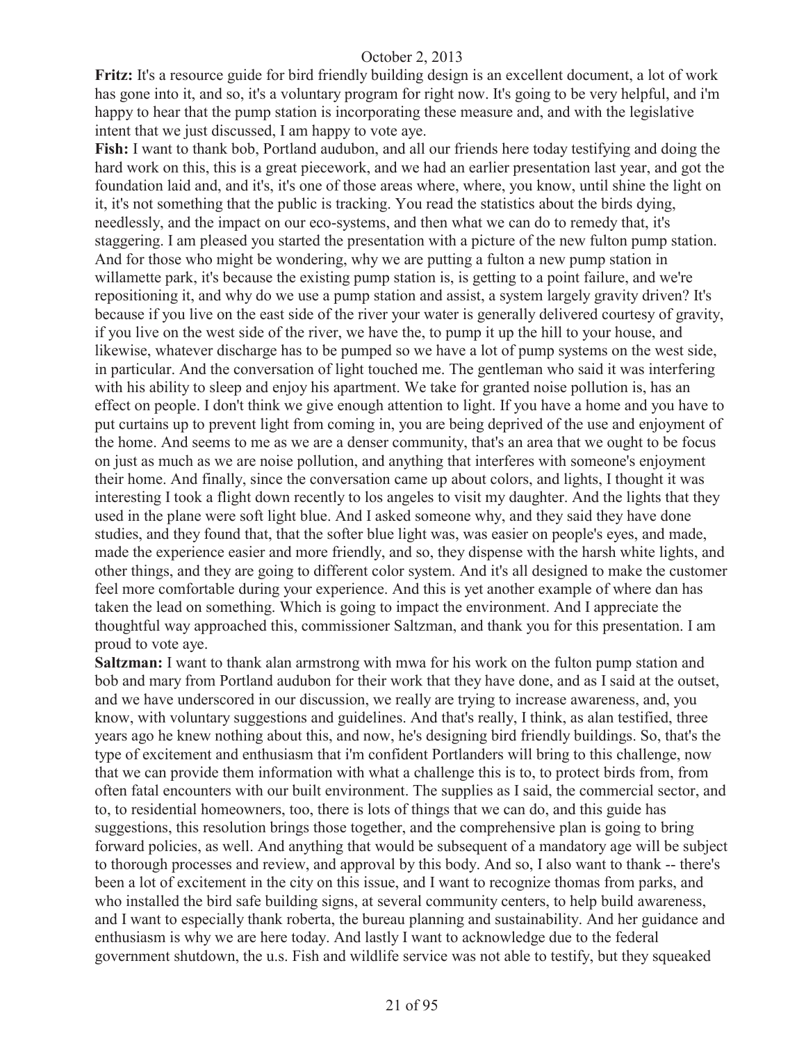**Fritz:** It's a resource guide for bird friendly building design is an excellent document, a lot of work has gone into it, and so, it's a voluntary program for right now. It's going to be very helpful, and i'm happy to hear that the pump station is incorporating these measure and, and with the legislative intent that we just discussed, I am happy to vote aye.

**Fish:** I want to thank bob, Portland audubon, and all our friends here today testifying and doing the hard work on this, this is a great piecework, and we had an earlier presentation last year, and got the foundation laid and, and it's, it's one of those areas where, where, you know, until shine the light on it, it's not something that the public is tracking. You read the statistics about the birds dying, needlessly, and the impact on our eco-systems, and then what we can do to remedy that, it's staggering. I am pleased you started the presentation with a picture of the new fulton pump station. And for those who might be wondering, why we are putting a fulton a new pump station in willamette park, it's because the existing pump station is, is getting to a point failure, and we're repositioning it, and why do we use a pump station and assist, a system largely gravity driven? It's because if you live on the east side of the river your water is generally delivered courtesy of gravity, if you live on the west side of the river, we have the, to pump it up the hill to your house, and likewise, whatever discharge has to be pumped so we have a lot of pump systems on the west side, in particular. And the conversation of light touched me. The gentleman who said it was interfering with his ability to sleep and enjoy his apartment. We take for granted noise pollution is, has an effect on people. I don't think we give enough attention to light. If you have a home and you have to put curtains up to prevent light from coming in, you are being deprived of the use and enjoyment of the home. And seems to me as we are a denser community, that's an area that we ought to be focus on just as much as we are noise pollution, and anything that interferes with someone's enjoyment their home. And finally, since the conversation came up about colors, and lights, I thought it was interesting I took a flight down recently to los angeles to visit my daughter. And the lights that they used in the plane were soft light blue. And I asked someone why, and they said they have done studies, and they found that, that the softer blue light was, was easier on people's eyes, and made, made the experience easier and more friendly, and so, they dispense with the harsh white lights, and other things, and they are going to different color system. And it's all designed to make the customer feel more comfortable during your experience. And this is yet another example of where dan has taken the lead on something. Which is going to impact the environment. And I appreciate the thoughtful way approached this, commissioner Saltzman, and thank you for this presentation. I am proud to vote aye.

**Saltzman:** I want to thank alan armstrong with mwa for his work on the fulton pump station and bob and mary from Portland audubon for their work that they have done, and as I said at the outset, and we have underscored in our discussion, we really are trying to increase awareness, and, you know, with voluntary suggestions and guidelines. And that's really, I think, as alan testified, three years ago he knew nothing about this, and now, he's designing bird friendly buildings. So, that's the type of excitement and enthusiasm that i'm confident Portlanders will bring to this challenge, now that we can provide them information with what a challenge this is to, to protect birds from, from often fatal encounters with our built environment. The supplies as I said, the commercial sector, and to, to residential homeowners, too, there is lots of things that we can do, and this guide has suggestions, this resolution brings those together, and the comprehensive plan is going to bring forward policies, as well. And anything that would be subsequent of a mandatory age will be subject to thorough processes and review, and approval by this body. And so, I also want to thank -- there's been a lot of excitement in the city on this issue, and I want to recognize thomas from parks, and who installed the bird safe building signs, at several community centers, to help build awareness, and I want to especially thank roberta, the bureau planning and sustainability. And her guidance and enthusiasm is why we are here today. And lastly I want to acknowledge due to the federal government shutdown, the u.s. Fish and wildlife service was not able to testify, but they squeaked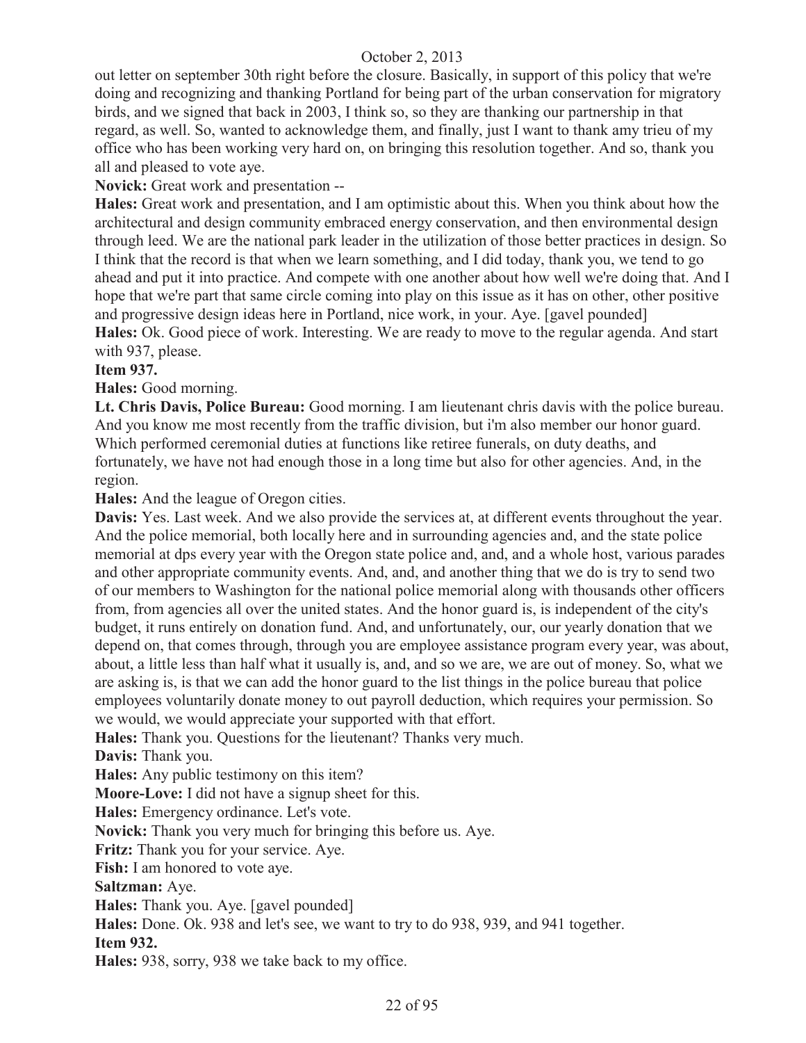out letter on september 30th right before the closure. Basically, in support of this policy that we're doing and recognizing and thanking Portland for being part of the urban conservation for migratory birds, and we signed that back in 2003, I think so, so they are thanking our partnership in that regard, as well. So, wanted to acknowledge them, and finally, just I want to thank amy trieu of my office who has been working very hard on, on bringing this resolution together. And so, thank you all and pleased to vote aye.

**Novick:** Great work and presentation --

**Hales:** Great work and presentation, and I am optimistic about this. When you think about how the architectural and design community embraced energy conservation, and then environmental design through leed. We are the national park leader in the utilization of those better practices in design. So I think that the record is that when we learn something, and I did today, thank you, we tend to go ahead and put it into practice. And compete with one another about how well we're doing that. And I hope that we're part that same circle coming into play on this issue as it has on other, other positive and progressive design ideas here in Portland, nice work, in your. Aye. [gavel pounded] **Hales:** Ok. Good piece of work. Interesting. We are ready to move to the regular agenda. And start with 937, please.

## **Item 937.**

**Hales:** Good morning.

**Lt. Chris Davis, Police Bureau:** Good morning. I am lieutenant chris davis with the police bureau. And you know me most recently from the traffic division, but i'm also member our honor guard. Which performed ceremonial duties at functions like retiree funerals, on duty deaths, and fortunately, we have not had enough those in a long time but also for other agencies. And, in the region.

**Hales:** And the league of Oregon cities.

**Davis:** Yes. Last week. And we also provide the services at, at different events throughout the year. And the police memorial, both locally here and in surrounding agencies and, and the state police memorial at dps every year with the Oregon state police and, and, and a whole host, various parades and other appropriate community events. And, and, and another thing that we do is try to send two of our members to Washington for the national police memorial along with thousands other officers from, from agencies all over the united states. And the honor guard is, is independent of the city's budget, it runs entirely on donation fund. And, and unfortunately, our, our yearly donation that we depend on, that comes through, through you are employee assistance program every year, was about, about, a little less than half what it usually is, and, and so we are, we are out of money. So, what we are asking is, is that we can add the honor guard to the list things in the police bureau that police employees voluntarily donate money to out payroll deduction, which requires your permission. So we would, we would appreciate your supported with that effort.

**Hales:** Thank you. Questions for the lieutenant? Thanks very much.

**Davis:** Thank you.

**Hales:** Any public testimony on this item?

**Moore-Love:** I did not have a signup sheet for this.

**Hales:** Emergency ordinance. Let's vote.

**Novick:** Thank you very much for bringing this before us. Aye.

**Fritz:** Thank you for your service. Aye.

**Fish:** I am honored to vote aye.

**Saltzman:** Aye.

**Hales:** Thank you. Aye. [gavel pounded]

**Hales:** Done. Ok. 938 and let's see, we want to try to do 938, 939, and 941 together.

#### **Item 932.**

**Hales:** 938, sorry, 938 we take back to my office.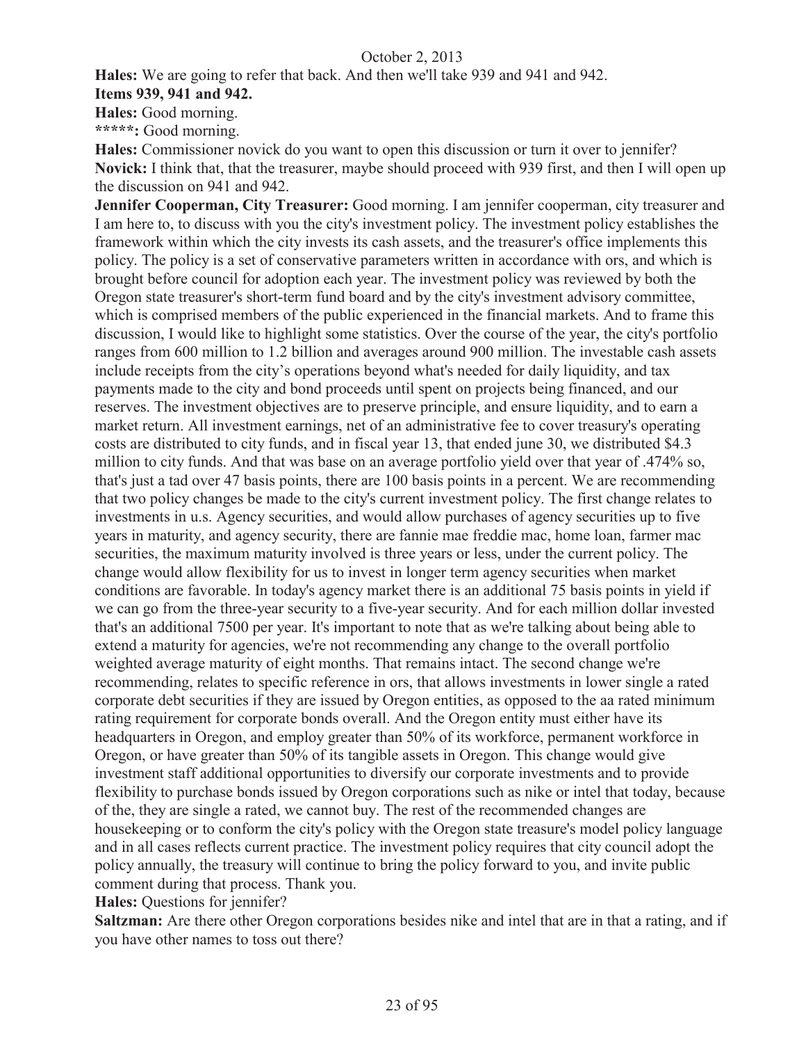**Hales:** We are going to refer that back. And then we'll take 939 and 941 and 942.

**Items 939, 941 and 942.**

**Hales:** Good morning.

**\*\*\*\*\*:** Good morning.

**Hales:** Commissioner novick do you want to open this discussion or turn it over to jennifer? **Novick:** I think that, that the treasurer, maybe should proceed with 939 first, and then I will open up the discussion on 941 and 942.

**Jennifer Cooperman, City Treasurer:** Good morning. I am jennifer cooperman, city treasurer and I am here to, to discuss with you the city's investment policy. The investment policy establishes the framework within which the city invests its cash assets, and the treasurer's office implements this policy. The policy is a set of conservative parameters written in accordance with ors, and which is brought before council for adoption each year. The investment policy was reviewed by both the Oregon state treasurer's short-term fund board and by the city's investment advisory committee, which is comprised members of the public experienced in the financial markets. And to frame this discussion, I would like to highlight some statistics. Over the course of the year, the city's portfolio ranges from 600 million to 1.2 billion and averages around 900 million. The investable cash assets include receipts from the city's operations beyond what's needed for daily liquidity, and tax payments made to the city and bond proceeds until spent on projects being financed, and our reserves. The investment objectives are to preserve principle, and ensure liquidity, and to earn a market return. All investment earnings, net of an administrative fee to cover treasury's operating costs are distributed to city funds, and in fiscal year 13, that ended june 30, we distributed \$4.3 million to city funds. And that was base on an average portfolio yield over that year of .474% so, that's just a tad over 47 basis points, there are 100 basis points in a percent. We are recommending that two policy changes be made to the city's current investment policy. The first change relates to investments in u.s. Agency securities, and would allow purchases of agency securities up to five years in maturity, and agency security, there are fannie mae freddie mac, home loan, farmer mac securities, the maximum maturity involved is three years or less, under the current policy. The change would allow flexibility for us to invest in longer term agency securities when market conditions are favorable. In today's agency market there is an additional 75 basis points in yield if we can go from the three-year security to a five-year security. And for each million dollar invested that's an additional 7500 per year. It's important to note that as we're talking about being able to extend a maturity for agencies, we're not recommending any change to the overall portfolio weighted average maturity of eight months. That remains intact. The second change we're recommending, relates to specific reference in ors, that allows investments in lower single a rated corporate debt securities if they are issued by Oregon entities, as opposed to the aa rated minimum rating requirement for corporate bonds overall. And the Oregon entity must either have its headquarters in Oregon, and employ greater than 50% of its workforce, permanent workforce in Oregon, or have greater than 50% of its tangible assets in Oregon. This change would give investment staff additional opportunities to diversify our corporate investments and to provide flexibility to purchase bonds issued by Oregon corporations such as nike or intel that today, because of the, they are single a rated, we cannot buy. The rest of the recommended changes are housekeeping or to conform the city's policy with the Oregon state treasure's model policy language and in all cases reflects current practice. The investment policy requires that city council adopt the policy annually, the treasury will continue to bring the policy forward to you, and invite public comment during that process. Thank you.

**Hales:** Questions for jennifer?

**Saltzman:** Are there other Oregon corporations besides nike and intel that are in that a rating, and if you have other names to toss out there?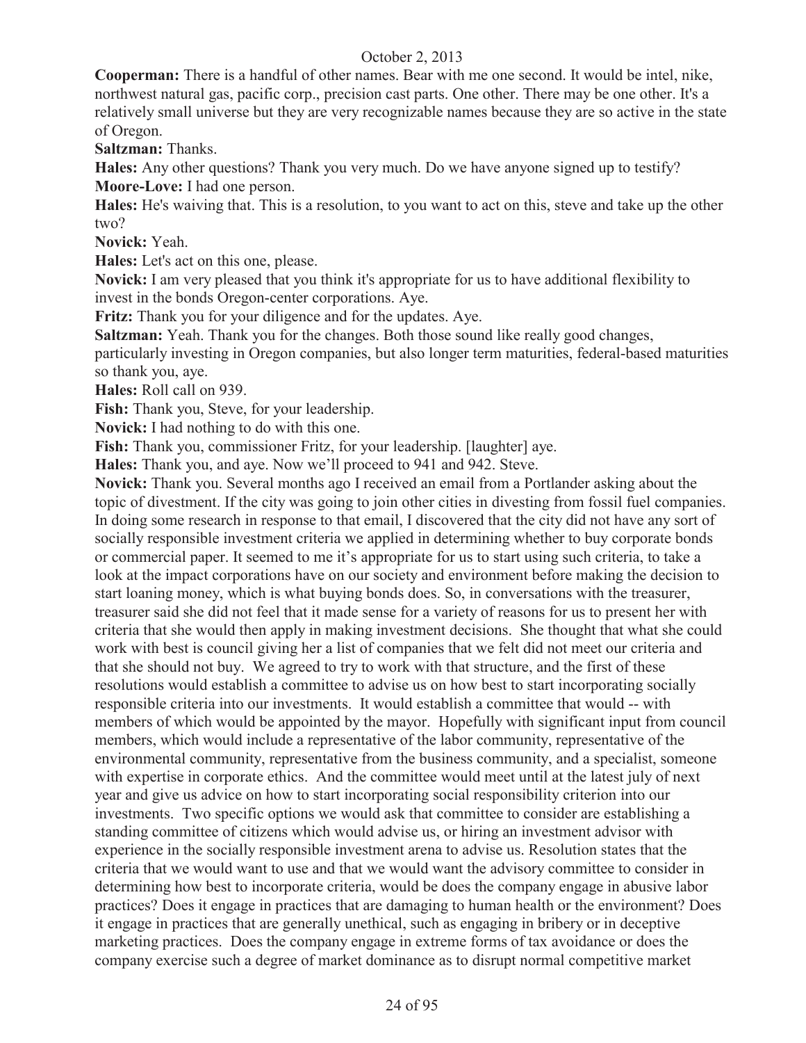**Cooperman:** There is a handful of other names. Bear with me one second. It would be intel, nike, northwest natural gas, pacific corp., precision cast parts. One other. There may be one other. It's a relatively small universe but they are very recognizable names because they are so active in the state of Oregon.

**Saltzman:** Thanks.

**Hales:** Any other questions? Thank you very much. Do we have anyone signed up to testify? **Moore-Love:** I had one person.

**Hales:** He's waiving that. This is a resolution, to you want to act on this, steve and take up the other two?

**Novick:** Yeah.

**Hales:** Let's act on this one, please.

**Novick:** I am very pleased that you think it's appropriate for us to have additional flexibility to invest in the bonds Oregon-center corporations. Aye.

**Fritz:** Thank you for your diligence and for the updates. Aye.

**Saltzman:** Yeah. Thank you for the changes. Both those sound like really good changes,

particularly investing in Oregon companies, but also longer term maturities, federal-based maturities so thank you, aye.

**Hales:** Roll call on 939.

**Fish:** Thank you, Steve, for your leadership.

**Novick:** I had nothing to do with this one.

**Fish:** Thank you, commissioner Fritz, for your leadership. [laughter] aye.

**Hales:** Thank you, and aye. Now we'll proceed to 941 and 942. Steve.

**Novick:** Thank you. Several months ago I received an email from a Portlander asking about the topic of divestment. If the city was going to join other cities in divesting from fossil fuel companies. In doing some research in response to that email, I discovered that the city did not have any sort of socially responsible investment criteria we applied in determining whether to buy corporate bonds or commercial paper. It seemed to me it's appropriate for us to start using such criteria, to take a look at the impact corporations have on our society and environment before making the decision to start loaning money, which is what buying bonds does. So, in conversations with the treasurer, treasurer said she did not feel that it made sense for a variety of reasons for us to present her with criteria that she would then apply in making investment decisions. She thought that what she could work with best is council giving her a list of companies that we felt did not meet our criteria and that she should not buy. We agreed to try to work with that structure, and the first of these resolutions would establish a committee to advise us on how best to start incorporating socially responsible criteria into our investments. It would establish a committee that would -- with members of which would be appointed by the mayor. Hopefully with significant input from council members, which would include a representative of the labor community, representative of the environmental community, representative from the business community, and a specialist, someone with expertise in corporate ethics. And the committee would meet until at the latest july of next year and give us advice on how to start incorporating social responsibility criterion into our investments. Two specific options we would ask that committee to consider are establishing a standing committee of citizens which would advise us, or hiring an investment advisor with experience in the socially responsible investment arena to advise us. Resolution states that the criteria that we would want to use and that we would want the advisory committee to consider in determining how best to incorporate criteria, would be does the company engage in abusive labor practices? Does it engage in practices that are damaging to human health or the environment? Does it engage in practices that are generally unethical, such as engaging in bribery or in deceptive marketing practices. Does the company engage in extreme forms of tax avoidance or does the company exercise such a degree of market dominance as to disrupt normal competitive market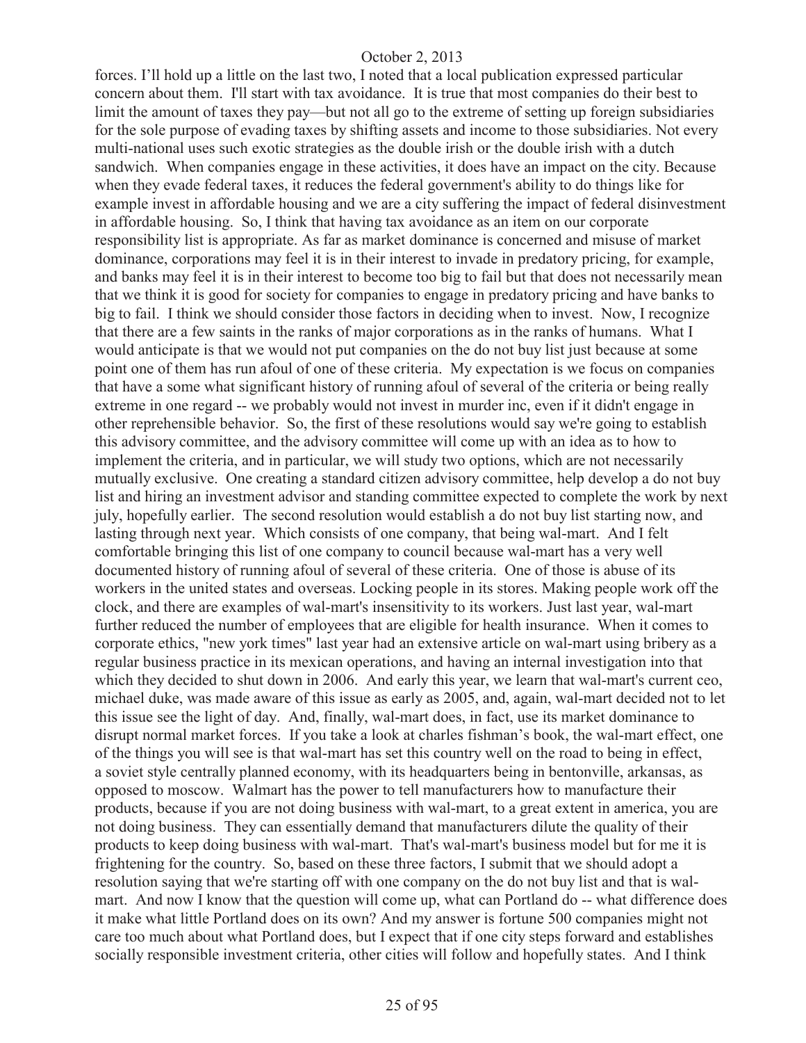forces. I'll hold up a little on the last two, I noted that a local publication expressed particular concern about them. I'll start with tax avoidance. It is true that most companies do their best to limit the amount of taxes they pay—but not all go to the extreme of setting up foreign subsidiaries for the sole purpose of evading taxes by shifting assets and income to those subsidiaries. Not every multi-national uses such exotic strategies as the double irish or the double irish with a dutch sandwich. When companies engage in these activities, it does have an impact on the city. Because when they evade federal taxes, it reduces the federal government's ability to do things like for example invest in affordable housing and we are a city suffering the impact of federal disinvestment in affordable housing. So, I think that having tax avoidance as an item on our corporate responsibility list is appropriate. As far as market dominance is concerned and misuse of market dominance, corporations may feel it is in their interest to invade in predatory pricing, for example, and banks may feel it is in their interest to become too big to fail but that does not necessarily mean that we think it is good for society for companies to engage in predatory pricing and have banks to big to fail. I think we should consider those factors in deciding when to invest. Now, I recognize that there are a few saints in the ranks of major corporations as in the ranks of humans. What I would anticipate is that we would not put companies on the do not buy list just because at some point one of them has run afoul of one of these criteria. My expectation is we focus on companies that have a some what significant history of running afoul of several of the criteria or being really extreme in one regard -- we probably would not invest in murder inc, even if it didn't engage in other reprehensible behavior. So, the first of these resolutions would say we're going to establish this advisory committee, and the advisory committee will come up with an idea as to how to implement the criteria, and in particular, we will study two options, which are not necessarily mutually exclusive. One creating a standard citizen advisory committee, help develop a do not buy list and hiring an investment advisor and standing committee expected to complete the work by next july, hopefully earlier. The second resolution would establish a do not buy list starting now, and lasting through next year. Which consists of one company, that being wal-mart. And I felt comfortable bringing this list of one company to council because wal-mart has a very well documented history of running afoul of several of these criteria. One of those is abuse of its workers in the united states and overseas. Locking people in its stores. Making people work off the clock, and there are examples of wal-mart's insensitivity to its workers. Just last year, wal-mart further reduced the number of employees that are eligible for health insurance. When it comes to corporate ethics, "new york times" last year had an extensive article on wal-mart using bribery as a regular business practice in its mexican operations, and having an internal investigation into that which they decided to shut down in 2006. And early this year, we learn that wal-mart's current ceo, michael duke, was made aware of this issue as early as 2005, and, again, wal-mart decided not to let this issue see the light of day. And, finally, wal-mart does, in fact, use its market dominance to disrupt normal market forces. If you take a look at charles fishman's book, the wal-mart effect, one of the things you will see is that wal-mart has set this country well on the road to being in effect, a soviet style centrally planned economy, with its headquarters being in bentonville, arkansas, as opposed to moscow. Walmart has the power to tell manufacturers how to manufacture their products, because if you are not doing business with wal-mart, to a great extent in america, you are not doing business. They can essentially demand that manufacturers dilute the quality of their products to keep doing business with wal-mart. That's wal-mart's business model but for me it is frightening for the country. So, based on these three factors, I submit that we should adopt a resolution saying that we're starting off with one company on the do not buy list and that is walmart. And now I know that the question will come up, what can Portland do -- what difference does it make what little Portland does on its own? And my answer is fortune 500 companies might not care too much about what Portland does, but I expect that if one city steps forward and establishes socially responsible investment criteria, other cities will follow and hopefully states. And I think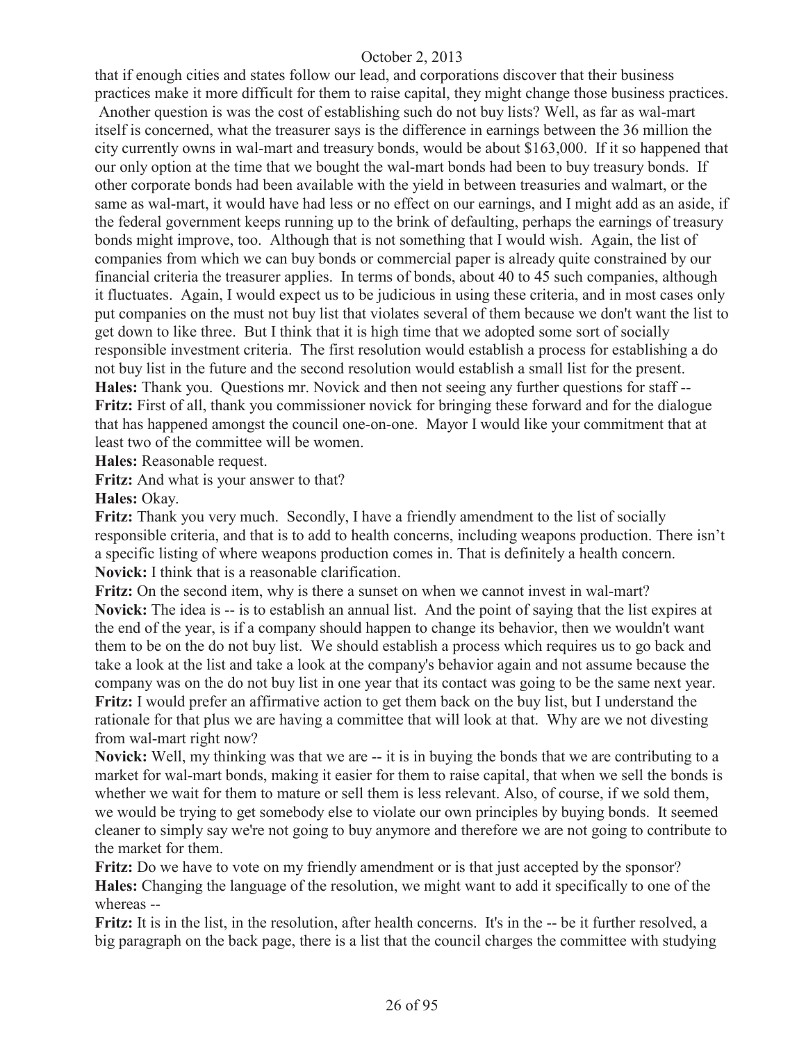that if enough cities and states follow our lead, and corporations discover that their business practices make it more difficult for them to raise capital, they might change those business practices. Another question is was the cost of establishing such do not buy lists? Well, as far as wal-mart itself is concerned, what the treasurer says is the difference in earnings between the 36 million the city currently owns in wal-mart and treasury bonds, would be about \$163,000. If it so happened that our only option at the time that we bought the wal-mart bonds had been to buy treasury bonds. If other corporate bonds had been available with the yield in between treasuries and walmart, or the same as wal-mart, it would have had less or no effect on our earnings, and I might add as an aside, if the federal government keeps running up to the brink of defaulting, perhaps the earnings of treasury bonds might improve, too. Although that is not something that I would wish. Again, the list of companies from which we can buy bonds or commercial paper is already quite constrained by our financial criteria the treasurer applies. In terms of bonds, about 40 to 45 such companies, although it fluctuates. Again, I would expect us to be judicious in using these criteria, and in most cases only put companies on the must not buy list that violates several of them because we don't want the list to get down to like three. But I think that it is high time that we adopted some sort of socially responsible investment criteria. The first resolution would establish a process for establishing a do not buy list in the future and the second resolution would establish a small list for the present. **Hales:** Thank you. Questions mr. Novick and then not seeing any further questions for staff -- **Fritz:** First of all, thank you commissioner novick for bringing these forward and for the dialogue that has happened amongst the council one-on-one. Mayor I would like your commitment that at least two of the committee will be women.

**Hales:** Reasonable request.

**Fritz:** And what is your answer to that?

**Hales:** Okay.

**Fritz:** Thank you very much. Secondly, I have a friendly amendment to the list of socially responsible criteria, and that is to add to health concerns, including weapons production. There isn't a specific listing of where weapons production comes in. That is definitely a health concern. **Novick:** I think that is a reasonable clarification.

**Fritz:** On the second item, why is there a sunset on when we cannot invest in wal-mart? **Novick:** The idea is -- is to establish an annual list. And the point of saying that the list expires at the end of the year, is if a company should happen to change its behavior, then we wouldn't want them to be on the do not buy list. We should establish a process which requires us to go back and take a look at the list and take a look at the company's behavior again and not assume because the company was on the do not buy list in one year that its contact was going to be the same next year. **Fritz:** I would prefer an affirmative action to get them back on the buy list, but I understand the rationale for that plus we are having a committee that will look at that. Why are we not divesting from wal-mart right now?

**Novick:** Well, my thinking was that we are -- it is in buying the bonds that we are contributing to a market for wal-mart bonds, making it easier for them to raise capital, that when we sell the bonds is whether we wait for them to mature or sell them is less relevant. Also, of course, if we sold them, we would be trying to get somebody else to violate our own principles by buying bonds. It seemed cleaner to simply say we're not going to buy anymore and therefore we are not going to contribute to the market for them.

**Fritz:** Do we have to vote on my friendly amendment or is that just accepted by the sponsor? **Hales:** Changing the language of the resolution, we might want to add it specifically to one of the whereas --

**Fritz:** It is in the list, in the resolution, after health concerns. It's in the -- be it further resolved, a big paragraph on the back page, there is a list that the council charges the committee with studying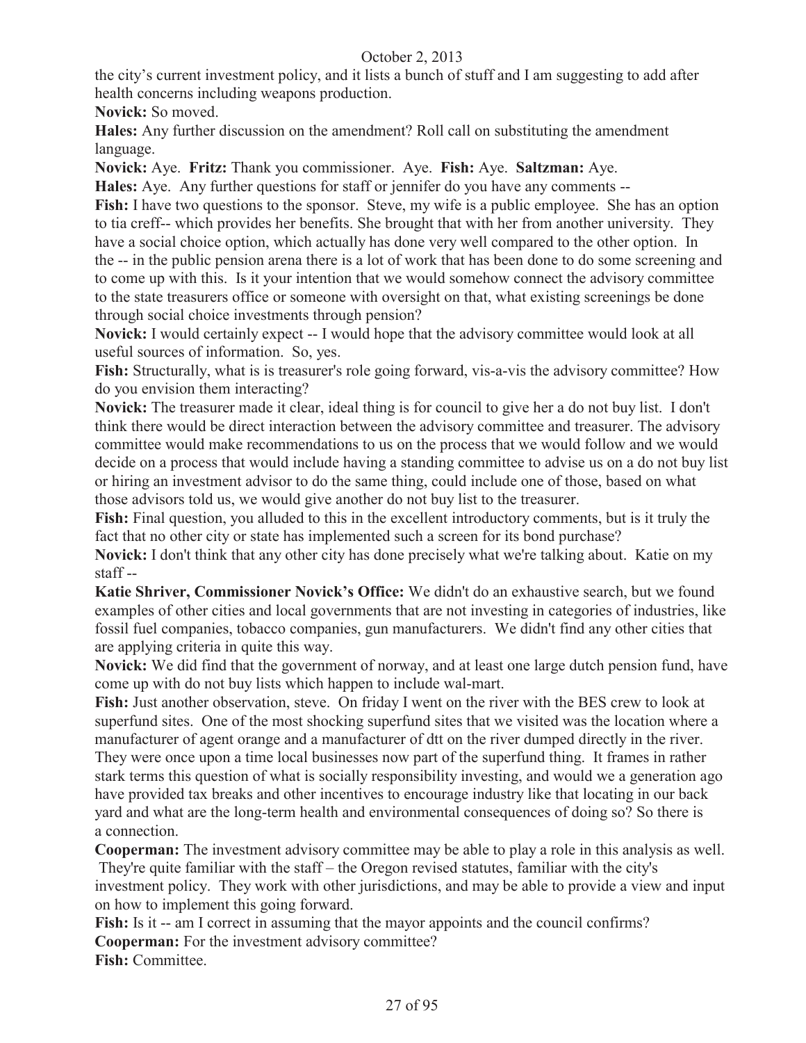the city's current investment policy, and it lists a bunch of stuff and I am suggesting to add after health concerns including weapons production.

**Novick:** So moved.

**Hales:** Any further discussion on the amendment? Roll call on substituting the amendment language.

**Novick:** Aye. **Fritz:** Thank you commissioner. Aye. **Fish:** Aye. **Saltzman:** Aye.

**Hales:** Aye. Any further questions for staff or jennifer do you have any comments --

**Fish:** I have two questions to the sponsor. Steve, my wife is a public employee. She has an option to tia creff-- which provides her benefits. She brought that with her from another university. They have a social choice option, which actually has done very well compared to the other option. In the -- in the public pension arena there is a lot of work that has been done to do some screening and to come up with this. Is it your intention that we would somehow connect the advisory committee to the state treasurers office or someone with oversight on that, what existing screenings be done through social choice investments through pension?

**Novick:** I would certainly expect -- I would hope that the advisory committee would look at all useful sources of information. So, yes.

**Fish:** Structurally, what is is treasurer's role going forward, vis-a-vis the advisory committee? How do you envision them interacting?

**Novick:** The treasurer made it clear, ideal thing is for council to give her a do not buy list. I don't think there would be direct interaction between the advisory committee and treasurer. The advisory committee would make recommendations to us on the process that we would follow and we would decide on a process that would include having a standing committee to advise us on a do not buy list or hiring an investment advisor to do the same thing, could include one of those, based on what those advisors told us, we would give another do not buy list to the treasurer.

**Fish:** Final question, you alluded to this in the excellent introductory comments, but is it truly the fact that no other city or state has implemented such a screen for its bond purchase?

**Novick:** I don't think that any other city has done precisely what we're talking about. Katie on my staff --

**Katie Shriver, Commissioner Novick's Office:** We didn't do an exhaustive search, but we found examples of other cities and local governments that are not investing in categories of industries, like fossil fuel companies, tobacco companies, gun manufacturers. We didn't find any other cities that are applying criteria in quite this way.

**Novick:** We did find that the government of norway, and at least one large dutch pension fund, have come up with do not buy lists which happen to include wal-mart.

Fish: Just another observation, steve. On friday I went on the river with the BES crew to look at superfund sites. One of the most shocking superfund sites that we visited was the location where a manufacturer of agent orange and a manufacturer of dtt on the river dumped directly in the river. They were once upon a time local businesses now part of the superfund thing. It frames in rather stark terms this question of what is socially responsibility investing, and would we a generation ago have provided tax breaks and other incentives to encourage industry like that locating in our back yard and what are the long-term health and environmental consequences of doing so? So there is a connection.

**Cooperman:** The investment advisory committee may be able to play a role in this analysis as well. They're quite familiar with the staff – the Oregon revised statutes, familiar with the city's investment policy. They work with other jurisdictions, and may be able to provide a view and input on how to implement this going forward.

Fish: Is it -- am I correct in assuming that the mayor appoints and the council confirms? **Cooperman:** For the investment advisory committee? **Fish:** Committee.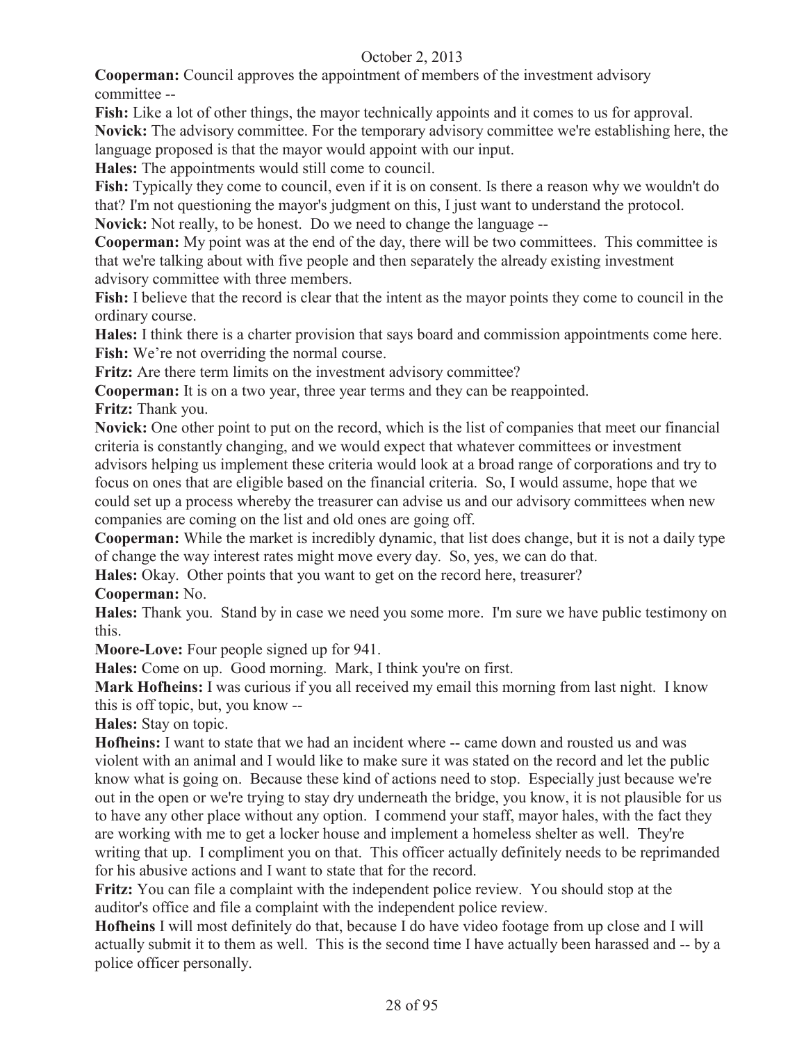**Cooperman:** Council approves the appointment of members of the investment advisory committee --

**Fish:** Like a lot of other things, the mayor technically appoints and it comes to us for approval. **Novick:** The advisory committee. For the temporary advisory committee we're establishing here, the language proposed is that the mayor would appoint with our input.

**Hales:** The appointments would still come to council.

**Fish:** Typically they come to council, even if it is on consent. Is there a reason why we wouldn't do that? I'm not questioning the mayor's judgment on this, I just want to understand the protocol.

**Novick:** Not really, to be honest. Do we need to change the language --

**Cooperman:** My point was at the end of the day, there will be two committees. This committee is that we're talking about with five people and then separately the already existing investment advisory committee with three members.

Fish: I believe that the record is clear that the intent as the mayor points they come to council in the ordinary course.

**Hales:** I think there is a charter provision that says board and commission appointments come here. **Fish:** We're not overriding the normal course.

**Fritz:** Are there term limits on the investment advisory committee?

**Cooperman:** It is on a two year, three year terms and they can be reappointed.

**Fritz:** Thank you.

**Novick:** One other point to put on the record, which is the list of companies that meet our financial criteria is constantly changing, and we would expect that whatever committees or investment advisors helping us implement these criteria would look at a broad range of corporations and try to focus on ones that are eligible based on the financial criteria. So, I would assume, hope that we could set up a process whereby the treasurer can advise us and our advisory committees when new companies are coming on the list and old ones are going off.

**Cooperman:** While the market is incredibly dynamic, that list does change, but it is not a daily type of change the way interest rates might move every day. So, yes, we can do that.

**Hales:** Okay. Other points that you want to get on the record here, treasurer?

**Cooperman:** No.

**Hales:** Thank you. Stand by in case we need you some more. I'm sure we have public testimony on this.

**Moore-Love:** Four people signed up for 941.

**Hales:** Come on up. Good morning. Mark, I think you're on first.

**Mark Hofheins:** I was curious if you all received my email this morning from last night. I know this is off topic, but, you know --

**Hales:** Stay on topic.

**Hofheins:** I want to state that we had an incident where -- came down and rousted us and was violent with an animal and I would like to make sure it was stated on the record and let the public know what is going on. Because these kind of actions need to stop. Especially just because we're out in the open or we're trying to stay dry underneath the bridge, you know, it is not plausible for us to have any other place without any option. I commend your staff, mayor hales, with the fact they are working with me to get a locker house and implement a homeless shelter as well. They're writing that up. I compliment you on that. This officer actually definitely needs to be reprimanded for his abusive actions and I want to state that for the record.

**Fritz:** You can file a complaint with the independent police review. You should stop at the auditor's office and file a complaint with the independent police review.

**Hofheins** I will most definitely do that, because I do have video footage from up close and I will actually submit it to them as well. This is the second time I have actually been harassed and -- by a police officer personally.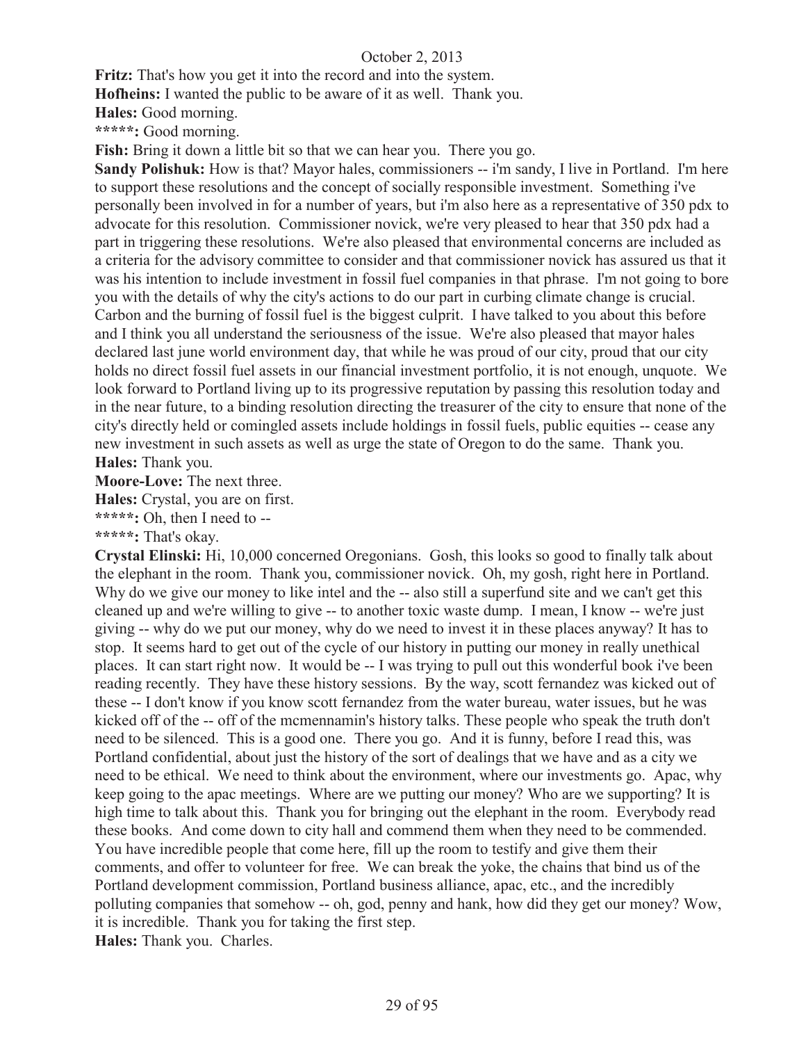**Fritz:** That's how you get it into the record and into the system.

**Hofheins:** I wanted the public to be aware of it as well. Thank you.

**Hales:** Good morning.

**\*\*\*\*\*:** Good morning.

Fish: Bring it down a little bit so that we can hear you. There you go.

**Sandy Polishuk:** How is that? Mayor hales, commissioners -- i'm sandy, I live in Portland. I'm here to support these resolutions and the concept of socially responsible investment. Something i've personally been involved in for a number of years, but i'm also here as a representative of 350 pdx to advocate for this resolution. Commissioner novick, we're very pleased to hear that 350 pdx had a part in triggering these resolutions. We're also pleased that environmental concerns are included as a criteria for the advisory committee to consider and that commissioner novick has assured us that it was his intention to include investment in fossil fuel companies in that phrase. I'm not going to bore you with the details of why the city's actions to do our part in curbing climate change is crucial. Carbon and the burning of fossil fuel is the biggest culprit. I have talked to you about this before and I think you all understand the seriousness of the issue. We're also pleased that mayor hales declared last june world environment day, that while he was proud of our city, proud that our city holds no direct fossil fuel assets in our financial investment portfolio, it is not enough, unquote. We look forward to Portland living up to its progressive reputation by passing this resolution today and in the near future, to a binding resolution directing the treasurer of the city to ensure that none of the city's directly held or comingled assets include holdings in fossil fuels, public equities -- cease any new investment in such assets as well as urge the state of Oregon to do the same. Thank you. **Hales:** Thank you.

**Moore-Love:** The next three.

**Hales:** Crystal, you are on first.

**\*\*\*\*\*:** Oh, then I need to --

**\*\*\*\*\*:** That's okay.

**Crystal Elinski:** Hi, 10,000 concerned Oregonians. Gosh, this looks so good to finally talk about the elephant in the room. Thank you, commissioner novick. Oh, my gosh, right here in Portland. Why do we give our money to like intel and the -- also still a superfund site and we can't get this cleaned up and we're willing to give -- to another toxic waste dump. I mean, I know -- we're just giving -- why do we put our money, why do we need to invest it in these places anyway? It has to stop. It seems hard to get out of the cycle of our history in putting our money in really unethical places. It can start right now. It would be -- I was trying to pull out this wonderful book i've been reading recently. They have these history sessions. By the way, scott fernandez was kicked out of these -- I don't know if you know scott fernandez from the water bureau, water issues, but he was kicked off of the -- off of the mcmennamin's history talks. These people who speak the truth don't need to be silenced. This is a good one. There you go. And it is funny, before I read this, was Portland confidential, about just the history of the sort of dealings that we have and as a city we need to be ethical. We need to think about the environment, where our investments go. Apac, why keep going to the apac meetings. Where are we putting our money? Who are we supporting? It is high time to talk about this. Thank you for bringing out the elephant in the room. Everybody read these books. And come down to city hall and commend them when they need to be commended. You have incredible people that come here, fill up the room to testify and give them their comments, and offer to volunteer for free. We can break the yoke, the chains that bind us of the Portland development commission, Portland business alliance, apac, etc., and the incredibly polluting companies that somehow -- oh, god, penny and hank, how did they get our money? Wow, it is incredible. Thank you for taking the first step.

**Hales:** Thank you. Charles.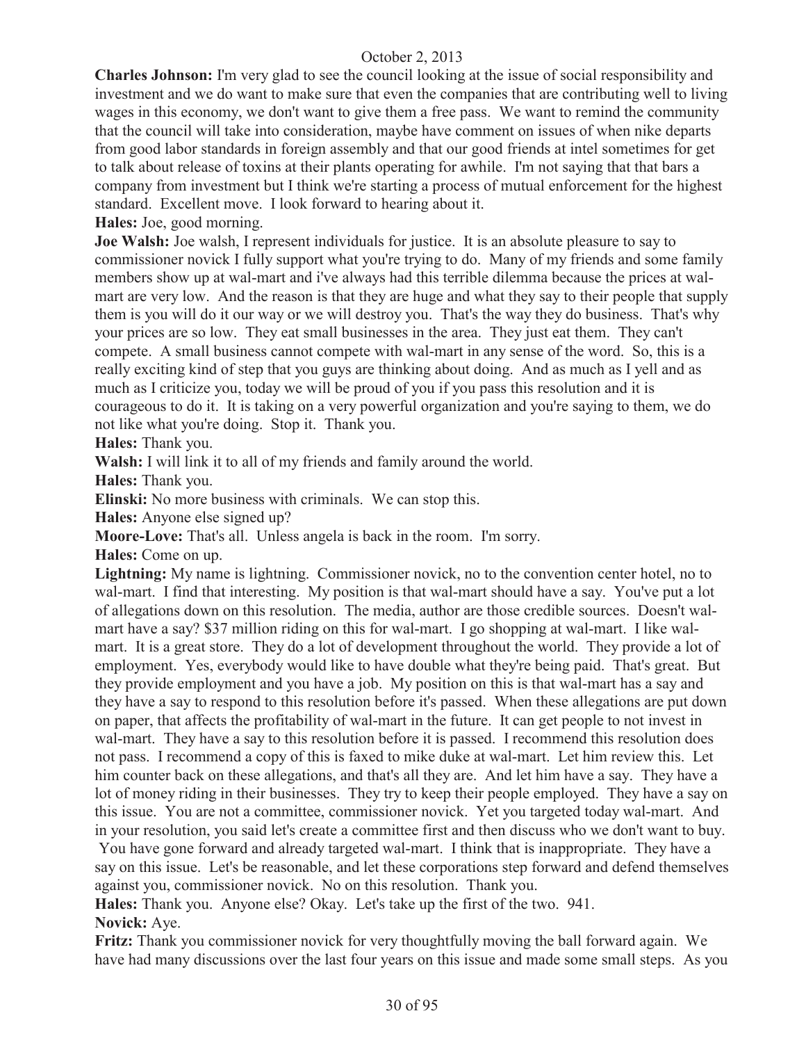**Charles Johnson:** I'm very glad to see the council looking at the issue of social responsibility and investment and we do want to make sure that even the companies that are contributing well to living wages in this economy, we don't want to give them a free pass. We want to remind the community that the council will take into consideration, maybe have comment on issues of when nike departs from good labor standards in foreign assembly and that our good friends at intel sometimes for get to talk about release of toxins at their plants operating for awhile. I'm not saying that that bars a company from investment but I think we're starting a process of mutual enforcement for the highest standard. Excellent move. I look forward to hearing about it.

**Hales:** Joe, good morning.

**Joe Walsh:** Joe walsh, I represent individuals for justice. It is an absolute pleasure to say to commissioner novick I fully support what you're trying to do. Many of my friends and some family members show up at wal-mart and i've always had this terrible dilemma because the prices at walmart are very low. And the reason is that they are huge and what they say to their people that supply them is you will do it our way or we will destroy you. That's the way they do business. That's why your prices are so low. They eat small businesses in the area. They just eat them. They can't compete. A small business cannot compete with wal-mart in any sense of the word. So, this is a really exciting kind of step that you guys are thinking about doing. And as much as I yell and as much as I criticize you, today we will be proud of you if you pass this resolution and it is courageous to do it. It is taking on a very powerful organization and you're saying to them, we do not like what you're doing. Stop it. Thank you.

**Hales:** Thank you.

**Walsh:** I will link it to all of my friends and family around the world.

**Hales:** Thank you.

**Elinski:** No more business with criminals. We can stop this.

**Hales:** Anyone else signed up?

**Moore-Love:** That's all. Unless angela is back in the room. I'm sorry.

**Hales:** Come on up.

**Lightning:** My name is lightning. Commissioner novick, no to the convention center hotel, no to wal-mart. I find that interesting. My position is that wal-mart should have a say. You've put a lot of allegations down on this resolution. The media, author are those credible sources. Doesn't walmart have a say? \$37 million riding on this for wal-mart. I go shopping at wal-mart. I like walmart. It is a great store. They do a lot of development throughout the world. They provide a lot of employment. Yes, everybody would like to have double what they're being paid. That's great. But they provide employment and you have a job. My position on this is that wal-mart has a say and they have a say to respond to this resolution before it's passed. When these allegations are put down on paper, that affects the profitability of wal-mart in the future. It can get people to not invest in wal-mart. They have a say to this resolution before it is passed. I recommend this resolution does not pass. I recommend a copy of this is faxed to mike duke at wal-mart. Let him review this. Let him counter back on these allegations, and that's all they are. And let him have a say. They have a lot of money riding in their businesses. They try to keep their people employed. They have a say on this issue. You are not a committee, commissioner novick. Yet you targeted today wal-mart. And in your resolution, you said let's create a committee first and then discuss who we don't want to buy.

You have gone forward and already targeted wal-mart. I think that is inappropriate. They have a say on this issue. Let's be reasonable, and let these corporations step forward and defend themselves against you, commissioner novick. No on this resolution. Thank you.

**Hales:** Thank you. Anyone else? Okay. Let's take up the first of the two. 941.

**Novick:** Aye.

**Fritz:** Thank you commissioner novick for very thoughtfully moving the ball forward again. We have had many discussions over the last four years on this issue and made some small steps. As you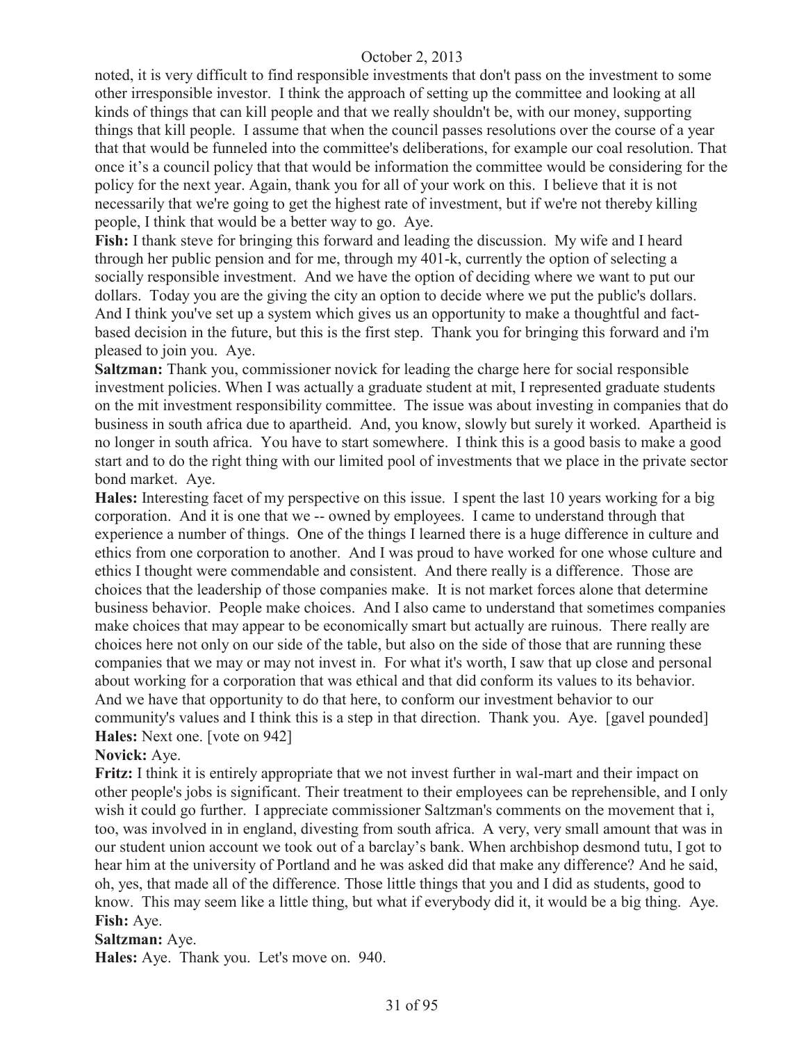noted, it is very difficult to find responsible investments that don't pass on the investment to some other irresponsible investor. I think the approach of setting up the committee and looking at all kinds of things that can kill people and that we really shouldn't be, with our money, supporting things that kill people. I assume that when the council passes resolutions over the course of a year that that would be funneled into the committee's deliberations, for example our coal resolution. That once it's a council policy that that would be information the committee would be considering for the policy for the next year. Again, thank you for all of your work on this. I believe that it is not necessarily that we're going to get the highest rate of investment, but if we're not thereby killing people, I think that would be a better way to go. Aye.

**Fish:** I thank steve for bringing this forward and leading the discussion. My wife and I heard through her public pension and for me, through my 401-k, currently the option of selecting a socially responsible investment. And we have the option of deciding where we want to put our dollars. Today you are the giving the city an option to decide where we put the public's dollars. And I think you've set up a system which gives us an opportunity to make a thoughtful and factbased decision in the future, but this is the first step. Thank you for bringing this forward and i'm pleased to join you. Aye.

**Saltzman:** Thank you, commissioner novick for leading the charge here for social responsible investment policies. When I was actually a graduate student at mit, I represented graduate students on the mit investment responsibility committee. The issue was about investing in companies that do business in south africa due to apartheid. And, you know, slowly but surely it worked. Apartheid is no longer in south africa. You have to start somewhere. I think this is a good basis to make a good start and to do the right thing with our limited pool of investments that we place in the private sector bond market. Aye.

**Hales:** Interesting facet of my perspective on this issue. I spent the last 10 years working for a big corporation. And it is one that we -- owned by employees. I came to understand through that experience a number of things. One of the things I learned there is a huge difference in culture and ethics from one corporation to another. And I was proud to have worked for one whose culture and ethics I thought were commendable and consistent. And there really is a difference. Those are choices that the leadership of those companies make. It is not market forces alone that determine business behavior. People make choices. And I also came to understand that sometimes companies make choices that may appear to be economically smart but actually are ruinous. There really are choices here not only on our side of the table, but also on the side of those that are running these companies that we may or may not invest in. For what it's worth, I saw that up close and personal about working for a corporation that was ethical and that did conform its values to its behavior. And we have that opportunity to do that here, to conform our investment behavior to our community's values and I think this is a step in that direction. Thank you. Aye. [gavel pounded] **Hales:** Next one. [vote on 942]

#### **Novick:** Aye.

**Fritz:** I think it is entirely appropriate that we not invest further in wal-mart and their impact on other people's jobs is significant. Their treatment to their employees can be reprehensible, and I only wish it could go further. I appreciate commissioner Saltzman's comments on the movement that i, too, was involved in in england, divesting from south africa. A very, very small amount that was in our student union account we took out of a barclay's bank. When archbishop desmond tutu, I got to hear him at the university of Portland and he was asked did that make any difference? And he said, oh, yes, that made all of the difference. Those little things that you and I did as students, good to know. This may seem like a little thing, but what if everybody did it, it would be a big thing. Aye. **Fish:** Aye.

#### **Saltzman:** Aye.

**Hales:** Aye. Thank you. Let's move on. 940.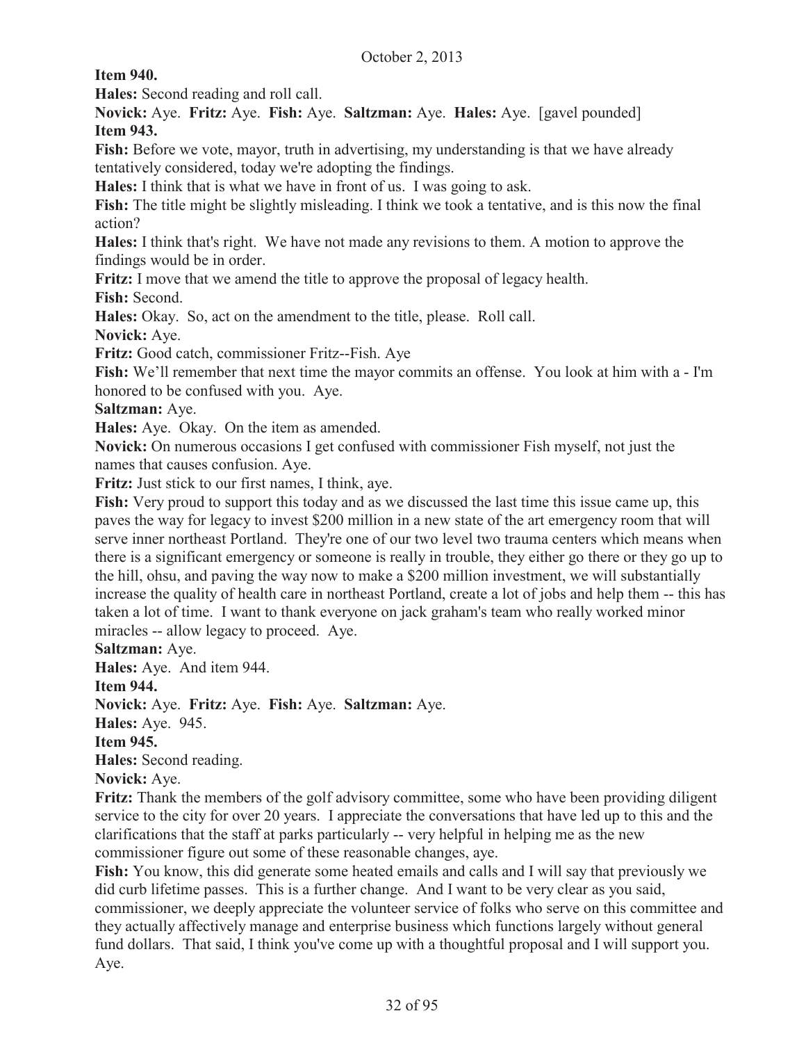**Item 940.** 

**Hales:** Second reading and roll call.

**Novick:** Aye. **Fritz:** Aye. **Fish:** Aye. **Saltzman:** Aye. **Hales:** Aye. [gavel pounded] **Item 943.**

Fish: Before we vote, mayor, truth in advertising, my understanding is that we have already tentatively considered, today we're adopting the findings.

**Hales:** I think that is what we have in front of us. I was going to ask.

**Fish:** The title might be slightly misleading. I think we took a tentative, and is this now the final action?

**Hales:** I think that's right. We have not made any revisions to them. A motion to approve the findings would be in order.

**Fritz:** I move that we amend the title to approve the proposal of legacy health.

**Fish:** Second.

**Hales:** Okay. So, act on the amendment to the title, please. Roll call.

**Novick:** Aye.

**Fritz:** Good catch, commissioner Fritz--Fish. Aye

**Fish:** We'll remember that next time the mayor commits an offense. You look at him with a - I'm honored to be confused with you. Aye.

**Saltzman:** Aye.

**Hales:** Aye. Okay. On the item as amended.

**Novick:** On numerous occasions I get confused with commissioner Fish myself, not just the names that causes confusion. Aye.

**Fritz:** Just stick to our first names, I think, aye.

**Fish:** Very proud to support this today and as we discussed the last time this issue came up, this paves the way for legacy to invest \$200 million in a new state of the art emergency room that will serve inner northeast Portland. They're one of our two level two trauma centers which means when there is a significant emergency or someone is really in trouble, they either go there or they go up to the hill, ohsu, and paving the way now to make a \$200 million investment, we will substantially increase the quality of health care in northeast Portland, create a lot of jobs and help them -- this has taken a lot of time. I want to thank everyone on jack graham's team who really worked minor miracles -- allow legacy to proceed. Aye.

**Saltzman:** Aye.

**Hales:** Aye. And item 944.

**Item 944.** 

**Novick:** Aye. **Fritz:** Aye. **Fish:** Aye. **Saltzman:** Aye.

**Hales:** Aye. 945.

**Item 945.**

**Hales:** Second reading.

**Novick:** Aye.

**Fritz:** Thank the members of the golf advisory committee, some who have been providing diligent service to the city for over 20 years. I appreciate the conversations that have led up to this and the clarifications that the staff at parks particularly -- very helpful in helping me as the new commissioner figure out some of these reasonable changes, aye.

**Fish:** You know, this did generate some heated emails and calls and I will say that previously we did curb lifetime passes. This is a further change. And I want to be very clear as you said, commissioner, we deeply appreciate the volunteer service of folks who serve on this committee and they actually affectively manage and enterprise business which functions largely without general fund dollars. That said, I think you've come up with a thoughtful proposal and I will support you. Aye.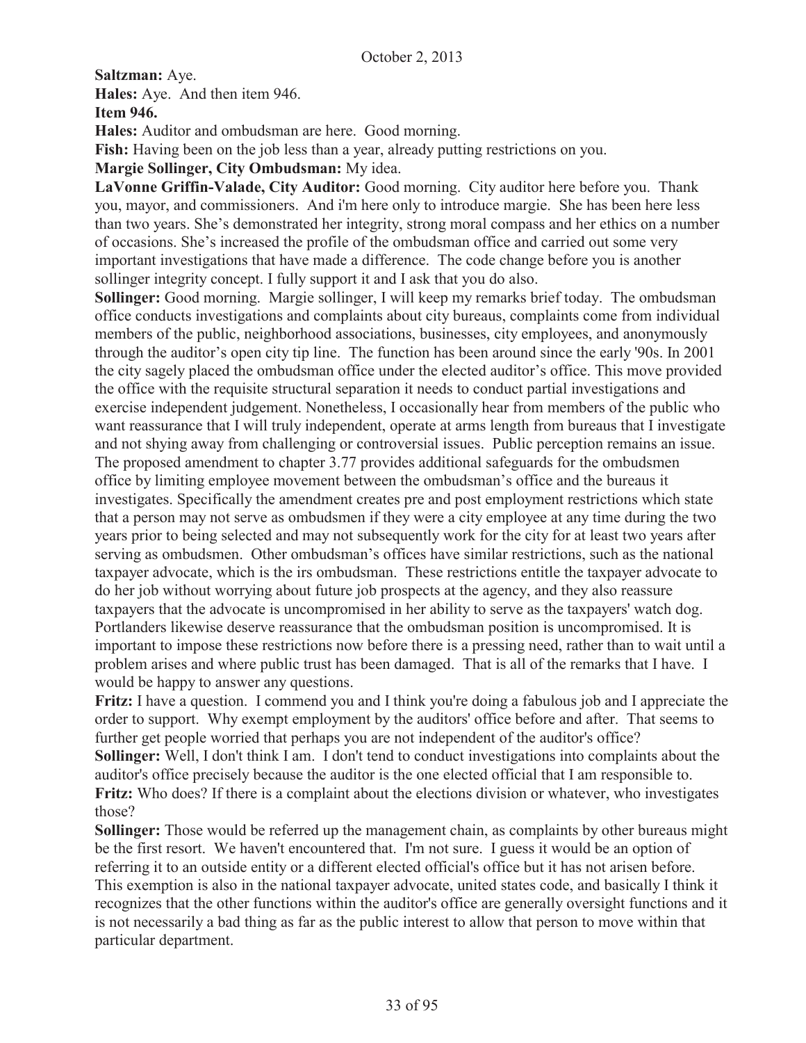**Saltzman:** Aye. **Hales:** Aye. And then item 946.

**Item 946.** 

**Hales:** Auditor and ombudsman are here. Good morning.

**Fish:** Having been on the job less than a year, already putting restrictions on you.

**Margie Sollinger, City Ombudsman:** My idea.

LaVonne Griffin-Valade, City Auditor: Good morning. City auditor here before you. Thank you, mayor, and commissioners. And i'm here only to introduce margie. She has been here less than two years. She's demonstrated her integrity, strong moral compass and her ethics on a number of occasions. She's increased the profile of the ombudsman office and carried out some very important investigations that have made a difference. The code change before you is another sollinger integrity concept. I fully support it and I ask that you do also.

**Sollinger:** Good morning. Margie sollinger, I will keep my remarks brief today. The ombudsman office conducts investigations and complaints about city bureaus, complaints come from individual members of the public, neighborhood associations, businesses, city employees, and anonymously through the auditor's open city tip line. The function has been around since the early '90s. In 2001 the city sagely placed the ombudsman office under the elected auditor's office. This move provided the office with the requisite structural separation it needs to conduct partial investigations and exercise independent judgement. Nonetheless, I occasionally hear from members of the public who want reassurance that I will truly independent, operate at arms length from bureaus that I investigate and not shying away from challenging or controversial issues. Public perception remains an issue. The proposed amendment to chapter 3.77 provides additional safeguards for the ombudsmen office by limiting employee movement between the ombudsman's office and the bureaus it investigates. Specifically the amendment creates pre and post employment restrictions which state that a person may not serve as ombudsmen if they were a city employee at any time during the two years prior to being selected and may not subsequently work for the city for at least two years after serving as ombudsmen. Other ombudsman's offices have similar restrictions, such as the national taxpayer advocate, which is the irs ombudsman. These restrictions entitle the taxpayer advocate to do her job without worrying about future job prospects at the agency, and they also reassure taxpayers that the advocate is uncompromised in her ability to serve as the taxpayers' watch dog. Portlanders likewise deserve reassurance that the ombudsman position is uncompromised. It is important to impose these restrictions now before there is a pressing need, rather than to wait until a problem arises and where public trust has been damaged. That is all of the remarks that I have. I would be happy to answer any questions.

**Fritz:** I have a question. I commend you and I think you're doing a fabulous job and I appreciate the order to support. Why exempt employment by the auditors' office before and after. That seems to further get people worried that perhaps you are not independent of the auditor's office? **Sollinger:** Well, I don't think I am. I don't tend to conduct investigations into complaints about the auditor's office precisely because the auditor is the one elected official that I am responsible to. **Fritz:** Who does? If there is a complaint about the elections division or whatever, who investigates those?

**Sollinger:** Those would be referred up the management chain, as complaints by other bureaus might be the first resort. We haven't encountered that. I'm not sure. I guess it would be an option of referring it to an outside entity or a different elected official's office but it has not arisen before. This exemption is also in the national taxpayer advocate, united states code, and basically I think it recognizes that the other functions within the auditor's office are generally oversight functions and it is not necessarily a bad thing as far as the public interest to allow that person to move within that particular department.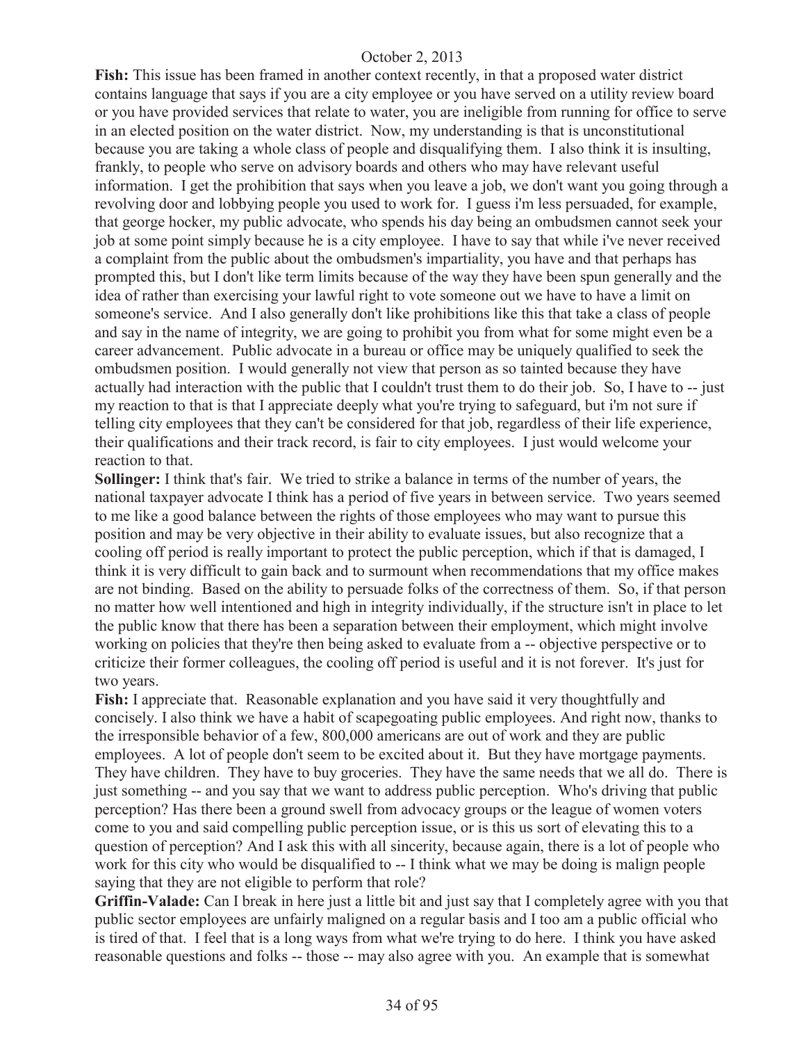**Fish:** This issue has been framed in another context recently, in that a proposed water district contains language that says if you are a city employee or you have served on a utility review board or you have provided services that relate to water, you are ineligible from running for office to serve in an elected position on the water district. Now, my understanding is that is unconstitutional because you are taking a whole class of people and disqualifying them. I also think it is insulting, frankly, to people who serve on advisory boards and others who may have relevant useful information. I get the prohibition that says when you leave a job, we don't want you going through a revolving door and lobbying people you used to work for. I guess i'm less persuaded, for example, that george hocker, my public advocate, who spends his day being an ombudsmen cannot seek your job at some point simply because he is a city employee. I have to say that while i've never received a complaint from the public about the ombudsmen's impartiality, you have and that perhaps has prompted this, but I don't like term limits because of the way they have been spun generally and the idea of rather than exercising your lawful right to vote someone out we have to have a limit on someone's service. And I also generally don't like prohibitions like this that take a class of people and say in the name of integrity, we are going to prohibit you from what for some might even be a career advancement. Public advocate in a bureau or office may be uniquely qualified to seek the ombudsmen position. I would generally not view that person as so tainted because they have actually had interaction with the public that I couldn't trust them to do their job. So, I have to -- just my reaction to that is that I appreciate deeply what you're trying to safeguard, but i'm not sure if telling city employees that they can't be considered for that job, regardless of their life experience, their qualifications and their track record, is fair to city employees. I just would welcome your reaction to that.

**Sollinger:** I think that's fair. We tried to strike a balance in terms of the number of years, the national taxpayer advocate I think has a period of five years in between service. Two years seemed to me like a good balance between the rights of those employees who may want to pursue this position and may be very objective in their ability to evaluate issues, but also recognize that a cooling off period is really important to protect the public perception, which if that is damaged, I think it is very difficult to gain back and to surmount when recommendations that my office makes are not binding. Based on the ability to persuade folks of the correctness of them. So, if that person no matter how well intentioned and high in integrity individually, if the structure isn't in place to let the public know that there has been a separation between their employment, which might involve working on policies that they're then being asked to evaluate from a -- objective perspective or to criticize their former colleagues, the cooling off period is useful and it is not forever. It's just for two years.

**Fish:** I appreciate that. Reasonable explanation and you have said it very thoughtfully and concisely. I also think we have a habit of scapegoating public employees. And right now, thanks to the irresponsible behavior of a few, 800,000 americans are out of work and they are public employees. A lot of people don't seem to be excited about it. But they have mortgage payments. They have children. They have to buy groceries. They have the same needs that we all do. There is just something -- and you say that we want to address public perception. Who's driving that public perception? Has there been a ground swell from advocacy groups or the league of women voters come to you and said compelling public perception issue, or is this us sort of elevating this to a question of perception? And I ask this with all sincerity, because again, there is a lot of people who work for this city who would be disqualified to -- I think what we may be doing is malign people saying that they are not eligible to perform that role?

**Griffin-Valade:** Can I break in here just a little bit and just say that I completely agree with you that public sector employees are unfairly maligned on a regular basis and I too am a public official who is tired of that. I feel that is a long ways from what we're trying to do here. I think you have asked reasonable questions and folks -- those -- may also agree with you. An example that is somewhat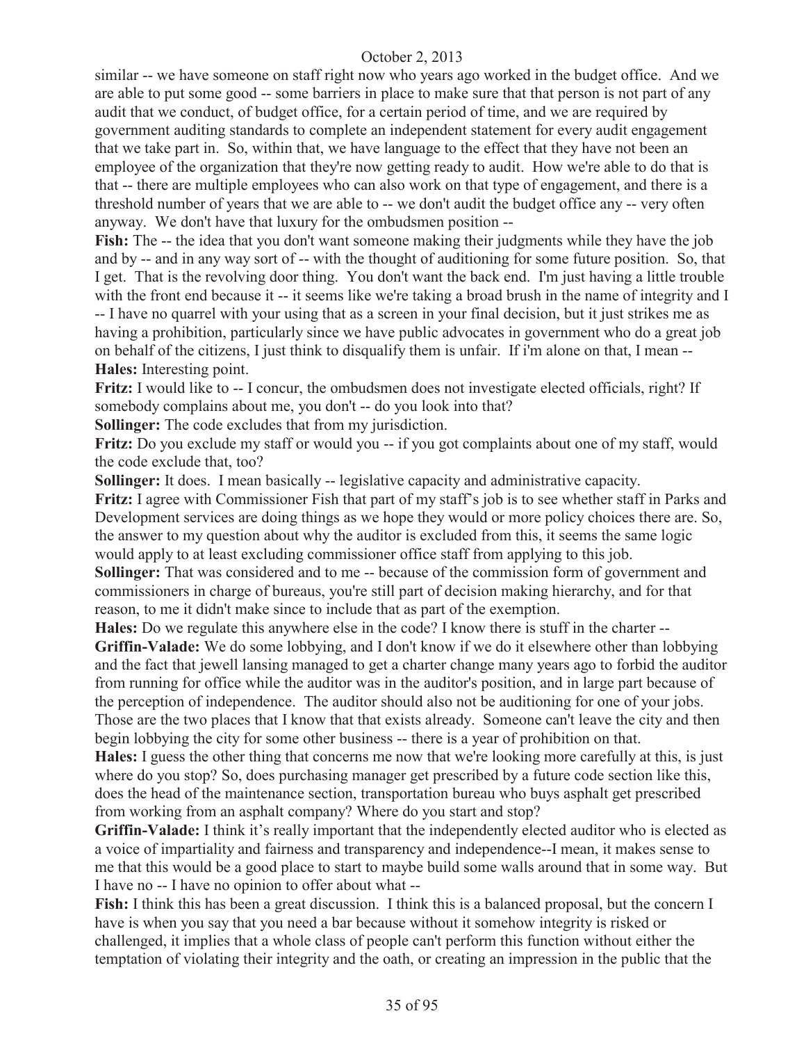similar -- we have someone on staff right now who years ago worked in the budget office. And we are able to put some good -- some barriers in place to make sure that that person is not part of any audit that we conduct, of budget office, for a certain period of time, and we are required by government auditing standards to complete an independent statement for every audit engagement that we take part in. So, within that, we have language to the effect that they have not been an employee of the organization that they're now getting ready to audit. How we're able to do that is that -- there are multiple employees who can also work on that type of engagement, and there is a threshold number of years that we are able to -- we don't audit the budget office any -- very often anyway. We don't have that luxury for the ombudsmen position --

**Fish:** The -- the idea that you don't want someone making their judgments while they have the job and by -- and in any way sort of -- with the thought of auditioning for some future position. So, that I get. That is the revolving door thing. You don't want the back end. I'm just having a little trouble with the front end because it -- it seems like we're taking a broad brush in the name of integrity and I -- I have no quarrel with your using that as a screen in your final decision, but it just strikes me as having a prohibition, particularly since we have public advocates in government who do a great job on behalf of the citizens, I just think to disqualify them is unfair. If i'm alone on that, I mean -- **Hales:** Interesting point.

**Fritz:** I would like to -- I concur, the ombudsmen does not investigate elected officials, right? If somebody complains about me, you don't -- do you look into that?

**Sollinger:** The code excludes that from my jurisdiction.

**Fritz:** Do you exclude my staff or would you -- if you got complaints about one of my staff, would the code exclude that, too?

**Sollinger:** It does. I mean basically -- legislative capacity and administrative capacity.

**Fritz:** I agree with Commissioner Fish that part of my staff's job is to see whether staff in Parks and Development services are doing things as we hope they would or more policy choices there are. So, the answer to my question about why the auditor is excluded from this, it seems the same logic would apply to at least excluding commissioner office staff from applying to this job.

**Sollinger:** That was considered and to me -- because of the commission form of government and commissioners in charge of bureaus, you're still part of decision making hierarchy, and for that reason, to me it didn't make since to include that as part of the exemption.

**Hales:** Do we regulate this anywhere else in the code? I know there is stuff in the charter -- **Griffin-Valade:** We do some lobbying, and I don't know if we do it elsewhere other than lobbying and the fact that jewell lansing managed to get a charter change many years ago to forbid the auditor from running for office while the auditor was in the auditor's position, and in large part because of the perception of independence. The auditor should also not be auditioning for one of your jobs. Those are the two places that I know that that exists already. Someone can't leave the city and then begin lobbying the city for some other business -- there is a year of prohibition on that.

**Hales:** I guess the other thing that concerns me now that we're looking more carefully at this, is just where do you stop? So, does purchasing manager get prescribed by a future code section like this, does the head of the maintenance section, transportation bureau who buys asphalt get prescribed from working from an asphalt company? Where do you start and stop?

**Griffin-Valade:** I think it's really important that the independently elected auditor who is elected as a voice of impartiality and fairness and transparency and independence--I mean, it makes sense to me that this would be a good place to start to maybe build some walls around that in some way. But I have no -- I have no opinion to offer about what --

**Fish:** I think this has been a great discussion. I think this is a balanced proposal, but the concern I have is when you say that you need a bar because without it somehow integrity is risked or challenged, it implies that a whole class of people can't perform this function without either the temptation of violating their integrity and the oath, or creating an impression in the public that the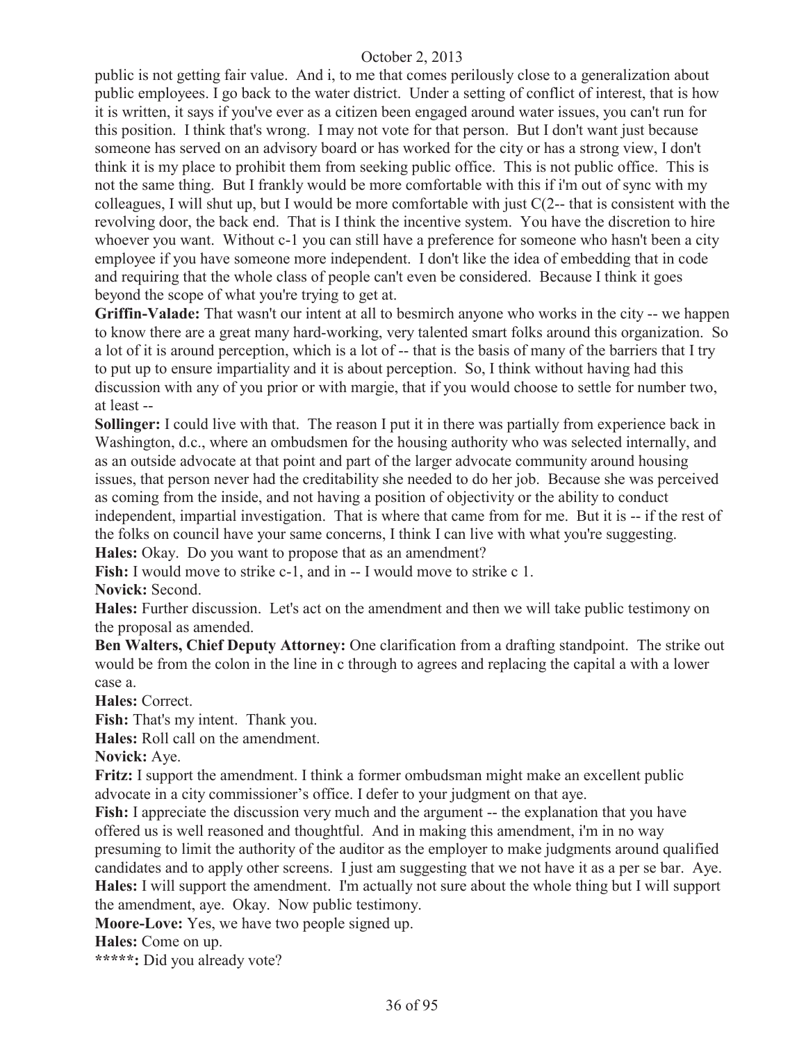public is not getting fair value. And i, to me that comes perilously close to a generalization about public employees. I go back to the water district. Under a setting of conflict of interest, that is how it is written, it says if you've ever as a citizen been engaged around water issues, you can't run for this position. I think that's wrong. I may not vote for that person. But I don't want just because someone has served on an advisory board or has worked for the city or has a strong view, I don't think it is my place to prohibit them from seeking public office. This is not public office. This is not the same thing. But I frankly would be more comfortable with this if i'm out of sync with my colleagues, I will shut up, but I would be more comfortable with just C(2-- that is consistent with the revolving door, the back end. That is I think the incentive system. You have the discretion to hire whoever you want. Without c-1 you can still have a preference for someone who hasn't been a city employee if you have someone more independent. I don't like the idea of embedding that in code and requiring that the whole class of people can't even be considered. Because I think it goes beyond the scope of what you're trying to get at.

**Griffin-Valade:** That wasn't our intent at all to besmirch anyone who works in the city -- we happen to know there are a great many hard-working, very talented smart folks around this organization. So a lot of it is around perception, which is a lot of -- that is the basis of many of the barriers that I try to put up to ensure impartiality and it is about perception. So, I think without having had this discussion with any of you prior or with margie, that if you would choose to settle for number two, at least --

**Sollinger:** I could live with that. The reason I put it in there was partially from experience back in Washington, d.c., where an ombudsmen for the housing authority who was selected internally, and as an outside advocate at that point and part of the larger advocate community around housing issues, that person never had the creditability she needed to do her job. Because she was perceived as coming from the inside, and not having a position of objectivity or the ability to conduct independent, impartial investigation. That is where that came from for me. But it is -- if the rest of the folks on council have your same concerns, I think I can live with what you're suggesting. **Hales:** Okay. Do you want to propose that as an amendment?

**Fish:** I would move to strike c-1, and in -- I would move to strike c 1.

**Novick:** Second.

**Hales:** Further discussion. Let's act on the amendment and then we will take public testimony on the proposal as amended.

**Ben Walters, Chief Deputy Attorney:** One clarification from a drafting standpoint. The strike out would be from the colon in the line in c through to agrees and replacing the capital a with a lower case a.

**Hales:** Correct.

**Fish:** That's my intent. Thank you.

**Hales:** Roll call on the amendment.

**Novick:** Aye.

**Fritz:** I support the amendment. I think a former ombudsman might make an excellent public advocate in a city commissioner's office. I defer to your judgment on that aye.

**Fish:** I appreciate the discussion very much and the argument -- the explanation that you have offered us is well reasoned and thoughtful. And in making this amendment, i'm in no way presuming to limit the authority of the auditor as the employer to make judgments around qualified candidates and to apply other screens. I just am suggesting that we not have it as a per se bar. Aye. **Hales:** I will support the amendment. I'm actually not sure about the whole thing but I will support the amendment, aye. Okay. Now public testimony.

**Moore-Love:** Yes, we have two people signed up.

**Hales:** Come on up.

**\*\*\*\*\*:** Did you already vote?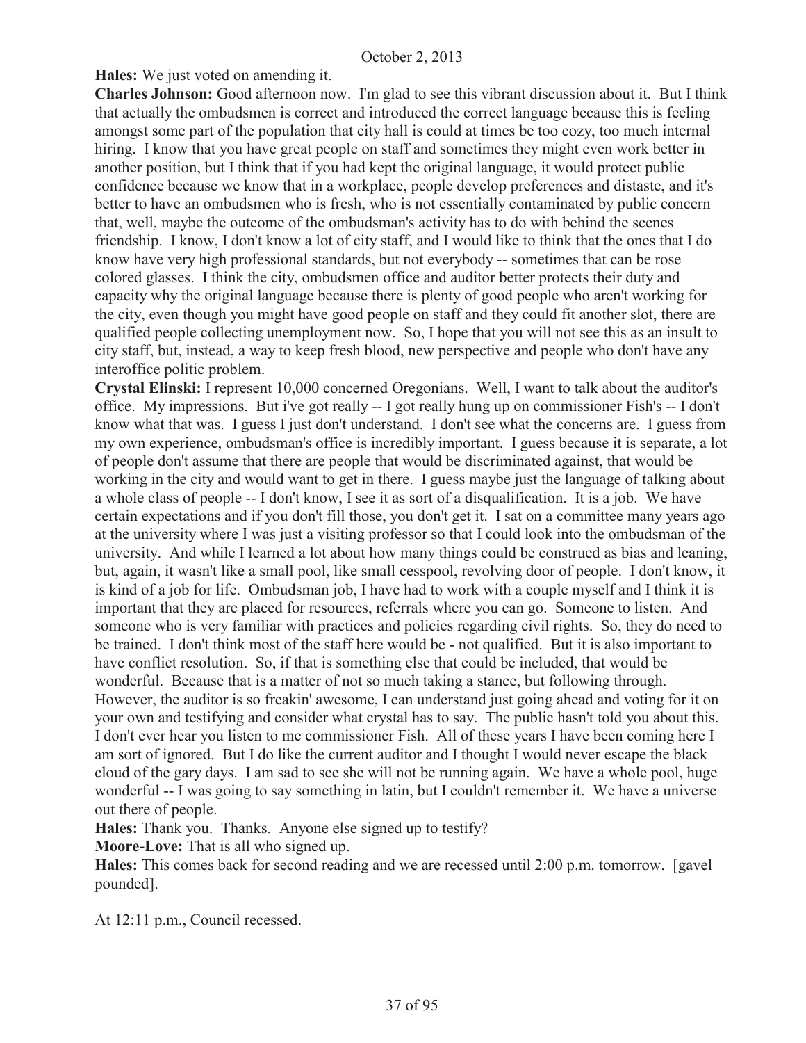**Hales:** We just voted on amending it.

**Charles Johnson:** Good afternoon now. I'm glad to see this vibrant discussion about it. But I think that actually the ombudsmen is correct and introduced the correct language because this is feeling amongst some part of the population that city hall is could at times be too cozy, too much internal hiring. I know that you have great people on staff and sometimes they might even work better in another position, but I think that if you had kept the original language, it would protect public confidence because we know that in a workplace, people develop preferences and distaste, and it's better to have an ombudsmen who is fresh, who is not essentially contaminated by public concern that, well, maybe the outcome of the ombudsman's activity has to do with behind the scenes friendship. I know, I don't know a lot of city staff, and I would like to think that the ones that I do know have very high professional standards, but not everybody -- sometimes that can be rose colored glasses. I think the city, ombudsmen office and auditor better protects their duty and capacity why the original language because there is plenty of good people who aren't working for the city, even though you might have good people on staff and they could fit another slot, there are qualified people collecting unemployment now. So, I hope that you will not see this as an insult to city staff, but, instead, a way to keep fresh blood, new perspective and people who don't have any interoffice politic problem.

**Crystal Elinski:** I represent 10,000 concerned Oregonians. Well, I want to talk about the auditor's office. My impressions. But i've got really -- I got really hung up on commissioner Fish's -- I don't know what that was. I guess I just don't understand. I don't see what the concerns are. I guess from my own experience, ombudsman's office is incredibly important. I guess because it is separate, a lot of people don't assume that there are people that would be discriminated against, that would be working in the city and would want to get in there. I guess maybe just the language of talking about a whole class of people -- I don't know, I see it as sort of a disqualification. It is a job. We have certain expectations and if you don't fill those, you don't get it. I sat on a committee many years ago at the university where I was just a visiting professor so that I could look into the ombudsman of the university. And while I learned a lot about how many things could be construed as bias and leaning, but, again, it wasn't like a small pool, like small cesspool, revolving door of people. I don't know, it is kind of a job for life. Ombudsman job, I have had to work with a couple myself and I think it is important that they are placed for resources, referrals where you can go. Someone to listen. And someone who is very familiar with practices and policies regarding civil rights. So, they do need to be trained. I don't think most of the staff here would be - not qualified. But it is also important to have conflict resolution. So, if that is something else that could be included, that would be wonderful. Because that is a matter of not so much taking a stance, but following through. However, the auditor is so freakin' awesome, I can understand just going ahead and voting for it on your own and testifying and consider what crystal has to say. The public hasn't told you about this. I don't ever hear you listen to me commissioner Fish. All of these years I have been coming here I am sort of ignored. But I do like the current auditor and I thought I would never escape the black cloud of the gary days. I am sad to see she will not be running again. We have a whole pool, huge wonderful -- I was going to say something in latin, but I couldn't remember it. We have a universe out there of people.

**Hales:** Thank you. Thanks. Anyone else signed up to testify?

**Moore-Love:** That is all who signed up.

**Hales:** This comes back for second reading and we are recessed until 2:00 p.m. tomorrow. [gavel pounded].

At 12:11 p.m., Council recessed.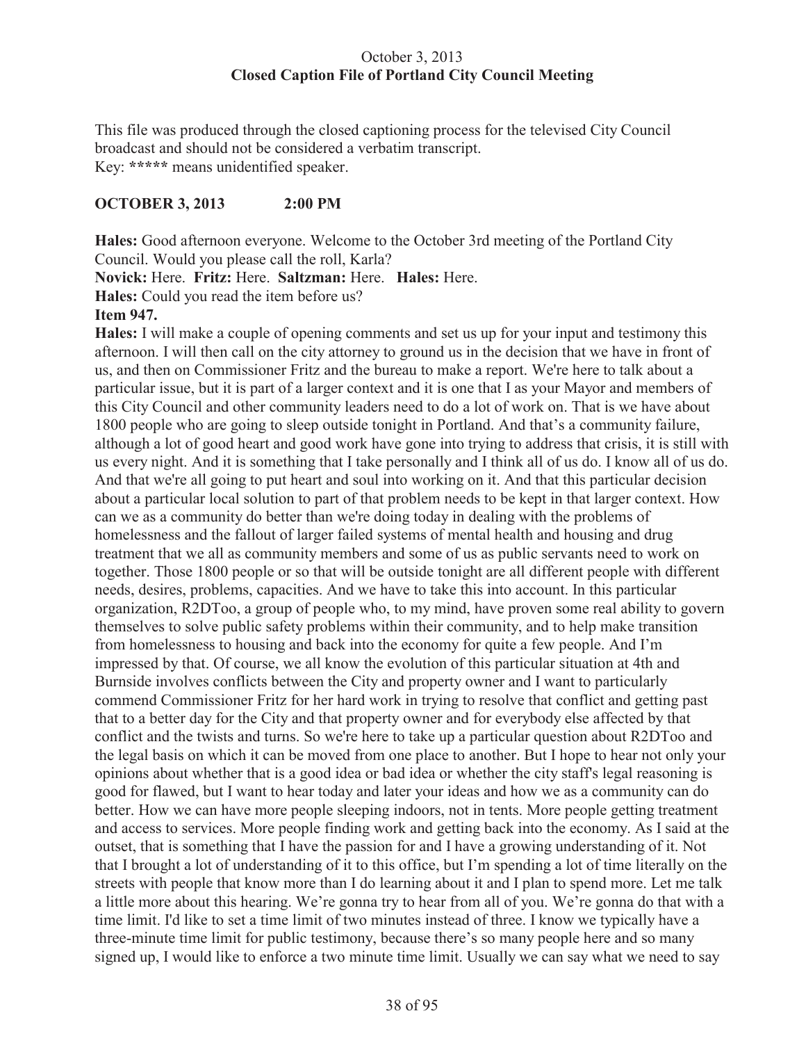# October 3, 2013 **Closed Caption File of Portland City Council Meeting**

This file was produced through the closed captioning process for the televised City Council broadcast and should not be considered a verbatim transcript. Key: **\*\*\*\*\*** means unidentified speaker.

# **OCTOBER 3, 2013 2:00 PM**

**Hales:** Good afternoon everyone. Welcome to the October 3rd meeting of the Portland City Council. Would you please call the roll, Karla?

**Novick:** Here. **Fritz:** Here. **Saltzman:** Here. **Hales:** Here.

**Hales:** Could you read the item before us?

# **Item 947.**

**Hales:** I will make a couple of opening comments and set us up for your input and testimony this afternoon. I will then call on the city attorney to ground us in the decision that we have in front of us, and then on Commissioner Fritz and the bureau to make a report. We're here to talk about a particular issue, but it is part of a larger context and it is one that I as your Mayor and members of this City Council and other community leaders need to do a lot of work on. That is we have about 1800 people who are going to sleep outside tonight in Portland. And that's a community failure, although a lot of good heart and good work have gone into trying to address that crisis, it is still with us every night. And it is something that I take personally and I think all of us do. I know all of us do. And that we're all going to put heart and soul into working on it. And that this particular decision about a particular local solution to part of that problem needs to be kept in that larger context. How can we as a community do better than we're doing today in dealing with the problems of homelessness and the fallout of larger failed systems of mental health and housing and drug treatment that we all as community members and some of us as public servants need to work on together. Those 1800 people or so that will be outside tonight are all different people with different needs, desires, problems, capacities. And we have to take this into account. In this particular organization, R2DToo, a group of people who, to my mind, have proven some real ability to govern themselves to solve public safety problems within their community, and to help make transition from homelessness to housing and back into the economy for quite a few people. And I'm impressed by that. Of course, we all know the evolution of this particular situation at 4th and Burnside involves conflicts between the City and property owner and I want to particularly commend Commissioner Fritz for her hard work in trying to resolve that conflict and getting past that to a better day for the City and that property owner and for everybody else affected by that conflict and the twists and turns. So we're here to take up a particular question about R2DToo and the legal basis on which it can be moved from one place to another. But I hope to hear not only your opinions about whether that is a good idea or bad idea or whether the city staff's legal reasoning is good for flawed, but I want to hear today and later your ideas and how we as a community can do better. How we can have more people sleeping indoors, not in tents. More people getting treatment and access to services. More people finding work and getting back into the economy. As I said at the outset, that is something that I have the passion for and I have a growing understanding of it. Not that I brought a lot of understanding of it to this office, but I'm spending a lot of time literally on the streets with people that know more than I do learning about it and I plan to spend more. Let me talk a little more about this hearing. We're gonna try to hear from all of you. We're gonna do that with a time limit. I'd like to set a time limit of two minutes instead of three. I know we typically have a three-minute time limit for public testimony, because there's so many people here and so many signed up, I would like to enforce a two minute time limit. Usually we can say what we need to say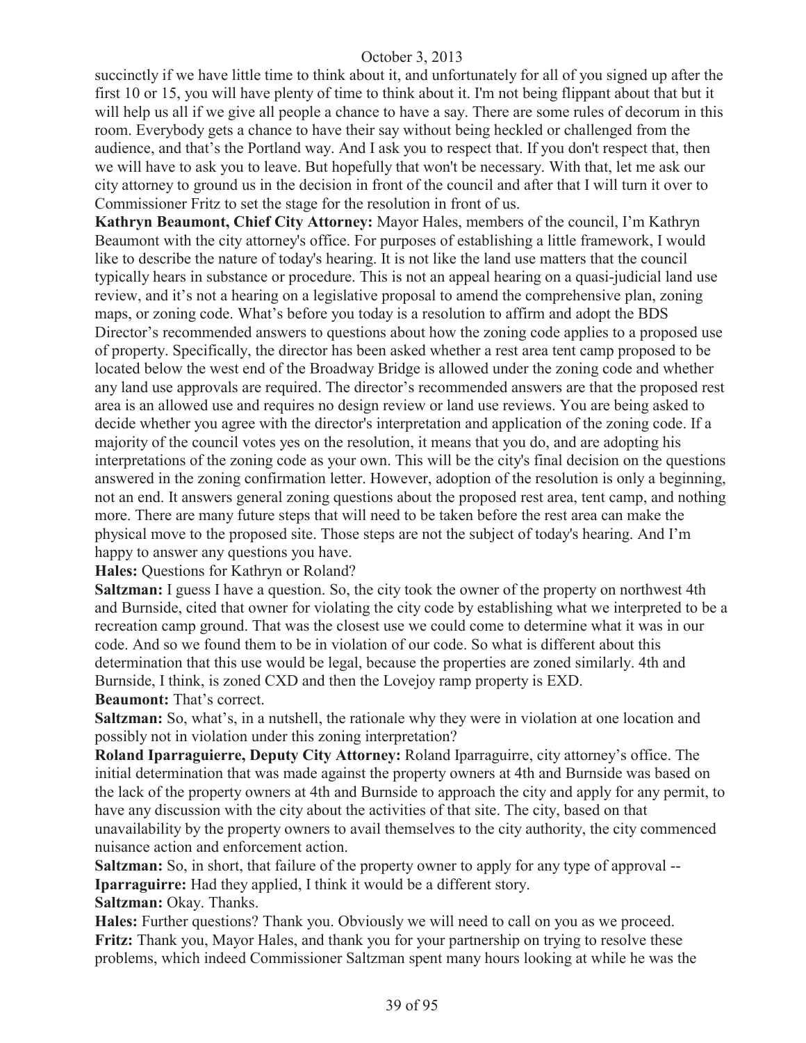succinctly if we have little time to think about it, and unfortunately for all of you signed up after the first 10 or 15, you will have plenty of time to think about it. I'm not being flippant about that but it will help us all if we give all people a chance to have a say. There are some rules of decorum in this room. Everybody gets a chance to have their say without being heckled or challenged from the audience, and that's the Portland way. And I ask you to respect that. If you don't respect that, then we will have to ask you to leave. But hopefully that won't be necessary. With that, let me ask our city attorney to ground us in the decision in front of the council and after that I will turn it over to Commissioner Fritz to set the stage for the resolution in front of us.

**Kathryn Beaumont, Chief City Attorney:** Mayor Hales, members of the council, I'm Kathryn Beaumont with the city attorney's office. For purposes of establishing a little framework, I would like to describe the nature of today's hearing. It is not like the land use matters that the council typically hears in substance or procedure. This is not an appeal hearing on a quasi-judicial land use review, and it's not a hearing on a legislative proposal to amend the comprehensive plan, zoning maps, or zoning code. What's before you today is a resolution to affirm and adopt the BDS Director's recommended answers to questions about how the zoning code applies to a proposed use of property. Specifically, the director has been asked whether a rest area tent camp proposed to be located below the west end of the Broadway Bridge is allowed under the zoning code and whether any land use approvals are required. The director's recommended answers are that the proposed rest area is an allowed use and requires no design review or land use reviews. You are being asked to decide whether you agree with the director's interpretation and application of the zoning code. If a majority of the council votes yes on the resolution, it means that you do, and are adopting his interpretations of the zoning code as your own. This will be the city's final decision on the questions answered in the zoning confirmation letter. However, adoption of the resolution is only a beginning, not an end. It answers general zoning questions about the proposed rest area, tent camp, and nothing more. There are many future steps that will need to be taken before the rest area can make the physical move to the proposed site. Those steps are not the subject of today's hearing. And I'm happy to answer any questions you have.

**Hales:** Questions for Kathryn or Roland?

**Saltzman:** I guess I have a question. So, the city took the owner of the property on northwest 4th and Burnside, cited that owner for violating the city code by establishing what we interpreted to be a recreation camp ground. That was the closest use we could come to determine what it was in our code. And so we found them to be in violation of our code. So what is different about this determination that this use would be legal, because the properties are zoned similarly. 4th and Burnside, I think, is zoned CXD and then the Lovejoy ramp property is EXD. **Beaumont:** That's correct.

**Saltzman:** So, what's, in a nutshell, the rationale why they were in violation at one location and possibly not in violation under this zoning interpretation?

**Roland Iparraguierre, Deputy City Attorney:** Roland Iparraguirre, city attorney's office. The initial determination that was made against the property owners at 4th and Burnside was based on the lack of the property owners at 4th and Burnside to approach the city and apply for any permit, to have any discussion with the city about the activities of that site. The city, based on that unavailability by the property owners to avail themselves to the city authority, the city commenced nuisance action and enforcement action.

**Saltzman:** So, in short, that failure of the property owner to apply for any type of approval --**Iparraguirre:** Had they applied, I think it would be a different story.

Saltzman: Okay. Thanks.

**Hales:** Further questions? Thank you. Obviously we will need to call on you as we proceed. **Fritz:** Thank you, Mayor Hales, and thank you for your partnership on trying to resolve these problems, which indeed Commissioner Saltzman spent many hours looking at while he was the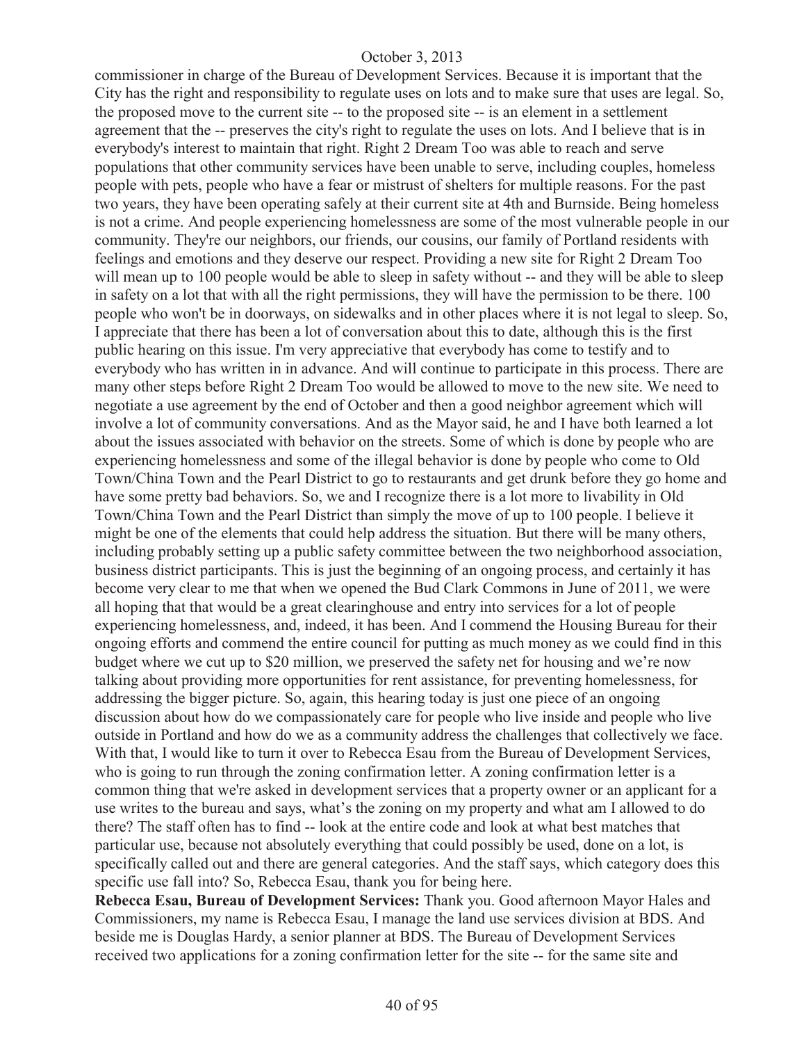commissioner in charge of the Bureau of Development Services. Because it is important that the City has the right and responsibility to regulate uses on lots and to make sure that uses are legal. So, the proposed move to the current site -- to the proposed site -- is an element in a settlement agreement that the -- preserves the city's right to regulate the uses on lots. And I believe that is in everybody's interest to maintain that right. Right 2 Dream Too was able to reach and serve populations that other community services have been unable to serve, including couples, homeless people with pets, people who have a fear or mistrust of shelters for multiple reasons. For the past two years, they have been operating safely at their current site at 4th and Burnside. Being homeless is not a crime. And people experiencing homelessness are some of the most vulnerable people in our community. They're our neighbors, our friends, our cousins, our family of Portland residents with feelings and emotions and they deserve our respect. Providing a new site for Right 2 Dream Too will mean up to 100 people would be able to sleep in safety without -- and they will be able to sleep in safety on a lot that with all the right permissions, they will have the permission to be there. 100 people who won't be in doorways, on sidewalks and in other places where it is not legal to sleep. So, I appreciate that there has been a lot of conversation about this to date, although this is the first public hearing on this issue. I'm very appreciative that everybody has come to testify and to everybody who has written in in advance. And will continue to participate in this process. There are many other steps before Right 2 Dream Too would be allowed to move to the new site. We need to negotiate a use agreement by the end of October and then a good neighbor agreement which will involve a lot of community conversations. And as the Mayor said, he and I have both learned a lot about the issues associated with behavior on the streets. Some of which is done by people who are experiencing homelessness and some of the illegal behavior is done by people who come to Old Town/China Town and the Pearl District to go to restaurants and get drunk before they go home and have some pretty bad behaviors. So, we and I recognize there is a lot more to livability in Old Town/China Town and the Pearl District than simply the move of up to 100 people. I believe it might be one of the elements that could help address the situation. But there will be many others, including probably setting up a public safety committee between the two neighborhood association, business district participants. This is just the beginning of an ongoing process, and certainly it has become very clear to me that when we opened the Bud Clark Commons in June of 2011, we were all hoping that that would be a great clearinghouse and entry into services for a lot of people experiencing homelessness, and, indeed, it has been. And I commend the Housing Bureau for their ongoing efforts and commend the entire council for putting as much money as we could find in this budget where we cut up to \$20 million, we preserved the safety net for housing and we're now talking about providing more opportunities for rent assistance, for preventing homelessness, for addressing the bigger picture. So, again, this hearing today is just one piece of an ongoing discussion about how do we compassionately care for people who live inside and people who live outside in Portland and how do we as a community address the challenges that collectively we face. With that, I would like to turn it over to Rebecca Esau from the Bureau of Development Services, who is going to run through the zoning confirmation letter. A zoning confirmation letter is a common thing that we're asked in development services that a property owner or an applicant for a use writes to the bureau and says, what's the zoning on my property and what am I allowed to do there? The staff often has to find -- look at the entire code and look at what best matches that particular use, because not absolutely everything that could possibly be used, done on a lot, is specifically called out and there are general categories. And the staff says, which category does this specific use fall into? So, Rebecca Esau, thank you for being here.

**Rebecca Esau, Bureau of Development Services:** Thank you. Good afternoon Mayor Hales and Commissioners, my name is Rebecca Esau, I manage the land use services division at BDS. And beside me is Douglas Hardy, a senior planner at BDS. The Bureau of Development Services received two applications for a zoning confirmation letter for the site -- for the same site and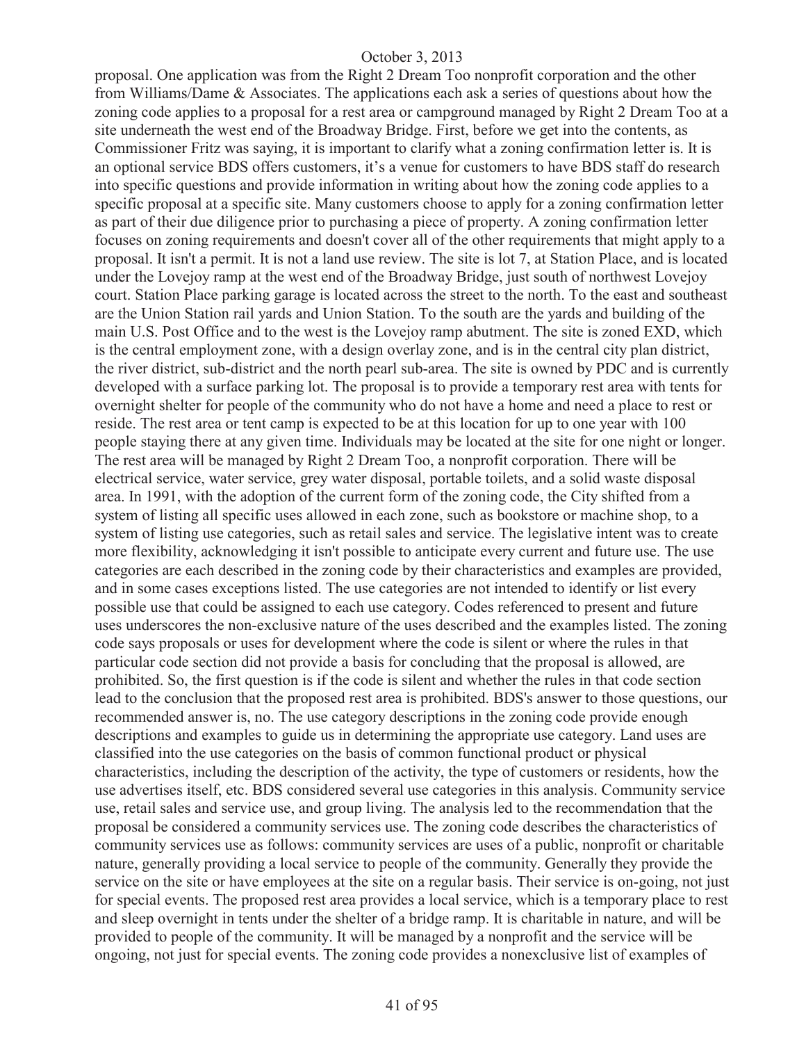proposal. One application was from the Right 2 Dream Too nonprofit corporation and the other from Williams/Dame & Associates. The applications each ask a series of questions about how the zoning code applies to a proposal for a rest area or campground managed by Right 2 Dream Too at a site underneath the west end of the Broadway Bridge. First, before we get into the contents, as Commissioner Fritz was saying, it is important to clarify what a zoning confirmation letter is. It is an optional service BDS offers customers, it's a venue for customers to have BDS staff do research into specific questions and provide information in writing about how the zoning code applies to a specific proposal at a specific site. Many customers choose to apply for a zoning confirmation letter as part of their due diligence prior to purchasing a piece of property. A zoning confirmation letter focuses on zoning requirements and doesn't cover all of the other requirements that might apply to a proposal. It isn't a permit. It is not a land use review. The site is lot 7, at Station Place, and is located under the Lovejoy ramp at the west end of the Broadway Bridge, just south of northwest Lovejoy court. Station Place parking garage is located across the street to the north. To the east and southeast are the Union Station rail yards and Union Station. To the south are the yards and building of the main U.S. Post Office and to the west is the Lovejoy ramp abutment. The site is zoned EXD, which is the central employment zone, with a design overlay zone, and is in the central city plan district, the river district, sub-district and the north pearl sub-area. The site is owned by PDC and is currently developed with a surface parking lot. The proposal is to provide a temporary rest area with tents for overnight shelter for people of the community who do not have a home and need a place to rest or reside. The rest area or tent camp is expected to be at this location for up to one year with 100 people staying there at any given time. Individuals may be located at the site for one night or longer. The rest area will be managed by Right 2 Dream Too, a nonprofit corporation. There will be electrical service, water service, grey water disposal, portable toilets, and a solid waste disposal area. In 1991, with the adoption of the current form of the zoning code, the City shifted from a system of listing all specific uses allowed in each zone, such as bookstore or machine shop, to a system of listing use categories, such as retail sales and service. The legislative intent was to create more flexibility, acknowledging it isn't possible to anticipate every current and future use. The use categories are each described in the zoning code by their characteristics and examples are provided, and in some cases exceptions listed. The use categories are not intended to identify or list every possible use that could be assigned to each use category. Codes referenced to present and future uses underscores the non-exclusive nature of the uses described and the examples listed. The zoning code says proposals or uses for development where the code is silent or where the rules in that particular code section did not provide a basis for concluding that the proposal is allowed, are prohibited. So, the first question is if the code is silent and whether the rules in that code section lead to the conclusion that the proposed rest area is prohibited. BDS's answer to those questions, our recommended answer is, no. The use category descriptions in the zoning code provide enough descriptions and examples to guide us in determining the appropriate use category. Land uses are classified into the use categories on the basis of common functional product or physical characteristics, including the description of the activity, the type of customers or residents, how the use advertises itself, etc. BDS considered several use categories in this analysis. Community service use, retail sales and service use, and group living. The analysis led to the recommendation that the proposal be considered a community services use. The zoning code describes the characteristics of community services use as follows: community services are uses of a public, nonprofit or charitable nature, generally providing a local service to people of the community. Generally they provide the service on the site or have employees at the site on a regular basis. Their service is on-going, not just for special events. The proposed rest area provides a local service, which is a temporary place to rest and sleep overnight in tents under the shelter of a bridge ramp. It is charitable in nature, and will be provided to people of the community. It will be managed by a nonprofit and the service will be ongoing, not just for special events. The zoning code provides a nonexclusive list of examples of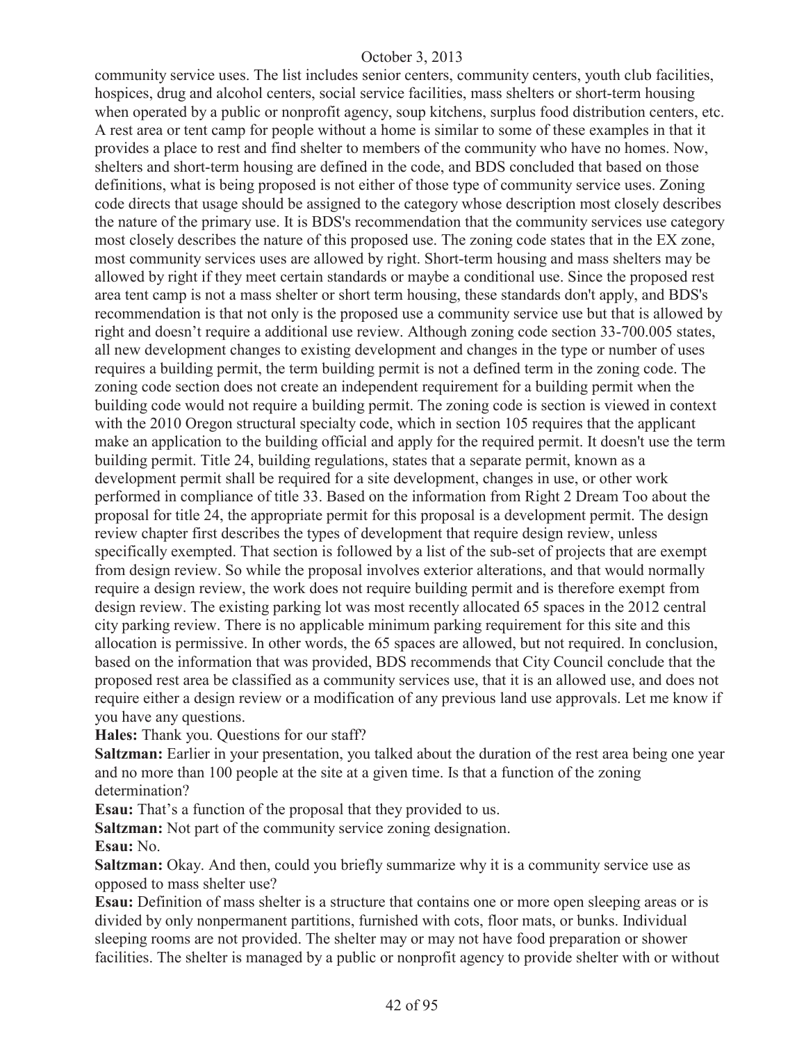community service uses. The list includes senior centers, community centers, youth club facilities, hospices, drug and alcohol centers, social service facilities, mass shelters or short-term housing when operated by a public or nonprofit agency, soup kitchens, surplus food distribution centers, etc. A rest area or tent camp for people without a home is similar to some of these examples in that it provides a place to rest and find shelter to members of the community who have no homes. Now, shelters and short-term housing are defined in the code, and BDS concluded that based on those definitions, what is being proposed is not either of those type of community service uses. Zoning code directs that usage should be assigned to the category whose description most closely describes the nature of the primary use. It is BDS's recommendation that the community services use category most closely describes the nature of this proposed use. The zoning code states that in the EX zone, most community services uses are allowed by right. Short-term housing and mass shelters may be allowed by right if they meet certain standards or maybe a conditional use. Since the proposed rest area tent camp is not a mass shelter or short term housing, these standards don't apply, and BDS's recommendation is that not only is the proposed use a community service use but that is allowed by right and doesn't require a additional use review. Although zoning code section 33-700.005 states, all new development changes to existing development and changes in the type or number of uses requires a building permit, the term building permit is not a defined term in the zoning code. The zoning code section does not create an independent requirement for a building permit when the building code would not require a building permit. The zoning code is section is viewed in context with the 2010 Oregon structural specialty code, which in section 105 requires that the applicant make an application to the building official and apply for the required permit. It doesn't use the term building permit. Title 24, building regulations, states that a separate permit, known as a development permit shall be required for a site development, changes in use, or other work performed in compliance of title 33. Based on the information from Right 2 Dream Too about the proposal for title 24, the appropriate permit for this proposal is a development permit. The design review chapter first describes the types of development that require design review, unless specifically exempted. That section is followed by a list of the sub-set of projects that are exempt from design review. So while the proposal involves exterior alterations, and that would normally require a design review, the work does not require building permit and is therefore exempt from design review. The existing parking lot was most recently allocated 65 spaces in the 2012 central city parking review. There is no applicable minimum parking requirement for this site and this allocation is permissive. In other words, the 65 spaces are allowed, but not required. In conclusion, based on the information that was provided, BDS recommends that City Council conclude that the proposed rest area be classified as a community services use, that it is an allowed use, and does not require either a design review or a modification of any previous land use approvals. Let me know if you have any questions.

**Hales:** Thank you. Questions for our staff?

**Saltzman:** Earlier in your presentation, you talked about the duration of the rest area being one year and no more than 100 people at the site at a given time. Is that a function of the zoning determination?

**Esau:** That's a function of the proposal that they provided to us.

**Saltzman:** Not part of the community service zoning designation. **Esau:** No.

**Saltzman:** Okay. And then, could you briefly summarize why it is a community service use as opposed to mass shelter use?

**Esau:** Definition of mass shelter is a structure that contains one or more open sleeping areas or is divided by only nonpermanent partitions, furnished with cots, floor mats, or bunks. Individual sleeping rooms are not provided. The shelter may or may not have food preparation or shower facilities. The shelter is managed by a public or nonprofit agency to provide shelter with or without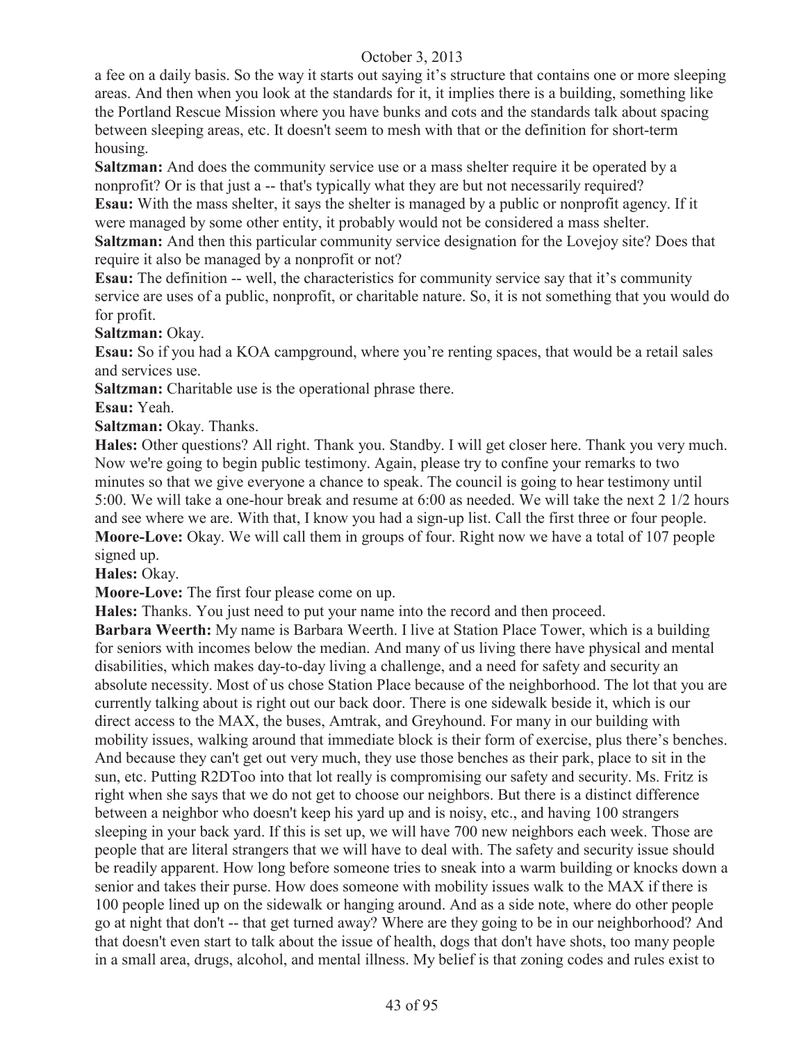a fee on a daily basis. So the way it starts out saying it's structure that contains one or more sleeping areas. And then when you look at the standards for it, it implies there is a building, something like the Portland Rescue Mission where you have bunks and cots and the standards talk about spacing between sleeping areas, etc. It doesn't seem to mesh with that or the definition for short-term housing.

**Saltzman:** And does the community service use or a mass shelter require it be operated by a nonprofit? Or is that just a -- that's typically what they are but not necessarily required?

**Esau:** With the mass shelter, it says the shelter is managed by a public or nonprofit agency. If it were managed by some other entity, it probably would not be considered a mass shelter.

**Saltzman:** And then this particular community service designation for the Lovejoy site? Does that require it also be managed by a nonprofit or not?

**Esau:** The definition -- well, the characteristics for community service say that it's community service are uses of a public, nonprofit, or charitable nature. So, it is not something that you would do for profit.

**Saltzman:** Okay.

**Esau:** So if you had a KOA campground, where you're renting spaces, that would be a retail sales and services use.

**Saltzman:** Charitable use is the operational phrase there.

**Esau:** Yeah.

**Saltzman: Okay. Thanks.** 

**Hales:** Other questions? All right. Thank you. Standby. I will get closer here. Thank you very much. Now we're going to begin public testimony. Again, please try to confine your remarks to two minutes so that we give everyone a chance to speak. The council is going to hear testimony until 5:00. We will take a one-hour break and resume at 6:00 as needed. We will take the next 2 1/2 hours and see where we are. With that, I know you had a sign-up list. Call the first three or four people. **Moore-Love:** Okay. We will call them in groups of four. Right now we have a total of 107 people signed up.

**Hales:** Okay.

**Moore-Love:** The first four please come on up.

**Hales:** Thanks. You just need to put your name into the record and then proceed.

**Barbara Weerth:** My name is Barbara Weerth. I live at Station Place Tower, which is a building for seniors with incomes below the median. And many of us living there have physical and mental disabilities, which makes day-to-day living a challenge, and a need for safety and security an absolute necessity. Most of us chose Station Place because of the neighborhood. The lot that you are currently talking about is right out our back door. There is one sidewalk beside it, which is our direct access to the MAX, the buses, Amtrak, and Greyhound. For many in our building with mobility issues, walking around that immediate block is their form of exercise, plus there's benches. And because they can't get out very much, they use those benches as their park, place to sit in the sun, etc. Putting R2DToo into that lot really is compromising our safety and security. Ms. Fritz is right when she says that we do not get to choose our neighbors. But there is a distinct difference between a neighbor who doesn't keep his yard up and is noisy, etc., and having 100 strangers sleeping in your back yard. If this is set up, we will have 700 new neighbors each week. Those are people that are literal strangers that we will have to deal with. The safety and security issue should be readily apparent. How long before someone tries to sneak into a warm building or knocks down a senior and takes their purse. How does someone with mobility issues walk to the MAX if there is 100 people lined up on the sidewalk or hanging around. And as a side note, where do other people go at night that don't -- that get turned away? Where are they going to be in our neighborhood? And that doesn't even start to talk about the issue of health, dogs that don't have shots, too many people in a small area, drugs, alcohol, and mental illness. My belief is that zoning codes and rules exist to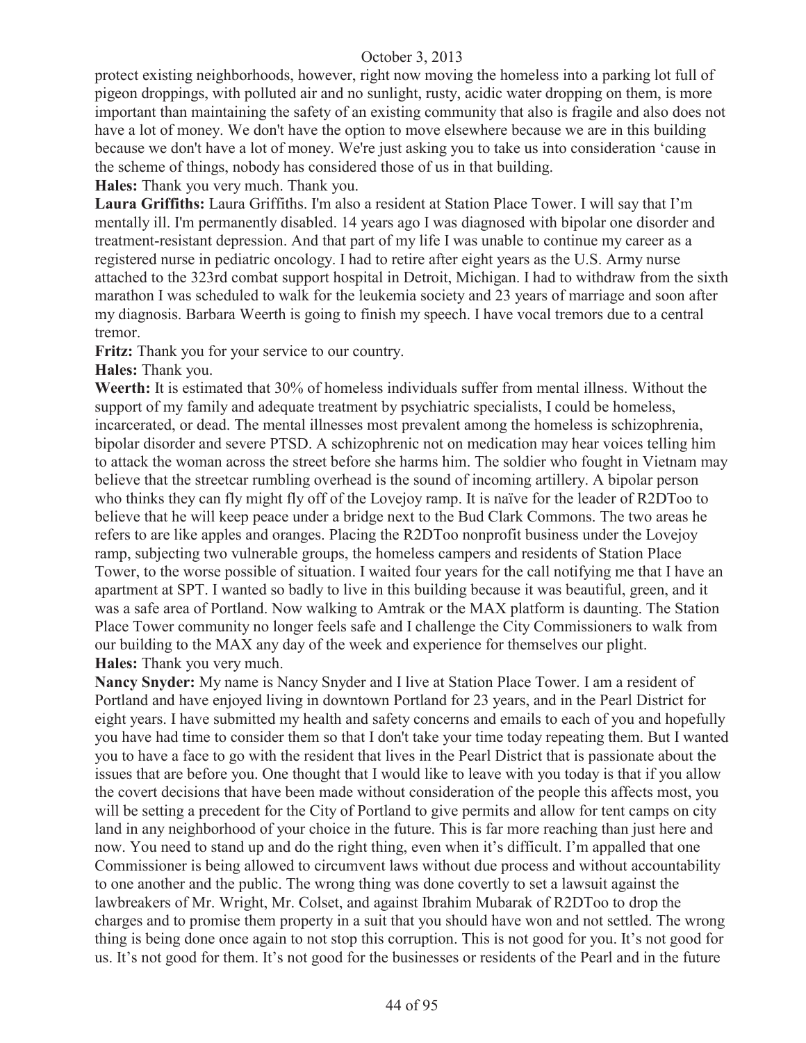protect existing neighborhoods, however, right now moving the homeless into a parking lot full of pigeon droppings, with polluted air and no sunlight, rusty, acidic water dropping on them, is more important than maintaining the safety of an existing community that also is fragile and also does not have a lot of money. We don't have the option to move elsewhere because we are in this building because we don't have a lot of money. We're just asking you to take us into consideration 'cause in the scheme of things, nobody has considered those of us in that building.

**Hales:** Thank you very much. Thank you.

**Laura Griffiths:** Laura Griffiths. I'm also a resident at Station Place Tower. I will say that I'm mentally ill. I'm permanently disabled. 14 years ago I was diagnosed with bipolar one disorder and treatment-resistant depression. And that part of my life I was unable to continue my career as a registered nurse in pediatric oncology. I had to retire after eight years as the U.S. Army nurse attached to the 323rd combat support hospital in Detroit, Michigan. I had to withdraw from the sixth marathon I was scheduled to walk for the leukemia society and 23 years of marriage and soon after my diagnosis. Barbara Weerth is going to finish my speech. I have vocal tremors due to a central tremor.

**Fritz:** Thank you for your service to our country.

**Hales:** Thank you.

**Weerth:** It is estimated that 30% of homeless individuals suffer from mental illness. Without the support of my family and adequate treatment by psychiatric specialists, I could be homeless, incarcerated, or dead. The mental illnesses most prevalent among the homeless is schizophrenia, bipolar disorder and severe PTSD. A schizophrenic not on medication may hear voices telling him to attack the woman across the street before she harms him. The soldier who fought in Vietnam may believe that the streetcar rumbling overhead is the sound of incoming artillery. A bipolar person who thinks they can fly might fly off of the Lovejoy ramp. It is naïve for the leader of R2DToo to believe that he will keep peace under a bridge next to the Bud Clark Commons. The two areas he refers to are like apples and oranges. Placing the R2DToo nonprofit business under the Lovejoy ramp, subjecting two vulnerable groups, the homeless campers and residents of Station Place Tower, to the worse possible of situation. I waited four years for the call notifying me that I have an apartment at SPT. I wanted so badly to live in this building because it was beautiful, green, and it was a safe area of Portland. Now walking to Amtrak or the MAX platform is daunting. The Station Place Tower community no longer feels safe and I challenge the City Commissioners to walk from our building to the MAX any day of the week and experience for themselves our plight. **Hales:** Thank you very much.

**Nancy Snyder:** My name is Nancy Snyder and I live at Station Place Tower. I am a resident of Portland and have enjoyed living in downtown Portland for 23 years, and in the Pearl District for eight years. I have submitted my health and safety concerns and emails to each of you and hopefully you have had time to consider them so that I don't take your time today repeating them. But I wanted you to have a face to go with the resident that lives in the Pearl District that is passionate about the issues that are before you. One thought that I would like to leave with you today is that if you allow the covert decisions that have been made without consideration of the people this affects most, you will be setting a precedent for the City of Portland to give permits and allow for tent camps on city land in any neighborhood of your choice in the future. This is far more reaching than just here and now. You need to stand up and do the right thing, even when it's difficult. I'm appalled that one Commissioner is being allowed to circumvent laws without due process and without accountability to one another and the public. The wrong thing was done covertly to set a lawsuit against the lawbreakers of Mr. Wright, Mr. Colset, and against Ibrahim Mubarak of R2DToo to drop the charges and to promise them property in a suit that you should have won and not settled. The wrong thing is being done once again to not stop this corruption. This is not good for you. It's not good for us. It's not good for them. It's not good for the businesses or residents of the Pearl and in the future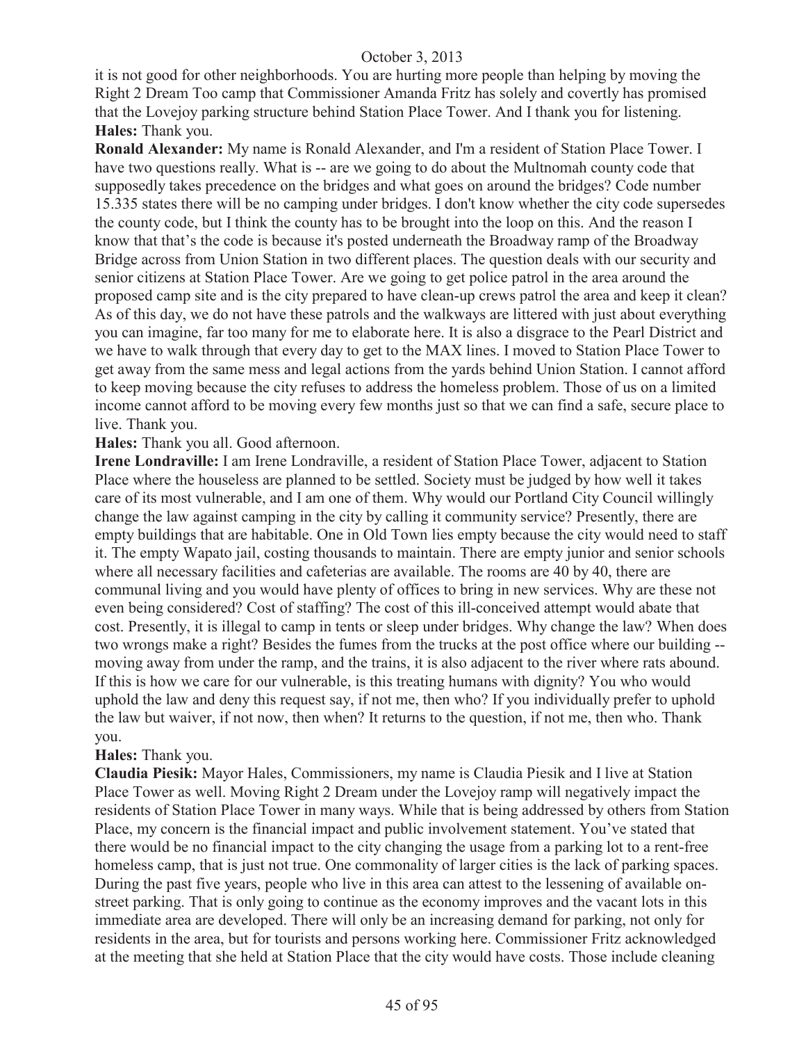it is not good for other neighborhoods. You are hurting more people than helping by moving the Right 2 Dream Too camp that Commissioner Amanda Fritz has solely and covertly has promised that the Lovejoy parking structure behind Station Place Tower. And I thank you for listening. **Hales:** Thank you.

**Ronald Alexander:** My name is Ronald Alexander, and I'm a resident of Station Place Tower. I have two questions really. What is -- are we going to do about the Multnomah county code that supposedly takes precedence on the bridges and what goes on around the bridges? Code number 15.335 states there will be no camping under bridges. I don't know whether the city code supersedes the county code, but I think the county has to be brought into the loop on this. And the reason I know that that's the code is because it's posted underneath the Broadway ramp of the Broadway Bridge across from Union Station in two different places. The question deals with our security and senior citizens at Station Place Tower. Are we going to get police patrol in the area around the proposed camp site and is the city prepared to have clean-up crews patrol the area and keep it clean? As of this day, we do not have these patrols and the walkways are littered with just about everything you can imagine, far too many for me to elaborate here. It is also a disgrace to the Pearl District and we have to walk through that every day to get to the MAX lines. I moved to Station Place Tower to get away from the same mess and legal actions from the yards behind Union Station. I cannot afford to keep moving because the city refuses to address the homeless problem. Those of us on a limited income cannot afford to be moving every few months just so that we can find a safe, secure place to live. Thank you.

**Hales:** Thank you all. Good afternoon.

**Irene Londraville:** I am Irene Londraville, a resident of Station Place Tower, adjacent to Station Place where the houseless are planned to be settled. Society must be judged by how well it takes care of its most vulnerable, and I am one of them. Why would our Portland City Council willingly change the law against camping in the city by calling it community service? Presently, there are empty buildings that are habitable. One in Old Town lies empty because the city would need to staff it. The empty Wapato jail, costing thousands to maintain. There are empty junior and senior schools where all necessary facilities and cafeterias are available. The rooms are 40 by 40, there are communal living and you would have plenty of offices to bring in new services. Why are these not even being considered? Cost of staffing? The cost of this ill-conceived attempt would abate that cost. Presently, it is illegal to camp in tents or sleep under bridges. Why change the law? When does two wrongs make a right? Besides the fumes from the trucks at the post office where our building - moving away from under the ramp, and the trains, it is also adjacent to the river where rats abound. If this is how we care for our vulnerable, is this treating humans with dignity? You who would uphold the law and deny this request say, if not me, then who? If you individually prefer to uphold the law but waiver, if not now, then when? It returns to the question, if not me, then who. Thank you.

#### **Hales:** Thank you.

**Claudia Piesik:** Mayor Hales, Commissioners, my name is Claudia Piesik and I live at Station Place Tower as well. Moving Right 2 Dream under the Lovejoy ramp will negatively impact the residents of Station Place Tower in many ways. While that is being addressed by others from Station Place, my concern is the financial impact and public involvement statement. You've stated that there would be no financial impact to the city changing the usage from a parking lot to a rent-free homeless camp, that is just not true. One commonality of larger cities is the lack of parking spaces. During the past five years, people who live in this area can attest to the lessening of available onstreet parking. That is only going to continue as the economy improves and the vacant lots in this immediate area are developed. There will only be an increasing demand for parking, not only for residents in the area, but for tourists and persons working here. Commissioner Fritz acknowledged at the meeting that she held at Station Place that the city would have costs. Those include cleaning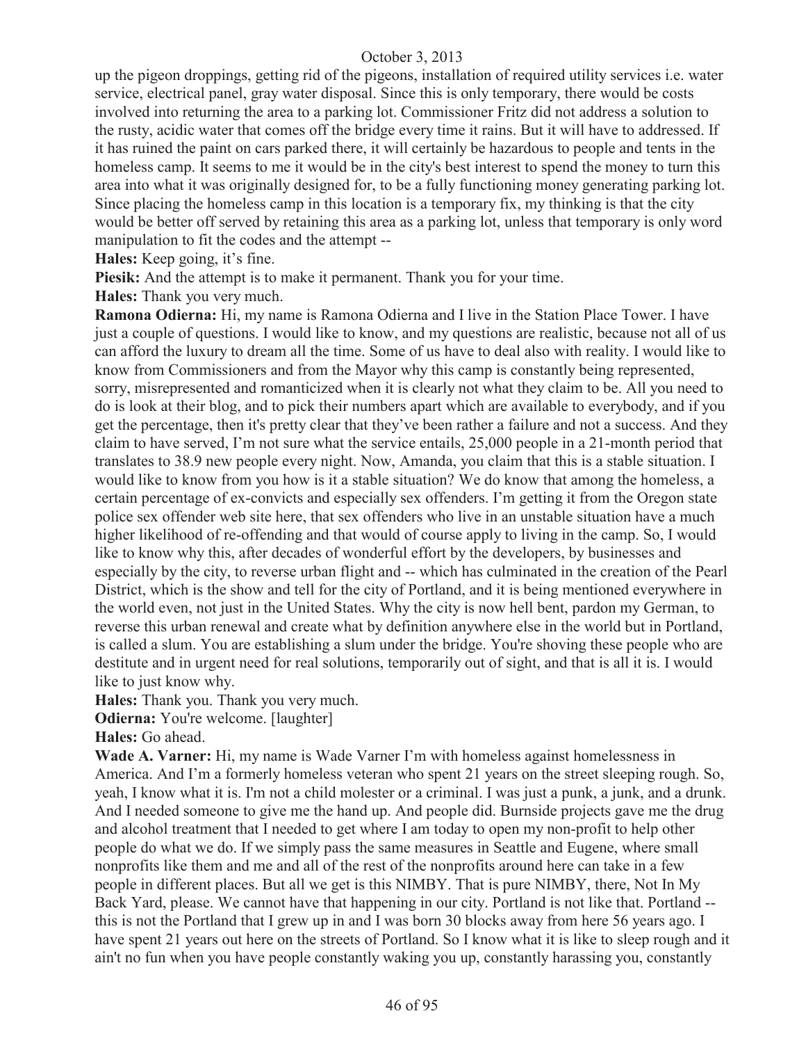up the pigeon droppings, getting rid of the pigeons, installation of required utility services i.e. water service, electrical panel, gray water disposal. Since this is only temporary, there would be costs involved into returning the area to a parking lot. Commissioner Fritz did not address a solution to the rusty, acidic water that comes off the bridge every time it rains. But it will have to addressed. If it has ruined the paint on cars parked there, it will certainly be hazardous to people and tents in the homeless camp. It seems to me it would be in the city's best interest to spend the money to turn this area into what it was originally designed for, to be a fully functioning money generating parking lot. Since placing the homeless camp in this location is a temporary fix, my thinking is that the city would be better off served by retaining this area as a parking lot, unless that temporary is only word manipulation to fit the codes and the attempt --

**Hales:** Keep going, it's fine.

**Piesik:** And the attempt is to make it permanent. Thank you for your time.

**Hales:** Thank you very much.

**Ramona Odierna:** Hi, my name is Ramona Odierna and I live in the Station Place Tower. I have just a couple of questions. I would like to know, and my questions are realistic, because not all of us can afford the luxury to dream all the time. Some of us have to deal also with reality. I would like to know from Commissioners and from the Mayor why this camp is constantly being represented, sorry, misrepresented and romanticized when it is clearly not what they claim to be. All you need to do is look at their blog, and to pick their numbers apart which are available to everybody, and if you get the percentage, then it's pretty clear that they've been rather a failure and not a success. And they claim to have served, I'm not sure what the service entails, 25,000 people in a 21-month period that translates to 38.9 new people every night. Now, Amanda, you claim that this is a stable situation. I would like to know from you how is it a stable situation? We do know that among the homeless, a certain percentage of ex-convicts and especially sex offenders. I'm getting it from the Oregon state police sex offender web site here, that sex offenders who live in an unstable situation have a much higher likelihood of re-offending and that would of course apply to living in the camp. So, I would like to know why this, after decades of wonderful effort by the developers, by businesses and especially by the city, to reverse urban flight and -- which has culminated in the creation of the Pearl District, which is the show and tell for the city of Portland, and it is being mentioned everywhere in the world even, not just in the United States. Why the city is now hell bent, pardon my German, to reverse this urban renewal and create what by definition anywhere else in the world but in Portland, is called a slum. You are establishing a slum under the bridge. You're shoving these people who are destitute and in urgent need for real solutions, temporarily out of sight, and that is all it is. I would like to just know why.

**Hales:** Thank you. Thank you very much.

**Odierna:** You're welcome. [laughter]

**Hales:** Go ahead.

Wade A. Varner: Hi, my name is Wade Varner I'm with homeless against homelessness in America. And I'm a formerly homeless veteran who spent 21 years on the street sleeping rough. So, yeah, I know what it is. I'm not a child molester or a criminal. I was just a punk, a junk, and a drunk. And I needed someone to give me the hand up. And people did. Burnside projects gave me the drug and alcohol treatment that I needed to get where I am today to open my non-profit to help other people do what we do. If we simply pass the same measures in Seattle and Eugene, where small nonprofits like them and me and all of the rest of the nonprofits around here can take in a few people in different places. But all we get is this NIMBY. That is pure NIMBY, there, Not In My Back Yard, please. We cannot have that happening in our city. Portland is not like that. Portland - this is not the Portland that I grew up in and I was born 30 blocks away from here 56 years ago. I have spent 21 years out here on the streets of Portland. So I know what it is like to sleep rough and it ain't no fun when you have people constantly waking you up, constantly harassing you, constantly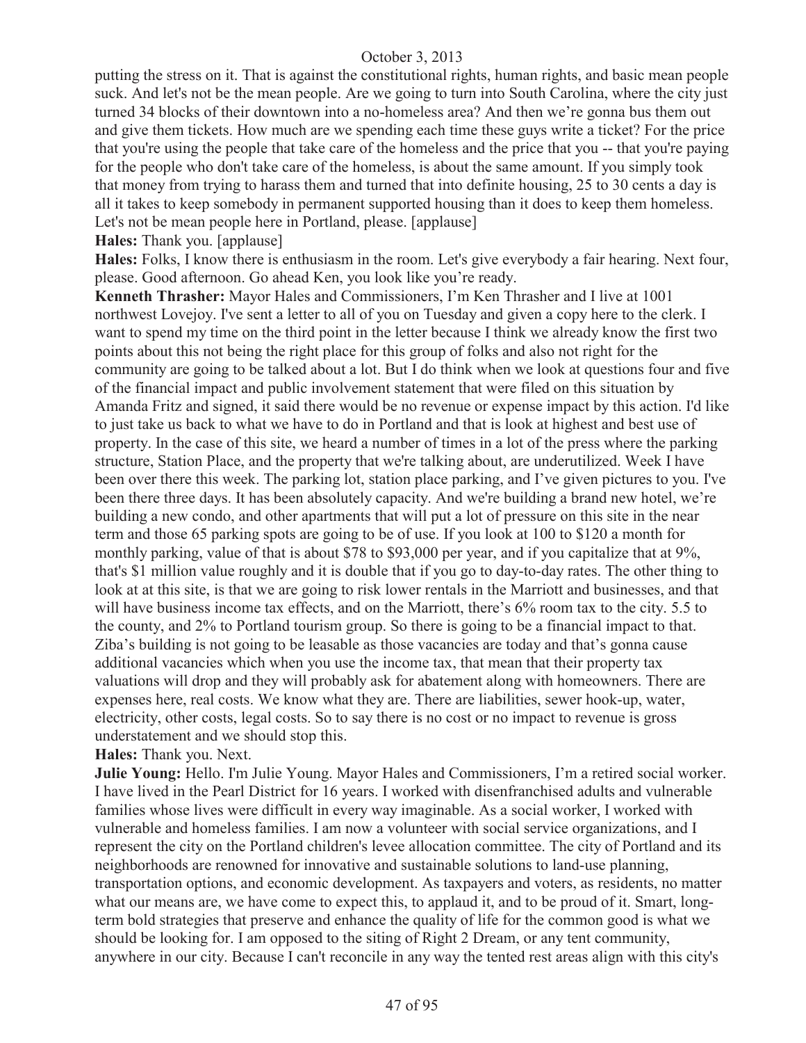putting the stress on it. That is against the constitutional rights, human rights, and basic mean people suck. And let's not be the mean people. Are we going to turn into South Carolina, where the city just turned 34 blocks of their downtown into a no-homeless area? And then we're gonna bus them out and give them tickets. How much are we spending each time these guys write a ticket? For the price that you're using the people that take care of the homeless and the price that you -- that you're paying for the people who don't take care of the homeless, is about the same amount. If you simply took that money from trying to harass them and turned that into definite housing, 25 to 30 cents a day is all it takes to keep somebody in permanent supported housing than it does to keep them homeless. Let's not be mean people here in Portland, please. [applause]

#### **Hales:** Thank you. [applause]

**Hales:** Folks, I know there is enthusiasm in the room. Let's give everybody a fair hearing. Next four, please. Good afternoon. Go ahead Ken, you look like you're ready.

**Kenneth Thrasher:** Mayor Hales and Commissioners, I'm Ken Thrasher and I live at 1001 northwest Lovejoy. I've sent a letter to all of you on Tuesday and given a copy here to the clerk. I want to spend my time on the third point in the letter because I think we already know the first two points about this not being the right place for this group of folks and also not right for the community are going to be talked about a lot. But I do think when we look at questions four and five of the financial impact and public involvement statement that were filed on this situation by Amanda Fritz and signed, it said there would be no revenue or expense impact by this action. I'd like to just take us back to what we have to do in Portland and that is look at highest and best use of property. In the case of this site, we heard a number of times in a lot of the press where the parking structure, Station Place, and the property that we're talking about, are underutilized. Week I have been over there this week. The parking lot, station place parking, and I've given pictures to you. I've been there three days. It has been absolutely capacity. And we're building a brand new hotel, we're building a new condo, and other apartments that will put a lot of pressure on this site in the near term and those 65 parking spots are going to be of use. If you look at 100 to \$120 a month for monthly parking, value of that is about \$78 to \$93,000 per year, and if you capitalize that at 9%, that's \$1 million value roughly and it is double that if you go to day-to-day rates. The other thing to look at at this site, is that we are going to risk lower rentals in the Marriott and businesses, and that will have business income tax effects, and on the Marriott, there's 6% room tax to the city. 5.5 to the county, and 2% to Portland tourism group. So there is going to be a financial impact to that. Ziba's building is not going to be leasable as those vacancies are today and that's gonna cause additional vacancies which when you use the income tax, that mean that their property tax valuations will drop and they will probably ask for abatement along with homeowners. There are expenses here, real costs. We know what they are. There are liabilities, sewer hook-up, water, electricity, other costs, legal costs. So to say there is no cost or no impact to revenue is gross understatement and we should stop this.

## **Hales:** Thank you. Next.

**Julie Young:** Hello. I'm Julie Young. Mayor Hales and Commissioners, I'm a retired social worker. I have lived in the Pearl District for 16 years. I worked with disenfranchised adults and vulnerable families whose lives were difficult in every way imaginable. As a social worker, I worked with vulnerable and homeless families. I am now a volunteer with social service organizations, and I represent the city on the Portland children's levee allocation committee. The city of Portland and its neighborhoods are renowned for innovative and sustainable solutions to land-use planning, transportation options, and economic development. As taxpayers and voters, as residents, no matter what our means are, we have come to expect this, to applaud it, and to be proud of it. Smart, longterm bold strategies that preserve and enhance the quality of life for the common good is what we should be looking for. I am opposed to the siting of Right 2 Dream, or any tent community, anywhere in our city. Because I can't reconcile in any way the tented rest areas align with this city's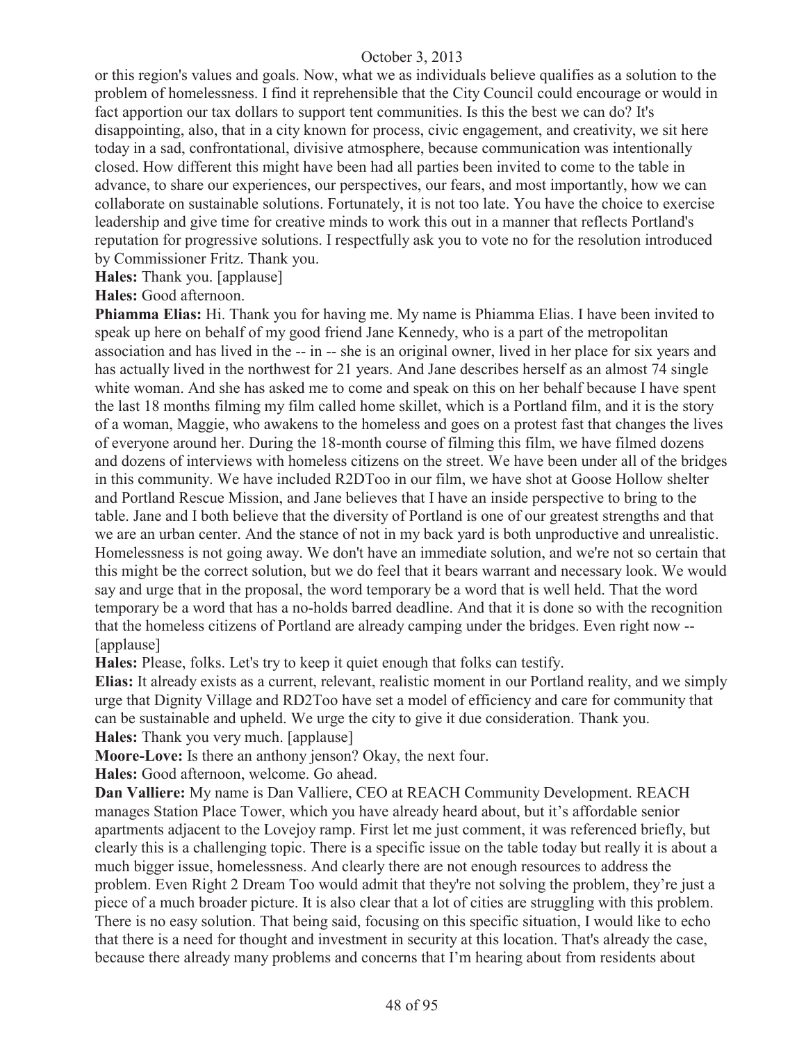or this region's values and goals. Now, what we as individuals believe qualifies as a solution to the problem of homelessness. I find it reprehensible that the City Council could encourage or would in fact apportion our tax dollars to support tent communities. Is this the best we can do? It's disappointing, also, that in a city known for process, civic engagement, and creativity, we sit here today in a sad, confrontational, divisive atmosphere, because communication was intentionally closed. How different this might have been had all parties been invited to come to the table in advance, to share our experiences, our perspectives, our fears, and most importantly, how we can collaborate on sustainable solutions. Fortunately, it is not too late. You have the choice to exercise leadership and give time for creative minds to work this out in a manner that reflects Portland's reputation for progressive solutions. I respectfully ask you to vote no for the resolution introduced by Commissioner Fritz. Thank you.

**Hales:** Thank you. [applause]

**Hales:** Good afternoon.

**Phiamma Elias:** Hi. Thank you for having me. My name is Phiamma Elias. I have been invited to speak up here on behalf of my good friend Jane Kennedy, who is a part of the metropolitan association and has lived in the -- in -- she is an original owner, lived in her place for six years and has actually lived in the northwest for 21 years. And Jane describes herself as an almost 74 single white woman. And she has asked me to come and speak on this on her behalf because I have spent the last 18 months filming my film called home skillet, which is a Portland film, and it is the story of a woman, Maggie, who awakens to the homeless and goes on a protest fast that changes the lives of everyone around her. During the 18-month course of filming this film, we have filmed dozens and dozens of interviews with homeless citizens on the street. We have been under all of the bridges in this community. We have included R2DToo in our film, we have shot at Goose Hollow shelter and Portland Rescue Mission, and Jane believes that I have an inside perspective to bring to the table. Jane and I both believe that the diversity of Portland is one of our greatest strengths and that we are an urban center. And the stance of not in my back yard is both unproductive and unrealistic. Homelessness is not going away. We don't have an immediate solution, and we're not so certain that this might be the correct solution, but we do feel that it bears warrant and necessary look. We would say and urge that in the proposal, the word temporary be a word that is well held. That the word temporary be a word that has a no-holds barred deadline. And that it is done so with the recognition that the homeless citizens of Portland are already camping under the bridges. Even right now -- [applause]

**Hales:** Please, folks. Let's try to keep it quiet enough that folks can testify.

**Elias:** It already exists as a current, relevant, realistic moment in our Portland reality, and we simply urge that Dignity Village and RD2Too have set a model of efficiency and care for community that can be sustainable and upheld. We urge the city to give it due consideration. Thank you. **Hales:** Thank you very much. [applause]

**Moore-Love:** Is there an anthony jenson? Okay, the next four.

**Hales:** Good afternoon, welcome. Go ahead.

**Dan Valliere:** My name is Dan Valliere, CEO at REACH Community Development. REACH manages Station Place Tower, which you have already heard about, but it's affordable senior apartments adjacent to the Lovejoy ramp. First let me just comment, it was referenced briefly, but clearly this is a challenging topic. There is a specific issue on the table today but really it is about a much bigger issue, homelessness. And clearly there are not enough resources to address the problem. Even Right 2 Dream Too would admit that they're not solving the problem, they're just a piece of a much broader picture. It is also clear that a lot of cities are struggling with this problem. There is no easy solution. That being said, focusing on this specific situation, I would like to echo that there is a need for thought and investment in security at this location. That's already the case, because there already many problems and concerns that I'm hearing about from residents about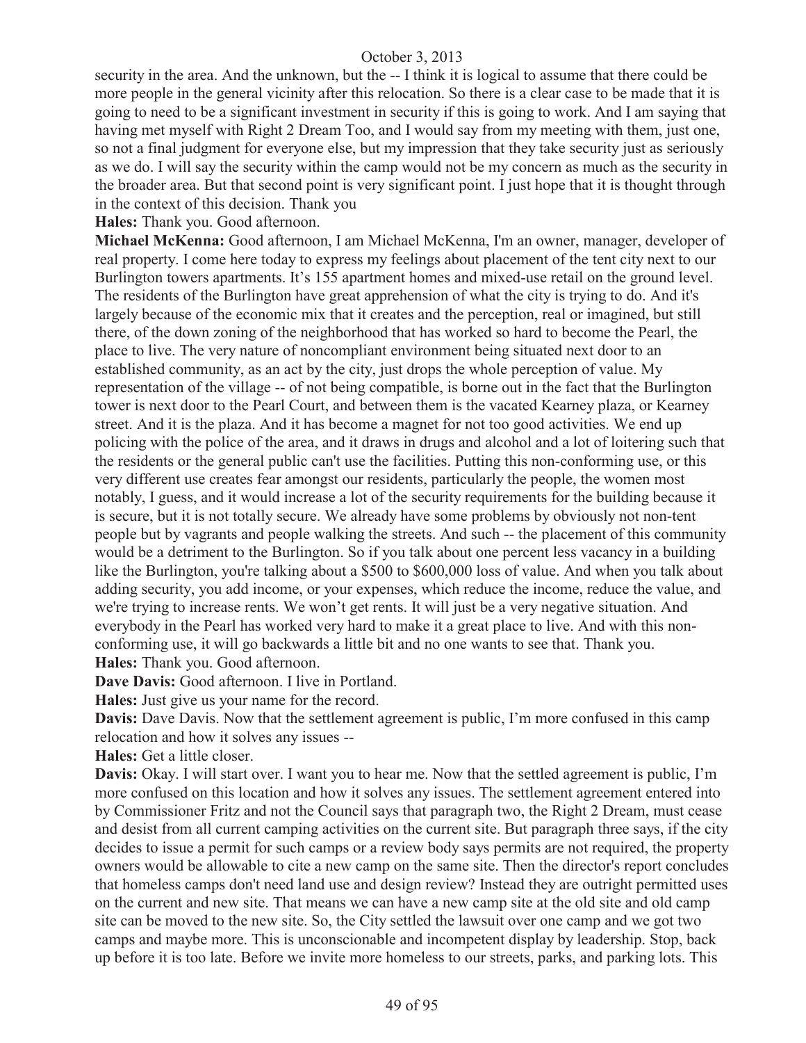security in the area. And the unknown, but the -- I think it is logical to assume that there could be more people in the general vicinity after this relocation. So there is a clear case to be made that it is going to need to be a significant investment in security if this is going to work. And I am saying that having met myself with Right 2 Dream Too, and I would say from my meeting with them, just one, so not a final judgment for everyone else, but my impression that they take security just as seriously as we do. I will say the security within the camp would not be my concern as much as the security in the broader area. But that second point is very significant point. I just hope that it is thought through in the context of this decision. Thank you

**Hales:** Thank you. Good afternoon.

**Michael McKenna:** Good afternoon, I am Michael McKenna, I'm an owner, manager, developer of real property. I come here today to express my feelings about placement of the tent city next to our Burlington towers apartments. It's 155 apartment homes and mixed-use retail on the ground level. The residents of the Burlington have great apprehension of what the city is trying to do. And it's largely because of the economic mix that it creates and the perception, real or imagined, but still there, of the down zoning of the neighborhood that has worked so hard to become the Pearl, the place to live. The very nature of noncompliant environment being situated next door to an established community, as an act by the city, just drops the whole perception of value. My representation of the village -- of not being compatible, is borne out in the fact that the Burlington tower is next door to the Pearl Court, and between them is the vacated Kearney plaza, or Kearney street. And it is the plaza. And it has become a magnet for not too good activities. We end up policing with the police of the area, and it draws in drugs and alcohol and a lot of loitering such that the residents or the general public can't use the facilities. Putting this non-conforming use, or this very different use creates fear amongst our residents, particularly the people, the women most notably, I guess, and it would increase a lot of the security requirements for the building because it is secure, but it is not totally secure. We already have some problems by obviously not non-tent people but by vagrants and people walking the streets. And such -- the placement of this community would be a detriment to the Burlington. So if you talk about one percent less vacancy in a building like the Burlington, you're talking about a \$500 to \$600,000 loss of value. And when you talk about adding security, you add income, or your expenses, which reduce the income, reduce the value, and we're trying to increase rents. We won't get rents. It will just be a very negative situation. And everybody in the Pearl has worked very hard to make it a great place to live. And with this nonconforming use, it will go backwards a little bit and no one wants to see that. Thank you. **Hales:** Thank you. Good afternoon.

**Dave Davis:** Good afternoon. I live in Portland.

**Hales:** Just give us your name for the record.

**Davis:** Dave Davis. Now that the settlement agreement is public, I'm more confused in this camp relocation and how it solves any issues --

**Hales:** Get a little closer.

**Davis:** Okay. I will start over. I want you to hear me. Now that the settled agreement is public, I'm more confused on this location and how it solves any issues. The settlement agreement entered into by Commissioner Fritz and not the Council says that paragraph two, the Right 2 Dream, must cease and desist from all current camping activities on the current site. But paragraph three says, if the city decides to issue a permit for such camps or a review body says permits are not required, the property owners would be allowable to cite a new camp on the same site. Then the director's report concludes that homeless camps don't need land use and design review? Instead they are outright permitted uses on the current and new site. That means we can have a new camp site at the old site and old camp site can be moved to the new site. So, the City settled the lawsuit over one camp and we got two camps and maybe more. This is unconscionable and incompetent display by leadership. Stop, back up before it is too late. Before we invite more homeless to our streets, parks, and parking lots. This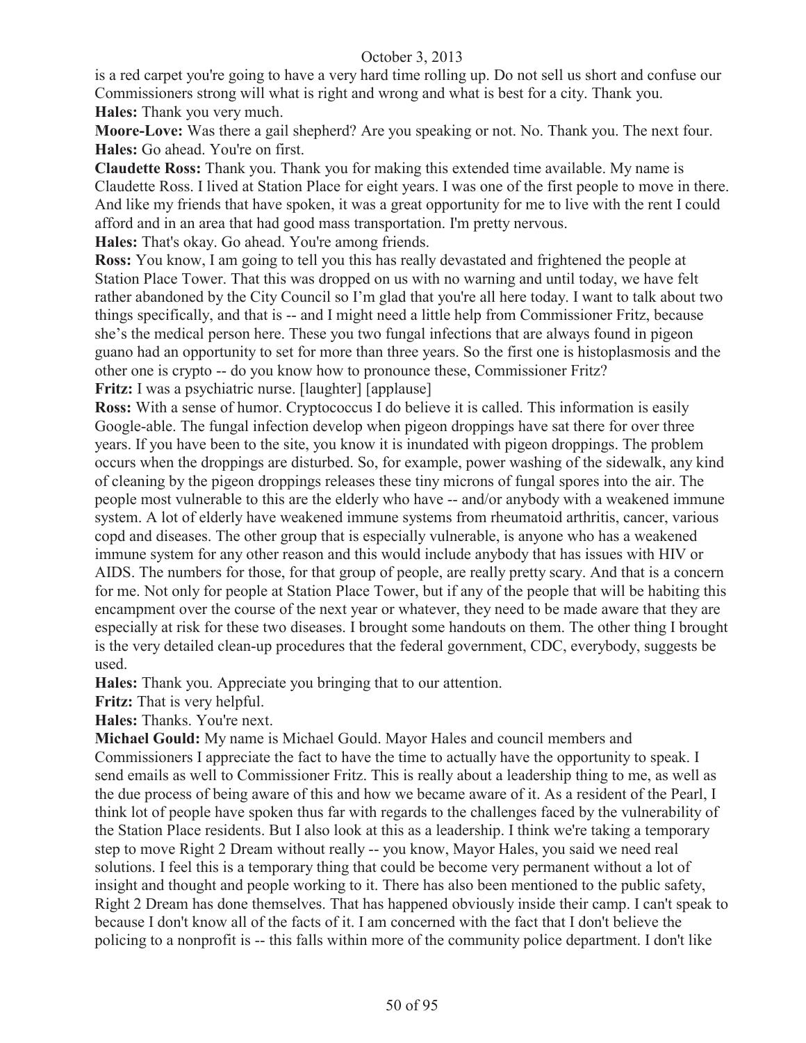is a red carpet you're going to have a very hard time rolling up. Do not sell us short and confuse our Commissioners strong will what is right and wrong and what is best for a city. Thank you. **Hales:** Thank you very much.

**Moore-Love:** Was there a gail shepherd? Are you speaking or not. No. Thank you. The next four. **Hales:** Go ahead. You're on first.

**Claudette Ross:** Thank you. Thank you for making this extended time available. My name is Claudette Ross. I lived at Station Place for eight years. I was one of the first people to move in there. And like my friends that have spoken, it was a great opportunity for me to live with the rent I could afford and in an area that had good mass transportation. I'm pretty nervous.

**Hales:** That's okay. Go ahead. You're among friends.

**Ross:** You know, I am going to tell you this has really devastated and frightened the people at Station Place Tower. That this was dropped on us with no warning and until today, we have felt rather abandoned by the City Council so I'm glad that you're all here today. I want to talk about two things specifically, and that is -- and I might need a little help from Commissioner Fritz, because she's the medical person here. These you two fungal infections that are always found in pigeon guano had an opportunity to set for more than three years. So the first one is histoplasmosis and the other one is crypto -- do you know how to pronounce these, Commissioner Fritz? **Fritz:** I was a psychiatric nurse. [laughter] [applause]

**Ross:** With a sense of humor. Cryptococcus I do believe it is called. This information is easily Google-able. The fungal infection develop when pigeon droppings have sat there for over three years. If you have been to the site, you know it is inundated with pigeon droppings. The problem occurs when the droppings are disturbed. So, for example, power washing of the sidewalk, any kind of cleaning by the pigeon droppings releases these tiny microns of fungal spores into the air. The people most vulnerable to this are the elderly who have -- and/or anybody with a weakened immune system. A lot of elderly have weakened immune systems from rheumatoid arthritis, cancer, various copd and diseases. The other group that is especially vulnerable, is anyone who has a weakened immune system for any other reason and this would include anybody that has issues with HIV or AIDS. The numbers for those, for that group of people, are really pretty scary. And that is a concern for me. Not only for people at Station Place Tower, but if any of the people that will be habiting this encampment over the course of the next year or whatever, they need to be made aware that they are especially at risk for these two diseases. I brought some handouts on them. The other thing I brought is the very detailed clean-up procedures that the federal government, CDC, everybody, suggests be used.

**Hales:** Thank you. Appreciate you bringing that to our attention.

**Fritz:** That is very helpful.

**Hales:** Thanks. You're next.

**Michael Gould:** My name is Michael Gould. Mayor Hales and council members and Commissioners I appreciate the fact to have the time to actually have the opportunity to speak. I send emails as well to Commissioner Fritz. This is really about a leadership thing to me, as well as the due process of being aware of this and how we became aware of it. As a resident of the Pearl, I think lot of people have spoken thus far with regards to the challenges faced by the vulnerability of the Station Place residents. But I also look at this as a leadership. I think we're taking a temporary step to move Right 2 Dream without really -- you know, Mayor Hales, you said we need real solutions. I feel this is a temporary thing that could be become very permanent without a lot of insight and thought and people working to it. There has also been mentioned to the public safety, Right 2 Dream has done themselves. That has happened obviously inside their camp. I can't speak to because I don't know all of the facts of it. I am concerned with the fact that I don't believe the policing to a nonprofit is -- this falls within more of the community police department. I don't like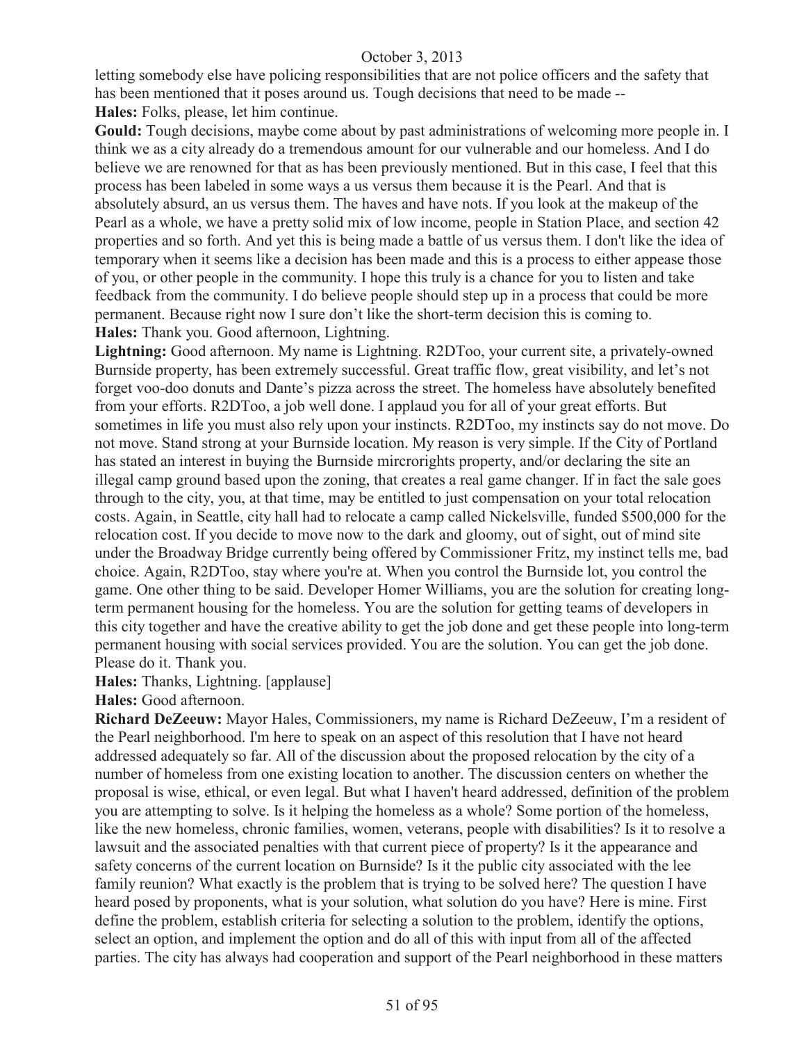letting somebody else have policing responsibilities that are not police officers and the safety that has been mentioned that it poses around us. Tough decisions that need to be made -- **Hales:** Folks, please, let him continue.

**Gould:** Tough decisions, maybe come about by past administrations of welcoming more people in. I think we as a city already do a tremendous amount for our vulnerable and our homeless. And I do believe we are renowned for that as has been previously mentioned. But in this case, I feel that this process has been labeled in some ways a us versus them because it is the Pearl. And that is absolutely absurd, an us versus them. The haves and have nots. If you look at the makeup of the Pearl as a whole, we have a pretty solid mix of low income, people in Station Place, and section 42 properties and so forth. And yet this is being made a battle of us versus them. I don't like the idea of temporary when it seems like a decision has been made and this is a process to either appease those of you, or other people in the community. I hope this truly is a chance for you to listen and take feedback from the community. I do believe people should step up in a process that could be more permanent. Because right now I sure don't like the short-term decision this is coming to. **Hales:** Thank you. Good afternoon, Lightning.

**Lightning:** Good afternoon. My name is Lightning. R2DToo, your current site, a privately-owned Burnside property, has been extremely successful. Great traffic flow, great visibility, and let's not forget voo-doo donuts and Dante's pizza across the street. The homeless have absolutely benefited from your efforts. R2DToo, a job well done. I applaud you for all of your great efforts. But sometimes in life you must also rely upon your instincts. R2DToo, my instincts say do not move. Do not move. Stand strong at your Burnside location. My reason is very simple. If the City of Portland has stated an interest in buying the Burnside mircrorights property, and/or declaring the site an illegal camp ground based upon the zoning, that creates a real game changer. If in fact the sale goes through to the city, you, at that time, may be entitled to just compensation on your total relocation costs. Again, in Seattle, city hall had to relocate a camp called Nickelsville, funded \$500,000 for the relocation cost. If you decide to move now to the dark and gloomy, out of sight, out of mind site under the Broadway Bridge currently being offered by Commissioner Fritz, my instinct tells me, bad choice. Again, R2DToo, stay where you're at. When you control the Burnside lot, you control the game. One other thing to be said. Developer Homer Williams, you are the solution for creating longterm permanent housing for the homeless. You are the solution for getting teams of developers in this city together and have the creative ability to get the job done and get these people into long-term permanent housing with social services provided. You are the solution. You can get the job done. Please do it. Thank you.

**Hales:** Thanks, Lightning. [applause]

**Hales:** Good afternoon.

**Richard DeZeeuw:** Mayor Hales, Commissioners, my name is Richard DeZeeuw, I'm a resident of the Pearl neighborhood. I'm here to speak on an aspect of this resolution that I have not heard addressed adequately so far. All of the discussion about the proposed relocation by the city of a number of homeless from one existing location to another. The discussion centers on whether the proposal is wise, ethical, or even legal. But what I haven't heard addressed, definition of the problem you are attempting to solve. Is it helping the homeless as a whole? Some portion of the homeless, like the new homeless, chronic families, women, veterans, people with disabilities? Is it to resolve a lawsuit and the associated penalties with that current piece of property? Is it the appearance and safety concerns of the current location on Burnside? Is it the public city associated with the lee family reunion? What exactly is the problem that is trying to be solved here? The question I have heard posed by proponents, what is your solution, what solution do you have? Here is mine. First define the problem, establish criteria for selecting a solution to the problem, identify the options, select an option, and implement the option and do all of this with input from all of the affected parties. The city has always had cooperation and support of the Pearl neighborhood in these matters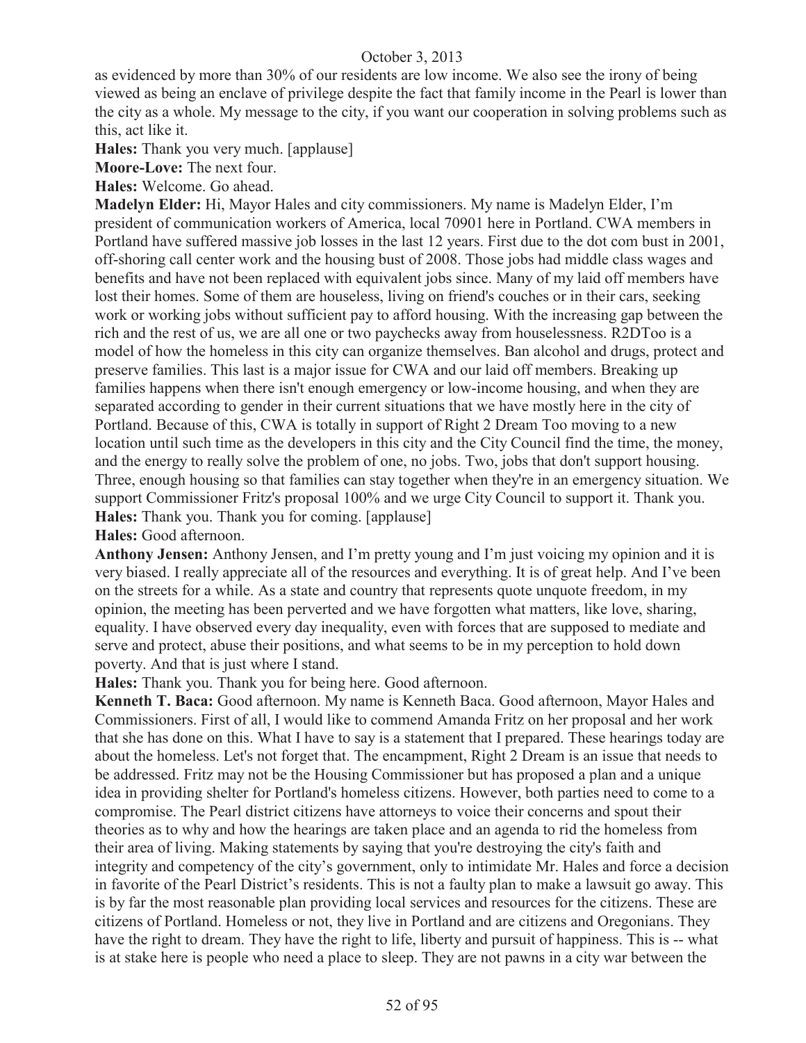as evidenced by more than 30% of our residents are low income. We also see the irony of being viewed as being an enclave of privilege despite the fact that family income in the Pearl is lower than the city as a whole. My message to the city, if you want our cooperation in solving problems such as this, act like it.

**Hales:** Thank you very much. [applause]

**Moore-Love:** The next four.

**Hales:** Welcome. Go ahead.

**Madelyn Elder:** Hi, Mayor Hales and city commissioners. My name is Madelyn Elder, I'm president of communication workers of America, local 70901 here in Portland. CWA members in Portland have suffered massive job losses in the last 12 years. First due to the dot com bust in 2001, off-shoring call center work and the housing bust of 2008. Those jobs had middle class wages and benefits and have not been replaced with equivalent jobs since. Many of my laid off members have lost their homes. Some of them are houseless, living on friend's couches or in their cars, seeking work or working jobs without sufficient pay to afford housing. With the increasing gap between the rich and the rest of us, we are all one or two paychecks away from houselessness. R2DToo is a model of how the homeless in this city can organize themselves. Ban alcohol and drugs, protect and preserve families. This last is a major issue for CWA and our laid off members. Breaking up families happens when there isn't enough emergency or low-income housing, and when they are separated according to gender in their current situations that we have mostly here in the city of Portland. Because of this, CWA is totally in support of Right 2 Dream Too moving to a new location until such time as the developers in this city and the City Council find the time, the money, and the energy to really solve the problem of one, no jobs. Two, jobs that don't support housing. Three, enough housing so that families can stay together when they're in an emergency situation. We support Commissioner Fritz's proposal 100% and we urge City Council to support it. Thank you. **Hales:** Thank you. Thank you for coming. [applause]

**Hales:** Good afternoon.

**Anthony Jensen:** Anthony Jensen, and I'm pretty young and I'm just voicing my opinion and it is very biased. I really appreciate all of the resources and everything. It is of great help. And I've been on the streets for a while. As a state and country that represents quote unquote freedom, in my opinion, the meeting has been perverted and we have forgotten what matters, like love, sharing, equality. I have observed every day inequality, even with forces that are supposed to mediate and serve and protect, abuse their positions, and what seems to be in my perception to hold down poverty. And that is just where I stand.

**Hales:** Thank you. Thank you for being here. Good afternoon.

**Kenneth T. Baca:** Good afternoon. My name is Kenneth Baca. Good afternoon, Mayor Hales and Commissioners. First of all, I would like to commend Amanda Fritz on her proposal and her work that she has done on this. What I have to say is a statement that I prepared. These hearings today are about the homeless. Let's not forget that. The encampment, Right 2 Dream is an issue that needs to be addressed. Fritz may not be the Housing Commissioner but has proposed a plan and a unique idea in providing shelter for Portland's homeless citizens. However, both parties need to come to a compromise. The Pearl district citizens have attorneys to voice their concerns and spout their theories as to why and how the hearings are taken place and an agenda to rid the homeless from their area of living. Making statements by saying that you're destroying the city's faith and integrity and competency of the city's government, only to intimidate Mr. Hales and force a decision in favorite of the Pearl District's residents. This is not a faulty plan to make a lawsuit go away. This is by far the most reasonable plan providing local services and resources for the citizens. These are citizens of Portland. Homeless or not, they live in Portland and are citizens and Oregonians. They have the right to dream. They have the right to life, liberty and pursuit of happiness. This is -- what is at stake here is people who need a place to sleep. They are not pawns in a city war between the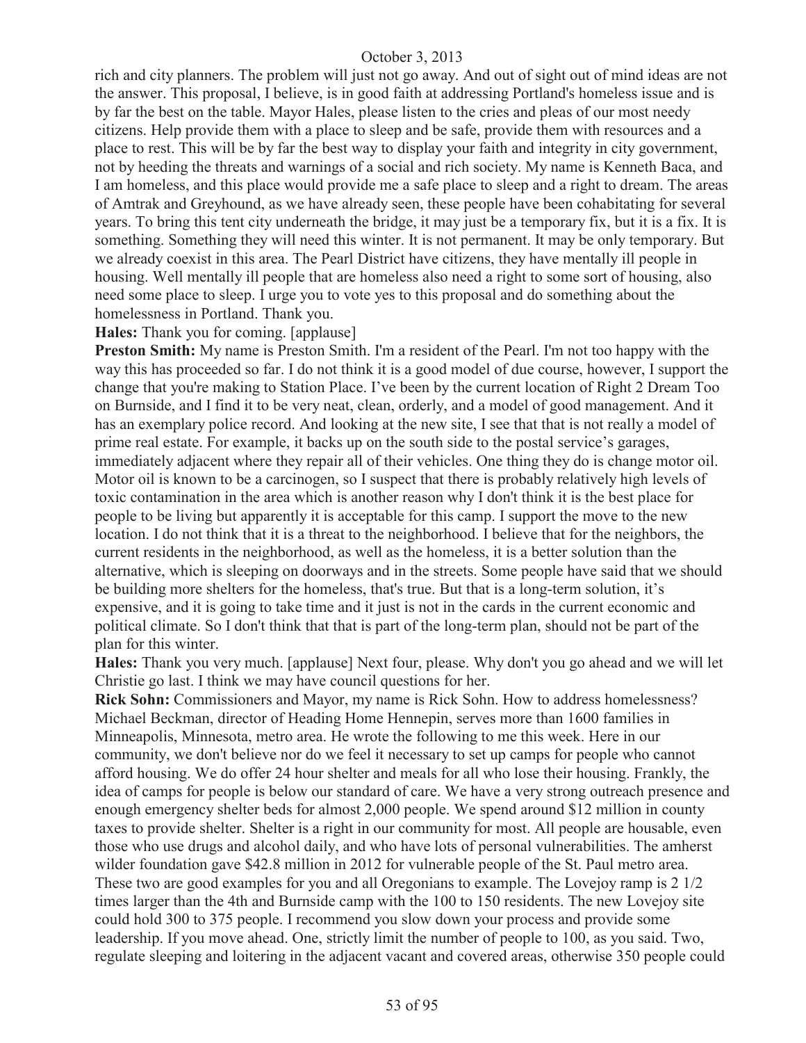rich and city planners. The problem will just not go away. And out of sight out of mind ideas are not the answer. This proposal, I believe, is in good faith at addressing Portland's homeless issue and is by far the best on the table. Mayor Hales, please listen to the cries and pleas of our most needy citizens. Help provide them with a place to sleep and be safe, provide them with resources and a place to rest. This will be by far the best way to display your faith and integrity in city government, not by heeding the threats and warnings of a social and rich society. My name is Kenneth Baca, and I am homeless, and this place would provide me a safe place to sleep and a right to dream. The areas of Amtrak and Greyhound, as we have already seen, these people have been cohabitating for several years. To bring this tent city underneath the bridge, it may just be a temporary fix, but it is a fix. It is something. Something they will need this winter. It is not permanent. It may be only temporary. But we already coexist in this area. The Pearl District have citizens, they have mentally ill people in housing. Well mentally ill people that are homeless also need a right to some sort of housing, also need some place to sleep. I urge you to vote yes to this proposal and do something about the homelessness in Portland. Thank you.

**Hales:** Thank you for coming. [applause]

**Preston Smith:** My name is Preston Smith. I'm a resident of the Pearl. I'm not too happy with the way this has proceeded so far. I do not think it is a good model of due course, however, I support the change that you're making to Station Place. I've been by the current location of Right 2 Dream Too on Burnside, and I find it to be very neat, clean, orderly, and a model of good management. And it has an exemplary police record. And looking at the new site, I see that that is not really a model of prime real estate. For example, it backs up on the south side to the postal service's garages, immediately adjacent where they repair all of their vehicles. One thing they do is change motor oil. Motor oil is known to be a carcinogen, so I suspect that there is probably relatively high levels of toxic contamination in the area which is another reason why I don't think it is the best place for people to be living but apparently it is acceptable for this camp. I support the move to the new location. I do not think that it is a threat to the neighborhood. I believe that for the neighbors, the current residents in the neighborhood, as well as the homeless, it is a better solution than the alternative, which is sleeping on doorways and in the streets. Some people have said that we should be building more shelters for the homeless, that's true. But that is a long-term solution, it's expensive, and it is going to take time and it just is not in the cards in the current economic and political climate. So I don't think that that is part of the long-term plan, should not be part of the plan for this winter.

**Hales:** Thank you very much. [applause] Next four, please. Why don't you go ahead and we will let Christie go last. I think we may have council questions for her.

**Rick Sohn:** Commissioners and Mayor, my name is Rick Sohn. How to address homelessness? Michael Beckman, director of Heading Home Hennepin, serves more than 1600 families in Minneapolis, Minnesota, metro area. He wrote the following to me this week. Here in our community, we don't believe nor do we feel it necessary to set up camps for people who cannot afford housing. We do offer 24 hour shelter and meals for all who lose their housing. Frankly, the idea of camps for people is below our standard of care. We have a very strong outreach presence and enough emergency shelter beds for almost 2,000 people. We spend around \$12 million in county taxes to provide shelter. Shelter is a right in our community for most. All people are housable, even those who use drugs and alcohol daily, and who have lots of personal vulnerabilities. The amherst wilder foundation gave \$42.8 million in 2012 for vulnerable people of the St. Paul metro area. These two are good examples for you and all Oregonians to example. The Lovejoy ramp is 2 1/2 times larger than the 4th and Burnside camp with the 100 to 150 residents. The new Lovejoy site could hold 300 to 375 people. I recommend you slow down your process and provide some leadership. If you move ahead. One, strictly limit the number of people to 100, as you said. Two, regulate sleeping and loitering in the adjacent vacant and covered areas, otherwise 350 people could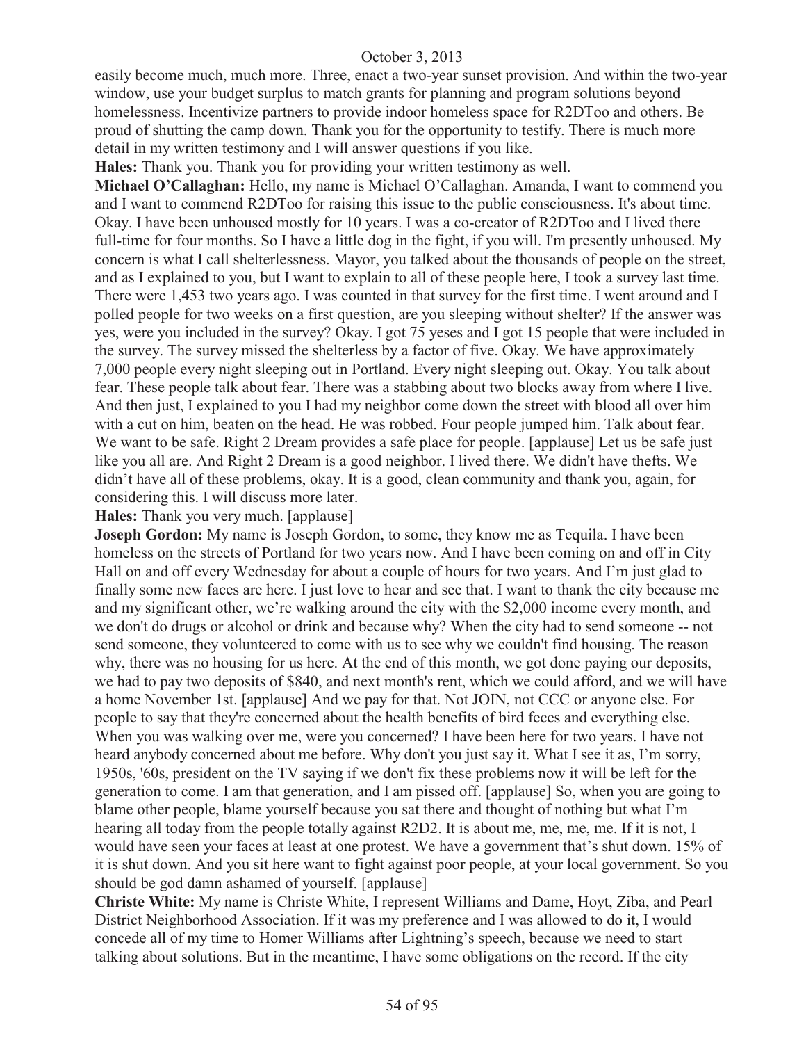easily become much, much more. Three, enact a two-year sunset provision. And within the two-year window, use your budget surplus to match grants for planning and program solutions beyond homelessness. Incentivize partners to provide indoor homeless space for R2DToo and others. Be proud of shutting the camp down. Thank you for the opportunity to testify. There is much more detail in my written testimony and I will answer questions if you like.

**Hales:** Thank you. Thank you for providing your written testimony as well.

**Michael O'Callaghan:** Hello, my name is Michael O'Callaghan. Amanda, I want to commend you and I want to commend R2DToo for raising this issue to the public consciousness. It's about time. Okay. I have been unhoused mostly for 10 years. I was a co-creator of R2DToo and I lived there full-time for four months. So I have a little dog in the fight, if you will. I'm presently unhoused. My concern is what I call shelterlessness. Mayor, you talked about the thousands of people on the street, and as I explained to you, but I want to explain to all of these people here, I took a survey last time. There were 1,453 two years ago. I was counted in that survey for the first time. I went around and I polled people for two weeks on a first question, are you sleeping without shelter? If the answer was yes, were you included in the survey? Okay. I got 75 yeses and I got 15 people that were included in the survey. The survey missed the shelterless by a factor of five. Okay. We have approximately 7,000 people every night sleeping out in Portland. Every night sleeping out. Okay. You talk about fear. These people talk about fear. There was a stabbing about two blocks away from where I live. And then just, I explained to you I had my neighbor come down the street with blood all over him with a cut on him, beaten on the head. He was robbed. Four people jumped him. Talk about fear. We want to be safe. Right 2 Dream provides a safe place for people. [applause] Let us be safe just like you all are. And Right 2 Dream is a good neighbor. I lived there. We didn't have thefts. We didn't have all of these problems, okay. It is a good, clean community and thank you, again, for considering this. I will discuss more later.

**Hales:** Thank you very much. [applause]

**Joseph Gordon:** My name is Joseph Gordon, to some, they know me as Tequila. I have been homeless on the streets of Portland for two years now. And I have been coming on and off in City Hall on and off every Wednesday for about a couple of hours for two years. And I'm just glad to finally some new faces are here. I just love to hear and see that. I want to thank the city because me and my significant other, we're walking around the city with the \$2,000 income every month, and we don't do drugs or alcohol or drink and because why? When the city had to send someone -- not send someone, they volunteered to come with us to see why we couldn't find housing. The reason why, there was no housing for us here. At the end of this month, we got done paying our deposits, we had to pay two deposits of \$840, and next month's rent, which we could afford, and we will have a home November 1st. [applause] And we pay for that. Not JOIN, not CCC or anyone else. For people to say that they're concerned about the health benefits of bird feces and everything else. When you was walking over me, were you concerned? I have been here for two years. I have not heard anybody concerned about me before. Why don't you just say it. What I see it as, I'm sorry, 1950s, '60s, president on the TV saying if we don't fix these problems now it will be left for the generation to come. I am that generation, and I am pissed off. [applause] So, when you are going to blame other people, blame yourself because you sat there and thought of nothing but what I'm hearing all today from the people totally against R2D2. It is about me, me, me, me. If it is not, I would have seen your faces at least at one protest. We have a government that's shut down. 15% of it is shut down. And you sit here want to fight against poor people, at your local government. So you should be god damn ashamed of yourself. [applause]

**Christe White:** My name is Christe White, I represent Williams and Dame, Hoyt, Ziba, and Pearl District Neighborhood Association. If it was my preference and I was allowed to do it, I would concede all of my time to Homer Williams after Lightning's speech, because we need to start talking about solutions. But in the meantime, I have some obligations on the record. If the city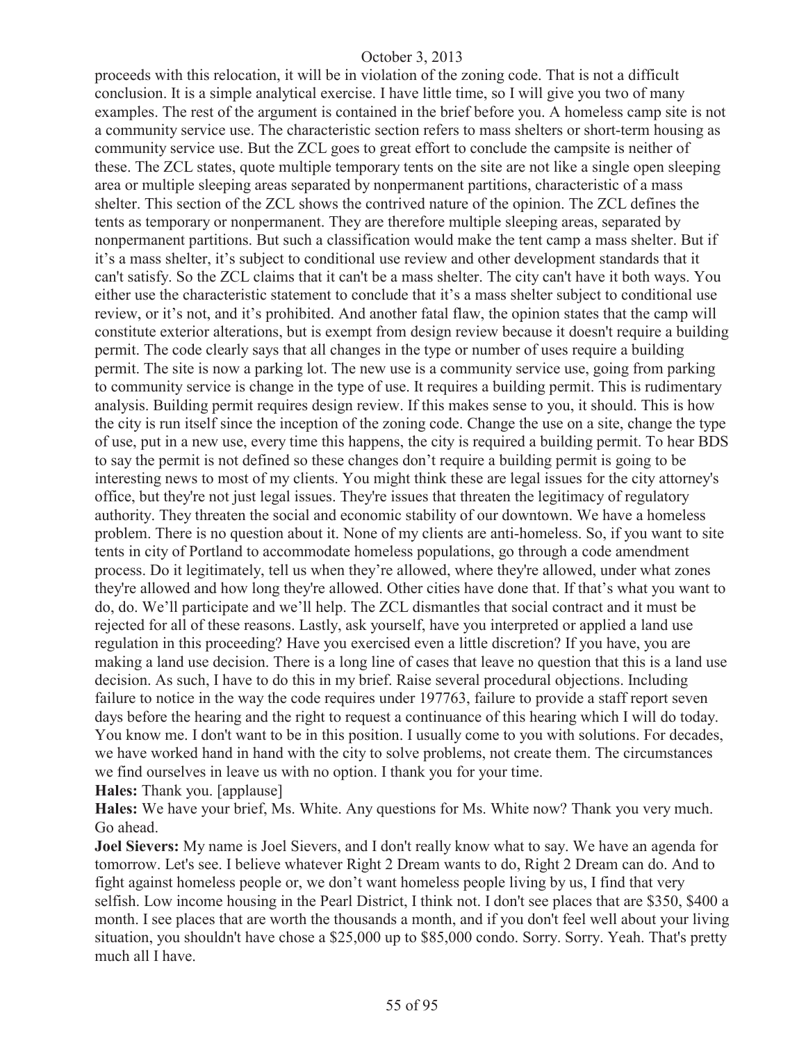proceeds with this relocation, it will be in violation of the zoning code. That is not a difficult conclusion. It is a simple analytical exercise. I have little time, so I will give you two of many examples. The rest of the argument is contained in the brief before you. A homeless camp site is not a community service use. The characteristic section refers to mass shelters or short-term housing as community service use. But the ZCL goes to great effort to conclude the campsite is neither of these. The ZCL states, quote multiple temporary tents on the site are not like a single open sleeping area or multiple sleeping areas separated by nonpermanent partitions, characteristic of a mass shelter. This section of the ZCL shows the contrived nature of the opinion. The ZCL defines the tents as temporary or nonpermanent. They are therefore multiple sleeping areas, separated by nonpermanent partitions. But such a classification would make the tent camp a mass shelter. But if it's a mass shelter, it's subject to conditional use review and other development standards that it can't satisfy. So the ZCL claims that it can't be a mass shelter. The city can't have it both ways. You either use the characteristic statement to conclude that it's a mass shelter subject to conditional use review, or it's not, and it's prohibited. And another fatal flaw, the opinion states that the camp will constitute exterior alterations, but is exempt from design review because it doesn't require a building permit. The code clearly says that all changes in the type or number of uses require a building permit. The site is now a parking lot. The new use is a community service use, going from parking to community service is change in the type of use. It requires a building permit. This is rudimentary analysis. Building permit requires design review. If this makes sense to you, it should. This is how the city is run itself since the inception of the zoning code. Change the use on a site, change the type of use, put in a new use, every time this happens, the city is required a building permit. To hear BDS to say the permit is not defined so these changes don't require a building permit is going to be interesting news to most of my clients. You might think these are legal issues for the city attorney's office, but they're not just legal issues. They're issues that threaten the legitimacy of regulatory authority. They threaten the social and economic stability of our downtown. We have a homeless problem. There is no question about it. None of my clients are anti-homeless. So, if you want to site tents in city of Portland to accommodate homeless populations, go through a code amendment process. Do it legitimately, tell us when they're allowed, where they're allowed, under what zones they're allowed and how long they're allowed. Other cities have done that. If that's what you want to do, do. We'll participate and we'll help. The ZCL dismantles that social contract and it must be rejected for all of these reasons. Lastly, ask yourself, have you interpreted or applied a land use regulation in this proceeding? Have you exercised even a little discretion? If you have, you are making a land use decision. There is a long line of cases that leave no question that this is a land use decision. As such, I have to do this in my brief. Raise several procedural objections. Including failure to notice in the way the code requires under 197763, failure to provide a staff report seven days before the hearing and the right to request a continuance of this hearing which I will do today. You know me. I don't want to be in this position. I usually come to you with solutions. For decades, we have worked hand in hand with the city to solve problems, not create them. The circumstances we find ourselves in leave us with no option. I thank you for your time.

**Hales:** Thank you. [applause]

**Hales:** We have your brief, Ms. White. Any questions for Ms. White now? Thank you very much. Go ahead.

**Joel Sievers:** My name is Joel Sievers, and I don't really know what to say. We have an agenda for tomorrow. Let's see. I believe whatever Right 2 Dream wants to do, Right 2 Dream can do. And to fight against homeless people or, we don't want homeless people living by us, I find that very selfish. Low income housing in the Pearl District, I think not. I don't see places that are \$350, \$400 a month. I see places that are worth the thousands a month, and if you don't feel well about your living situation, you shouldn't have chose a \$25,000 up to \$85,000 condo. Sorry. Sorry. Yeah. That's pretty much all I have.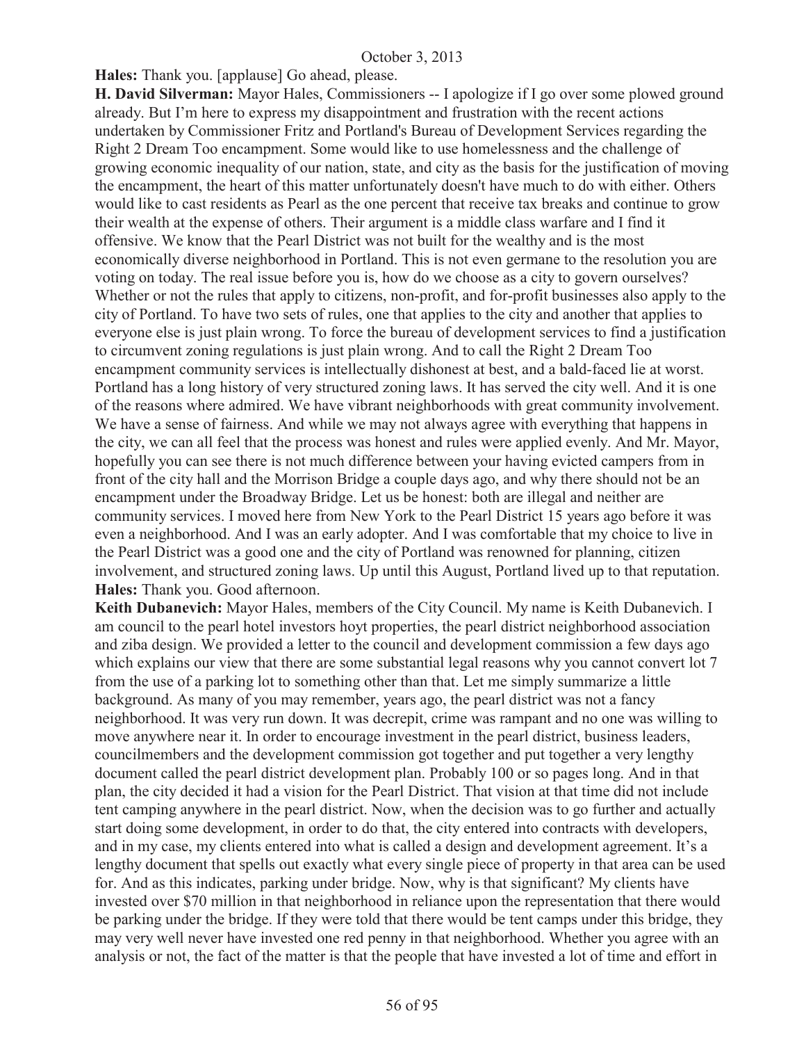**Hales:** Thank you. [applause] Go ahead, please.

**H. David Silverman:** Mayor Hales, Commissioners -- I apologize if I go over some plowed ground already. But I'm here to express my disappointment and frustration with the recent actions undertaken by Commissioner Fritz and Portland's Bureau of Development Services regarding the Right 2 Dream Too encampment. Some would like to use homelessness and the challenge of growing economic inequality of our nation, state, and city as the basis for the justification of moving the encampment, the heart of this matter unfortunately doesn't have much to do with either. Others would like to cast residents as Pearl as the one percent that receive tax breaks and continue to grow their wealth at the expense of others. Their argument is a middle class warfare and I find it offensive. We know that the Pearl District was not built for the wealthy and is the most economically diverse neighborhood in Portland. This is not even germane to the resolution you are voting on today. The real issue before you is, how do we choose as a city to govern ourselves? Whether or not the rules that apply to citizens, non-profit, and for-profit businesses also apply to the city of Portland. To have two sets of rules, one that applies to the city and another that applies to everyone else is just plain wrong. To force the bureau of development services to find a justification to circumvent zoning regulations is just plain wrong. And to call the Right 2 Dream Too encampment community services is intellectually dishonest at best, and a bald-faced lie at worst. Portland has a long history of very structured zoning laws. It has served the city well. And it is one of the reasons where admired. We have vibrant neighborhoods with great community involvement. We have a sense of fairness. And while we may not always agree with everything that happens in the city, we can all feel that the process was honest and rules were applied evenly. And Mr. Mayor, hopefully you can see there is not much difference between your having evicted campers from in front of the city hall and the Morrison Bridge a couple days ago, and why there should not be an encampment under the Broadway Bridge. Let us be honest: both are illegal and neither are community services. I moved here from New York to the Pearl District 15 years ago before it was even a neighborhood. And I was an early adopter. And I was comfortable that my choice to live in the Pearl District was a good one and the city of Portland was renowned for planning, citizen involvement, and structured zoning laws. Up until this August, Portland lived up to that reputation. **Hales:** Thank you. Good afternoon.

**Keith Dubanevich:** Mayor Hales, members of the City Council. My name is Keith Dubanevich. I am council to the pearl hotel investors hoyt properties, the pearl district neighborhood association and ziba design. We provided a letter to the council and development commission a few days ago which explains our view that there are some substantial legal reasons why you cannot convert lot 7 from the use of a parking lot to something other than that. Let me simply summarize a little background. As many of you may remember, years ago, the pearl district was not a fancy neighborhood. It was very run down. It was decrepit, crime was rampant and no one was willing to move anywhere near it. In order to encourage investment in the pearl district, business leaders, councilmembers and the development commission got together and put together a very lengthy document called the pearl district development plan. Probably 100 or so pages long. And in that plan, the city decided it had a vision for the Pearl District. That vision at that time did not include tent camping anywhere in the pearl district. Now, when the decision was to go further and actually start doing some development, in order to do that, the city entered into contracts with developers, and in my case, my clients entered into what is called a design and development agreement. It's a lengthy document that spells out exactly what every single piece of property in that area can be used for. And as this indicates, parking under bridge. Now, why is that significant? My clients have invested over \$70 million in that neighborhood in reliance upon the representation that there would be parking under the bridge. If they were told that there would be tent camps under this bridge, they may very well never have invested one red penny in that neighborhood. Whether you agree with an analysis or not, the fact of the matter is that the people that have invested a lot of time and effort in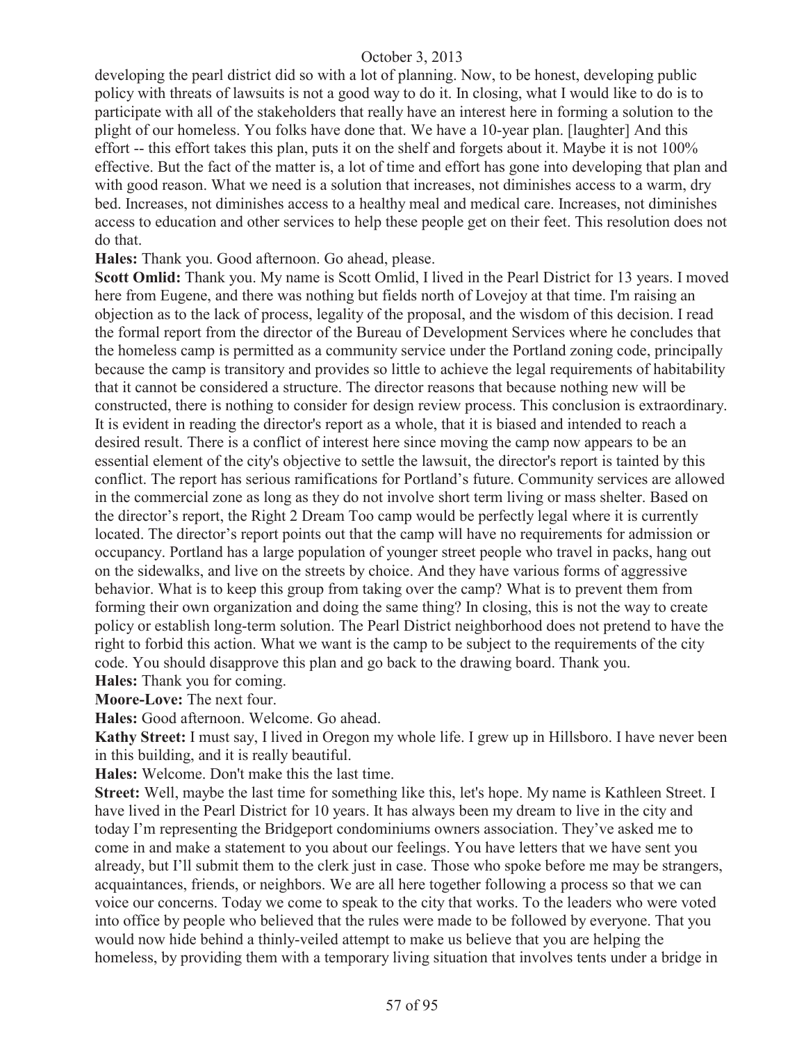developing the pearl district did so with a lot of planning. Now, to be honest, developing public policy with threats of lawsuits is not a good way to do it. In closing, what I would like to do is to participate with all of the stakeholders that really have an interest here in forming a solution to the plight of our homeless. You folks have done that. We have a 10-year plan. [laughter] And this effort -- this effort takes this plan, puts it on the shelf and forgets about it. Maybe it is not 100% effective. But the fact of the matter is, a lot of time and effort has gone into developing that plan and with good reason. What we need is a solution that increases, not diminishes access to a warm, dry bed. Increases, not diminishes access to a healthy meal and medical care. Increases, not diminishes access to education and other services to help these people get on their feet. This resolution does not do that.

**Hales:** Thank you. Good afternoon. Go ahead, please.

**Scott Omlid:** Thank you. My name is Scott Omlid, I lived in the Pearl District for 13 years. I moved here from Eugene, and there was nothing but fields north of Lovejoy at that time. I'm raising an objection as to the lack of process, legality of the proposal, and the wisdom of this decision. I read the formal report from the director of the Bureau of Development Services where he concludes that the homeless camp is permitted as a community service under the Portland zoning code, principally because the camp is transitory and provides so little to achieve the legal requirements of habitability that it cannot be considered a structure. The director reasons that because nothing new will be constructed, there is nothing to consider for design review process. This conclusion is extraordinary. It is evident in reading the director's report as a whole, that it is biased and intended to reach a desired result. There is a conflict of interest here since moving the camp now appears to be an essential element of the city's objective to settle the lawsuit, the director's report is tainted by this conflict. The report has serious ramifications for Portland's future. Community services are allowed in the commercial zone as long as they do not involve short term living or mass shelter. Based on the director's report, the Right 2 Dream Too camp would be perfectly legal where it is currently located. The director's report points out that the camp will have no requirements for admission or occupancy. Portland has a large population of younger street people who travel in packs, hang out on the sidewalks, and live on the streets by choice. And they have various forms of aggressive behavior. What is to keep this group from taking over the camp? What is to prevent them from forming their own organization and doing the same thing? In closing, this is not the way to create policy or establish long-term solution. The Pearl District neighborhood does not pretend to have the right to forbid this action. What we want is the camp to be subject to the requirements of the city code. You should disapprove this plan and go back to the drawing board. Thank you.

**Hales:** Thank you for coming.

**Moore-Love:** The next four.

**Hales:** Good afternoon. Welcome. Go ahead.

**Kathy Street:** I must say, I lived in Oregon my whole life. I grew up in Hillsboro. I have never been in this building, and it is really beautiful.

**Hales:** Welcome. Don't make this the last time.

**Street:** Well, maybe the last time for something like this, let's hope. My name is Kathleen Street. I have lived in the Pearl District for 10 years. It has always been my dream to live in the city and today I'm representing the Bridgeport condominiums owners association. They've asked me to come in and make a statement to you about our feelings. You have letters that we have sent you already, but I'll submit them to the clerk just in case. Those who spoke before me may be strangers, acquaintances, friends, or neighbors. We are all here together following a process so that we can voice our concerns. Today we come to speak to the city that works. To the leaders who were voted into office by people who believed that the rules were made to be followed by everyone. That you would now hide behind a thinly-veiled attempt to make us believe that you are helping the homeless, by providing them with a temporary living situation that involves tents under a bridge in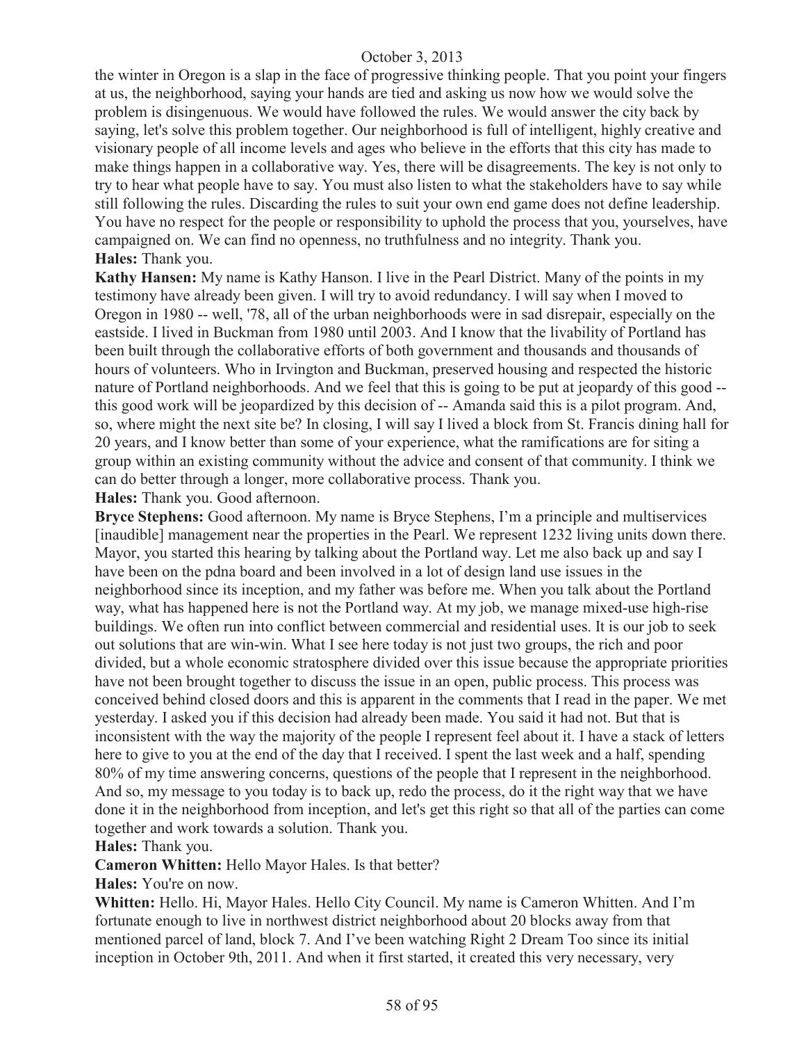the winter in Oregon is a slap in the face of progressive thinking people. That you point your fingers at us, the neighborhood, saying your hands are tied and asking us now how we would solve the problem is disingenuous. We would have followed the rules. We would answer the city back by saying, let's solve this problem together. Our neighborhood is full of intelligent, highly creative and visionary people of all income levels and ages who believe in the efforts that this city has made to make things happen in a collaborative way. Yes, there will be disagreements. The key is not only to try to hear what people have to say. You must also listen to what the stakeholders have to say while still following the rules. Discarding the rules to suit your own end game does not define leadership. You have no respect for the people or responsibility to uphold the process that you, yourselves, have campaigned on. We can find no openness, no truthfulness and no integrity. Thank you. **Hales:** Thank you.

**Kathy Hansen:** My name is Kathy Hanson. I live in the Pearl District. Many of the points in my testimony have already been given. I will try to avoid redundancy. I will say when I moved to Oregon in 1980 -- well, '78, all of the urban neighborhoods were in sad disrepair, especially on the eastside. I lived in Buckman from 1980 until 2003. And I know that the livability of Portland has been built through the collaborative efforts of both government and thousands and thousands of hours of volunteers. Who in Irvington and Buckman, preserved housing and respected the historic nature of Portland neighborhoods. And we feel that this is going to be put at jeopardy of this good - this good work will be jeopardized by this decision of -- Amanda said this is a pilot program. And, so, where might the next site be? In closing, I will say I lived a block from St. Francis dining hall for 20 years, and I know better than some of your experience, what the ramifications are for siting a group within an existing community without the advice and consent of that community. I think we can do better through a longer, more collaborative process. Thank you.

**Hales:** Thank you. Good afternoon.

**Bryce Stephens:** Good afternoon. My name is Bryce Stephens, I'm a principle and multiservices [inaudible] management near the properties in the Pearl. We represent 1232 living units down there. Mayor, you started this hearing by talking about the Portland way. Let me also back up and say I have been on the pdna board and been involved in a lot of design land use issues in the neighborhood since its inception, and my father was before me. When you talk about the Portland way, what has happened here is not the Portland way. At my job, we manage mixed-use high-rise buildings. We often run into conflict between commercial and residential uses. It is our job to seek out solutions that are win-win. What I see here today is not just two groups, the rich and poor divided, but a whole economic stratosphere divided over this issue because the appropriate priorities have not been brought together to discuss the issue in an open, public process. This process was conceived behind closed doors and this is apparent in the comments that I read in the paper. We met yesterday. I asked you if this decision had already been made. You said it had not. But that is inconsistent with the way the majority of the people I represent feel about it. I have a stack of letters here to give to you at the end of the day that I received. I spent the last week and a half, spending 80% of my time answering concerns, questions of the people that I represent in the neighborhood. And so, my message to you today is to back up, redo the process, do it the right way that we have done it in the neighborhood from inception, and let's get this right so that all of the parties can come together and work towards a solution. Thank you.

**Hales:** Thank you.

**Cameron Whitten:** Hello Mayor Hales. Is that better?

**Hales:** You're on now.

**Whitten:** Hello. Hi, Mayor Hales. Hello City Council. My name is Cameron Whitten. And I'm fortunate enough to live in northwest district neighborhood about 20 blocks away from that mentioned parcel of land, block 7. And I've been watching Right 2 Dream Too since its initial inception in October 9th, 2011. And when it first started, it created this very necessary, very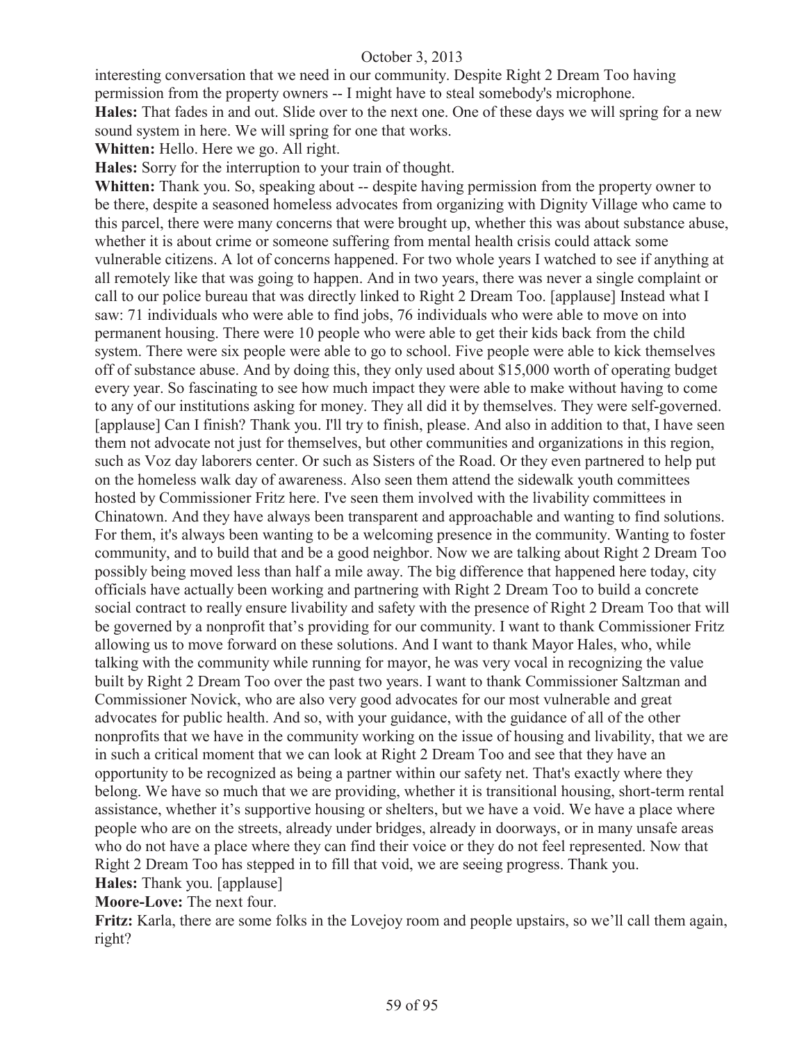interesting conversation that we need in our community. Despite Right 2 Dream Too having permission from the property owners -- I might have to steal somebody's microphone. **Hales:** That fades in and out. Slide over to the next one. One of these days we will spring for a new sound system in here. We will spring for one that works.

**Whitten:** Hello. Here we go. All right.

**Hales:** Sorry for the interruption to your train of thought.

Whitten: Thank you. So, speaking about -- despite having permission from the property owner to be there, despite a seasoned homeless advocates from organizing with Dignity Village who came to this parcel, there were many concerns that were brought up, whether this was about substance abuse, whether it is about crime or someone suffering from mental health crisis could attack some vulnerable citizens. A lot of concerns happened. For two whole years I watched to see if anything at all remotely like that was going to happen. And in two years, there was never a single complaint or call to our police bureau that was directly linked to Right 2 Dream Too. [applause] Instead what I saw: 71 individuals who were able to find jobs, 76 individuals who were able to move on into permanent housing. There were 10 people who were able to get their kids back from the child system. There were six people were able to go to school. Five people were able to kick themselves off of substance abuse. And by doing this, they only used about \$15,000 worth of operating budget every year. So fascinating to see how much impact they were able to make without having to come to any of our institutions asking for money. They all did it by themselves. They were self-governed. [applause] Can I finish? Thank you. I'll try to finish, please. And also in addition to that, I have seen them not advocate not just for themselves, but other communities and organizations in this region, such as Voz day laborers center. Or such as Sisters of the Road. Or they even partnered to help put on the homeless walk day of awareness. Also seen them attend the sidewalk youth committees hosted by Commissioner Fritz here. I've seen them involved with the livability committees in Chinatown. And they have always been transparent and approachable and wanting to find solutions. For them, it's always been wanting to be a welcoming presence in the community. Wanting to foster community, and to build that and be a good neighbor. Now we are talking about Right 2 Dream Too possibly being moved less than half a mile away. The big difference that happened here today, city officials have actually been working and partnering with Right 2 Dream Too to build a concrete social contract to really ensure livability and safety with the presence of Right 2 Dream Too that will be governed by a nonprofit that's providing for our community. I want to thank Commissioner Fritz allowing us to move forward on these solutions. And I want to thank Mayor Hales, who, while talking with the community while running for mayor, he was very vocal in recognizing the value built by Right 2 Dream Too over the past two years. I want to thank Commissioner Saltzman and Commissioner Novick, who are also very good advocates for our most vulnerable and great advocates for public health. And so, with your guidance, with the guidance of all of the other nonprofits that we have in the community working on the issue of housing and livability, that we are in such a critical moment that we can look at Right 2 Dream Too and see that they have an opportunity to be recognized as being a partner within our safety net. That's exactly where they belong. We have so much that we are providing, whether it is transitional housing, short-term rental assistance, whether it's supportive housing or shelters, but we have a void. We have a place where people who are on the streets, already under bridges, already in doorways, or in many unsafe areas who do not have a place where they can find their voice or they do not feel represented. Now that Right 2 Dream Too has stepped in to fill that void, we are seeing progress. Thank you. **Hales:** Thank you. [applause]

**Moore-Love:** The next four.

**Fritz:** Karla, there are some folks in the Lovejoy room and people upstairs, so we'll call them again, right?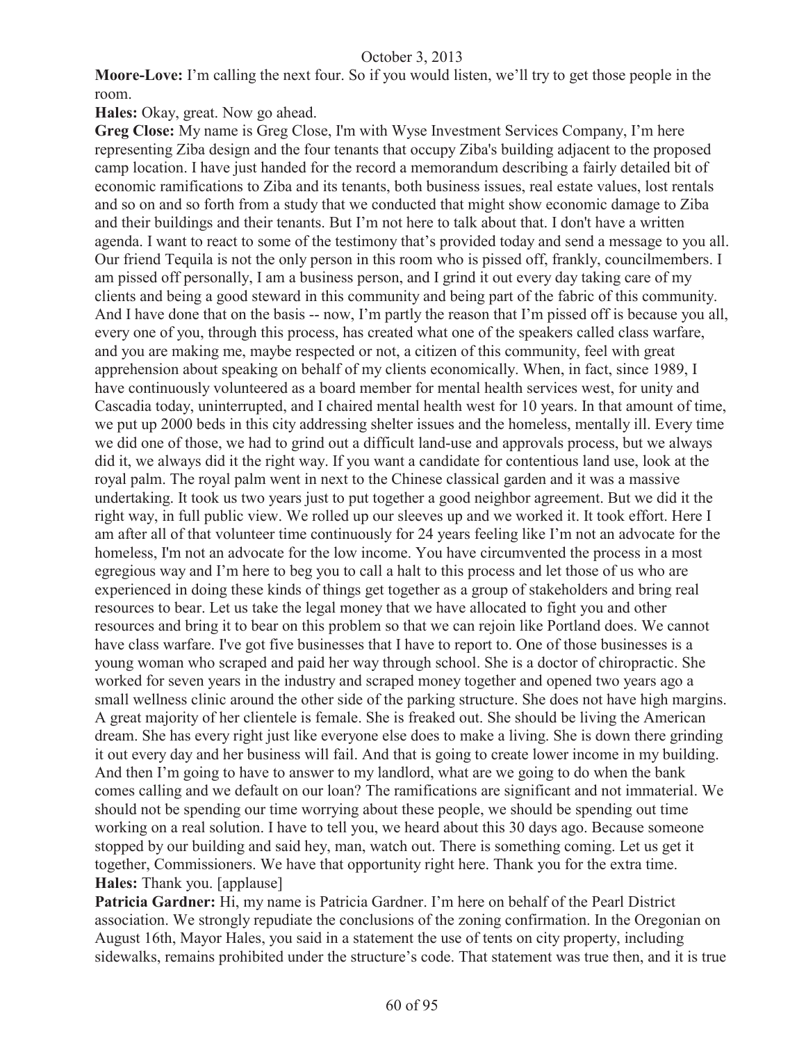**Moore-Love:** I'm calling the next four. So if you would listen, we'll try to get those people in the room.

**Hales:** Okay, great. Now go ahead.

**Greg Close:** My name is Greg Close, I'm with Wyse Investment Services Company, I'm here representing Ziba design and the four tenants that occupy Ziba's building adjacent to the proposed camp location. I have just handed for the record a memorandum describing a fairly detailed bit of economic ramifications to Ziba and its tenants, both business issues, real estate values, lost rentals and so on and so forth from a study that we conducted that might show economic damage to Ziba and their buildings and their tenants. But I'm not here to talk about that. I don't have a written agenda. I want to react to some of the testimony that's provided today and send a message to you all. Our friend Tequila is not the only person in this room who is pissed off, frankly, councilmembers. I am pissed off personally, I am a business person, and I grind it out every day taking care of my clients and being a good steward in this community and being part of the fabric of this community. And I have done that on the basis -- now, I'm partly the reason that I'm pissed off is because you all, every one of you, through this process, has created what one of the speakers called class warfare, and you are making me, maybe respected or not, a citizen of this community, feel with great apprehension about speaking on behalf of my clients economically. When, in fact, since 1989, I have continuously volunteered as a board member for mental health services west, for unity and Cascadia today, uninterrupted, and I chaired mental health west for 10 years. In that amount of time, we put up 2000 beds in this city addressing shelter issues and the homeless, mentally ill. Every time we did one of those, we had to grind out a difficult land-use and approvals process, but we always did it, we always did it the right way. If you want a candidate for contentious land use, look at the royal palm. The royal palm went in next to the Chinese classical garden and it was a massive undertaking. It took us two years just to put together a good neighbor agreement. But we did it the right way, in full public view. We rolled up our sleeves up and we worked it. It took effort. Here I am after all of that volunteer time continuously for 24 years feeling like I'm not an advocate for the homeless, I'm not an advocate for the low income. You have circumvented the process in a most egregious way and I'm here to beg you to call a halt to this process and let those of us who are experienced in doing these kinds of things get together as a group of stakeholders and bring real resources to bear. Let us take the legal money that we have allocated to fight you and other resources and bring it to bear on this problem so that we can rejoin like Portland does. We cannot have class warfare. I've got five businesses that I have to report to. One of those businesses is a young woman who scraped and paid her way through school. She is a doctor of chiropractic. She worked for seven years in the industry and scraped money together and opened two years ago a small wellness clinic around the other side of the parking structure. She does not have high margins. A great majority of her clientele is female. She is freaked out. She should be living the American dream. She has every right just like everyone else does to make a living. She is down there grinding it out every day and her business will fail. And that is going to create lower income in my building. And then I'm going to have to answer to my landlord, what are we going to do when the bank comes calling and we default on our loan? The ramifications are significant and not immaterial. We should not be spending our time worrying about these people, we should be spending out time working on a real solution. I have to tell you, we heard about this 30 days ago. Because someone stopped by our building and said hey, man, watch out. There is something coming. Let us get it together, Commissioners. We have that opportunity right here. Thank you for the extra time. **Hales:** Thank you. [applause]

**Patricia Gardner:** Hi, my name is Patricia Gardner. I'm here on behalf of the Pearl District association. We strongly repudiate the conclusions of the zoning confirmation. In the Oregonian on August 16th, Mayor Hales, you said in a statement the use of tents on city property, including sidewalks, remains prohibited under the structure's code. That statement was true then, and it is true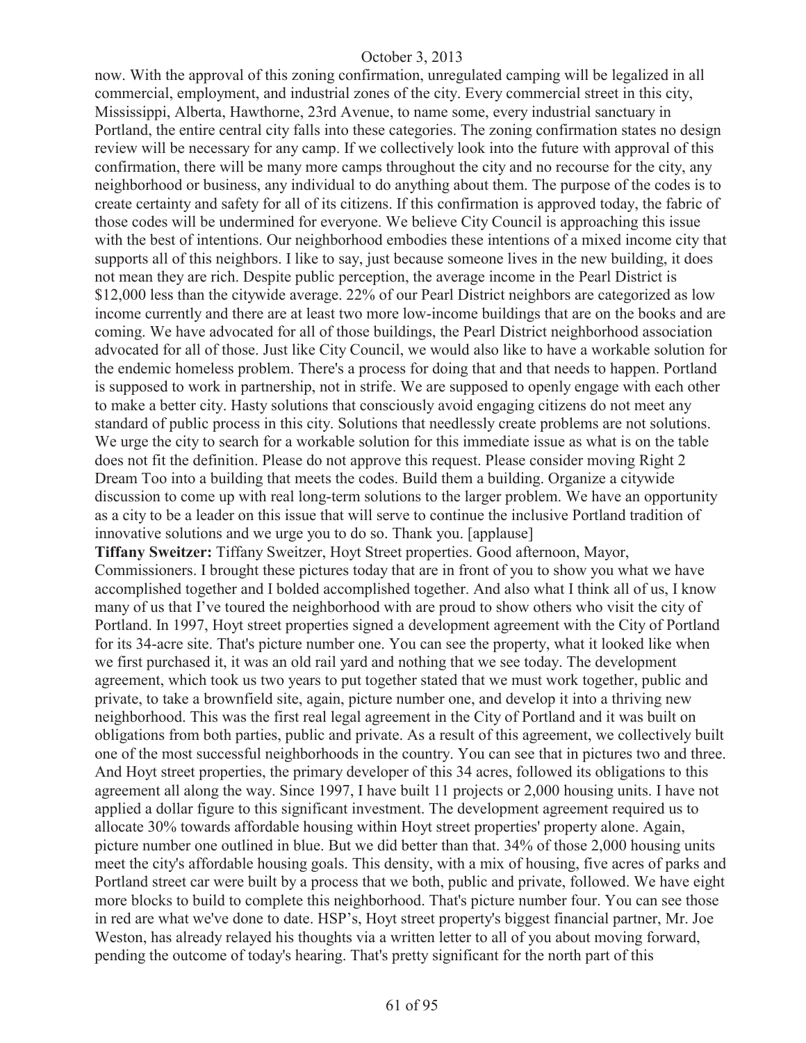now. With the approval of this zoning confirmation, unregulated camping will be legalized in all commercial, employment, and industrial zones of the city. Every commercial street in this city, Mississippi, Alberta, Hawthorne, 23rd Avenue, to name some, every industrial sanctuary in Portland, the entire central city falls into these categories. The zoning confirmation states no design review will be necessary for any camp. If we collectively look into the future with approval of this confirmation, there will be many more camps throughout the city and no recourse for the city, any neighborhood or business, any individual to do anything about them. The purpose of the codes is to create certainty and safety for all of its citizens. If this confirmation is approved today, the fabric of those codes will be undermined for everyone. We believe City Council is approaching this issue with the best of intentions. Our neighborhood embodies these intentions of a mixed income city that supports all of this neighbors. I like to say, just because someone lives in the new building, it does not mean they are rich. Despite public perception, the average income in the Pearl District is \$12,000 less than the citywide average. 22% of our Pearl District neighbors are categorized as low income currently and there are at least two more low-income buildings that are on the books and are coming. We have advocated for all of those buildings, the Pearl District neighborhood association advocated for all of those. Just like City Council, we would also like to have a workable solution for the endemic homeless problem. There's a process for doing that and that needs to happen. Portland is supposed to work in partnership, not in strife. We are supposed to openly engage with each other to make a better city. Hasty solutions that consciously avoid engaging citizens do not meet any standard of public process in this city. Solutions that needlessly create problems are not solutions. We urge the city to search for a workable solution for this immediate issue as what is on the table does not fit the definition. Please do not approve this request. Please consider moving Right 2 Dream Too into a building that meets the codes. Build them a building. Organize a citywide discussion to come up with real long-term solutions to the larger problem. We have an opportunity as a city to be a leader on this issue that will serve to continue the inclusive Portland tradition of innovative solutions and we urge you to do so. Thank you. [applause]

**Tiffany Sweitzer:** Tiffany Sweitzer, Hoyt Street properties. Good afternoon, Mayor, Commissioners. I brought these pictures today that are in front of you to show you what we have accomplished together and I bolded accomplished together. And also what I think all of us, I know many of us that I've toured the neighborhood with are proud to show others who visit the city of Portland. In 1997, Hoyt street properties signed a development agreement with the City of Portland for its 34-acre site. That's picture number one. You can see the property, what it looked like when we first purchased it, it was an old rail yard and nothing that we see today. The development agreement, which took us two years to put together stated that we must work together, public and private, to take a brownfield site, again, picture number one, and develop it into a thriving new neighborhood. This was the first real legal agreement in the City of Portland and it was built on obligations from both parties, public and private. As a result of this agreement, we collectively built one of the most successful neighborhoods in the country. You can see that in pictures two and three. And Hoyt street properties, the primary developer of this 34 acres, followed its obligations to this agreement all along the way. Since 1997, I have built 11 projects or 2,000 housing units. I have not applied a dollar figure to this significant investment. The development agreement required us to allocate 30% towards affordable housing within Hoyt street properties' property alone. Again, picture number one outlined in blue. But we did better than that. 34% of those 2,000 housing units meet the city's affordable housing goals. This density, with a mix of housing, five acres of parks and Portland street car were built by a process that we both, public and private, followed. We have eight more blocks to build to complete this neighborhood. That's picture number four. You can see those in red are what we've done to date. HSP's, Hoyt street property's biggest financial partner, Mr. Joe Weston, has already relayed his thoughts via a written letter to all of you about moving forward, pending the outcome of today's hearing. That's pretty significant for the north part of this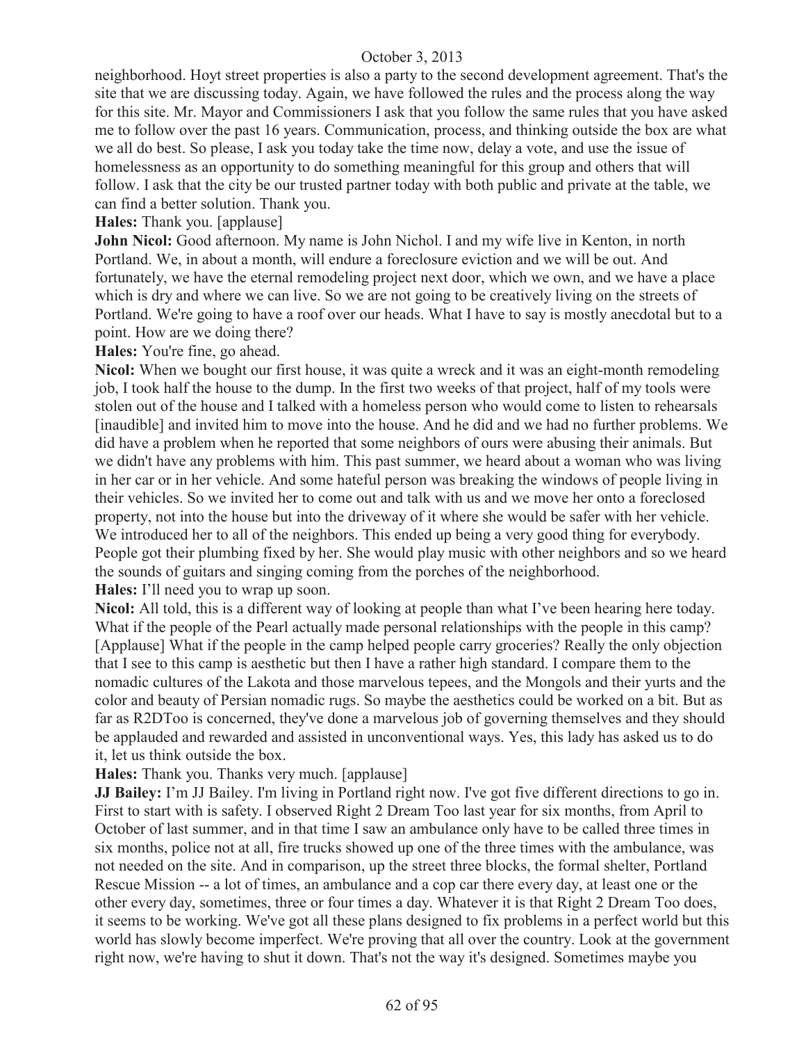neighborhood. Hoyt street properties is also a party to the second development agreement. That's the site that we are discussing today. Again, we have followed the rules and the process along the way for this site. Mr. Mayor and Commissioners I ask that you follow the same rules that you have asked me to follow over the past 16 years. Communication, process, and thinking outside the box are what we all do best. So please, I ask you today take the time now, delay a vote, and use the issue of homelessness as an opportunity to do something meaningful for this group and others that will follow. I ask that the city be our trusted partner today with both public and private at the table, we can find a better solution. Thank you.

**Hales:** Thank you. [applause]

**John Nicol:** Good afternoon. My name is John Nichol. I and my wife live in Kenton, in north Portland. We, in about a month, will endure a foreclosure eviction and we will be out. And fortunately, we have the eternal remodeling project next door, which we own, and we have a place which is dry and where we can live. So we are not going to be creatively living on the streets of Portland. We're going to have a roof over our heads. What I have to say is mostly anecdotal but to a point. How are we doing there?

**Hales:** You're fine, go ahead.

**Nicol:** When we bought our first house, it was quite a wreck and it was an eight-month remodeling job, I took half the house to the dump. In the first two weeks of that project, half of my tools were stolen out of the house and I talked with a homeless person who would come to listen to rehearsals [inaudible] and invited him to move into the house. And he did and we had no further problems. We did have a problem when he reported that some neighbors of ours were abusing their animals. But we didn't have any problems with him. This past summer, we heard about a woman who was living in her car or in her vehicle. And some hateful person was breaking the windows of people living in their vehicles. So we invited her to come out and talk with us and we move her onto a foreclosed property, not into the house but into the driveway of it where she would be safer with her vehicle. We introduced her to all of the neighbors. This ended up being a very good thing for everybody. People got their plumbing fixed by her. She would play music with other neighbors and so we heard the sounds of guitars and singing coming from the porches of the neighborhood.

**Hales:** I'll need you to wrap up soon.

**Nicol:** All told, this is a different way of looking at people than what I've been hearing here today. What if the people of the Pearl actually made personal relationships with the people in this camp? [Applause] What if the people in the camp helped people carry groceries? Really the only objection that I see to this camp is aesthetic but then I have a rather high standard. I compare them to the nomadic cultures of the Lakota and those marvelous tepees, and the Mongols and their yurts and the color and beauty of Persian nomadic rugs. So maybe the aesthetics could be worked on a bit. But as far as R2DToo is concerned, they've done a marvelous job of governing themselves and they should be applauded and rewarded and assisted in unconventional ways. Yes, this lady has asked us to do it, let us think outside the box.

**Hales:** Thank you. Thanks very much. [applause]

**JJ Bailey:** I'm JJ Bailey. I'm living in Portland right now. I've got five different directions to go in. First to start with is safety. I observed Right 2 Dream Too last year for six months, from April to October of last summer, and in that time I saw an ambulance only have to be called three times in six months, police not at all, fire trucks showed up one of the three times with the ambulance, was not needed on the site. And in comparison, up the street three blocks, the formal shelter, Portland Rescue Mission -- a lot of times, an ambulance and a cop car there every day, at least one or the other every day, sometimes, three or four times a day. Whatever it is that Right 2 Dream Too does, it seems to be working. We've got all these plans designed to fix problems in a perfect world but this world has slowly become imperfect. We're proving that all over the country. Look at the government right now, we're having to shut it down. That's not the way it's designed. Sometimes maybe you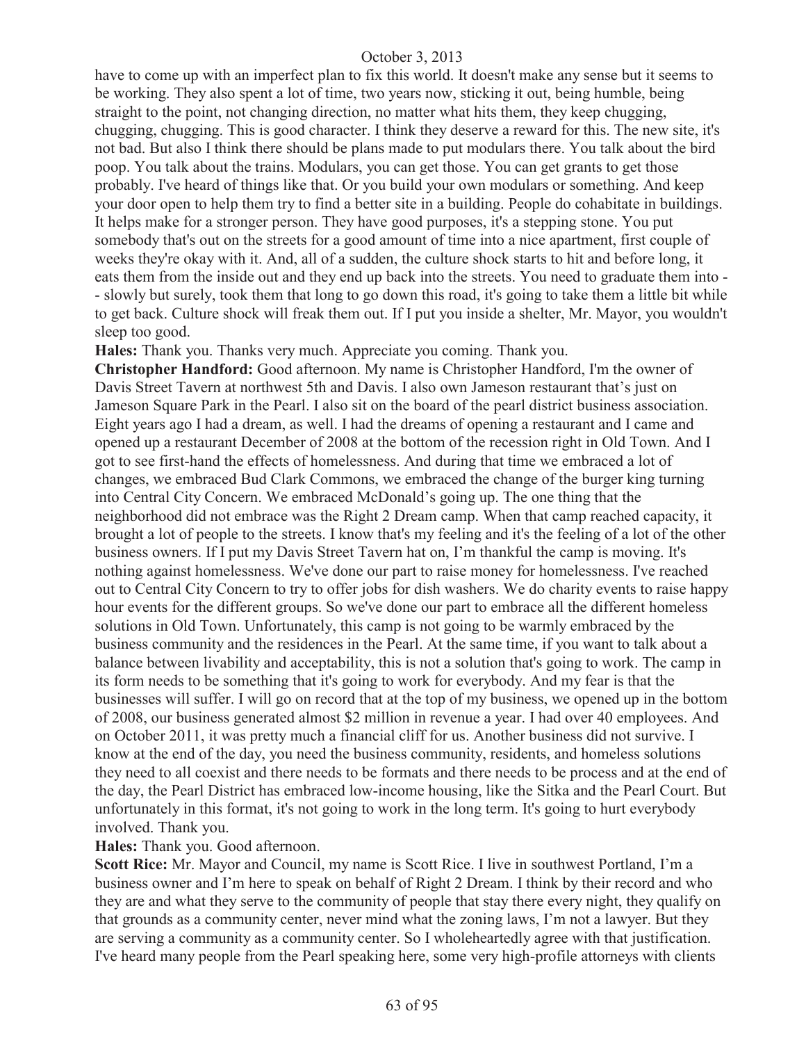have to come up with an imperfect plan to fix this world. It doesn't make any sense but it seems to be working. They also spent a lot of time, two years now, sticking it out, being humble, being straight to the point, not changing direction, no matter what hits them, they keep chugging, chugging, chugging. This is good character. I think they deserve a reward for this. The new site, it's not bad. But also I think there should be plans made to put modulars there. You talk about the bird poop. You talk about the trains. Modulars, you can get those. You can get grants to get those probably. I've heard of things like that. Or you build your own modulars or something. And keep your door open to help them try to find a better site in a building. People do cohabitate in buildings. It helps make for a stronger person. They have good purposes, it's a stepping stone. You put somebody that's out on the streets for a good amount of time into a nice apartment, first couple of weeks they're okay with it. And, all of a sudden, the culture shock starts to hit and before long, it eats them from the inside out and they end up back into the streets. You need to graduate them into - - slowly but surely, took them that long to go down this road, it's going to take them a little bit while to get back. Culture shock will freak them out. If I put you inside a shelter, Mr. Mayor, you wouldn't sleep too good.

**Hales:** Thank you. Thanks very much. Appreciate you coming. Thank you.

**Christopher Handford:** Good afternoon. My name is Christopher Handford, I'm the owner of Davis Street Tavern at northwest 5th and Davis. I also own Jameson restaurant that's just on Jameson Square Park in the Pearl. I also sit on the board of the pearl district business association. Eight years ago I had a dream, as well. I had the dreams of opening a restaurant and I came and opened up a restaurant December of 2008 at the bottom of the recession right in Old Town. And I got to see first-hand the effects of homelessness. And during that time we embraced a lot of changes, we embraced Bud Clark Commons, we embraced the change of the burger king turning into Central City Concern. We embraced McDonald's going up. The one thing that the neighborhood did not embrace was the Right 2 Dream camp. When that camp reached capacity, it brought a lot of people to the streets. I know that's my feeling and it's the feeling of a lot of the other business owners. If I put my Davis Street Tavern hat on, I'm thankful the camp is moving. It's nothing against homelessness. We've done our part to raise money for homelessness. I've reached out to Central City Concern to try to offer jobs for dish washers. We do charity events to raise happy hour events for the different groups. So we've done our part to embrace all the different homeless solutions in Old Town. Unfortunately, this camp is not going to be warmly embraced by the business community and the residences in the Pearl. At the same time, if you want to talk about a balance between livability and acceptability, this is not a solution that's going to work. The camp in its form needs to be something that it's going to work for everybody. And my fear is that the businesses will suffer. I will go on record that at the top of my business, we opened up in the bottom of 2008, our business generated almost \$2 million in revenue a year. I had over 40 employees. And on October 2011, it was pretty much a financial cliff for us. Another business did not survive. I know at the end of the day, you need the business community, residents, and homeless solutions they need to all coexist and there needs to be formats and there needs to be process and at the end of the day, the Pearl District has embraced low-income housing, like the Sitka and the Pearl Court. But unfortunately in this format, it's not going to work in the long term. It's going to hurt everybody involved. Thank you.

**Hales:** Thank you. Good afternoon.

**Scott Rice:** Mr. Mayor and Council, my name is Scott Rice. I live in southwest Portland, I'm a business owner and I'm here to speak on behalf of Right 2 Dream. I think by their record and who they are and what they serve to the community of people that stay there every night, they qualify on that grounds as a community center, never mind what the zoning laws, I'm not a lawyer. But they are serving a community as a community center. So I wholeheartedly agree with that justification. I've heard many people from the Pearl speaking here, some very high-profile attorneys with clients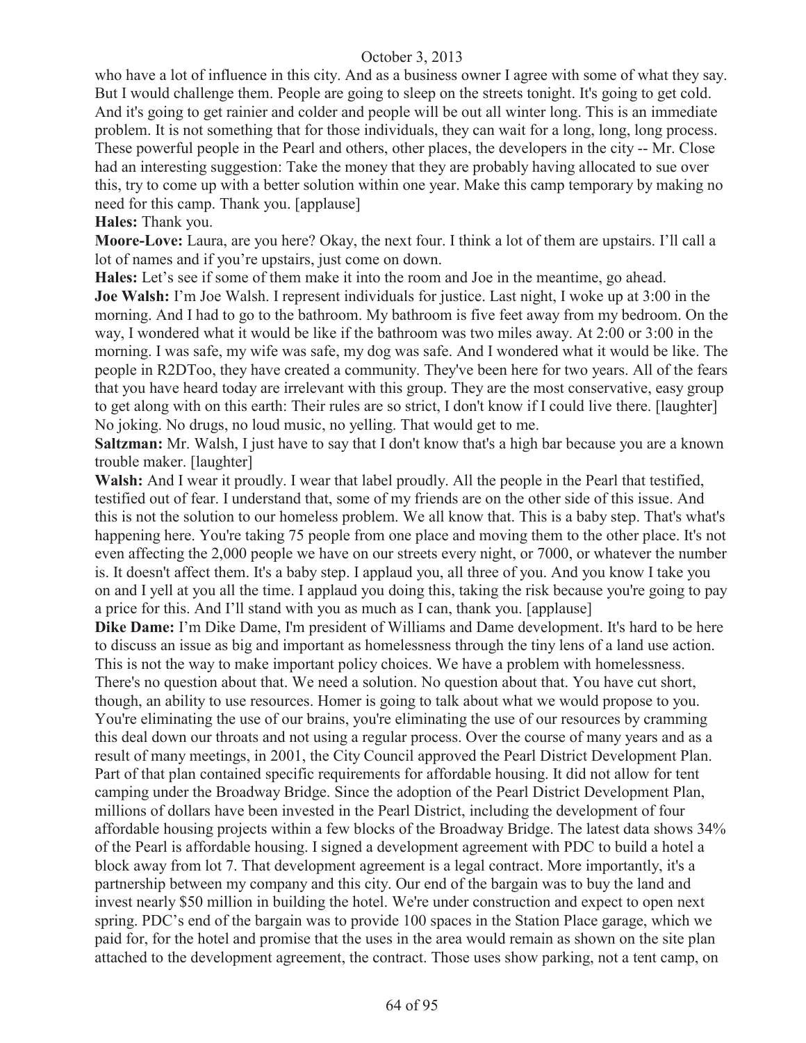who have a lot of influence in this city. And as a business owner I agree with some of what they say. But I would challenge them. People are going to sleep on the streets tonight. It's going to get cold. And it's going to get rainier and colder and people will be out all winter long. This is an immediate problem. It is not something that for those individuals, they can wait for a long, long, long process. These powerful people in the Pearl and others, other places, the developers in the city -- Mr. Close had an interesting suggestion: Take the money that they are probably having allocated to sue over this, try to come up with a better solution within one year. Make this camp temporary by making no need for this camp. Thank you. [applause]

**Hales:** Thank you.

**Moore-Love:** Laura, are you here? Okay, the next four. I think a lot of them are upstairs. I'll call a lot of names and if you're upstairs, just come on down.

**Hales:** Let's see if some of them make it into the room and Joe in the meantime, go ahead. **Joe Walsh:** I'm Joe Walsh. I represent individuals for justice. Last night, I woke up at 3:00 in the morning. And I had to go to the bathroom. My bathroom is five feet away from my bedroom. On the way, I wondered what it would be like if the bathroom was two miles away. At 2:00 or 3:00 in the morning. I was safe, my wife was safe, my dog was safe. And I wondered what it would be like. The people in R2DToo, they have created a community. They've been here for two years. All of the fears that you have heard today are irrelevant with this group. They are the most conservative, easy group to get along with on this earth: Their rules are so strict, I don't know if I could live there. [laughter] No joking. No drugs, no loud music, no yelling. That would get to me.

**Saltzman:** Mr. Walsh, I just have to say that I don't know that's a high bar because you are a known trouble maker. [laughter]

**Walsh:** And I wear it proudly. I wear that label proudly. All the people in the Pearl that testified, testified out of fear. I understand that, some of my friends are on the other side of this issue. And this is not the solution to our homeless problem. We all know that. This is a baby step. That's what's happening here. You're taking 75 people from one place and moving them to the other place. It's not even affecting the 2,000 people we have on our streets every night, or 7000, or whatever the number is. It doesn't affect them. It's a baby step. I applaud you, all three of you. And you know I take you on and I yell at you all the time. I applaud you doing this, taking the risk because you're going to pay a price for this. And I'll stand with you as much as I can, thank you. [applause]

**Dike Dame:** I'm Dike Dame, I'm president of Williams and Dame development. It's hard to be here to discuss an issue as big and important as homelessness through the tiny lens of a land use action. This is not the way to make important policy choices. We have a problem with homelessness.

There's no question about that. We need a solution. No question about that. You have cut short, though, an ability to use resources. Homer is going to talk about what we would propose to you. You're eliminating the use of our brains, you're eliminating the use of our resources by cramming this deal down our throats and not using a regular process. Over the course of many years and as a result of many meetings, in 2001, the City Council approved the Pearl District Development Plan. Part of that plan contained specific requirements for affordable housing. It did not allow for tent camping under the Broadway Bridge. Since the adoption of the Pearl District Development Plan, millions of dollars have been invested in the Pearl District, including the development of four affordable housing projects within a few blocks of the Broadway Bridge. The latest data shows 34% of the Pearl is affordable housing. I signed a development agreement with PDC to build a hotel a block away from lot 7. That development agreement is a legal contract. More importantly, it's a partnership between my company and this city. Our end of the bargain was to buy the land and invest nearly \$50 million in building the hotel. We're under construction and expect to open next spring. PDC's end of the bargain was to provide 100 spaces in the Station Place garage, which we paid for, for the hotel and promise that the uses in the area would remain as shown on the site plan attached to the development agreement, the contract. Those uses show parking, not a tent camp, on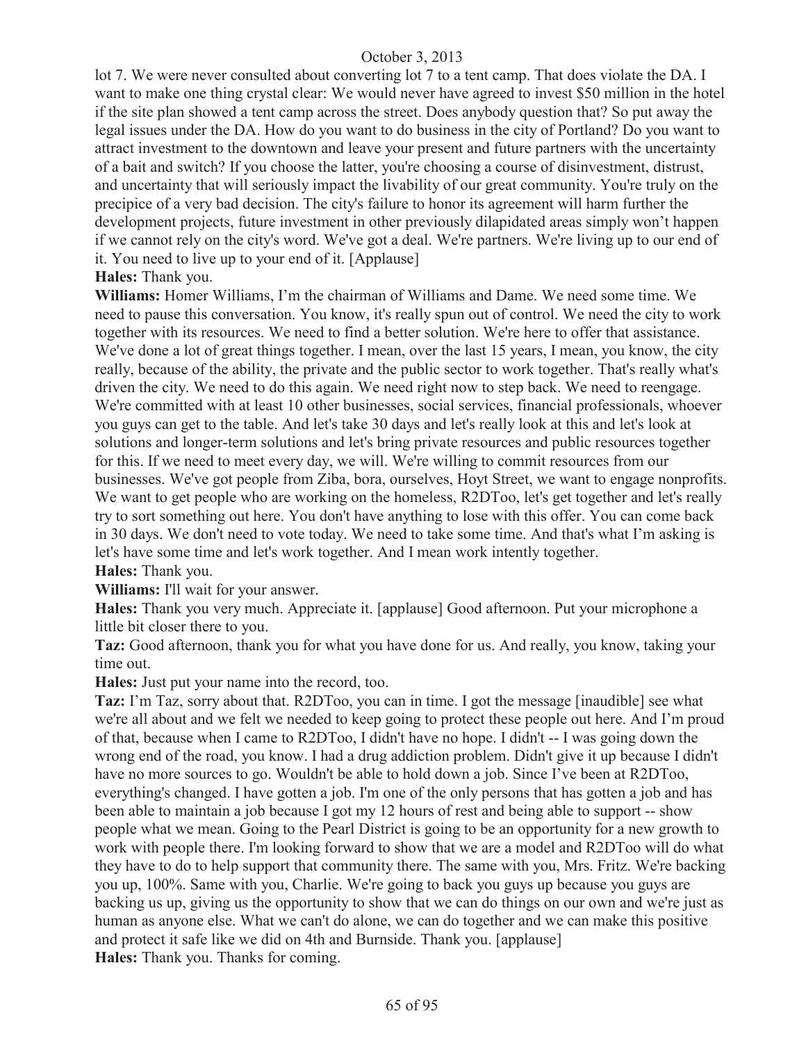lot 7. We were never consulted about converting lot 7 to a tent camp. That does violate the DA. I want to make one thing crystal clear: We would never have agreed to invest \$50 million in the hotel if the site plan showed a tent camp across the street. Does anybody question that? So put away the legal issues under the DA. How do you want to do business in the city of Portland? Do you want to attract investment to the downtown and leave your present and future partners with the uncertainty of a bait and switch? If you choose the latter, you're choosing a course of disinvestment, distrust, and uncertainty that will seriously impact the livability of our great community. You're truly on the precipice of a very bad decision. The city's failure to honor its agreement will harm further the development projects, future investment in other previously dilapidated areas simply won't happen if we cannot rely on the city's word. We've got a deal. We're partners. We're living up to our end of it. You need to live up to your end of it. [Applause]

#### **Hales:** Thank you.

**Williams:** Homer Williams, I'm the chairman of Williams and Dame. We need some time. We need to pause this conversation. You know, it's really spun out of control. We need the city to work together with its resources. We need to find a better solution. We're here to offer that assistance. We've done a lot of great things together. I mean, over the last 15 years, I mean, you know, the city really, because of the ability, the private and the public sector to work together. That's really what's driven the city. We need to do this again. We need right now to step back. We need to reengage. We're committed with at least 10 other businesses, social services, financial professionals, whoever you guys can get to the table. And let's take 30 days and let's really look at this and let's look at solutions and longer-term solutions and let's bring private resources and public resources together for this. If we need to meet every day, we will. We're willing to commit resources from our businesses. We've got people from Ziba, bora, ourselves, Hoyt Street, we want to engage nonprofits. We want to get people who are working on the homeless, R2DToo, let's get together and let's really try to sort something out here. You don't have anything to lose with this offer. You can come back in 30 days. We don't need to vote today. We need to take some time. And that's what I'm asking is let's have some time and let's work together. And I mean work intently together. **Hales:** Thank you.

**Williams:** I'll wait for your answer.

**Hales:** Thank you very much. Appreciate it. [applause] Good afternoon. Put your microphone a little bit closer there to you.

**Taz:** Good afternoon, thank you for what you have done for us. And really, you know, taking your time out.

**Hales:** Just put your name into the record, too.

**Taz:** I'm Taz, sorry about that. R2DToo, you can in time. I got the message [inaudible] see what we're all about and we felt we needed to keep going to protect these people out here. And I'm proud of that, because when I came to R2DToo, I didn't have no hope. I didn't -- I was going down the wrong end of the road, you know. I had a drug addiction problem. Didn't give it up because I didn't have no more sources to go. Wouldn't be able to hold down a job. Since I've been at R2DToo, everything's changed. I have gotten a job. I'm one of the only persons that has gotten a job and has been able to maintain a job because I got my 12 hours of rest and being able to support -- show people what we mean. Going to the Pearl District is going to be an opportunity for a new growth to work with people there. I'm looking forward to show that we are a model and R2DToo will do what they have to do to help support that community there. The same with you, Mrs. Fritz. We're backing you up, 100%. Same with you, Charlie. We're going to back you guys up because you guys are backing us up, giving us the opportunity to show that we can do things on our own and we're just as human as anyone else. What we can't do alone, we can do together and we can make this positive and protect it safe like we did on 4th and Burnside. Thank you. [applause] **Hales:** Thank you. Thanks for coming.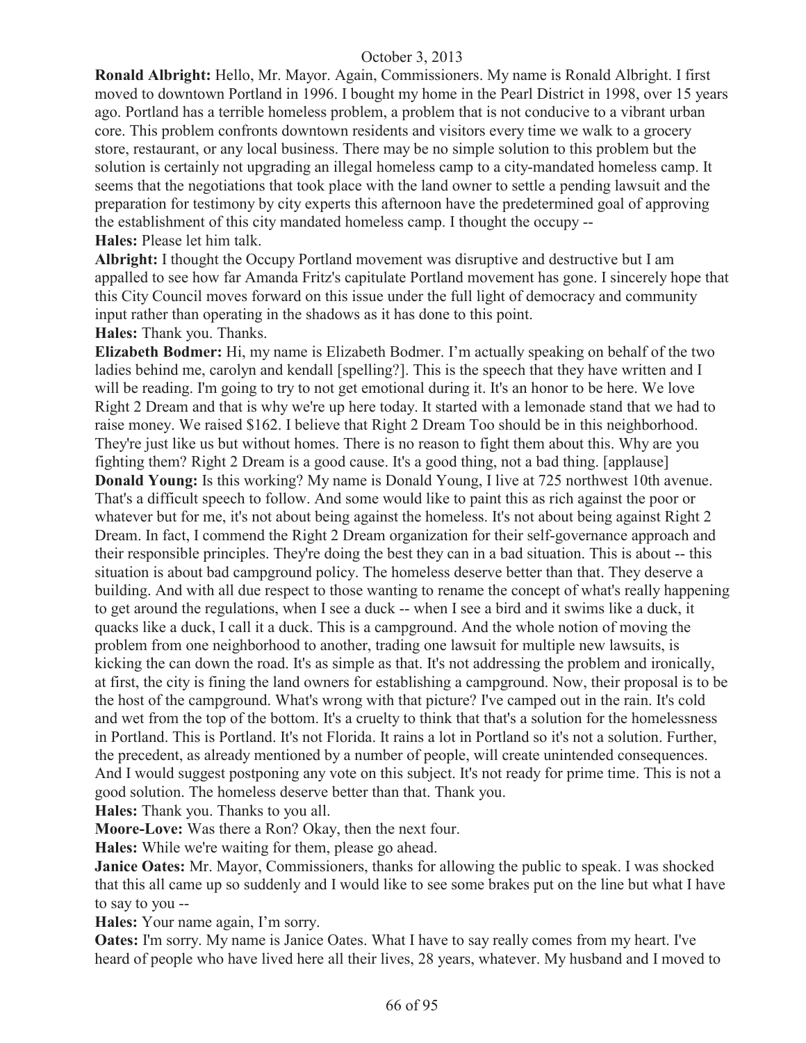**Ronald Albright:** Hello, Mr. Mayor. Again, Commissioners. My name is Ronald Albright. I first moved to downtown Portland in 1996. I bought my home in the Pearl District in 1998, over 15 years ago. Portland has a terrible homeless problem, a problem that is not conducive to a vibrant urban core. This problem confronts downtown residents and visitors every time we walk to a grocery store, restaurant, or any local business. There may be no simple solution to this problem but the solution is certainly not upgrading an illegal homeless camp to a city-mandated homeless camp. It seems that the negotiations that took place with the land owner to settle a pending lawsuit and the preparation for testimony by city experts this afternoon have the predetermined goal of approving the establishment of this city mandated homeless camp. I thought the occupy -- **Hales:** Please let him talk.

**Albright:** I thought the Occupy Portland movement was disruptive and destructive but I am appalled to see how far Amanda Fritz's capitulate Portland movement has gone. I sincerely hope that this City Council moves forward on this issue under the full light of democracy and community input rather than operating in the shadows as it has done to this point.

**Hales:** Thank you. Thanks.

**Elizabeth Bodmer:** Hi, my name is Elizabeth Bodmer. I'm actually speaking on behalf of the two ladies behind me, carolyn and kendall [spelling?]. This is the speech that they have written and I will be reading. I'm going to try to not get emotional during it. It's an honor to be here. We love Right 2 Dream and that is why we're up here today. It started with a lemonade stand that we had to raise money. We raised \$162. I believe that Right 2 Dream Too should be in this neighborhood. They're just like us but without homes. There is no reason to fight them about this. Why are you fighting them? Right 2 Dream is a good cause. It's a good thing, not a bad thing. [applause] **Donald Young:** Is this working? My name is Donald Young, I live at 725 northwest 10th avenue. That's a difficult speech to follow. And some would like to paint this as rich against the poor or whatever but for me, it's not about being against the homeless. It's not about being against Right 2 Dream. In fact, I commend the Right 2 Dream organization for their self-governance approach and their responsible principles. They're doing the best they can in a bad situation. This is about -- this situation is about bad campground policy. The homeless deserve better than that. They deserve a building. And with all due respect to those wanting to rename the concept of what's really happening to get around the regulations, when I see a duck -- when I see a bird and it swims like a duck, it quacks like a duck, I call it a duck. This is a campground. And the whole notion of moving the problem from one neighborhood to another, trading one lawsuit for multiple new lawsuits, is kicking the can down the road. It's as simple as that. It's not addressing the problem and ironically, at first, the city is fining the land owners for establishing a campground. Now, their proposal is to be the host of the campground. What's wrong with that picture? I've camped out in the rain. It's cold and wet from the top of the bottom. It's a cruelty to think that that's a solution for the homelessness in Portland. This is Portland. It's not Florida. It rains a lot in Portland so it's not a solution. Further, the precedent, as already mentioned by a number of people, will create unintended consequences. And I would suggest postponing any vote on this subject. It's not ready for prime time. This is not a good solution. The homeless deserve better than that. Thank you.

**Hales:** Thank you. Thanks to you all.

**Moore-Love:** Was there a Ron? Okay, then the next four.

**Hales:** While we're waiting for them, please go ahead.

**Janice Oates:** Mr. Mayor, Commissioners, thanks for allowing the public to speak. I was shocked that this all came up so suddenly and I would like to see some brakes put on the line but what I have to say to you --

**Hales:** Your name again, I'm sorry.

**Oates:** I'm sorry. My name is Janice Oates. What I have to say really comes from my heart. I've heard of people who have lived here all their lives, 28 years, whatever. My husband and I moved to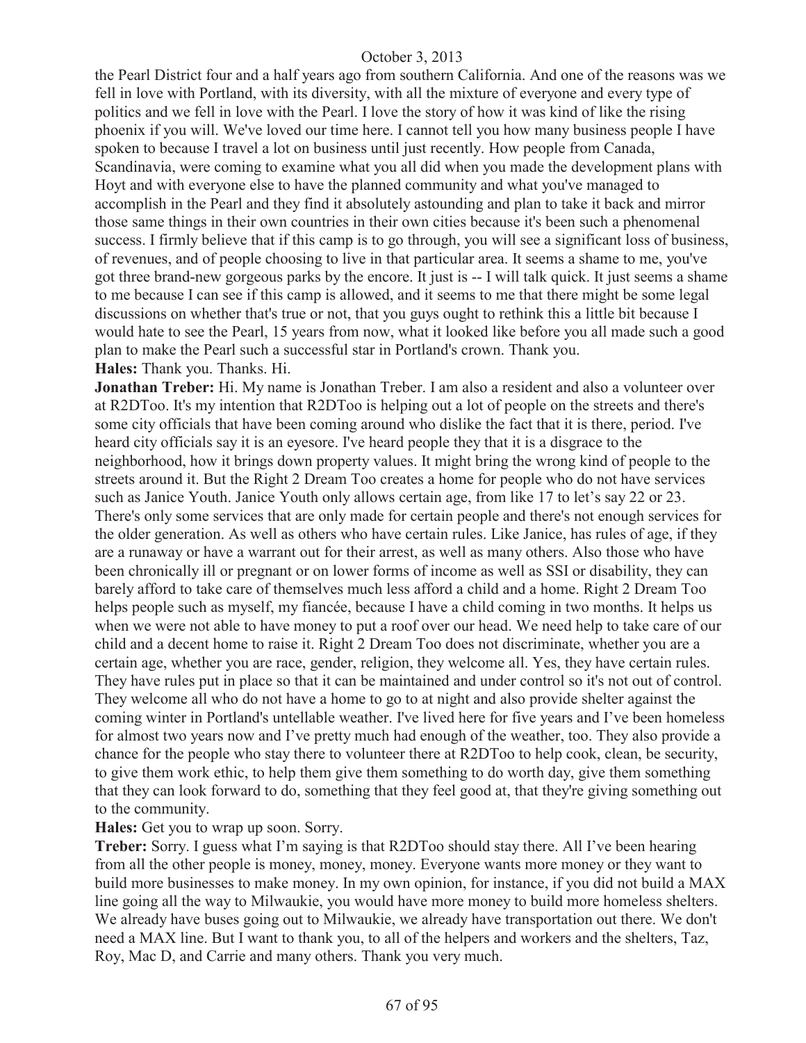the Pearl District four and a half years ago from southern California. And one of the reasons was we fell in love with Portland, with its diversity, with all the mixture of everyone and every type of politics and we fell in love with the Pearl. I love the story of how it was kind of like the rising phoenix if you will. We've loved our time here. I cannot tell you how many business people I have spoken to because I travel a lot on business until just recently. How people from Canada, Scandinavia, were coming to examine what you all did when you made the development plans with Hoyt and with everyone else to have the planned community and what you've managed to accomplish in the Pearl and they find it absolutely astounding and plan to take it back and mirror those same things in their own countries in their own cities because it's been such a phenomenal success. I firmly believe that if this camp is to go through, you will see a significant loss of business, of revenues, and of people choosing to live in that particular area. It seems a shame to me, you've got three brand-new gorgeous parks by the encore. It just is -- I will talk quick. It just seems a shame to me because I can see if this camp is allowed, and it seems to me that there might be some legal discussions on whether that's true or not, that you guys ought to rethink this a little bit because I would hate to see the Pearl, 15 years from now, what it looked like before you all made such a good plan to make the Pearl such a successful star in Portland's crown. Thank you. **Hales:** Thank you. Thanks. Hi.

**Jonathan Treber:** Hi. My name is Jonathan Treber. I am also a resident and also a volunteer over at R2DToo. It's my intention that R2DToo is helping out a lot of people on the streets and there's some city officials that have been coming around who dislike the fact that it is there, period. I've heard city officials say it is an eyesore. I've heard people they that it is a disgrace to the neighborhood, how it brings down property values. It might bring the wrong kind of people to the streets around it. But the Right 2 Dream Too creates a home for people who do not have services such as Janice Youth. Janice Youth only allows certain age, from like 17 to let's say 22 or 23. There's only some services that are only made for certain people and there's not enough services for the older generation. As well as others who have certain rules. Like Janice, has rules of age, if they are a runaway or have a warrant out for their arrest, as well as many others. Also those who have been chronically ill or pregnant or on lower forms of income as well as SSI or disability, they can barely afford to take care of themselves much less afford a child and a home. Right 2 Dream Too helps people such as myself, my fiancée, because I have a child coming in two months. It helps us when we were not able to have money to put a roof over our head. We need help to take care of our child and a decent home to raise it. Right 2 Dream Too does not discriminate, whether you are a certain age, whether you are race, gender, religion, they welcome all. Yes, they have certain rules. They have rules put in place so that it can be maintained and under control so it's not out of control. They welcome all who do not have a home to go to at night and also provide shelter against the coming winter in Portland's untellable weather. I've lived here for five years and I've been homeless for almost two years now and I've pretty much had enough of the weather, too. They also provide a chance for the people who stay there to volunteer there at R2DToo to help cook, clean, be security, to give them work ethic, to help them give them something to do worth day, give them something that they can look forward to do, something that they feel good at, that they're giving something out to the community.

#### **Hales:** Get you to wrap up soon. Sorry.

**Treber:** Sorry. I guess what I'm saying is that R2DToo should stay there. All I've been hearing from all the other people is money, money, money. Everyone wants more money or they want to build more businesses to make money. In my own opinion, for instance, if you did not build a MAX line going all the way to Milwaukie, you would have more money to build more homeless shelters. We already have buses going out to Milwaukie, we already have transportation out there. We don't need a MAX line. But I want to thank you, to all of the helpers and workers and the shelters, Taz, Roy, Mac D, and Carrie and many others. Thank you very much.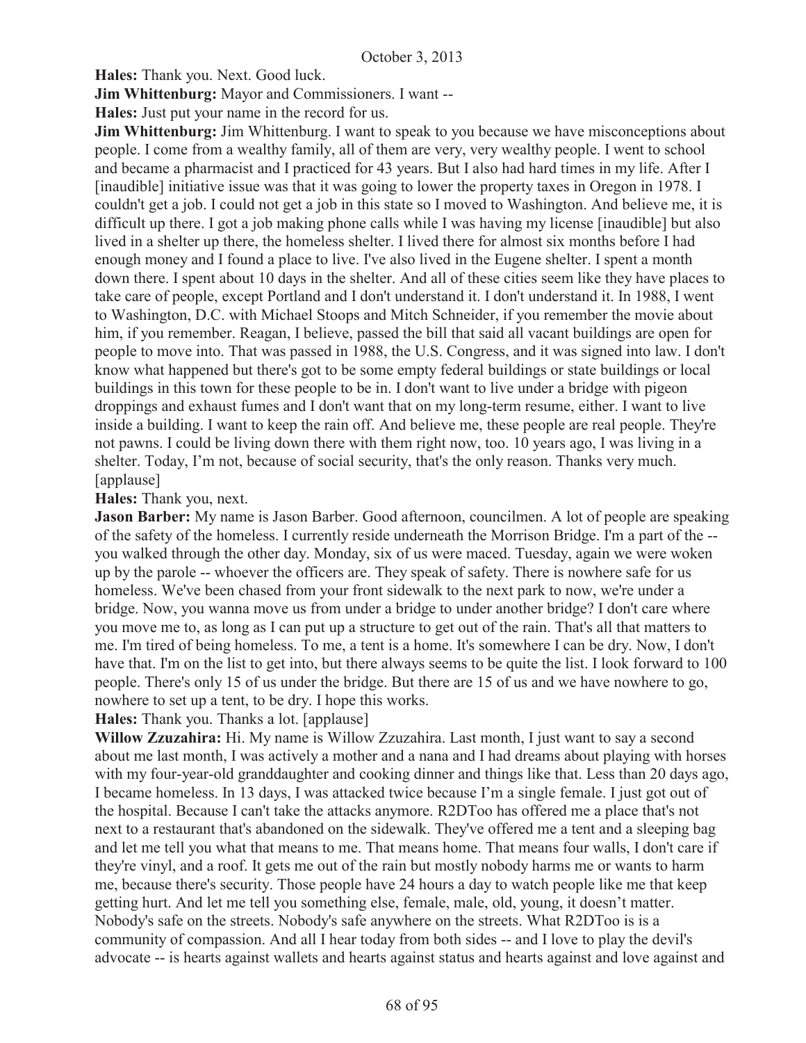**Hales:** Thank you. Next. Good luck.

**Jim Whittenburg:** Mayor and Commissioners. I want --

**Hales:** Just put your name in the record for us.

**Jim Whittenburg:** Jim Whittenburg. I want to speak to you because we have misconceptions about people. I come from a wealthy family, all of them are very, very wealthy people. I went to school and became a pharmacist and I practiced for 43 years. But I also had hard times in my life. After I [inaudible] initiative issue was that it was going to lower the property taxes in Oregon in 1978. I couldn't get a job. I could not get a job in this state so I moved to Washington. And believe me, it is difficult up there. I got a job making phone calls while I was having my license [inaudible] but also lived in a shelter up there, the homeless shelter. I lived there for almost six months before I had enough money and I found a place to live. I've also lived in the Eugene shelter. I spent a month down there. I spent about 10 days in the shelter. And all of these cities seem like they have places to take care of people, except Portland and I don't understand it. I don't understand it. In 1988, I went to Washington, D.C. with Michael Stoops and Mitch Schneider, if you remember the movie about him, if you remember. Reagan, I believe, passed the bill that said all vacant buildings are open for people to move into. That was passed in 1988, the U.S. Congress, and it was signed into law. I don't know what happened but there's got to be some empty federal buildings or state buildings or local buildings in this town for these people to be in. I don't want to live under a bridge with pigeon droppings and exhaust fumes and I don't want that on my long-term resume, either. I want to live inside a building. I want to keep the rain off. And believe me, these people are real people. They're not pawns. I could be living down there with them right now, too. 10 years ago, I was living in a shelter. Today, I'm not, because of social security, that's the only reason. Thanks very much. [applause]

#### **Hales:** Thank you, next.

**Jason Barber:** My name is Jason Barber. Good afternoon, councilmen. A lot of people are speaking of the safety of the homeless. I currently reside underneath the Morrison Bridge. I'm a part of the - you walked through the other day. Monday, six of us were maced. Tuesday, again we were woken up by the parole -- whoever the officers are. They speak of safety. There is nowhere safe for us homeless. We've been chased from your front sidewalk to the next park to now, we're under a bridge. Now, you wanna move us from under a bridge to under another bridge? I don't care where you move me to, as long as I can put up a structure to get out of the rain. That's all that matters to me. I'm tired of being homeless. To me, a tent is a home. It's somewhere I can be dry. Now, I don't have that. I'm on the list to get into, but there always seems to be quite the list. I look forward to 100 people. There's only 15 of us under the bridge. But there are 15 of us and we have nowhere to go, nowhere to set up a tent, to be dry. I hope this works.

## **Hales:** Thank you. Thanks a lot. [applause]

**Willow Zzuzahira:** Hi. My name is Willow Zzuzahira. Last month, I just want to say a second about me last month, I was actively a mother and a nana and I had dreams about playing with horses with my four-year-old granddaughter and cooking dinner and things like that. Less than 20 days ago, I became homeless. In 13 days, I was attacked twice because I'm a single female. I just got out of the hospital. Because I can't take the attacks anymore. R2DToo has offered me a place that's not next to a restaurant that's abandoned on the sidewalk. They've offered me a tent and a sleeping bag and let me tell you what that means to me. That means home. That means four walls, I don't care if they're vinyl, and a roof. It gets me out of the rain but mostly nobody harms me or wants to harm me, because there's security. Those people have 24 hours a day to watch people like me that keep getting hurt. And let me tell you something else, female, male, old, young, it doesn't matter. Nobody's safe on the streets. Nobody's safe anywhere on the streets. What R2DToo is is a community of compassion. And all I hear today from both sides -- and I love to play the devil's advocate -- is hearts against wallets and hearts against status and hearts against and love against and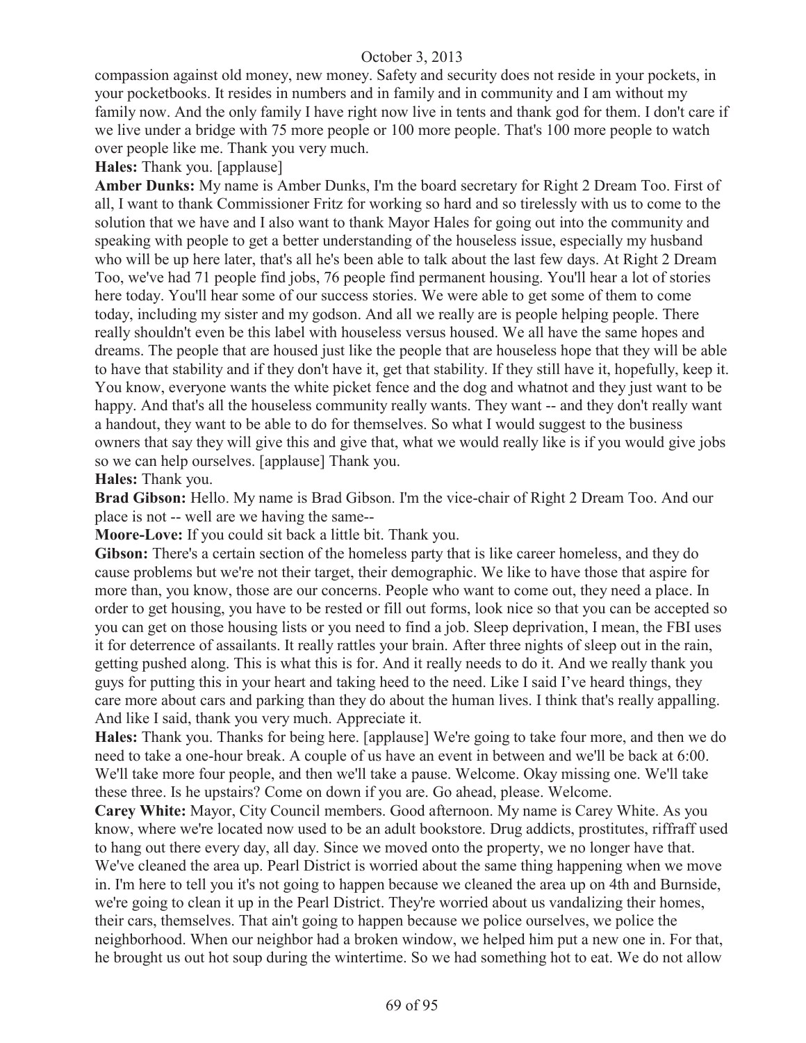compassion against old money, new money. Safety and security does not reside in your pockets, in your pocketbooks. It resides in numbers and in family and in community and I am without my family now. And the only family I have right now live in tents and thank god for them. I don't care if we live under a bridge with 75 more people or 100 more people. That's 100 more people to watch over people like me. Thank you very much.

**Hales:** Thank you. [applause]

**Amber Dunks:** My name is Amber Dunks, I'm the board secretary for Right 2 Dream Too. First of all, I want to thank Commissioner Fritz for working so hard and so tirelessly with us to come to the solution that we have and I also want to thank Mayor Hales for going out into the community and speaking with people to get a better understanding of the houseless issue, especially my husband who will be up here later, that's all he's been able to talk about the last few days. At Right 2 Dream Too, we've had 71 people find jobs, 76 people find permanent housing. You'll hear a lot of stories here today. You'll hear some of our success stories. We were able to get some of them to come today, including my sister and my godson. And all we really are is people helping people. There really shouldn't even be this label with houseless versus housed. We all have the same hopes and dreams. The people that are housed just like the people that are houseless hope that they will be able to have that stability and if they don't have it, get that stability. If they still have it, hopefully, keep it. You know, everyone wants the white picket fence and the dog and whatnot and they just want to be happy. And that's all the houseless community really wants. They want -- and they don't really want a handout, they want to be able to do for themselves. So what I would suggest to the business owners that say they will give this and give that, what we would really like is if you would give jobs so we can help ourselves. [applause] Thank you.

## **Hales:** Thank you.

**Brad Gibson:** Hello. My name is Brad Gibson. I'm the vice-chair of Right 2 Dream Too. And our place is not -- well are we having the same--

**Moore-Love:** If you could sit back a little bit. Thank you.

Gibson: There's a certain section of the homeless party that is like career homeless, and they do cause problems but we're not their target, their demographic. We like to have those that aspire for more than, you know, those are our concerns. People who want to come out, they need a place. In order to get housing, you have to be rested or fill out forms, look nice so that you can be accepted so you can get on those housing lists or you need to find a job. Sleep deprivation, I mean, the FBI uses it for deterrence of assailants. It really rattles your brain. After three nights of sleep out in the rain, getting pushed along. This is what this is for. And it really needs to do it. And we really thank you guys for putting this in your heart and taking heed to the need. Like I said I've heard things, they care more about cars and parking than they do about the human lives. I think that's really appalling. And like I said, thank you very much. Appreciate it.

**Hales:** Thank you. Thanks for being here. [applause] We're going to take four more, and then we do need to take a one-hour break. A couple of us have an event in between and we'll be back at 6:00. We'll take more four people, and then we'll take a pause. Welcome. Okay missing one. We'll take these three. Is he upstairs? Come on down if you are. Go ahead, please. Welcome.

**Carey White:** Mayor, City Council members. Good afternoon. My name is Carey White. As you know, where we're located now used to be an adult bookstore. Drug addicts, prostitutes, riffraff used to hang out there every day, all day. Since we moved onto the property, we no longer have that. We've cleaned the area up. Pearl District is worried about the same thing happening when we move in. I'm here to tell you it's not going to happen because we cleaned the area up on 4th and Burnside, we're going to clean it up in the Pearl District. They're worried about us vandalizing their homes, their cars, themselves. That ain't going to happen because we police ourselves, we police the neighborhood. When our neighbor had a broken window, we helped him put a new one in. For that, he brought us out hot soup during the wintertime. So we had something hot to eat. We do not allow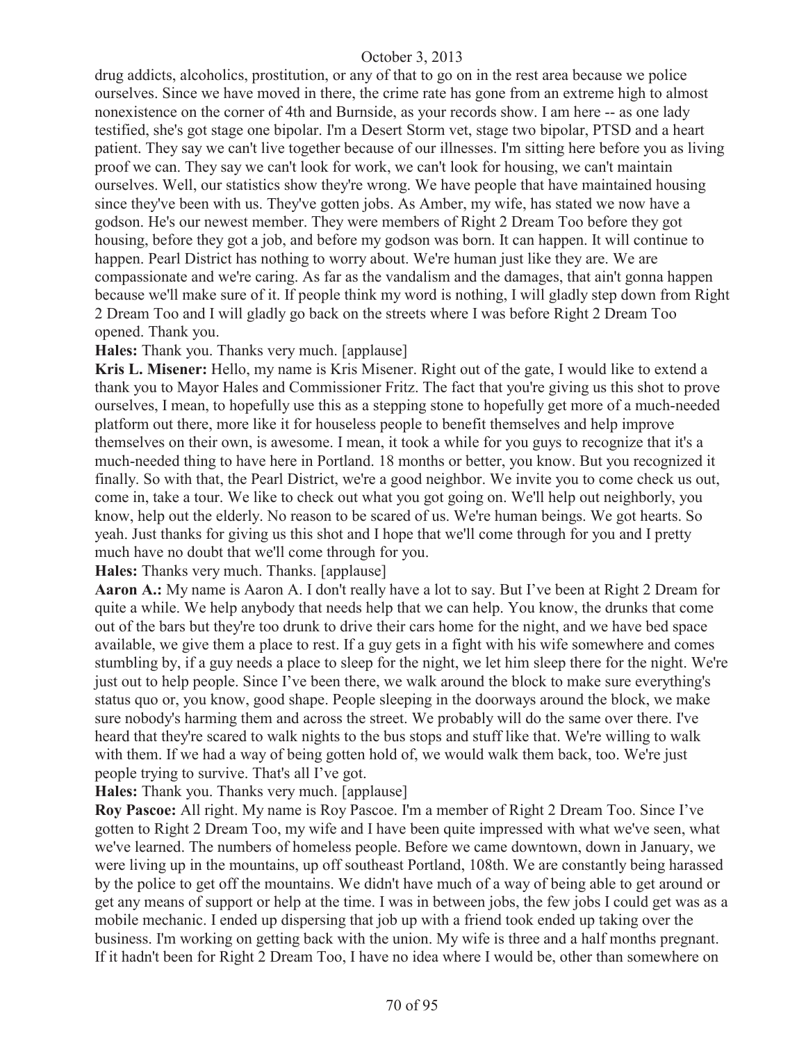drug addicts, alcoholics, prostitution, or any of that to go on in the rest area because we police ourselves. Since we have moved in there, the crime rate has gone from an extreme high to almost nonexistence on the corner of 4th and Burnside, as your records show. I am here -- as one lady testified, she's got stage one bipolar. I'm a Desert Storm vet, stage two bipolar, PTSD and a heart patient. They say we can't live together because of our illnesses. I'm sitting here before you as living proof we can. They say we can't look for work, we can't look for housing, we can't maintain ourselves. Well, our statistics show they're wrong. We have people that have maintained housing since they've been with us. They've gotten jobs. As Amber, my wife, has stated we now have a godson. He's our newest member. They were members of Right 2 Dream Too before they got housing, before they got a job, and before my godson was born. It can happen. It will continue to happen. Pearl District has nothing to worry about. We're human just like they are. We are compassionate and we're caring. As far as the vandalism and the damages, that ain't gonna happen because we'll make sure of it. If people think my word is nothing, I will gladly step down from Right 2 Dream Too and I will gladly go back on the streets where I was before Right 2 Dream Too opened. Thank you.

**Hales:** Thank you. Thanks very much. [applause]

**Kris L. Misener:** Hello, my name is Kris Misener. Right out of the gate, I would like to extend a thank you to Mayor Hales and Commissioner Fritz. The fact that you're giving us this shot to prove ourselves, I mean, to hopefully use this as a stepping stone to hopefully get more of a much-needed platform out there, more like it for houseless people to benefit themselves and help improve themselves on their own, is awesome. I mean, it took a while for you guys to recognize that it's a much-needed thing to have here in Portland. 18 months or better, you know. But you recognized it finally. So with that, the Pearl District, we're a good neighbor. We invite you to come check us out, come in, take a tour. We like to check out what you got going on. We'll help out neighborly, you know, help out the elderly. No reason to be scared of us. We're human beings. We got hearts. So yeah. Just thanks for giving us this shot and I hope that we'll come through for you and I pretty much have no doubt that we'll come through for you.

**Hales:** Thanks very much. Thanks. [applause]

**Aaron A.:** My name is Aaron A. I don't really have a lot to say. But I've been at Right 2 Dream for quite a while. We help anybody that needs help that we can help. You know, the drunks that come out of the bars but they're too drunk to drive their cars home for the night, and we have bed space available, we give them a place to rest. If a guy gets in a fight with his wife somewhere and comes stumbling by, if a guy needs a place to sleep for the night, we let him sleep there for the night. We're just out to help people. Since I've been there, we walk around the block to make sure everything's status quo or, you know, good shape. People sleeping in the doorways around the block, we make sure nobody's harming them and across the street. We probably will do the same over there. I've heard that they're scared to walk nights to the bus stops and stuff like that. We're willing to walk with them. If we had a way of being gotten hold of, we would walk them back, too. We're just people trying to survive. That's all I've got.

**Hales:** Thank you. Thanks very much. [applause]

**Roy Pascoe:** All right. My name is Roy Pascoe. I'm a member of Right 2 Dream Too. Since I've gotten to Right 2 Dream Too, my wife and I have been quite impressed with what we've seen, what we've learned. The numbers of homeless people. Before we came downtown, down in January, we were living up in the mountains, up off southeast Portland, 108th. We are constantly being harassed by the police to get off the mountains. We didn't have much of a way of being able to get around or get any means of support or help at the time. I was in between jobs, the few jobs I could get was as a mobile mechanic. I ended up dispersing that job up with a friend took ended up taking over the business. I'm working on getting back with the union. My wife is three and a half months pregnant. If it hadn't been for Right 2 Dream Too, I have no idea where I would be, other than somewhere on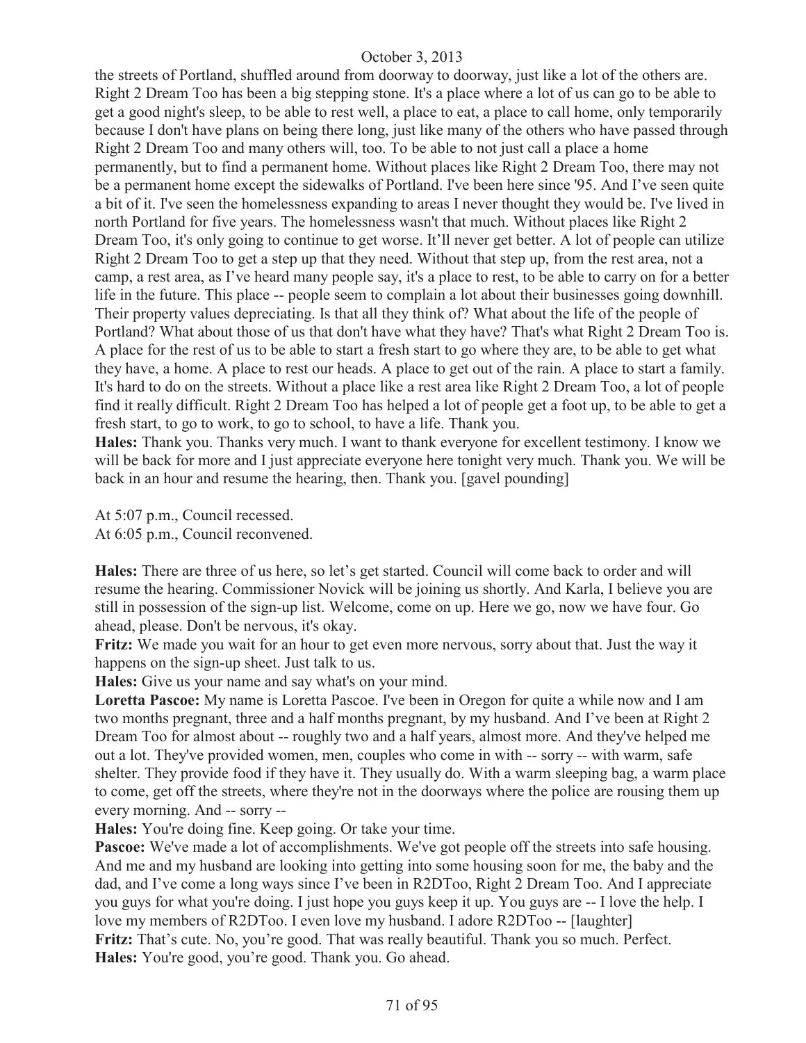the streets of Portland, shuffled around from doorway to doorway, just like a lot of the others are. Right 2 Dream Too has been a big stepping stone. It's a place where a lot of us can go to be able to get a good night's sleep, to be able to rest well, a place to eat, a place to call home, only temporarily because I don't have plans on being there long, just like many of the others who have passed through Right 2 Dream Too and many others will, too. To be able to not just call a place a home permanently, but to find a permanent home. Without places like Right 2 Dream Too, there may not be a permanent home except the sidewalks of Portland. I've been here since '95. And I've seen quite a bit of it. I've seen the homelessness expanding to areas I never thought they would be. I've lived in north Portland for five years. The homelessness wasn't that much. Without places like Right 2 Dream Too, it's only going to continue to get worse. It'll never get better. A lot of people can utilize Right 2 Dream Too to get a step up that they need. Without that step up, from the rest area, not a camp, a rest area, as I've heard many people say, it's a place to rest, to be able to carry on for a better life in the future. This place -- people seem to complain a lot about their businesses going downhill. Their property values depreciating. Is that all they think of? What about the life of the people of Portland? What about those of us that don't have what they have? That's what Right 2 Dream Too is. A place for the rest of us to be able to start a fresh start to go where they are, to be able to get what they have, a home. A place to rest our heads. A place to get out of the rain. A place to start a family. It's hard to do on the streets. Without a place like a rest area like Right 2 Dream Too, a lot of people find it really difficult. Right 2 Dream Too has helped a lot of people get a foot up, to be able to get a fresh start, to go to work, to go to school, to have a life. Thank you.

**Hales:** Thank you. Thanks very much. I want to thank everyone for excellent testimony. I know we will be back for more and I just appreciate everyone here tonight very much. Thank you. We will be back in an hour and resume the hearing, then. Thank you. [gavel pounding]

At 5:07 p.m., Council recessed. At 6:05 p.m., Council reconvened.

**Hales:** There are three of us here, so let's get started. Council will come back to order and will resume the hearing. Commissioner Novick will be joining us shortly. And Karla, I believe you are still in possession of the sign-up list. Welcome, come on up. Here we go, now we have four. Go ahead, please. Don't be nervous, it's okay.

**Fritz:** We made you wait for an hour to get even more nervous, sorry about that. Just the way it happens on the sign-up sheet. Just talk to us.

**Hales:** Give us your name and say what's on your mind.

**Loretta Pascoe:** My name is Loretta Pascoe. I've been in Oregon for quite a while now and I am two months pregnant, three and a half months pregnant, by my husband. And I've been at Right 2 Dream Too for almost about -- roughly two and a half years, almost more. And they've helped me out a lot. They've provided women, men, couples who come in with -- sorry -- with warm, safe shelter. They provide food if they have it. They usually do. With a warm sleeping bag, a warm place to come, get off the streets, where they're not in the doorways where the police are rousing them up every morning. And -- sorry --

**Hales:** You're doing fine. Keep going. Or take your time.

**Pascoe:** We've made a lot of accomplishments. We've got people off the streets into safe housing. And me and my husband are looking into getting into some housing soon for me, the baby and the dad, and I've come a long ways since I've been in R2DToo, Right 2 Dream Too. And I appreciate you guys for what you're doing. I just hope you guys keep it up. You guys are -- I love the help. I love my members of R2DToo. I even love my husband. I adore R2DToo -- [laughter] **Fritz:** That's cute. No, you're good. That was really beautiful. Thank you so much. Perfect. **Hales:** You're good, you're good. Thank you. Go ahead.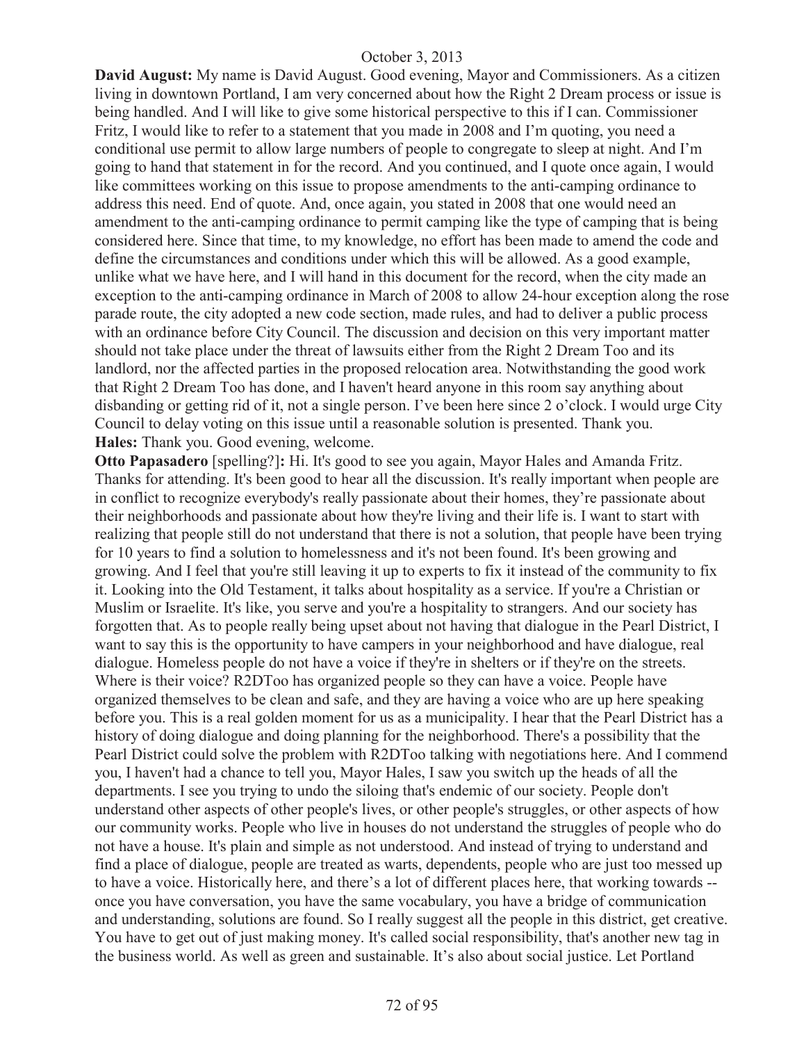**David August:** My name is David August. Good evening, Mayor and Commissioners. As a citizen living in downtown Portland, I am very concerned about how the Right 2 Dream process or issue is being handled. And I will like to give some historical perspective to this if I can. Commissioner Fritz, I would like to refer to a statement that you made in 2008 and I'm quoting, you need a conditional use permit to allow large numbers of people to congregate to sleep at night. And I'm going to hand that statement in for the record. And you continued, and I quote once again, I would like committees working on this issue to propose amendments to the anti-camping ordinance to address this need. End of quote. And, once again, you stated in 2008 that one would need an amendment to the anti-camping ordinance to permit camping like the type of camping that is being considered here. Since that time, to my knowledge, no effort has been made to amend the code and define the circumstances and conditions under which this will be allowed. As a good example, unlike what we have here, and I will hand in this document for the record, when the city made an exception to the anti-camping ordinance in March of 2008 to allow 24-hour exception along the rose parade route, the city adopted a new code section, made rules, and had to deliver a public process with an ordinance before City Council. The discussion and decision on this very important matter should not take place under the threat of lawsuits either from the Right 2 Dream Too and its landlord, nor the affected parties in the proposed relocation area. Notwithstanding the good work that Right 2 Dream Too has done, and I haven't heard anyone in this room say anything about disbanding or getting rid of it, not a single person. I've been here since 2 o'clock. I would urge City Council to delay voting on this issue until a reasonable solution is presented. Thank you. **Hales:** Thank you. Good evening, welcome.

**Otto Papasadero** [spelling?]**:** Hi. It's good to see you again, Mayor Hales and Amanda Fritz. Thanks for attending. It's been good to hear all the discussion. It's really important when people are in conflict to recognize everybody's really passionate about their homes, they're passionate about their neighborhoods and passionate about how they're living and their life is. I want to start with realizing that people still do not understand that there is not a solution, that people have been trying for 10 years to find a solution to homelessness and it's not been found. It's been growing and growing. And I feel that you're still leaving it up to experts to fix it instead of the community to fix it. Looking into the Old Testament, it talks about hospitality as a service. If you're a Christian or Muslim or Israelite. It's like, you serve and you're a hospitality to strangers. And our society has forgotten that. As to people really being upset about not having that dialogue in the Pearl District, I want to say this is the opportunity to have campers in your neighborhood and have dialogue, real dialogue. Homeless people do not have a voice if they're in shelters or if they're on the streets. Where is their voice? R2DToo has organized people so they can have a voice. People have organized themselves to be clean and safe, and they are having a voice who are up here speaking before you. This is a real golden moment for us as a municipality. I hear that the Pearl District has a history of doing dialogue and doing planning for the neighborhood. There's a possibility that the Pearl District could solve the problem with R2DToo talking with negotiations here. And I commend you, I haven't had a chance to tell you, Mayor Hales, I saw you switch up the heads of all the departments. I see you trying to undo the siloing that's endemic of our society. People don't understand other aspects of other people's lives, or other people's struggles, or other aspects of how our community works. People who live in houses do not understand the struggles of people who do not have a house. It's plain and simple as not understood. And instead of trying to understand and find a place of dialogue, people are treated as warts, dependents, people who are just too messed up to have a voice. Historically here, and there's a lot of different places here, that working towards - once you have conversation, you have the same vocabulary, you have a bridge of communication and understanding, solutions are found. So I really suggest all the people in this district, get creative. You have to get out of just making money. It's called social responsibility, that's another new tag in the business world. As well as green and sustainable. It's also about social justice. Let Portland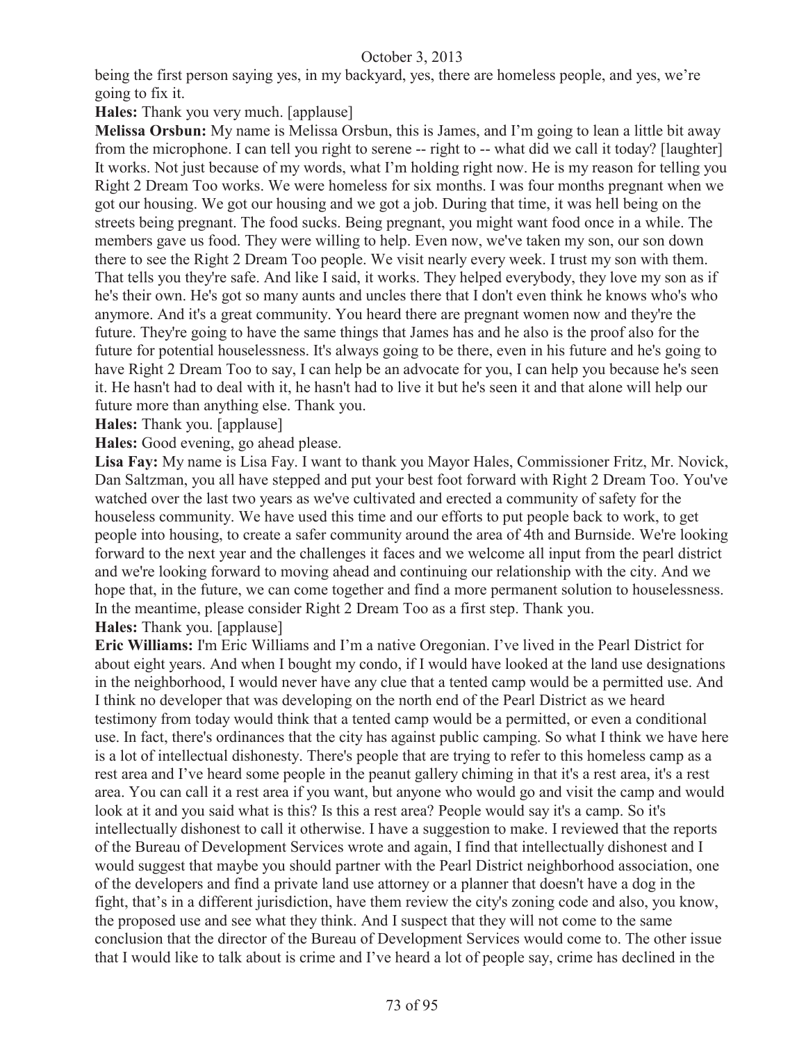being the first person saying yes, in my backyard, yes, there are homeless people, and yes, we're going to fix it.

**Hales:** Thank you very much. [applause]

**Melissa Orsbun:** My name is Melissa Orsbun, this is James, and I'm going to lean a little bit away from the microphone. I can tell you right to serene -- right to -- what did we call it today? [laughter] It works. Not just because of my words, what I'm holding right now. He is my reason for telling you Right 2 Dream Too works. We were homeless for six months. I was four months pregnant when we got our housing. We got our housing and we got a job. During that time, it was hell being on the streets being pregnant. The food sucks. Being pregnant, you might want food once in a while. The members gave us food. They were willing to help. Even now, we've taken my son, our son down there to see the Right 2 Dream Too people. We visit nearly every week. I trust my son with them. That tells you they're safe. And like I said, it works. They helped everybody, they love my son as if he's their own. He's got so many aunts and uncles there that I don't even think he knows who's who anymore. And it's a great community. You heard there are pregnant women now and they're the future. They're going to have the same things that James has and he also is the proof also for the future for potential houselessness. It's always going to be there, even in his future and he's going to have Right 2 Dream Too to say, I can help be an advocate for you, I can help you because he's seen it. He hasn't had to deal with it, he hasn't had to live it but he's seen it and that alone will help our future more than anything else. Thank you.

**Hales:** Thank you. [applause]

**Hales:** Good evening, go ahead please.

**Lisa Fay:** My name is Lisa Fay. I want to thank you Mayor Hales, Commissioner Fritz, Mr. Novick, Dan Saltzman, you all have stepped and put your best foot forward with Right 2 Dream Too. You've watched over the last two years as we've cultivated and erected a community of safety for the houseless community. We have used this time and our efforts to put people back to work, to get people into housing, to create a safer community around the area of 4th and Burnside. We're looking forward to the next year and the challenges it faces and we welcome all input from the pearl district and we're looking forward to moving ahead and continuing our relationship with the city. And we hope that, in the future, we can come together and find a more permanent solution to houselessness. In the meantime, please consider Right 2 Dream Too as a first step. Thank you. **Hales:** Thank you. [applause]

**Eric Williams:** I'm Eric Williams and I'm a native Oregonian. I've lived in the Pearl District for about eight years. And when I bought my condo, if I would have looked at the land use designations in the neighborhood, I would never have any clue that a tented camp would be a permitted use. And I think no developer that was developing on the north end of the Pearl District as we heard testimony from today would think that a tented camp would be a permitted, or even a conditional use. In fact, there's ordinances that the city has against public camping. So what I think we have here is a lot of intellectual dishonesty. There's people that are trying to refer to this homeless camp as a rest area and I've heard some people in the peanut gallery chiming in that it's a rest area, it's a rest area. You can call it a rest area if you want, but anyone who would go and visit the camp and would look at it and you said what is this? Is this a rest area? People would say it's a camp. So it's intellectually dishonest to call it otherwise. I have a suggestion to make. I reviewed that the reports of the Bureau of Development Services wrote and again, I find that intellectually dishonest and I would suggest that maybe you should partner with the Pearl District neighborhood association, one of the developers and find a private land use attorney or a planner that doesn't have a dog in the fight, that's in a different jurisdiction, have them review the city's zoning code and also, you know, the proposed use and see what they think. And I suspect that they will not come to the same conclusion that the director of the Bureau of Development Services would come to. The other issue that I would like to talk about is crime and I've heard a lot of people say, crime has declined in the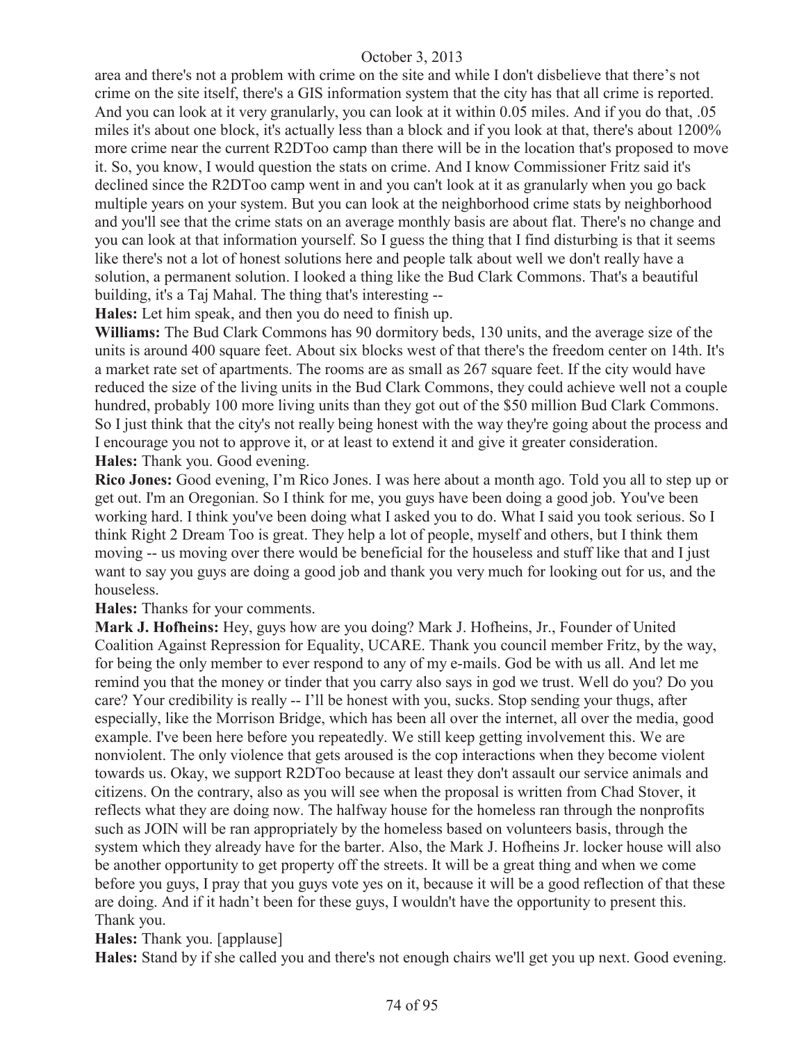area and there's not a problem with crime on the site and while I don't disbelieve that there's not crime on the site itself, there's a GIS information system that the city has that all crime is reported. And you can look at it very granularly, you can look at it within 0.05 miles. And if you do that, .05 miles it's about one block, it's actually less than a block and if you look at that, there's about 1200% more crime near the current R2DToo camp than there will be in the location that's proposed to move it. So, you know, I would question the stats on crime. And I know Commissioner Fritz said it's declined since the R2DToo camp went in and you can't look at it as granularly when you go back multiple years on your system. But you can look at the neighborhood crime stats by neighborhood and you'll see that the crime stats on an average monthly basis are about flat. There's no change and you can look at that information yourself. So I guess the thing that I find disturbing is that it seems like there's not a lot of honest solutions here and people talk about well we don't really have a solution, a permanent solution. I looked a thing like the Bud Clark Commons. That's a beautiful building, it's a Taj Mahal. The thing that's interesting --

**Hales:** Let him speak, and then you do need to finish up.

**Williams:** The Bud Clark Commons has 90 dormitory beds, 130 units, and the average size of the units is around 400 square feet. About six blocks west of that there's the freedom center on 14th. It's a market rate set of apartments. The rooms are as small as 267 square feet. If the city would have reduced the size of the living units in the Bud Clark Commons, they could achieve well not a couple hundred, probably 100 more living units than they got out of the \$50 million Bud Clark Commons. So I just think that the city's not really being honest with the way they're going about the process and I encourage you not to approve it, or at least to extend it and give it greater consideration. **Hales:** Thank you. Good evening.

**Rico Jones:** Good evening, I'm Rico Jones. I was here about a month ago. Told you all to step up or get out. I'm an Oregonian. So I think for me, you guys have been doing a good job. You've been working hard. I think you've been doing what I asked you to do. What I said you took serious. So I think Right 2 Dream Too is great. They help a lot of people, myself and others, but I think them moving -- us moving over there would be beneficial for the houseless and stuff like that and I just want to say you guys are doing a good job and thank you very much for looking out for us, and the houseless.

**Hales:** Thanks for your comments.

**Mark J. Hofheins:** Hey, guys how are you doing? Mark J. Hofheins, Jr., Founder of United Coalition Against Repression for Equality, UCARE. Thank you council member Fritz, by the way, for being the only member to ever respond to any of my e-mails. God be with us all. And let me remind you that the money or tinder that you carry also says in god we trust. Well do you? Do you care? Your credibility is really -- I'll be honest with you, sucks. Stop sending your thugs, after especially, like the Morrison Bridge, which has been all over the internet, all over the media, good example. I've been here before you repeatedly. We still keep getting involvement this. We are nonviolent. The only violence that gets aroused is the cop interactions when they become violent towards us. Okay, we support R2DToo because at least they don't assault our service animals and citizens. On the contrary, also as you will see when the proposal is written from Chad Stover, it reflects what they are doing now. The halfway house for the homeless ran through the nonprofits such as JOIN will be ran appropriately by the homeless based on volunteers basis, through the system which they already have for the barter. Also, the Mark J. Hofheins Jr. locker house will also be another opportunity to get property off the streets. It will be a great thing and when we come before you guys, I pray that you guys vote yes on it, because it will be a good reflection of that these are doing. And if it hadn't been for these guys, I wouldn't have the opportunity to present this. Thank you.

**Hales:** Thank you. [applause]

**Hales:** Stand by if she called you and there's not enough chairs we'll get you up next. Good evening.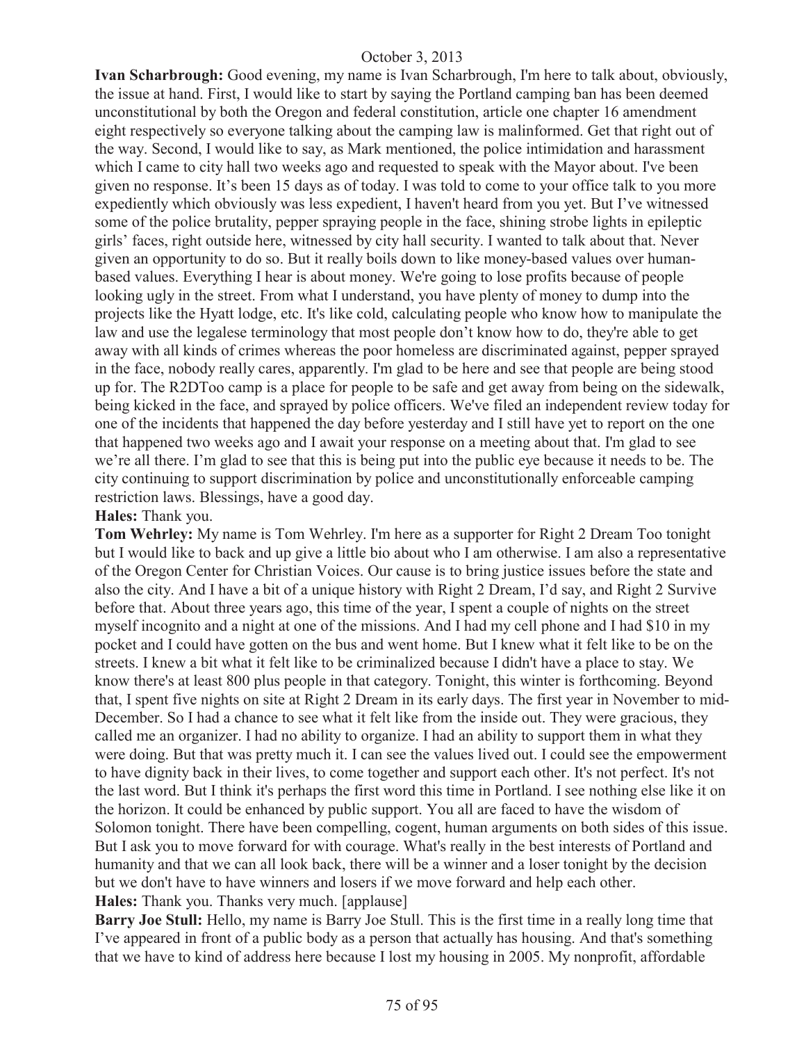**Ivan Scharbrough:** Good evening, my name is Ivan Scharbrough, I'm here to talk about, obviously, the issue at hand. First, I would like to start by saying the Portland camping ban has been deemed unconstitutional by both the Oregon and federal constitution, article one chapter 16 amendment eight respectively so everyone talking about the camping law is malinformed. Get that right out of the way. Second, I would like to say, as Mark mentioned, the police intimidation and harassment which I came to city hall two weeks ago and requested to speak with the Mayor about. I've been given no response. It's been 15 days as of today. I was told to come to your office talk to you more expediently which obviously was less expedient, I haven't heard from you yet. But I've witnessed some of the police brutality, pepper spraying people in the face, shining strobe lights in epileptic girls' faces, right outside here, witnessed by city hall security. I wanted to talk about that. Never given an opportunity to do so. But it really boils down to like money-based values over humanbased values. Everything I hear is about money. We're going to lose profits because of people looking ugly in the street. From what I understand, you have plenty of money to dump into the projects like the Hyatt lodge, etc. It's like cold, calculating people who know how to manipulate the law and use the legalese terminology that most people don't know how to do, they're able to get away with all kinds of crimes whereas the poor homeless are discriminated against, pepper sprayed in the face, nobody really cares, apparently. I'm glad to be here and see that people are being stood up for. The R2DToo camp is a place for people to be safe and get away from being on the sidewalk, being kicked in the face, and sprayed by police officers. We've filed an independent review today for one of the incidents that happened the day before yesterday and I still have yet to report on the one that happened two weeks ago and I await your response on a meeting about that. I'm glad to see we're all there. I'm glad to see that this is being put into the public eye because it needs to be. The city continuing to support discrimination by police and unconstitutionally enforceable camping restriction laws. Blessings, have a good day.

#### **Hales:** Thank you.

**Tom Wehrley:** My name is Tom Wehrley. I'm here as a supporter for Right 2 Dream Too tonight but I would like to back and up give a little bio about who I am otherwise. I am also a representative of the Oregon Center for Christian Voices. Our cause is to bring justice issues before the state and also the city. And I have a bit of a unique history with Right 2 Dream, I'd say, and Right 2 Survive before that. About three years ago, this time of the year, I spent a couple of nights on the street myself incognito and a night at one of the missions. And I had my cell phone and I had \$10 in my pocket and I could have gotten on the bus and went home. But I knew what it felt like to be on the streets. I knew a bit what it felt like to be criminalized because I didn't have a place to stay. We know there's at least 800 plus people in that category. Tonight, this winter is forthcoming. Beyond that, I spent five nights on site at Right 2 Dream in its early days. The first year in November to mid-December. So I had a chance to see what it felt like from the inside out. They were gracious, they called me an organizer. I had no ability to organize. I had an ability to support them in what they were doing. But that was pretty much it. I can see the values lived out. I could see the empowerment to have dignity back in their lives, to come together and support each other. It's not perfect. It's not the last word. But I think it's perhaps the first word this time in Portland. I see nothing else like it on the horizon. It could be enhanced by public support. You all are faced to have the wisdom of Solomon tonight. There have been compelling, cogent, human arguments on both sides of this issue. But I ask you to move forward for with courage. What's really in the best interests of Portland and humanity and that we can all look back, there will be a winner and a loser tonight by the decision but we don't have to have winners and losers if we move forward and help each other. **Hales:** Thank you. Thanks very much. [applause]

**Barry Joe Stull:** Hello, my name is Barry Joe Stull. This is the first time in a really long time that I've appeared in front of a public body as a person that actually has housing. And that's something that we have to kind of address here because I lost my housing in 2005. My nonprofit, affordable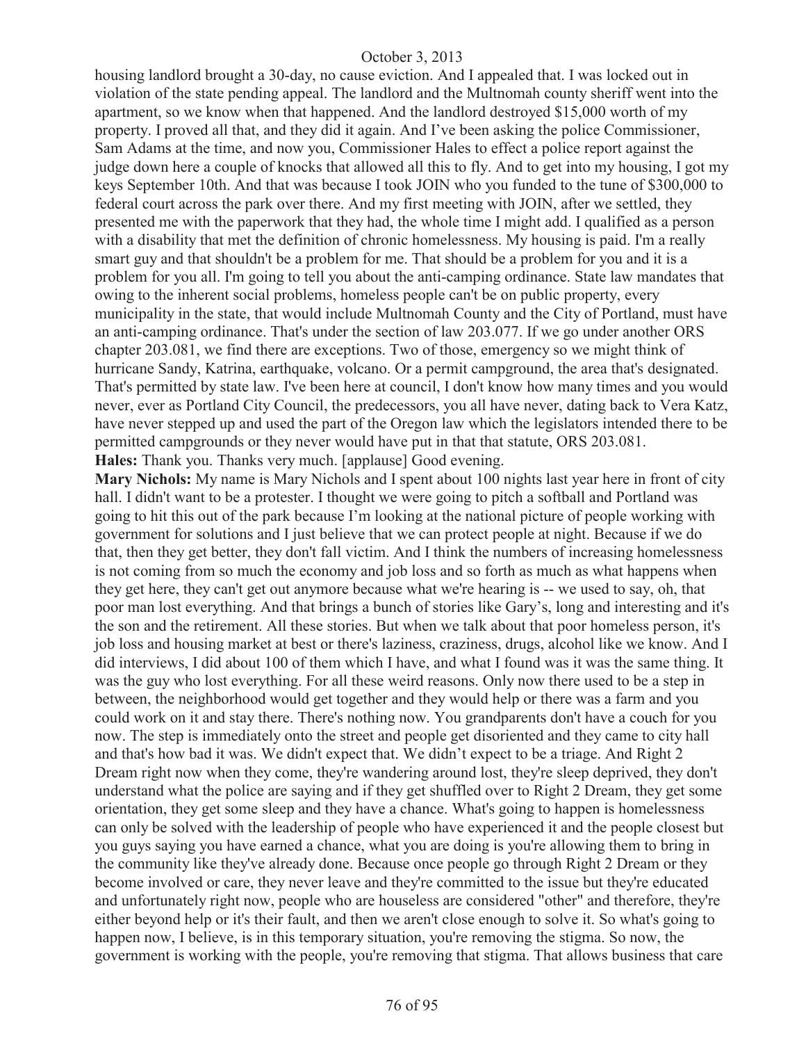housing landlord brought a 30-day, no cause eviction. And I appealed that. I was locked out in violation of the state pending appeal. The landlord and the Multnomah county sheriff went into the apartment, so we know when that happened. And the landlord destroyed \$15,000 worth of my property. I proved all that, and they did it again. And I've been asking the police Commissioner, Sam Adams at the time, and now you, Commissioner Hales to effect a police report against the judge down here a couple of knocks that allowed all this to fly. And to get into my housing, I got my keys September 10th. And that was because I took JOIN who you funded to the tune of \$300,000 to federal court across the park over there. And my first meeting with JOIN, after we settled, they presented me with the paperwork that they had, the whole time I might add. I qualified as a person with a disability that met the definition of chronic homelessness. My housing is paid. I'm a really smart guy and that shouldn't be a problem for me. That should be a problem for you and it is a problem for you all. I'm going to tell you about the anti-camping ordinance. State law mandates that owing to the inherent social problems, homeless people can't be on public property, every municipality in the state, that would include Multnomah County and the City of Portland, must have an anti-camping ordinance. That's under the section of law 203.077. If we go under another ORS chapter 203.081, we find there are exceptions. Two of those, emergency so we might think of hurricane Sandy, Katrina, earthquake, volcano. Or a permit campground, the area that's designated. That's permitted by state law. I've been here at council, I don't know how many times and you would never, ever as Portland City Council, the predecessors, you all have never, dating back to Vera Katz, have never stepped up and used the part of the Oregon law which the legislators intended there to be permitted campgrounds or they never would have put in that that statute, ORS 203.081. **Hales:** Thank you. Thanks very much. [applause] Good evening.

**Mary Nichols:** My name is Mary Nichols and I spent about 100 nights last year here in front of city hall. I didn't want to be a protester. I thought we were going to pitch a softball and Portland was going to hit this out of the park because I'm looking at the national picture of people working with government for solutions and I just believe that we can protect people at night. Because if we do that, then they get better, they don't fall victim. And I think the numbers of increasing homelessness is not coming from so much the economy and job loss and so forth as much as what happens when they get here, they can't get out anymore because what we're hearing is -- we used to say, oh, that poor man lost everything. And that brings a bunch of stories like Gary's, long and interesting and it's the son and the retirement. All these stories. But when we talk about that poor homeless person, it's job loss and housing market at best or there's laziness, craziness, drugs, alcohol like we know. And I did interviews, I did about 100 of them which I have, and what I found was it was the same thing. It was the guy who lost everything. For all these weird reasons. Only now there used to be a step in between, the neighborhood would get together and they would help or there was a farm and you could work on it and stay there. There's nothing now. You grandparents don't have a couch for you now. The step is immediately onto the street and people get disoriented and they came to city hall and that's how bad it was. We didn't expect that. We didn't expect to be a triage. And Right 2 Dream right now when they come, they're wandering around lost, they're sleep deprived, they don't understand what the police are saying and if they get shuffled over to Right 2 Dream, they get some orientation, they get some sleep and they have a chance. What's going to happen is homelessness can only be solved with the leadership of people who have experienced it and the people closest but you guys saying you have earned a chance, what you are doing is you're allowing them to bring in the community like they've already done. Because once people go through Right 2 Dream or they become involved or care, they never leave and they're committed to the issue but they're educated and unfortunately right now, people who are houseless are considered "other" and therefore, they're either beyond help or it's their fault, and then we aren't close enough to solve it. So what's going to happen now, I believe, is in this temporary situation, you're removing the stigma. So now, the government is working with the people, you're removing that stigma. That allows business that care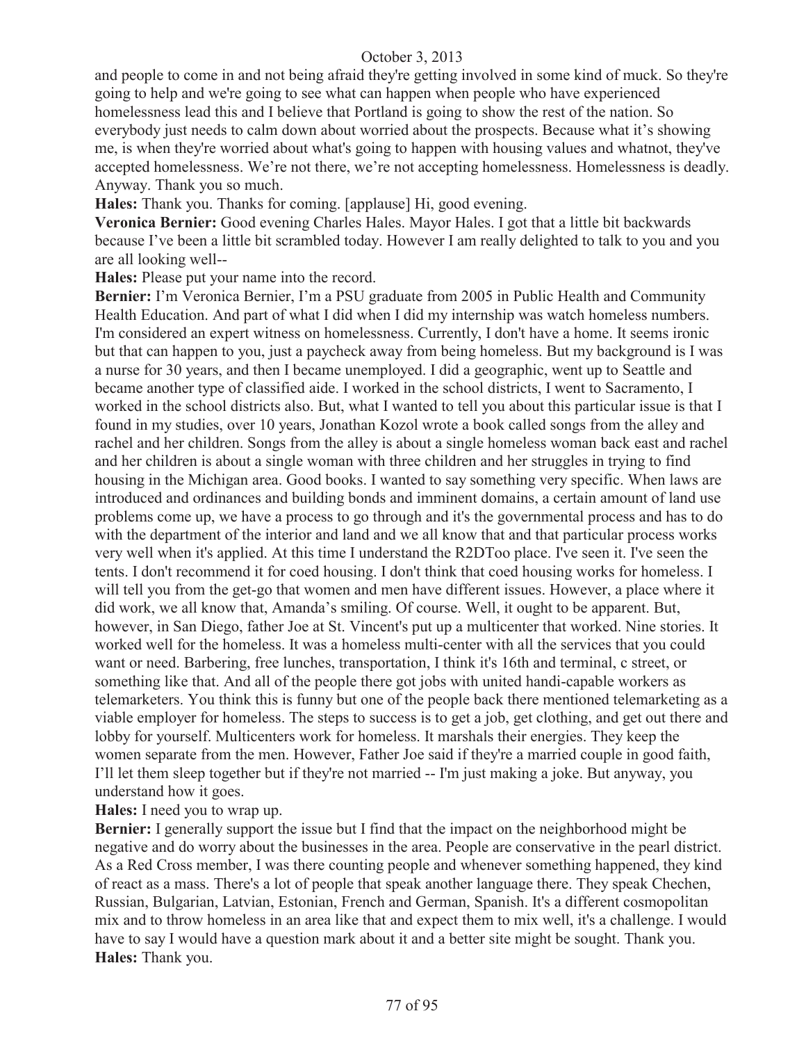and people to come in and not being afraid they're getting involved in some kind of muck. So they're going to help and we're going to see what can happen when people who have experienced homelessness lead this and I believe that Portland is going to show the rest of the nation. So everybody just needs to calm down about worried about the prospects. Because what it's showing me, is when they're worried about what's going to happen with housing values and whatnot, they've accepted homelessness. We're not there, we're not accepting homelessness. Homelessness is deadly. Anyway. Thank you so much.

**Hales:** Thank you. Thanks for coming. [applause] Hi, good evening.

**Veronica Bernier:** Good evening Charles Hales. Mayor Hales. I got that a little bit backwards because I've been a little bit scrambled today. However I am really delighted to talk to you and you are all looking well--

**Hales:** Please put your name into the record.

**Bernier:** I'm Veronica Bernier, I'm a PSU graduate from 2005 in Public Health and Community Health Education. And part of what I did when I did my internship was watch homeless numbers. I'm considered an expert witness on homelessness. Currently, I don't have a home. It seems ironic but that can happen to you, just a paycheck away from being homeless. But my background is I was a nurse for 30 years, and then I became unemployed. I did a geographic, went up to Seattle and became another type of classified aide. I worked in the school districts, I went to Sacramento, I worked in the school districts also. But, what I wanted to tell you about this particular issue is that I found in my studies, over 10 years, Jonathan Kozol wrote a book called songs from the alley and rachel and her children. Songs from the alley is about a single homeless woman back east and rachel and her children is about a single woman with three children and her struggles in trying to find housing in the Michigan area. Good books. I wanted to say something very specific. When laws are introduced and ordinances and building bonds and imminent domains, a certain amount of land use problems come up, we have a process to go through and it's the governmental process and has to do with the department of the interior and land and we all know that and that particular process works very well when it's applied. At this time I understand the R2DToo place. I've seen it. I've seen the tents. I don't recommend it for coed housing. I don't think that coed housing works for homeless. I will tell you from the get-go that women and men have different issues. However, a place where it did work, we all know that, Amanda's smiling. Of course. Well, it ought to be apparent. But, however, in San Diego, father Joe at St. Vincent's put up a multicenter that worked. Nine stories. It worked well for the homeless. It was a homeless multi-center with all the services that you could want or need. Barbering, free lunches, transportation, I think it's 16th and terminal, c street, or something like that. And all of the people there got jobs with united handi-capable workers as telemarketers. You think this is funny but one of the people back there mentioned telemarketing as a viable employer for homeless. The steps to success is to get a job, get clothing, and get out there and lobby for yourself. Multicenters work for homeless. It marshals their energies. They keep the women separate from the men. However, Father Joe said if they're a married couple in good faith, I'll let them sleep together but if they're not married -- I'm just making a joke. But anyway, you understand how it goes.

**Hales:** I need you to wrap up.

**Bernier:** I generally support the issue but I find that the impact on the neighborhood might be negative and do worry about the businesses in the area. People are conservative in the pearl district. As a Red Cross member, I was there counting people and whenever something happened, they kind of react as a mass. There's a lot of people that speak another language there. They speak Chechen, Russian, Bulgarian, Latvian, Estonian, French and German, Spanish. It's a different cosmopolitan mix and to throw homeless in an area like that and expect them to mix well, it's a challenge. I would have to say I would have a question mark about it and a better site might be sought. Thank you. **Hales:** Thank you.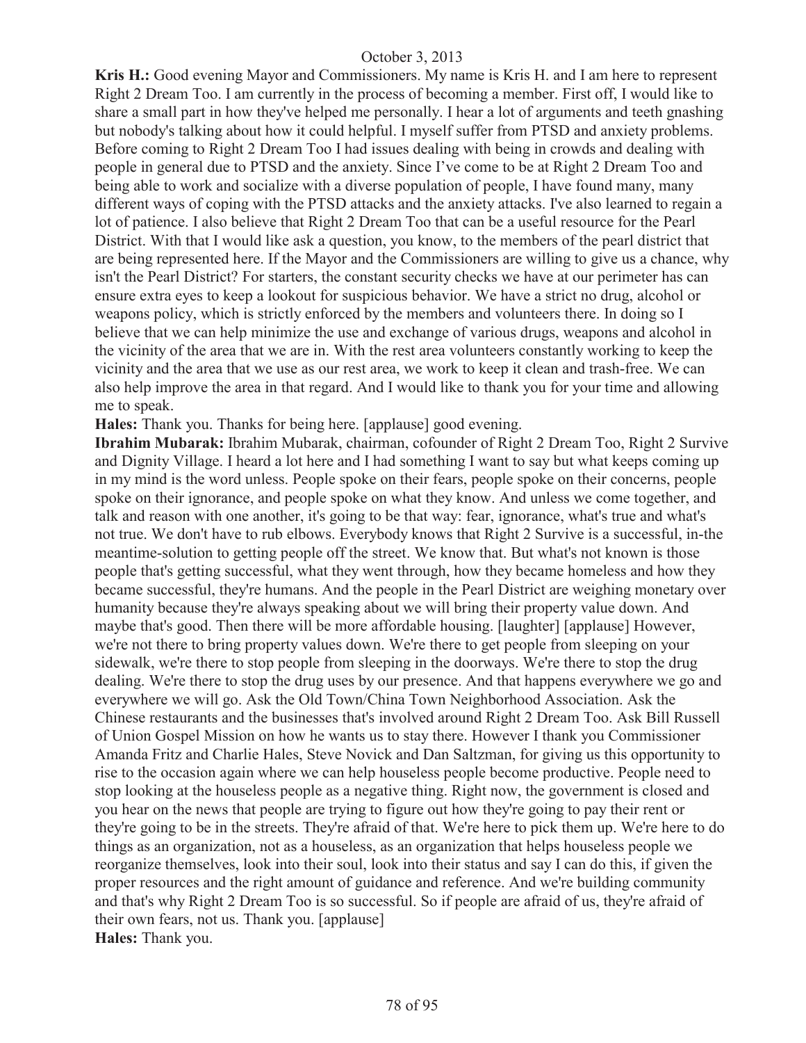**Kris H.:** Good evening Mayor and Commissioners. My name is Kris H. and I am here to represent Right 2 Dream Too. I am currently in the process of becoming a member. First off, I would like to share a small part in how they've helped me personally. I hear a lot of arguments and teeth gnashing but nobody's talking about how it could helpful. I myself suffer from PTSD and anxiety problems. Before coming to Right 2 Dream Too I had issues dealing with being in crowds and dealing with people in general due to PTSD and the anxiety. Since I've come to be at Right 2 Dream Too and being able to work and socialize with a diverse population of people, I have found many, many different ways of coping with the PTSD attacks and the anxiety attacks. I've also learned to regain a lot of patience. I also believe that Right 2 Dream Too that can be a useful resource for the Pearl District. With that I would like ask a question, you know, to the members of the pearl district that are being represented here. If the Mayor and the Commissioners are willing to give us a chance, why isn't the Pearl District? For starters, the constant security checks we have at our perimeter has can ensure extra eyes to keep a lookout for suspicious behavior. We have a strict no drug, alcohol or weapons policy, which is strictly enforced by the members and volunteers there. In doing so I believe that we can help minimize the use and exchange of various drugs, weapons and alcohol in the vicinity of the area that we are in. With the rest area volunteers constantly working to keep the vicinity and the area that we use as our rest area, we work to keep it clean and trash-free. We can also help improve the area in that regard. And I would like to thank you for your time and allowing me to speak.

**Hales:** Thank you. Thanks for being here. [applause] good evening.

**Ibrahim Mubarak:** Ibrahim Mubarak, chairman, cofounder of Right 2 Dream Too, Right 2 Survive and Dignity Village. I heard a lot here and I had something I want to say but what keeps coming up in my mind is the word unless. People spoke on their fears, people spoke on their concerns, people spoke on their ignorance, and people spoke on what they know. And unless we come together, and talk and reason with one another, it's going to be that way: fear, ignorance, what's true and what's not true. We don't have to rub elbows. Everybody knows that Right 2 Survive is a successful, in-the meantime-solution to getting people off the street. We know that. But what's not known is those people that's getting successful, what they went through, how they became homeless and how they became successful, they're humans. And the people in the Pearl District are weighing monetary over humanity because they're always speaking about we will bring their property value down. And maybe that's good. Then there will be more affordable housing. [laughter] [applause] However, we're not there to bring property values down. We're there to get people from sleeping on your sidewalk, we're there to stop people from sleeping in the doorways. We're there to stop the drug dealing. We're there to stop the drug uses by our presence. And that happens everywhere we go and everywhere we will go. Ask the Old Town/China Town Neighborhood Association. Ask the Chinese restaurants and the businesses that's involved around Right 2 Dream Too. Ask Bill Russell of Union Gospel Mission on how he wants us to stay there. However I thank you Commissioner Amanda Fritz and Charlie Hales, Steve Novick and Dan Saltzman, for giving us this opportunity to rise to the occasion again where we can help houseless people become productive. People need to stop looking at the houseless people as a negative thing. Right now, the government is closed and you hear on the news that people are trying to figure out how they're going to pay their rent or they're going to be in the streets. They're afraid of that. We're here to pick them up. We're here to do things as an organization, not as a houseless, as an organization that helps houseless people we reorganize themselves, look into their soul, look into their status and say I can do this, if given the proper resources and the right amount of guidance and reference. And we're building community and that's why Right 2 Dream Too is so successful. So if people are afraid of us, they're afraid of their own fears, not us. Thank you. [applause] **Hales:** Thank you.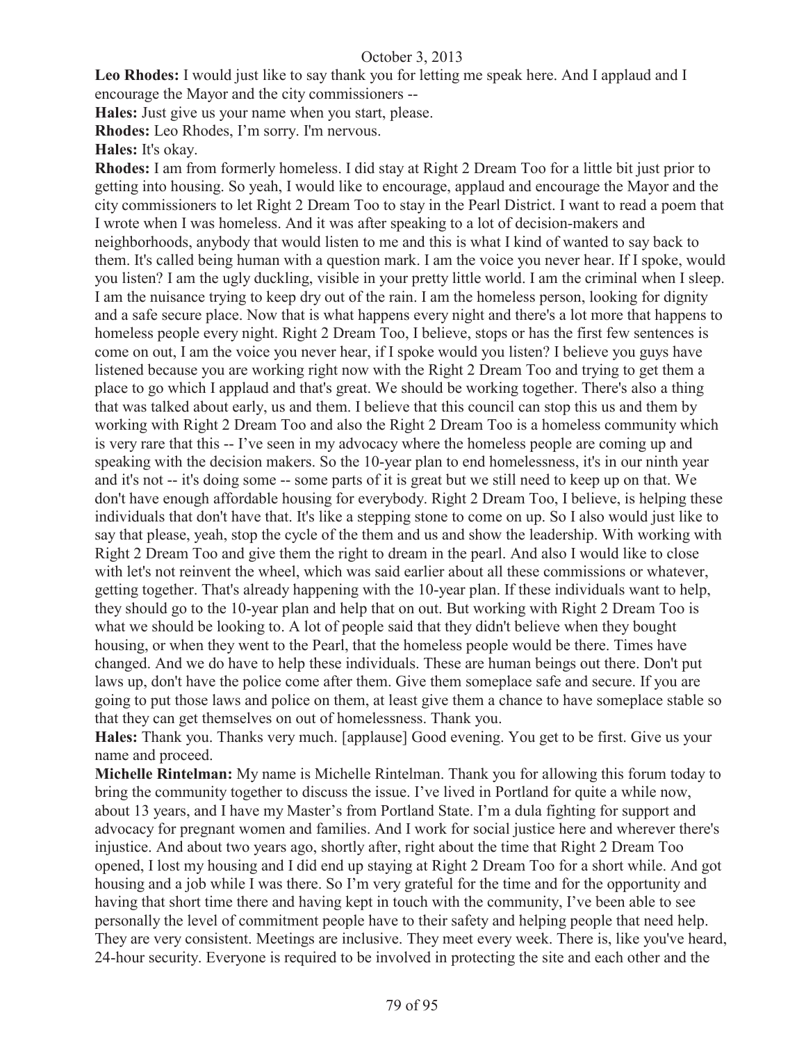**Leo Rhodes:** I would just like to say thank you for letting me speak here. And I applaud and I encourage the Mayor and the city commissioners --

**Hales:** Just give us your name when you start, please.

**Rhodes:** Leo Rhodes, I'm sorry. I'm nervous.

**Hales:** It's okay.

**Rhodes:** I am from formerly homeless. I did stay at Right 2 Dream Too for a little bit just prior to getting into housing. So yeah, I would like to encourage, applaud and encourage the Mayor and the city commissioners to let Right 2 Dream Too to stay in the Pearl District. I want to read a poem that I wrote when I was homeless. And it was after speaking to a lot of decision-makers and neighborhoods, anybody that would listen to me and this is what I kind of wanted to say back to them. It's called being human with a question mark. I am the voice you never hear. If I spoke, would you listen? I am the ugly duckling, visible in your pretty little world. I am the criminal when I sleep. I am the nuisance trying to keep dry out of the rain. I am the homeless person, looking for dignity and a safe secure place. Now that is what happens every night and there's a lot more that happens to homeless people every night. Right 2 Dream Too, I believe, stops or has the first few sentences is come on out, I am the voice you never hear, if I spoke would you listen? I believe you guys have listened because you are working right now with the Right 2 Dream Too and trying to get them a place to go which I applaud and that's great. We should be working together. There's also a thing that was talked about early, us and them. I believe that this council can stop this us and them by working with Right 2 Dream Too and also the Right 2 Dream Too is a homeless community which is very rare that this -- I've seen in my advocacy where the homeless people are coming up and speaking with the decision makers. So the 10-year plan to end homelessness, it's in our ninth year and it's not -- it's doing some -- some parts of it is great but we still need to keep up on that. We don't have enough affordable housing for everybody. Right 2 Dream Too, I believe, is helping these individuals that don't have that. It's like a stepping stone to come on up. So I also would just like to say that please, yeah, stop the cycle of the them and us and show the leadership. With working with Right 2 Dream Too and give them the right to dream in the pearl. And also I would like to close with let's not reinvent the wheel, which was said earlier about all these commissions or whatever, getting together. That's already happening with the 10-year plan. If these individuals want to help, they should go to the 10-year plan and help that on out. But working with Right 2 Dream Too is what we should be looking to. A lot of people said that they didn't believe when they bought housing, or when they went to the Pearl, that the homeless people would be there. Times have changed. And we do have to help these individuals. These are human beings out there. Don't put laws up, don't have the police come after them. Give them someplace safe and secure. If you are going to put those laws and police on them, at least give them a chance to have someplace stable so that they can get themselves on out of homelessness. Thank you.

**Hales:** Thank you. Thanks very much. [applause] Good evening. You get to be first. Give us your name and proceed.

**Michelle Rintelman:** My name is Michelle Rintelman. Thank you for allowing this forum today to bring the community together to discuss the issue. I've lived in Portland for quite a while now, about 13 years, and I have my Master's from Portland State. I'm a dula fighting for support and advocacy for pregnant women and families. And I work for social justice here and wherever there's injustice. And about two years ago, shortly after, right about the time that Right 2 Dream Too opened, I lost my housing and I did end up staying at Right 2 Dream Too for a short while. And got housing and a job while I was there. So I'm very grateful for the time and for the opportunity and having that short time there and having kept in touch with the community, I've been able to see personally the level of commitment people have to their safety and helping people that need help. They are very consistent. Meetings are inclusive. They meet every week. There is, like you've heard, 24-hour security. Everyone is required to be involved in protecting the site and each other and the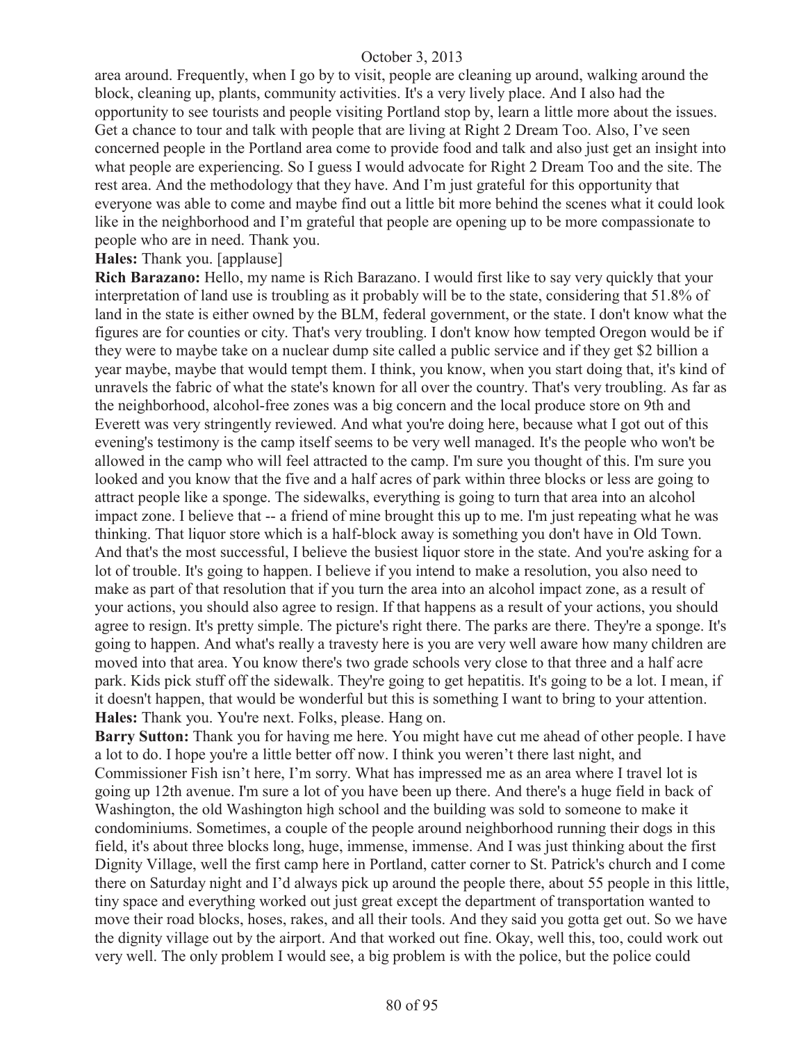area around. Frequently, when I go by to visit, people are cleaning up around, walking around the block, cleaning up, plants, community activities. It's a very lively place. And I also had the opportunity to see tourists and people visiting Portland stop by, learn a little more about the issues. Get a chance to tour and talk with people that are living at Right 2 Dream Too. Also, I've seen concerned people in the Portland area come to provide food and talk and also just get an insight into what people are experiencing. So I guess I would advocate for Right 2 Dream Too and the site. The rest area. And the methodology that they have. And I'm just grateful for this opportunity that everyone was able to come and maybe find out a little bit more behind the scenes what it could look like in the neighborhood and I'm grateful that people are opening up to be more compassionate to people who are in need. Thank you.

#### **Hales:** Thank you. [applause]

**Rich Barazano:** Hello, my name is Rich Barazano. I would first like to say very quickly that your interpretation of land use is troubling as it probably will be to the state, considering that 51.8% of land in the state is either owned by the BLM, federal government, or the state. I don't know what the figures are for counties or city. That's very troubling. I don't know how tempted Oregon would be if they were to maybe take on a nuclear dump site called a public service and if they get \$2 billion a year maybe, maybe that would tempt them. I think, you know, when you start doing that, it's kind of unravels the fabric of what the state's known for all over the country. That's very troubling. As far as the neighborhood, alcohol-free zones was a big concern and the local produce store on 9th and Everett was very stringently reviewed. And what you're doing here, because what I got out of this evening's testimony is the camp itself seems to be very well managed. It's the people who won't be allowed in the camp who will feel attracted to the camp. I'm sure you thought of this. I'm sure you looked and you know that the five and a half acres of park within three blocks or less are going to attract people like a sponge. The sidewalks, everything is going to turn that area into an alcohol impact zone. I believe that -- a friend of mine brought this up to me. I'm just repeating what he was thinking. That liquor store which is a half-block away is something you don't have in Old Town. And that's the most successful, I believe the busiest liquor store in the state. And you're asking for a lot of trouble. It's going to happen. I believe if you intend to make a resolution, you also need to make as part of that resolution that if you turn the area into an alcohol impact zone, as a result of your actions, you should also agree to resign. If that happens as a result of your actions, you should agree to resign. It's pretty simple. The picture's right there. The parks are there. They're a sponge. It's going to happen. And what's really a travesty here is you are very well aware how many children are moved into that area. You know there's two grade schools very close to that three and a half acre park. Kids pick stuff off the sidewalk. They're going to get hepatitis. It's going to be a lot. I mean, if it doesn't happen, that would be wonderful but this is something I want to bring to your attention. **Hales:** Thank you. You're next. Folks, please. Hang on.

**Barry Sutton:** Thank you for having me here. You might have cut me ahead of other people. I have a lot to do. I hope you're a little better off now. I think you weren't there last night, and Commissioner Fish isn't here, I'm sorry. What has impressed me as an area where I travel lot is going up 12th avenue. I'm sure a lot of you have been up there. And there's a huge field in back of Washington, the old Washington high school and the building was sold to someone to make it condominiums. Sometimes, a couple of the people around neighborhood running their dogs in this field, it's about three blocks long, huge, immense, immense. And I was just thinking about the first Dignity Village, well the first camp here in Portland, catter corner to St. Patrick's church and I come there on Saturday night and I'd always pick up around the people there, about 55 people in this little, tiny space and everything worked out just great except the department of transportation wanted to move their road blocks, hoses, rakes, and all their tools. And they said you gotta get out. So we have the dignity village out by the airport. And that worked out fine. Okay, well this, too, could work out very well. The only problem I would see, a big problem is with the police, but the police could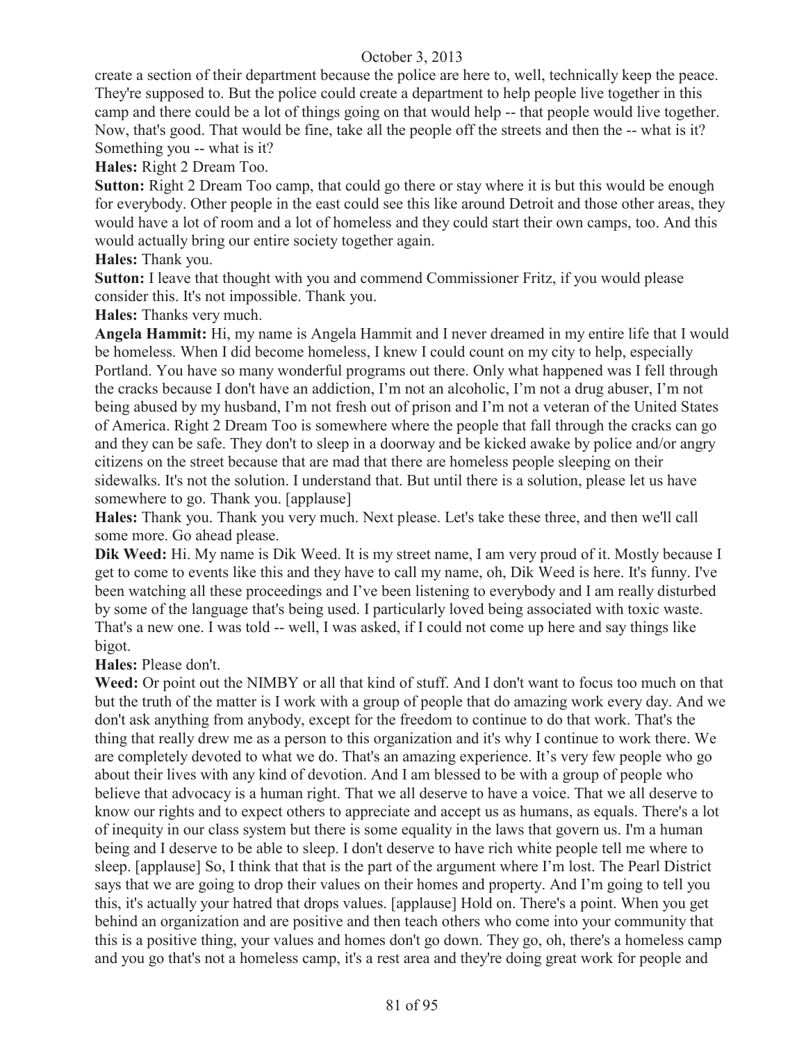create a section of their department because the police are here to, well, technically keep the peace. They're supposed to. But the police could create a department to help people live together in this camp and there could be a lot of things going on that would help -- that people would live together. Now, that's good. That would be fine, take all the people off the streets and then the -- what is it? Something you -- what is it?

**Hales:** Right 2 Dream Too.

**Sutton:** Right 2 Dream Too camp, that could go there or stay where it is but this would be enough for everybody. Other people in the east could see this like around Detroit and those other areas, they would have a lot of room and a lot of homeless and they could start their own camps, too. And this would actually bring our entire society together again.

**Hales:** Thank you.

**Sutton:** I leave that thought with you and commend Commissioner Fritz, if you would please consider this. It's not impossible. Thank you.

**Hales:** Thanks very much.

**Angela Hammit:** Hi, my name is Angela Hammit and I never dreamed in my entire life that I would be homeless. When I did become homeless, I knew I could count on my city to help, especially Portland. You have so many wonderful programs out there. Only what happened was I fell through the cracks because I don't have an addiction, I'm not an alcoholic, I'm not a drug abuser, I'm not being abused by my husband, I'm not fresh out of prison and I'm not a veteran of the United States of America. Right 2 Dream Too is somewhere where the people that fall through the cracks can go and they can be safe. They don't to sleep in a doorway and be kicked awake by police and/or angry citizens on the street because that are mad that there are homeless people sleeping on their sidewalks. It's not the solution. I understand that. But until there is a solution, please let us have somewhere to go. Thank you. [applause]

**Hales:** Thank you. Thank you very much. Next please. Let's take these three, and then we'll call some more. Go ahead please.

**Dik Weed:** Hi. My name is Dik Weed. It is my street name, I am very proud of it. Mostly because I get to come to events like this and they have to call my name, oh, Dik Weed is here. It's funny. I've been watching all these proceedings and I've been listening to everybody and I am really disturbed by some of the language that's being used. I particularly loved being associated with toxic waste. That's a new one. I was told -- well, I was asked, if I could not come up here and say things like bigot.

**Hales:** Please don't.

**Weed:** Or point out the NIMBY or all that kind of stuff. And I don't want to focus too much on that but the truth of the matter is I work with a group of people that do amazing work every day. And we don't ask anything from anybody, except for the freedom to continue to do that work. That's the thing that really drew me as a person to this organization and it's why I continue to work there. We are completely devoted to what we do. That's an amazing experience. It's very few people who go about their lives with any kind of devotion. And I am blessed to be with a group of people who believe that advocacy is a human right. That we all deserve to have a voice. That we all deserve to know our rights and to expect others to appreciate and accept us as humans, as equals. There's a lot of inequity in our class system but there is some equality in the laws that govern us. I'm a human being and I deserve to be able to sleep. I don't deserve to have rich white people tell me where to sleep. [applause] So, I think that that is the part of the argument where I'm lost. The Pearl District says that we are going to drop their values on their homes and property. And I'm going to tell you this, it's actually your hatred that drops values. [applause] Hold on. There's a point. When you get behind an organization and are positive and then teach others who come into your community that this is a positive thing, your values and homes don't go down. They go, oh, there's a homeless camp and you go that's not a homeless camp, it's a rest area and they're doing great work for people and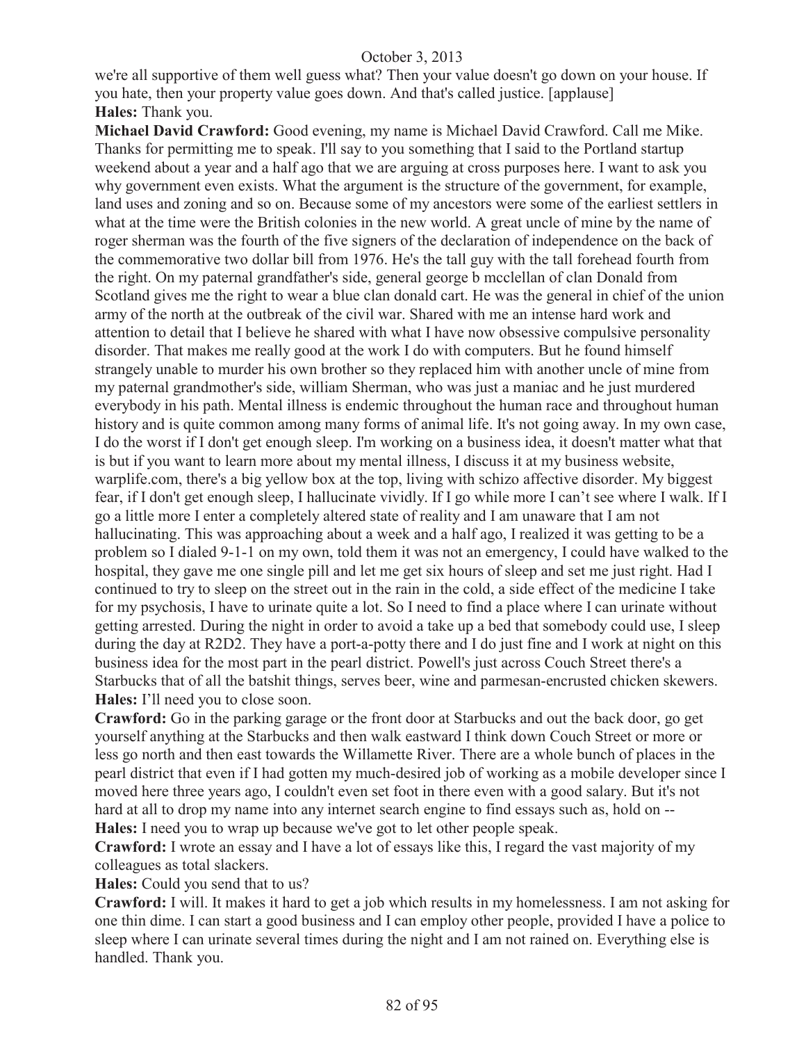we're all supportive of them well guess what? Then your value doesn't go down on your house. If you hate, then your property value goes down. And that's called justice. [applause] **Hales:** Thank you.

**Michael David Crawford:** Good evening, my name is Michael David Crawford. Call me Mike. Thanks for permitting me to speak. I'll say to you something that I said to the Portland startup weekend about a year and a half ago that we are arguing at cross purposes here. I want to ask you why government even exists. What the argument is the structure of the government, for example, land uses and zoning and so on. Because some of my ancestors were some of the earliest settlers in what at the time were the British colonies in the new world. A great uncle of mine by the name of roger sherman was the fourth of the five signers of the declaration of independence on the back of the commemorative two dollar bill from 1976. He's the tall guy with the tall forehead fourth from the right. On my paternal grandfather's side, general george b mcclellan of clan Donald from Scotland gives me the right to wear a blue clan donald cart. He was the general in chief of the union army of the north at the outbreak of the civil war. Shared with me an intense hard work and attention to detail that I believe he shared with what I have now obsessive compulsive personality disorder. That makes me really good at the work I do with computers. But he found himself strangely unable to murder his own brother so they replaced him with another uncle of mine from my paternal grandmother's side, william Sherman, who was just a maniac and he just murdered everybody in his path. Mental illness is endemic throughout the human race and throughout human history and is quite common among many forms of animal life. It's not going away. In my own case, I do the worst if I don't get enough sleep. I'm working on a business idea, it doesn't matter what that is but if you want to learn more about my mental illness, I discuss it at my business website, warplife.com, there's a big yellow box at the top, living with schizo affective disorder. My biggest fear, if I don't get enough sleep, I hallucinate vividly. If I go while more I can't see where I walk. If I go a little more I enter a completely altered state of reality and I am unaware that I am not hallucinating. This was approaching about a week and a half ago, I realized it was getting to be a problem so I dialed 9-1-1 on my own, told them it was not an emergency, I could have walked to the hospital, they gave me one single pill and let me get six hours of sleep and set me just right. Had I continued to try to sleep on the street out in the rain in the cold, a side effect of the medicine I take for my psychosis, I have to urinate quite a lot. So I need to find a place where I can urinate without getting arrested. During the night in order to avoid a take up a bed that somebody could use, I sleep during the day at R2D2. They have a port-a-potty there and I do just fine and I work at night on this business idea for the most part in the pearl district. Powell's just across Couch Street there's a Starbucks that of all the batshit things, serves beer, wine and parmesan-encrusted chicken skewers. **Hales:** I'll need you to close soon.

**Crawford:** Go in the parking garage or the front door at Starbucks and out the back door, go get yourself anything at the Starbucks and then walk eastward I think down Couch Street or more or less go north and then east towards the Willamette River. There are a whole bunch of places in the pearl district that even if I had gotten my much-desired job of working as a mobile developer since I moved here three years ago, I couldn't even set foot in there even with a good salary. But it's not hard at all to drop my name into any internet search engine to find essays such as, hold on -- **Hales:** I need you to wrap up because we've got to let other people speak.

**Crawford:** I wrote an essay and I have a lot of essays like this, I regard the vast majority of my colleagues as total slackers.

**Hales:** Could you send that to us?

**Crawford:** I will. It makes it hard to get a job which results in my homelessness. I am not asking for one thin dime. I can start a good business and I can employ other people, provided I have a police to sleep where I can urinate several times during the night and I am not rained on. Everything else is handled. Thank you.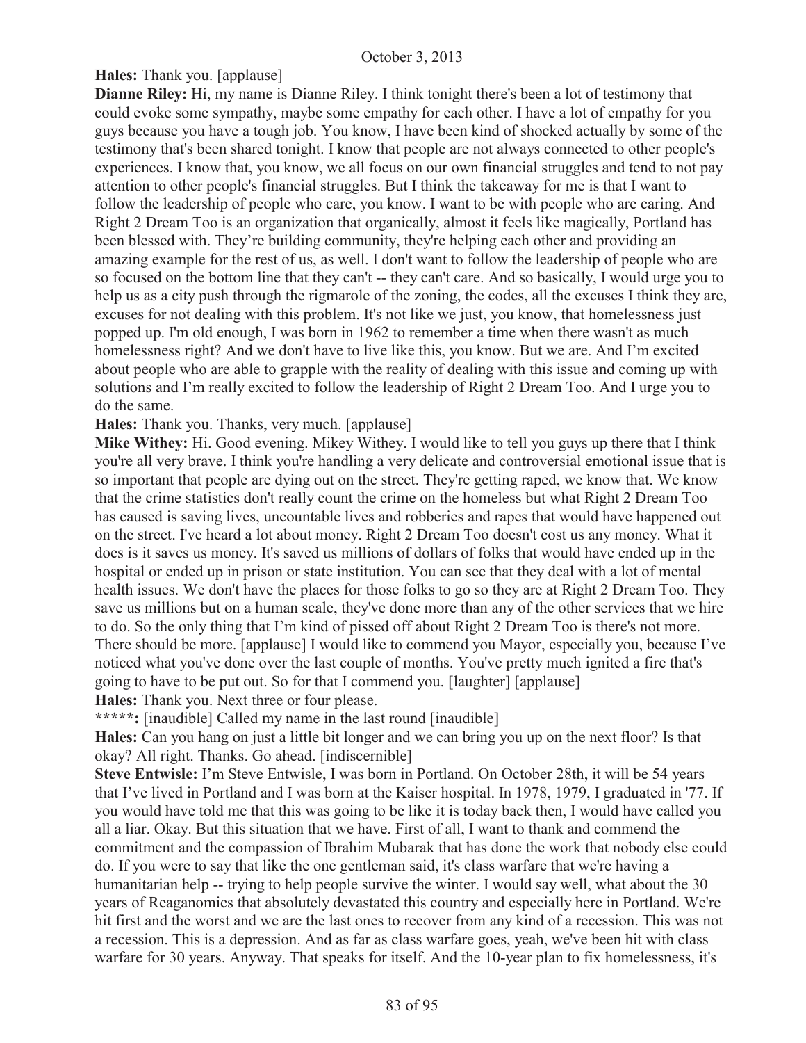**Hales:** Thank you. [applause]

**Dianne Riley:** Hi, my name is Dianne Riley. I think tonight there's been a lot of testimony that could evoke some sympathy, maybe some empathy for each other. I have a lot of empathy for you guys because you have a tough job. You know, I have been kind of shocked actually by some of the testimony that's been shared tonight. I know that people are not always connected to other people's experiences. I know that, you know, we all focus on our own financial struggles and tend to not pay attention to other people's financial struggles. But I think the takeaway for me is that I want to follow the leadership of people who care, you know. I want to be with people who are caring. And Right 2 Dream Too is an organization that organically, almost it feels like magically, Portland has been blessed with. They're building community, they're helping each other and providing an amazing example for the rest of us, as well. I don't want to follow the leadership of people who are so focused on the bottom line that they can't -- they can't care. And so basically, I would urge you to help us as a city push through the rigmarole of the zoning, the codes, all the excuses I think they are, excuses for not dealing with this problem. It's not like we just, you know, that homelessness just popped up. I'm old enough, I was born in 1962 to remember a time when there wasn't as much homelessness right? And we don't have to live like this, you know. But we are. And I'm excited about people who are able to grapple with the reality of dealing with this issue and coming up with solutions and I'm really excited to follow the leadership of Right 2 Dream Too. And I urge you to do the same.

**Hales:** Thank you. Thanks, very much. [applause]

**Mike Withey:** Hi. Good evening. Mikey Withey. I would like to tell you guys up there that I think you're all very brave. I think you're handling a very delicate and controversial emotional issue that is so important that people are dying out on the street. They're getting raped, we know that. We know that the crime statistics don't really count the crime on the homeless but what Right 2 Dream Too has caused is saving lives, uncountable lives and robberies and rapes that would have happened out on the street. I've heard a lot about money. Right 2 Dream Too doesn't cost us any money. What it does is it saves us money. It's saved us millions of dollars of folks that would have ended up in the hospital or ended up in prison or state institution. You can see that they deal with a lot of mental health issues. We don't have the places for those folks to go so they are at Right 2 Dream Too. They save us millions but on a human scale, they've done more than any of the other services that we hire to do. So the only thing that I'm kind of pissed off about Right 2 Dream Too is there's not more. There should be more. [applause] I would like to commend you Mayor, especially you, because I've noticed what you've done over the last couple of months. You've pretty much ignited a fire that's going to have to be put out. So for that I commend you. [laughter] [applause] **Hales:** Thank you. Next three or four please.

**\*\*\*\*\*:** [inaudible] Called my name in the last round [inaudible]

**Hales:** Can you hang on just a little bit longer and we can bring you up on the next floor? Is that okay? All right. Thanks. Go ahead. [indiscernible]

**Steve Entwisle:** I'm Steve Entwisle, I was born in Portland. On October 28th, it will be 54 years that I've lived in Portland and I was born at the Kaiser hospital. In 1978, 1979, I graduated in '77. If you would have told me that this was going to be like it is today back then, I would have called you all a liar. Okay. But this situation that we have. First of all, I want to thank and commend the commitment and the compassion of Ibrahim Mubarak that has done the work that nobody else could do. If you were to say that like the one gentleman said, it's class warfare that we're having a humanitarian help -- trying to help people survive the winter. I would say well, what about the 30 years of Reaganomics that absolutely devastated this country and especially here in Portland. We're hit first and the worst and we are the last ones to recover from any kind of a recession. This was not a recession. This is a depression. And as far as class warfare goes, yeah, we've been hit with class warfare for 30 years. Anyway. That speaks for itself. And the 10-year plan to fix homelessness, it's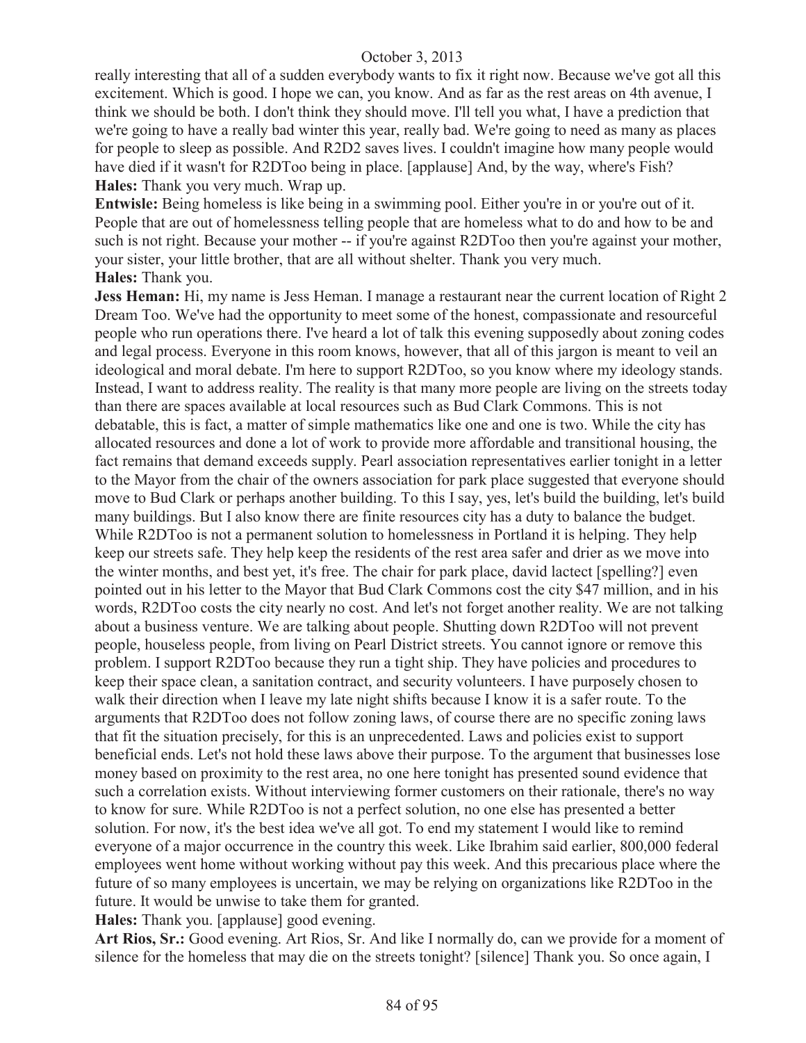really interesting that all of a sudden everybody wants to fix it right now. Because we've got all this excitement. Which is good. I hope we can, you know. And as far as the rest areas on 4th avenue, I think we should be both. I don't think they should move. I'll tell you what, I have a prediction that we're going to have a really bad winter this year, really bad. We're going to need as many as places for people to sleep as possible. And R2D2 saves lives. I couldn't imagine how many people would have died if it wasn't for R2DToo being in place. [applause] And, by the way, where's Fish? **Hales:** Thank you very much. Wrap up.

**Entwisle:** Being homeless is like being in a swimming pool. Either you're in or you're out of it. People that are out of homelessness telling people that are homeless what to do and how to be and such is not right. Because your mother -- if you're against R2DToo then you're against your mother, your sister, your little brother, that are all without shelter. Thank you very much. **Hales:** Thank you.

**Jess Heman:** Hi, my name is Jess Heman. I manage a restaurant near the current location of Right 2 Dream Too. We've had the opportunity to meet some of the honest, compassionate and resourceful people who run operations there. I've heard a lot of talk this evening supposedly about zoning codes and legal process. Everyone in this room knows, however, that all of this jargon is meant to veil an ideological and moral debate. I'm here to support R2DToo, so you know where my ideology stands. Instead, I want to address reality. The reality is that many more people are living on the streets today than there are spaces available at local resources such as Bud Clark Commons. This is not debatable, this is fact, a matter of simple mathematics like one and one is two. While the city has allocated resources and done a lot of work to provide more affordable and transitional housing, the fact remains that demand exceeds supply. Pearl association representatives earlier tonight in a letter to the Mayor from the chair of the owners association for park place suggested that everyone should move to Bud Clark or perhaps another building. To this I say, yes, let's build the building, let's build many buildings. But I also know there are finite resources city has a duty to balance the budget. While R2DToo is not a permanent solution to homelessness in Portland it is helping. They help keep our streets safe. They help keep the residents of the rest area safer and drier as we move into the winter months, and best yet, it's free. The chair for park place, david lactect [spelling?] even pointed out in his letter to the Mayor that Bud Clark Commons cost the city \$47 million, and in his words, R2DToo costs the city nearly no cost. And let's not forget another reality. We are not talking about a business venture. We are talking about people. Shutting down R2DToo will not prevent people, houseless people, from living on Pearl District streets. You cannot ignore or remove this problem. I support R2DToo because they run a tight ship. They have policies and procedures to keep their space clean, a sanitation contract, and security volunteers. I have purposely chosen to walk their direction when I leave my late night shifts because I know it is a safer route. To the arguments that R2DToo does not follow zoning laws, of course there are no specific zoning laws that fit the situation precisely, for this is an unprecedented. Laws and policies exist to support beneficial ends. Let's not hold these laws above their purpose. To the argument that businesses lose money based on proximity to the rest area, no one here tonight has presented sound evidence that such a correlation exists. Without interviewing former customers on their rationale, there's no way to know for sure. While R2DToo is not a perfect solution, no one else has presented a better solution. For now, it's the best idea we've all got. To end my statement I would like to remind everyone of a major occurrence in the country this week. Like Ibrahim said earlier, 800,000 federal employees went home without working without pay this week. And this precarious place where the future of so many employees is uncertain, we may be relying on organizations like R2DToo in the future. It would be unwise to take them for granted.

**Hales:** Thank you. [applause] good evening.

**Art Rios, Sr.:** Good evening. Art Rios, Sr. And like I normally do, can we provide for a moment of silence for the homeless that may die on the streets tonight? [silence] Thank you. So once again, I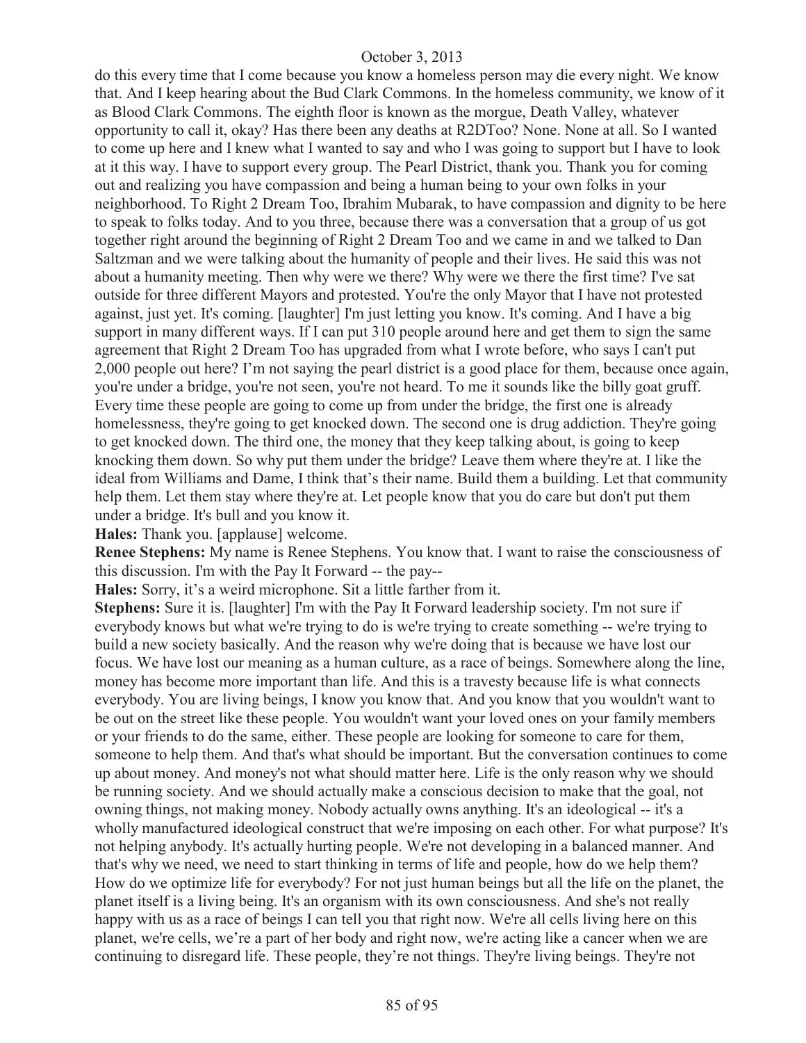do this every time that I come because you know a homeless person may die every night. We know that. And I keep hearing about the Bud Clark Commons. In the homeless community, we know of it as Blood Clark Commons. The eighth floor is known as the morgue, Death Valley, whatever opportunity to call it, okay? Has there been any deaths at R2DToo? None. None at all. So I wanted to come up here and I knew what I wanted to say and who I was going to support but I have to look at it this way. I have to support every group. The Pearl District, thank you. Thank you for coming out and realizing you have compassion and being a human being to your own folks in your neighborhood. To Right 2 Dream Too, Ibrahim Mubarak, to have compassion and dignity to be here to speak to folks today. And to you three, because there was a conversation that a group of us got together right around the beginning of Right 2 Dream Too and we came in and we talked to Dan Saltzman and we were talking about the humanity of people and their lives. He said this was not about a humanity meeting. Then why were we there? Why were we there the first time? I've sat outside for three different Mayors and protested. You're the only Mayor that I have not protested against, just yet. It's coming. [laughter] I'm just letting you know. It's coming. And I have a big support in many different ways. If I can put 310 people around here and get them to sign the same agreement that Right 2 Dream Too has upgraded from what I wrote before, who says I can't put 2,000 people out here? I'm not saying the pearl district is a good place for them, because once again, you're under a bridge, you're not seen, you're not heard. To me it sounds like the billy goat gruff. Every time these people are going to come up from under the bridge, the first one is already homelessness, they're going to get knocked down. The second one is drug addiction. They're going to get knocked down. The third one, the money that they keep talking about, is going to keep knocking them down. So why put them under the bridge? Leave them where they're at. I like the ideal from Williams and Dame, I think that's their name. Build them a building. Let that community help them. Let them stay where they're at. Let people know that you do care but don't put them under a bridge. It's bull and you know it.

**Hales:** Thank you. [applause] welcome.

**Renee Stephens:** My name is Renee Stephens. You know that. I want to raise the consciousness of this discussion. I'm with the Pay It Forward -- the pay--

**Hales:** Sorry, it's a weird microphone. Sit a little farther from it.

**Stephens:** Sure it is. [laughter] I'm with the Pay It Forward leadership society. I'm not sure if everybody knows but what we're trying to do is we're trying to create something -- we're trying to build a new society basically. And the reason why we're doing that is because we have lost our focus. We have lost our meaning as a human culture, as a race of beings. Somewhere along the line, money has become more important than life. And this is a travesty because life is what connects everybody. You are living beings, I know you know that. And you know that you wouldn't want to be out on the street like these people. You wouldn't want your loved ones on your family members or your friends to do the same, either. These people are looking for someone to care for them, someone to help them. And that's what should be important. But the conversation continues to come up about money. And money's not what should matter here. Life is the only reason why we should be running society. And we should actually make a conscious decision to make that the goal, not owning things, not making money. Nobody actually owns anything. It's an ideological -- it's a wholly manufactured ideological construct that we're imposing on each other. For what purpose? It's not helping anybody. It's actually hurting people. We're not developing in a balanced manner. And that's why we need, we need to start thinking in terms of life and people, how do we help them? How do we optimize life for everybody? For not just human beings but all the life on the planet, the planet itself is a living being. It's an organism with its own consciousness. And she's not really happy with us as a race of beings I can tell you that right now. We're all cells living here on this planet, we're cells, we're a part of her body and right now, we're acting like a cancer when we are continuing to disregard life. These people, they're not things. They're living beings. They're not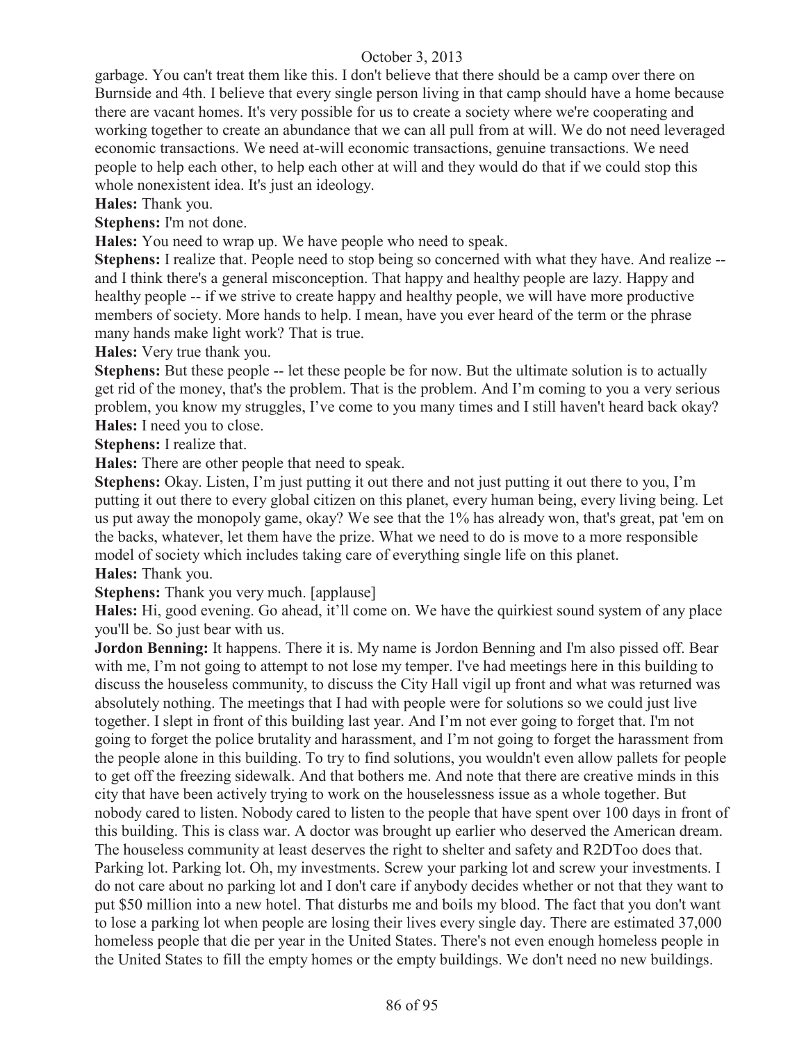garbage. You can't treat them like this. I don't believe that there should be a camp over there on Burnside and 4th. I believe that every single person living in that camp should have a home because there are vacant homes. It's very possible for us to create a society where we're cooperating and working together to create an abundance that we can all pull from at will. We do not need leveraged economic transactions. We need at-will economic transactions, genuine transactions. We need people to help each other, to help each other at will and they would do that if we could stop this whole nonexistent idea. It's just an ideology.

**Hales:** Thank you.

**Stephens:** I'm not done.

**Hales:** You need to wrap up. We have people who need to speak.

**Stephens:** I realize that. People need to stop being so concerned with what they have. And realize - and I think there's a general misconception. That happy and healthy people are lazy. Happy and healthy people -- if we strive to create happy and healthy people, we will have more productive members of society. More hands to help. I mean, have you ever heard of the term or the phrase many hands make light work? That is true.

**Hales:** Very true thank you.

**Stephens:** But these people -- let these people be for now. But the ultimate solution is to actually get rid of the money, that's the problem. That is the problem. And I'm coming to you a very serious problem, you know my struggles, I've come to you many times and I still haven't heard back okay? **Hales:** I need you to close.

**Stephens:** I realize that.

**Hales:** There are other people that need to speak.

**Stephens:** Okay. Listen, I'm just putting it out there and not just putting it out there to you, I'm putting it out there to every global citizen on this planet, every human being, every living being. Let us put away the monopoly game, okay? We see that the 1% has already won, that's great, pat 'em on the backs, whatever, let them have the prize. What we need to do is move to a more responsible model of society which includes taking care of everything single life on this planet.

**Hales:** Thank you.

**Stephens:** Thank you very much. [applause]

**Hales:** Hi, good evening. Go ahead, it'll come on. We have the quirkiest sound system of any place you'll be. So just bear with us.

**Jordon Benning:** It happens. There it is. My name is Jordon Benning and I'm also pissed off. Bear with me, I'm not going to attempt to not lose my temper. I've had meetings here in this building to discuss the houseless community, to discuss the City Hall vigil up front and what was returned was absolutely nothing. The meetings that I had with people were for solutions so we could just live together. I slept in front of this building last year. And I'm not ever going to forget that. I'm not going to forget the police brutality and harassment, and I'm not going to forget the harassment from the people alone in this building. To try to find solutions, you wouldn't even allow pallets for people to get off the freezing sidewalk. And that bothers me. And note that there are creative minds in this city that have been actively trying to work on the houselessness issue as a whole together. But nobody cared to listen. Nobody cared to listen to the people that have spent over 100 days in front of this building. This is class war. A doctor was brought up earlier who deserved the American dream. The houseless community at least deserves the right to shelter and safety and R2DToo does that. Parking lot. Parking lot. Oh, my investments. Screw your parking lot and screw your investments. I do not care about no parking lot and I don't care if anybody decides whether or not that they want to put \$50 million into a new hotel. That disturbs me and boils my blood. The fact that you don't want to lose a parking lot when people are losing their lives every single day. There are estimated 37,000 homeless people that die per year in the United States. There's not even enough homeless people in the United States to fill the empty homes or the empty buildings. We don't need no new buildings.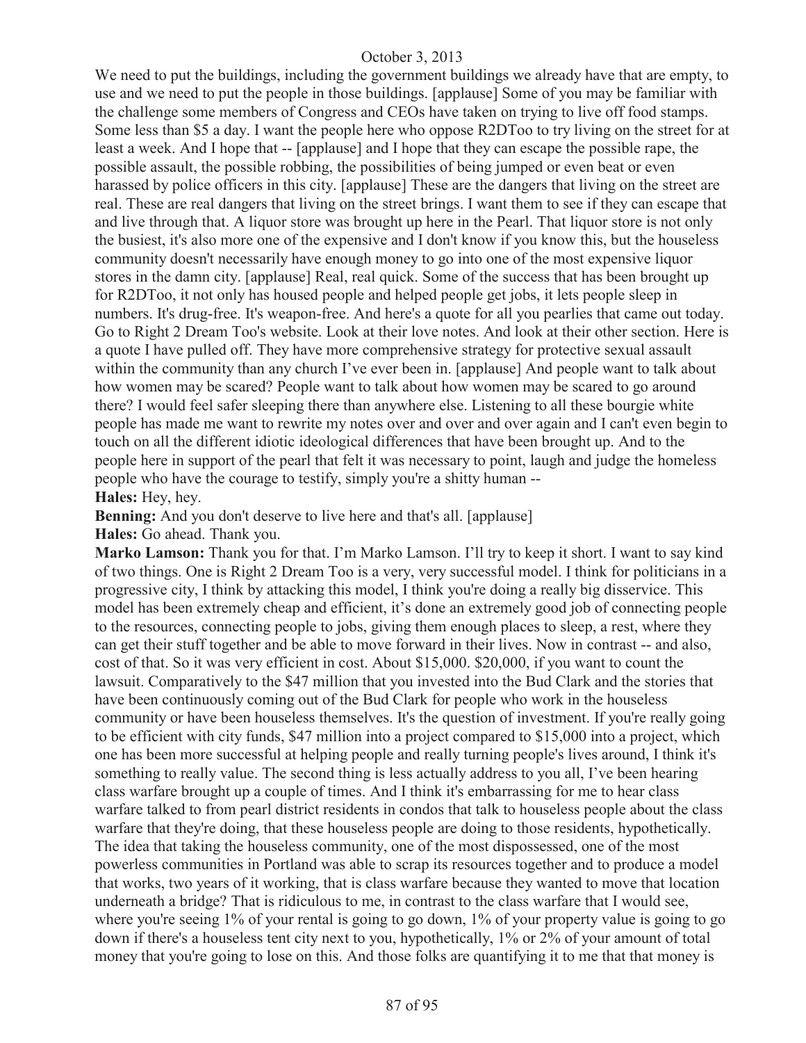We need to put the buildings, including the government buildings we already have that are empty, to use and we need to put the people in those buildings. [applause] Some of you may be familiar with the challenge some members of Congress and CEOs have taken on trying to live off food stamps. Some less than \$5 a day. I want the people here who oppose R2DToo to try living on the street for at least a week. And I hope that -- [applause] and I hope that they can escape the possible rape, the possible assault, the possible robbing, the possibilities of being jumped or even beat or even harassed by police officers in this city. [applause] These are the dangers that living on the street are real. These are real dangers that living on the street brings. I want them to see if they can escape that and live through that. A liquor store was brought up here in the Pearl. That liquor store is not only the busiest, it's also more one of the expensive and I don't know if you know this, but the houseless community doesn't necessarily have enough money to go into one of the most expensive liquor stores in the damn city. [applause] Real, real quick. Some of the success that has been brought up for R2DToo, it not only has housed people and helped people get jobs, it lets people sleep in numbers. It's drug-free. It's weapon-free. And here's a quote for all you pearlies that came out today. Go to Right 2 Dream Too's website. Look at their love notes. And look at their other section. Here is a quote I have pulled off. They have more comprehensive strategy for protective sexual assault within the community than any church I've ever been in. [applause] And people want to talk about how women may be scared? People want to talk about how women may be scared to go around there? I would feel safer sleeping there than anywhere else. Listening to all these bourgie white people has made me want to rewrite my notes over and over and over again and I can't even begin to touch on all the different idiotic ideological differences that have been brought up. And to the people here in support of the pearl that felt it was necessary to point, laugh and judge the homeless people who have the courage to testify, simply you're a shitty human -- **Hales:** Hey, hey.

**Benning:** And you don't deserve to live here and that's all. [applause] **Hales:** Go ahead. Thank you.

**Marko Lamson:** Thank you for that. I'm Marko Lamson. I'll try to keep it short. I want to say kind of two things. One is Right 2 Dream Too is a very, very successful model. I think for politicians in a progressive city, I think by attacking this model, I think you're doing a really big disservice. This model has been extremely cheap and efficient, it's done an extremely good job of connecting people to the resources, connecting people to jobs, giving them enough places to sleep, a rest, where they can get their stuff together and be able to move forward in their lives. Now in contrast -- and also, cost of that. So it was very efficient in cost. About \$15,000. \$20,000, if you want to count the lawsuit. Comparatively to the \$47 million that you invested into the Bud Clark and the stories that have been continuously coming out of the Bud Clark for people who work in the houseless community or have been houseless themselves. It's the question of investment. If you're really going to be efficient with city funds, \$47 million into a project compared to \$15,000 into a project, which one has been more successful at helping people and really turning people's lives around, I think it's something to really value. The second thing is less actually address to you all, I've been hearing class warfare brought up a couple of times. And I think it's embarrassing for me to hear class warfare talked to from pearl district residents in condos that talk to houseless people about the class warfare that they're doing, that these houseless people are doing to those residents, hypothetically. The idea that taking the houseless community, one of the most dispossessed, one of the most powerless communities in Portland was able to scrap its resources together and to produce a model that works, two years of it working, that is class warfare because they wanted to move that location underneath a bridge? That is ridiculous to me, in contrast to the class warfare that I would see, where you're seeing 1% of your rental is going to go down, 1% of your property value is going to go down if there's a houseless tent city next to you, hypothetically, 1% or 2% of your amount of total money that you're going to lose on this. And those folks are quantifying it to me that that money is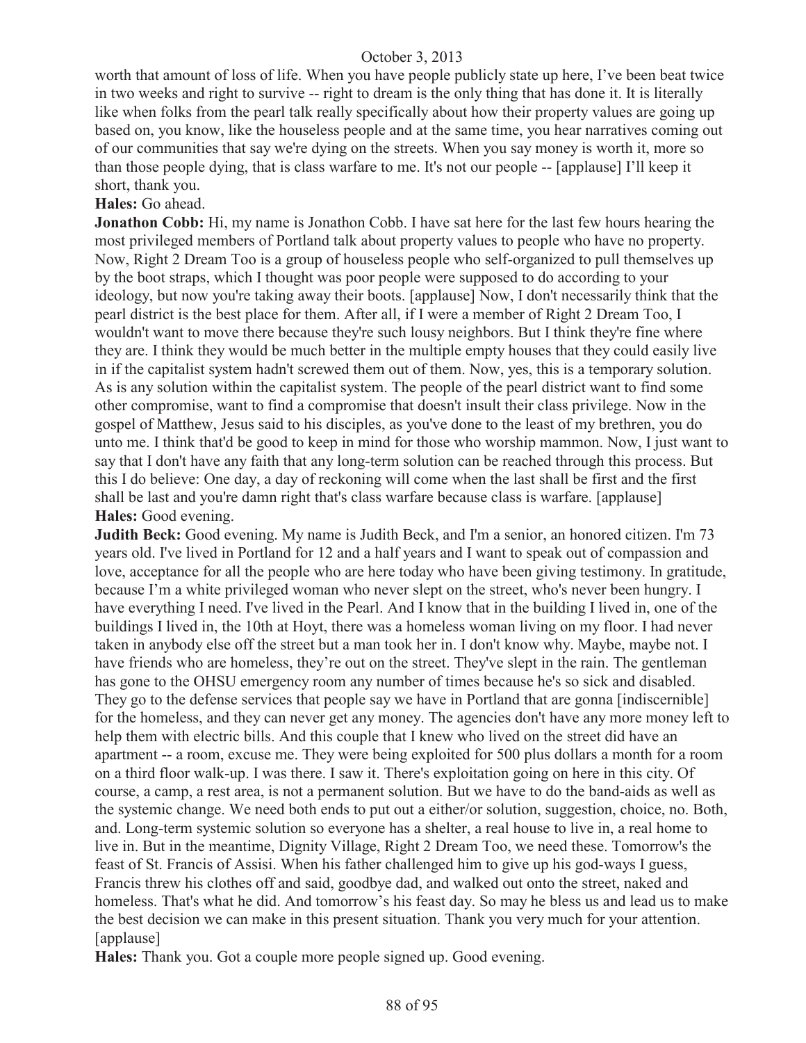worth that amount of loss of life. When you have people publicly state up here, I've been beat twice in two weeks and right to survive -- right to dream is the only thing that has done it. It is literally like when folks from the pearl talk really specifically about how their property values are going up based on, you know, like the houseless people and at the same time, you hear narratives coming out of our communities that say we're dying on the streets. When you say money is worth it, more so than those people dying, that is class warfare to me. It's not our people -- [applause] I'll keep it short, thank you.

#### **Hales:** Go ahead.

**Jonathon Cobb:** Hi, my name is Jonathon Cobb. I have sat here for the last few hours hearing the most privileged members of Portland talk about property values to people who have no property. Now, Right 2 Dream Too is a group of houseless people who self-organized to pull themselves up by the boot straps, which I thought was poor people were supposed to do according to your ideology, but now you're taking away their boots. [applause] Now, I don't necessarily think that the pearl district is the best place for them. After all, if I were a member of Right 2 Dream Too, I wouldn't want to move there because they're such lousy neighbors. But I think they're fine where they are. I think they would be much better in the multiple empty houses that they could easily live in if the capitalist system hadn't screwed them out of them. Now, yes, this is a temporary solution. As is any solution within the capitalist system. The people of the pearl district want to find some other compromise, want to find a compromise that doesn't insult their class privilege. Now in the gospel of Matthew, Jesus said to his disciples, as you've done to the least of my brethren, you do unto me. I think that'd be good to keep in mind for those who worship mammon. Now, I just want to say that I don't have any faith that any long-term solution can be reached through this process. But this I do believe: One day, a day of reckoning will come when the last shall be first and the first shall be last and you're damn right that's class warfare because class is warfare. [applause] **Hales:** Good evening.

**Judith Beck:** Good evening. My name is Judith Beck, and I'm a senior, an honored citizen. I'm 73 years old. I've lived in Portland for 12 and a half years and I want to speak out of compassion and love, acceptance for all the people who are here today who have been giving testimony. In gratitude, because I'm a white privileged woman who never slept on the street, who's never been hungry. I have everything I need. I've lived in the Pearl. And I know that in the building I lived in, one of the buildings I lived in, the 10th at Hoyt, there was a homeless woman living on my floor. I had never taken in anybody else off the street but a man took her in. I don't know why. Maybe, maybe not. I have friends who are homeless, they're out on the street. They've slept in the rain. The gentleman has gone to the OHSU emergency room any number of times because he's so sick and disabled. They go to the defense services that people say we have in Portland that are gonna [indiscernible] for the homeless, and they can never get any money. The agencies don't have any more money left to help them with electric bills. And this couple that I knew who lived on the street did have an apartment -- a room, excuse me. They were being exploited for 500 plus dollars a month for a room on a third floor walk-up. I was there. I saw it. There's exploitation going on here in this city. Of course, a camp, a rest area, is not a permanent solution. But we have to do the band-aids as well as the systemic change. We need both ends to put out a either/or solution, suggestion, choice, no. Both, and. Long-term systemic solution so everyone has a shelter, a real house to live in, a real home to live in. But in the meantime, Dignity Village, Right 2 Dream Too, we need these. Tomorrow's the feast of St. Francis of Assisi. When his father challenged him to give up his god-ways I guess, Francis threw his clothes off and said, goodbye dad, and walked out onto the street, naked and homeless. That's what he did. And tomorrow's his feast day. So may he bless us and lead us to make the best decision we can make in this present situation. Thank you very much for your attention. [applause]

**Hales:** Thank you. Got a couple more people signed up. Good evening.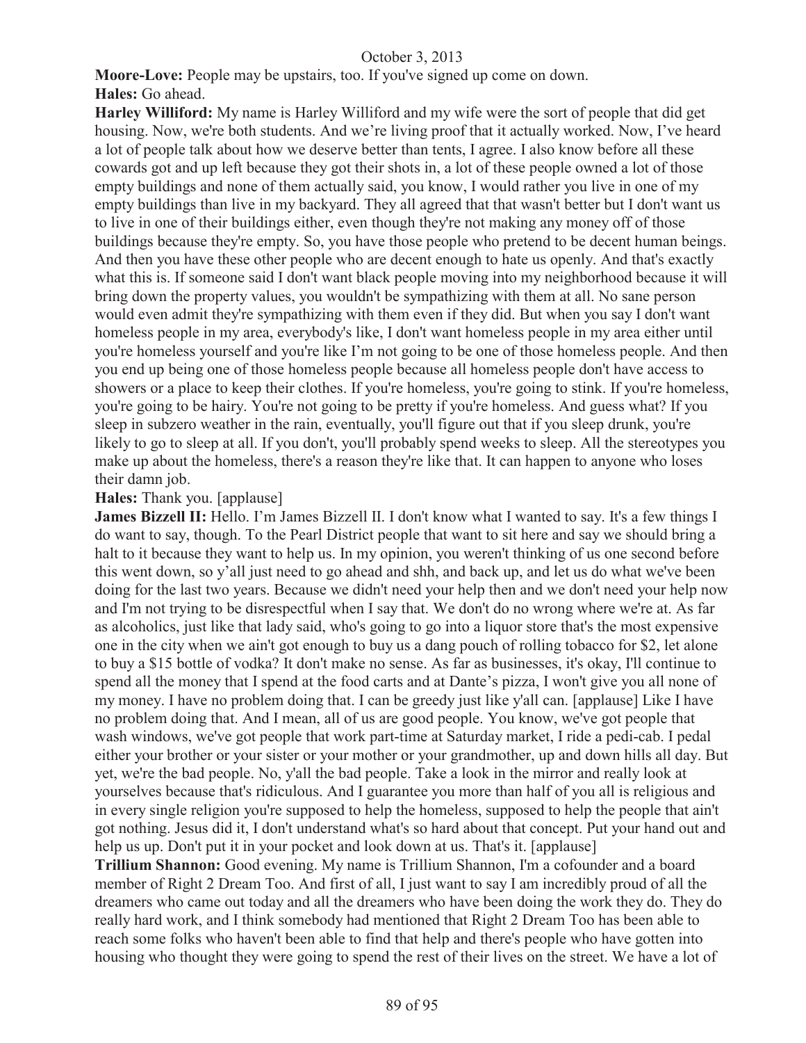**Moore-Love:** People may be upstairs, too. If you've signed up come on down.

# **Hales:** Go ahead.

**Harley Williford:** My name is Harley Williford and my wife were the sort of people that did get housing. Now, we're both students. And we're living proof that it actually worked. Now, I've heard a lot of people talk about how we deserve better than tents, I agree. I also know before all these cowards got and up left because they got their shots in, a lot of these people owned a lot of those empty buildings and none of them actually said, you know, I would rather you live in one of my empty buildings than live in my backyard. They all agreed that that wasn't better but I don't want us to live in one of their buildings either, even though they're not making any money off of those buildings because they're empty. So, you have those people who pretend to be decent human beings. And then you have these other people who are decent enough to hate us openly. And that's exactly what this is. If someone said I don't want black people moving into my neighborhood because it will bring down the property values, you wouldn't be sympathizing with them at all. No sane person would even admit they're sympathizing with them even if they did. But when you say I don't want homeless people in my area, everybody's like, I don't want homeless people in my area either until you're homeless yourself and you're like I'm not going to be one of those homeless people. And then you end up being one of those homeless people because all homeless people don't have access to showers or a place to keep their clothes. If you're homeless, you're going to stink. If you're homeless, you're going to be hairy. You're not going to be pretty if you're homeless. And guess what? If you sleep in subzero weather in the rain, eventually, you'll figure out that if you sleep drunk, you're likely to go to sleep at all. If you don't, you'll probably spend weeks to sleep. All the stereotypes you make up about the homeless, there's a reason they're like that. It can happen to anyone who loses their damn job.

## **Hales:** Thank you. [applause]

**James Bizzell II:** Hello. I'm James Bizzell II. I don't know what I wanted to say. It's a few things I do want to say, though. To the Pearl District people that want to sit here and say we should bring a halt to it because they want to help us. In my opinion, you weren't thinking of us one second before this went down, so y'all just need to go ahead and shh, and back up, and let us do what we've been doing for the last two years. Because we didn't need your help then and we don't need your help now and I'm not trying to be disrespectful when I say that. We don't do no wrong where we're at. As far as alcoholics, just like that lady said, who's going to go into a liquor store that's the most expensive one in the city when we ain't got enough to buy us a dang pouch of rolling tobacco for \$2, let alone to buy a \$15 bottle of vodka? It don't make no sense. As far as businesses, it's okay, I'll continue to spend all the money that I spend at the food carts and at Dante's pizza, I won't give you all none of my money. I have no problem doing that. I can be greedy just like y'all can. [applause] Like I have no problem doing that. And I mean, all of us are good people. You know, we've got people that wash windows, we've got people that work part-time at Saturday market, I ride a pedi-cab. I pedal either your brother or your sister or your mother or your grandmother, up and down hills all day. But yet, we're the bad people. No, y'all the bad people. Take a look in the mirror and really look at yourselves because that's ridiculous. And I guarantee you more than half of you all is religious and in every single religion you're supposed to help the homeless, supposed to help the people that ain't got nothing. Jesus did it, I don't understand what's so hard about that concept. Put your hand out and help us up. Don't put it in your pocket and look down at us. That's it. [applause] **Trillium Shannon:** Good evening. My name is Trillium Shannon, I'm a cofounder and a board member of Right 2 Dream Too. And first of all, I just want to say I am incredibly proud of all the dreamers who came out today and all the dreamers who have been doing the work they do. They do really hard work, and I think somebody had mentioned that Right 2 Dream Too has been able to

reach some folks who haven't been able to find that help and there's people who have gotten into housing who thought they were going to spend the rest of their lives on the street. We have a lot of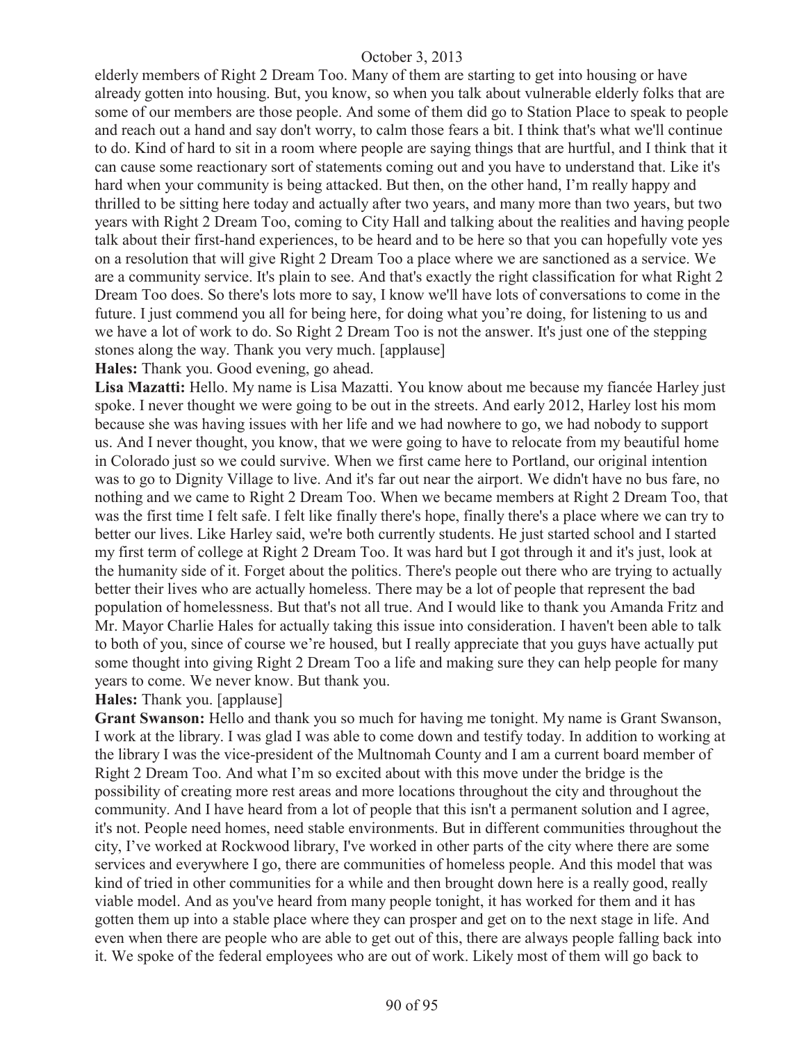elderly members of Right 2 Dream Too. Many of them are starting to get into housing or have already gotten into housing. But, you know, so when you talk about vulnerable elderly folks that are some of our members are those people. And some of them did go to Station Place to speak to people and reach out a hand and say don't worry, to calm those fears a bit. I think that's what we'll continue to do. Kind of hard to sit in a room where people are saying things that are hurtful, and I think that it can cause some reactionary sort of statements coming out and you have to understand that. Like it's hard when your community is being attacked. But then, on the other hand, I'm really happy and thrilled to be sitting here today and actually after two years, and many more than two years, but two years with Right 2 Dream Too, coming to City Hall and talking about the realities and having people talk about their first-hand experiences, to be heard and to be here so that you can hopefully vote yes on a resolution that will give Right 2 Dream Too a place where we are sanctioned as a service. We are a community service. It's plain to see. And that's exactly the right classification for what Right 2 Dream Too does. So there's lots more to say, I know we'll have lots of conversations to come in the future. I just commend you all for being here, for doing what you're doing, for listening to us and we have a lot of work to do. So Right 2 Dream Too is not the answer. It's just one of the stepping stones along the way. Thank you very much. [applause]

**Hales:** Thank you. Good evening, go ahead.

**Lisa Mazatti:** Hello. My name is Lisa Mazatti. You know about me because my fiancée Harley just spoke. I never thought we were going to be out in the streets. And early 2012, Harley lost his mom because she was having issues with her life and we had nowhere to go, we had nobody to support us. And I never thought, you know, that we were going to have to relocate from my beautiful home in Colorado just so we could survive. When we first came here to Portland, our original intention was to go to Dignity Village to live. And it's far out near the airport. We didn't have no bus fare, no nothing and we came to Right 2 Dream Too. When we became members at Right 2 Dream Too, that was the first time I felt safe. I felt like finally there's hope, finally there's a place where we can try to better our lives. Like Harley said, we're both currently students. He just started school and I started my first term of college at Right 2 Dream Too. It was hard but I got through it and it's just, look at the humanity side of it. Forget about the politics. There's people out there who are trying to actually better their lives who are actually homeless. There may be a lot of people that represent the bad population of homelessness. But that's not all true. And I would like to thank you Amanda Fritz and Mr. Mayor Charlie Hales for actually taking this issue into consideration. I haven't been able to talk to both of you, since of course we're housed, but I really appreciate that you guys have actually put some thought into giving Right 2 Dream Too a life and making sure they can help people for many years to come. We never know. But thank you.

**Hales:** Thank you. [applause]

**Grant Swanson:** Hello and thank you so much for having me tonight. My name is Grant Swanson, I work at the library. I was glad I was able to come down and testify today. In addition to working at the library I was the vice-president of the Multnomah County and I am a current board member of Right 2 Dream Too. And what I'm so excited about with this move under the bridge is the possibility of creating more rest areas and more locations throughout the city and throughout the community. And I have heard from a lot of people that this isn't a permanent solution and I agree, it's not. People need homes, need stable environments. But in different communities throughout the city, I've worked at Rockwood library, I've worked in other parts of the city where there are some services and everywhere I go, there are communities of homeless people. And this model that was kind of tried in other communities for a while and then brought down here is a really good, really viable model. And as you've heard from many people tonight, it has worked for them and it has gotten them up into a stable place where they can prosper and get on to the next stage in life. And even when there are people who are able to get out of this, there are always people falling back into it. We spoke of the federal employees who are out of work. Likely most of them will go back to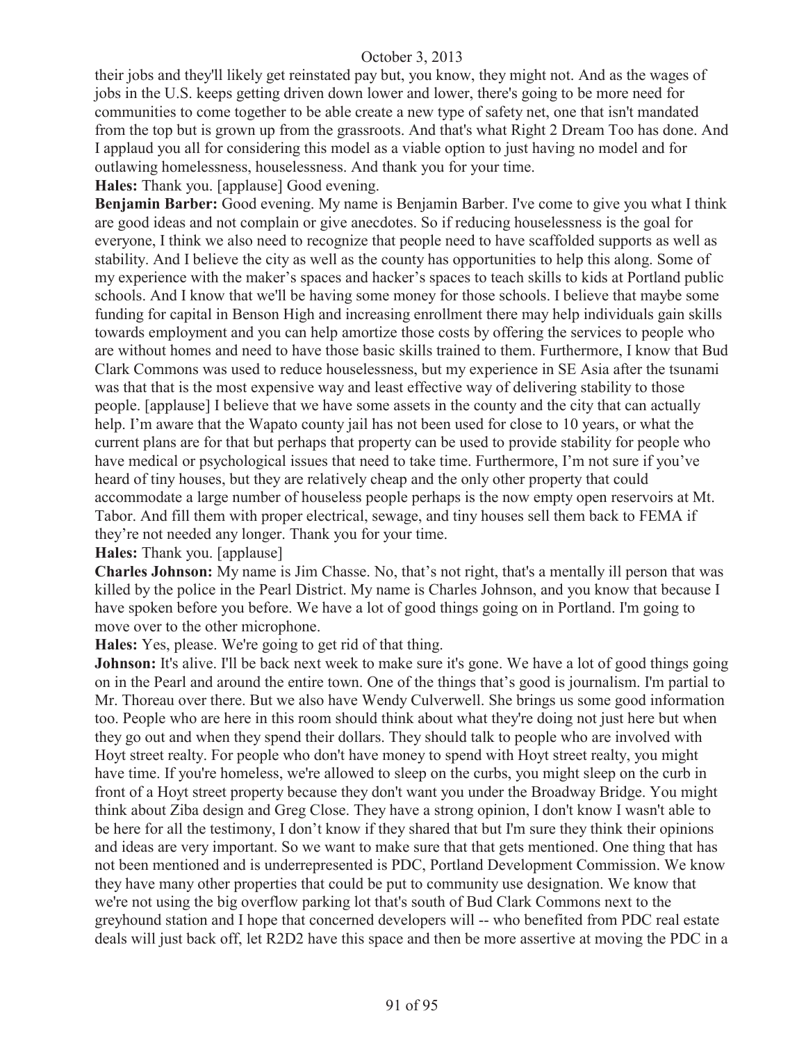their jobs and they'll likely get reinstated pay but, you know, they might not. And as the wages of jobs in the U.S. keeps getting driven down lower and lower, there's going to be more need for communities to come together to be able create a new type of safety net, one that isn't mandated from the top but is grown up from the grassroots. And that's what Right 2 Dream Too has done. And I applaud you all for considering this model as a viable option to just having no model and for outlawing homelessness, houselessness. And thank you for your time.

## **Hales:** Thank you. [applause] Good evening.

**Benjamin Barber:** Good evening. My name is Benjamin Barber. I've come to give you what I think are good ideas and not complain or give anecdotes. So if reducing houselessness is the goal for everyone, I think we also need to recognize that people need to have scaffolded supports as well as stability. And I believe the city as well as the county has opportunities to help this along. Some of my experience with the maker's spaces and hacker's spaces to teach skills to kids at Portland public schools. And I know that we'll be having some money for those schools. I believe that maybe some funding for capital in Benson High and increasing enrollment there may help individuals gain skills towards employment and you can help amortize those costs by offering the services to people who are without homes and need to have those basic skills trained to them. Furthermore, I know that Bud Clark Commons was used to reduce houselessness, but my experience in SE Asia after the tsunami was that that is the most expensive way and least effective way of delivering stability to those people. [applause] I believe that we have some assets in the county and the city that can actually help. I'm aware that the Wapato county jail has not been used for close to 10 years, or what the current plans are for that but perhaps that property can be used to provide stability for people who have medical or psychological issues that need to take time. Furthermore, I'm not sure if you've heard of tiny houses, but they are relatively cheap and the only other property that could accommodate a large number of houseless people perhaps is the now empty open reservoirs at Mt. Tabor. And fill them with proper electrical, sewage, and tiny houses sell them back to FEMA if they're not needed any longer. Thank you for your time.

## **Hales:** Thank you. [applause]

**Charles Johnson:** My name is Jim Chasse. No, that's not right, that's a mentally ill person that was killed by the police in the Pearl District. My name is Charles Johnson, and you know that because I have spoken before you before. We have a lot of good things going on in Portland. I'm going to move over to the other microphone.

**Hales:** Yes, please. We're going to get rid of that thing.

**Johnson:** It's alive. I'll be back next week to make sure it's gone. We have a lot of good things going on in the Pearl and around the entire town. One of the things that's good is journalism. I'm partial to Mr. Thoreau over there. But we also have Wendy Culverwell. She brings us some good information too. People who are here in this room should think about what they're doing not just here but when they go out and when they spend their dollars. They should talk to people who are involved with Hoyt street realty. For people who don't have money to spend with Hoyt street realty, you might have time. If you're homeless, we're allowed to sleep on the curbs, you might sleep on the curb in front of a Hoyt street property because they don't want you under the Broadway Bridge. You might think about Ziba design and Greg Close. They have a strong opinion, I don't know I wasn't able to be here for all the testimony, I don't know if they shared that but I'm sure they think their opinions and ideas are very important. So we want to make sure that that gets mentioned. One thing that has not been mentioned and is underrepresented is PDC, Portland Development Commission. We know they have many other properties that could be put to community use designation. We know that we're not using the big overflow parking lot that's south of Bud Clark Commons next to the greyhound station and I hope that concerned developers will -- who benefited from PDC real estate deals will just back off, let R2D2 have this space and then be more assertive at moving the PDC in a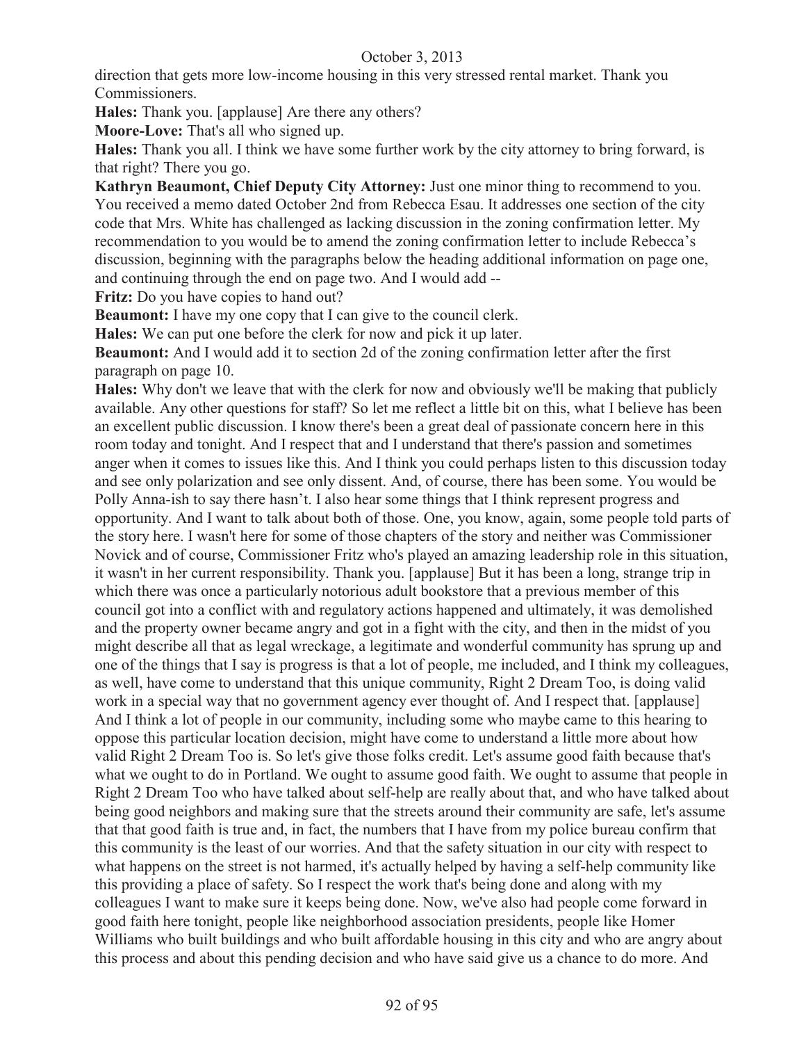direction that gets more low-income housing in this very stressed rental market. Thank you Commissioners.

**Hales:** Thank you. [applause] Are there any others?

**Moore-Love:** That's all who signed up.

**Hales:** Thank you all. I think we have some further work by the city attorney to bring forward, is that right? There you go.

**Kathryn Beaumont, Chief Deputy City Attorney:** Just one minor thing to recommend to you. You received a memo dated October 2nd from Rebecca Esau. It addresses one section of the city code that Mrs. White has challenged as lacking discussion in the zoning confirmation letter. My recommendation to you would be to amend the zoning confirmation letter to include Rebecca's discussion, beginning with the paragraphs below the heading additional information on page one, and continuing through the end on page two. And I would add --

**Fritz:** Do you have copies to hand out?

**Beaumont:** I have my one copy that I can give to the council clerk.

**Hales:** We can put one before the clerk for now and pick it up later.

**Beaumont:** And I would add it to section 2d of the zoning confirmation letter after the first paragraph on page 10.

**Hales:** Why don't we leave that with the clerk for now and obviously we'll be making that publicly available. Any other questions for staff? So let me reflect a little bit on this, what I believe has been an excellent public discussion. I know there's been a great deal of passionate concern here in this room today and tonight. And I respect that and I understand that there's passion and sometimes anger when it comes to issues like this. And I think you could perhaps listen to this discussion today and see only polarization and see only dissent. And, of course, there has been some. You would be Polly Anna-ish to say there hasn't. I also hear some things that I think represent progress and opportunity. And I want to talk about both of those. One, you know, again, some people told parts of the story here. I wasn't here for some of those chapters of the story and neither was Commissioner Novick and of course, Commissioner Fritz who's played an amazing leadership role in this situation, it wasn't in her current responsibility. Thank you. [applause] But it has been a long, strange trip in which there was once a particularly notorious adult bookstore that a previous member of this council got into a conflict with and regulatory actions happened and ultimately, it was demolished and the property owner became angry and got in a fight with the city, and then in the midst of you might describe all that as legal wreckage, a legitimate and wonderful community has sprung up and one of the things that I say is progress is that a lot of people, me included, and I think my colleagues, as well, have come to understand that this unique community, Right 2 Dream Too, is doing valid work in a special way that no government agency ever thought of. And I respect that. [applause] And I think a lot of people in our community, including some who maybe came to this hearing to oppose this particular location decision, might have come to understand a little more about how valid Right 2 Dream Too is. So let's give those folks credit. Let's assume good faith because that's what we ought to do in Portland. We ought to assume good faith. We ought to assume that people in Right 2 Dream Too who have talked about self-help are really about that, and who have talked about being good neighbors and making sure that the streets around their community are safe, let's assume that that good faith is true and, in fact, the numbers that I have from my police bureau confirm that this community is the least of our worries. And that the safety situation in our city with respect to what happens on the street is not harmed, it's actually helped by having a self-help community like this providing a place of safety. So I respect the work that's being done and along with my colleagues I want to make sure it keeps being done. Now, we've also had people come forward in good faith here tonight, people like neighborhood association presidents, people like Homer Williams who built buildings and who built affordable housing in this city and who are angry about this process and about this pending decision and who have said give us a chance to do more. And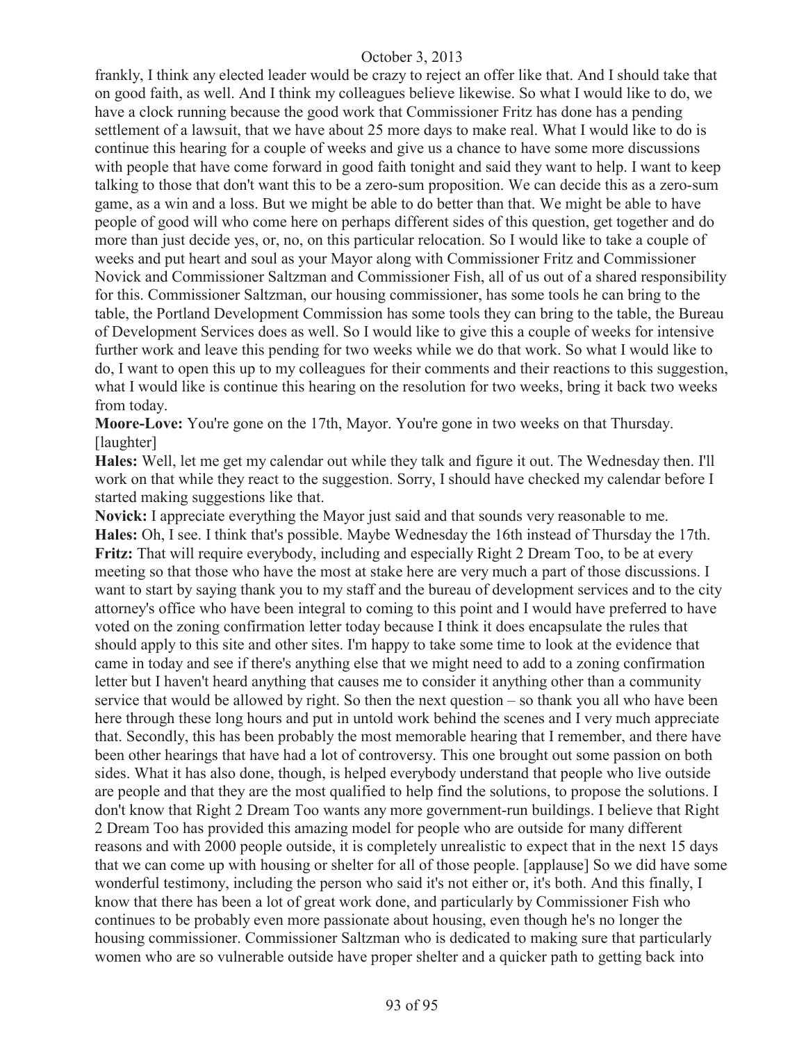frankly, I think any elected leader would be crazy to reject an offer like that. And I should take that on good faith, as well. And I think my colleagues believe likewise. So what I would like to do, we have a clock running because the good work that Commissioner Fritz has done has a pending settlement of a lawsuit, that we have about 25 more days to make real. What I would like to do is continue this hearing for a couple of weeks and give us a chance to have some more discussions with people that have come forward in good faith tonight and said they want to help. I want to keep talking to those that don't want this to be a zero-sum proposition. We can decide this as a zero-sum game, as a win and a loss. But we might be able to do better than that. We might be able to have people of good will who come here on perhaps different sides of this question, get together and do more than just decide yes, or, no, on this particular relocation. So I would like to take a couple of weeks and put heart and soul as your Mayor along with Commissioner Fritz and Commissioner Novick and Commissioner Saltzman and Commissioner Fish, all of us out of a shared responsibility for this. Commissioner Saltzman, our housing commissioner, has some tools he can bring to the table, the Portland Development Commission has some tools they can bring to the table, the Bureau of Development Services does as well. So I would like to give this a couple of weeks for intensive further work and leave this pending for two weeks while we do that work. So what I would like to do, I want to open this up to my colleagues for their comments and their reactions to this suggestion, what I would like is continue this hearing on the resolution for two weeks, bring it back two weeks from today.

**Moore-Love:** You're gone on the 17th, Mayor. You're gone in two weeks on that Thursday. [laughter]

**Hales:** Well, let me get my calendar out while they talk and figure it out. The Wednesday then. I'll work on that while they react to the suggestion. Sorry, I should have checked my calendar before I started making suggestions like that.

**Novick:** I appreciate everything the Mayor just said and that sounds very reasonable to me. **Hales:** Oh, I see. I think that's possible. Maybe Wednesday the 16th instead of Thursday the 17th. **Fritz:** That will require everybody, including and especially Right 2 Dream Too, to be at every meeting so that those who have the most at stake here are very much a part of those discussions. I want to start by saying thank you to my staff and the bureau of development services and to the city attorney's office who have been integral to coming to this point and I would have preferred to have voted on the zoning confirmation letter today because I think it does encapsulate the rules that should apply to this site and other sites. I'm happy to take some time to look at the evidence that came in today and see if there's anything else that we might need to add to a zoning confirmation letter but I haven't heard anything that causes me to consider it anything other than a community service that would be allowed by right. So then the next question – so thank you all who have been here through these long hours and put in untold work behind the scenes and I very much appreciate that. Secondly, this has been probably the most memorable hearing that I remember, and there have been other hearings that have had a lot of controversy. This one brought out some passion on both sides. What it has also done, though, is helped everybody understand that people who live outside are people and that they are the most qualified to help find the solutions, to propose the solutions. I don't know that Right 2 Dream Too wants any more government-run buildings. I believe that Right 2 Dream Too has provided this amazing model for people who are outside for many different reasons and with 2000 people outside, it is completely unrealistic to expect that in the next 15 days that we can come up with housing or shelter for all of those people. [applause] So we did have some wonderful testimony, including the person who said it's not either or, it's both. And this finally, I know that there has been a lot of great work done, and particularly by Commissioner Fish who continues to be probably even more passionate about housing, even though he's no longer the housing commissioner. Commissioner Saltzman who is dedicated to making sure that particularly women who are so vulnerable outside have proper shelter and a quicker path to getting back into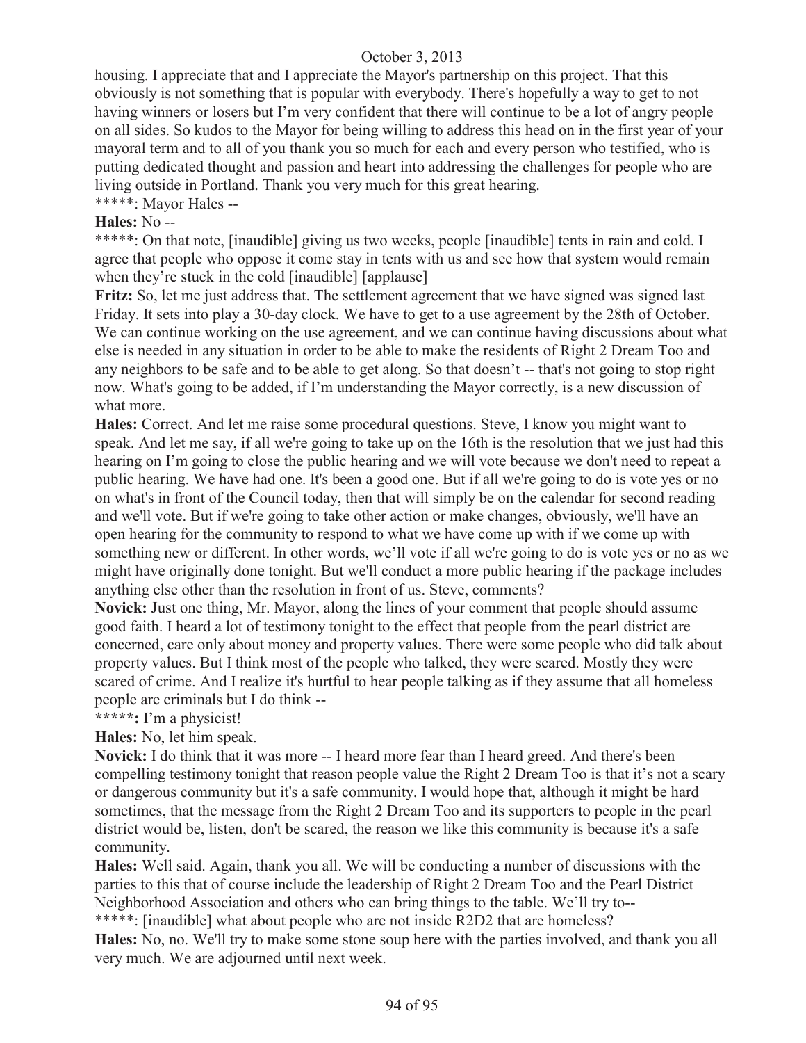housing. I appreciate that and I appreciate the Mayor's partnership on this project. That this obviously is not something that is popular with everybody. There's hopefully a way to get to not having winners or losers but I'm very confident that there will continue to be a lot of angry people on all sides. So kudos to the Mayor for being willing to address this head on in the first year of your mayoral term and to all of you thank you so much for each and every person who testified, who is putting dedicated thought and passion and heart into addressing the challenges for people who are living outside in Portland. Thank you very much for this great hearing.

\*\*\*\*\*: Mayor Hales --

## **Hales:** No --

\*\*\*\*\*: On that note, [inaudible] giving us two weeks, people [inaudible] tents in rain and cold. I agree that people who oppose it come stay in tents with us and see how that system would remain when they're stuck in the cold [inaudible] [applause]

Fritz: So, let me just address that. The settlement agreement that we have signed was signed last Friday. It sets into play a 30-day clock. We have to get to a use agreement by the 28th of October. We can continue working on the use agreement, and we can continue having discussions about what else is needed in any situation in order to be able to make the residents of Right 2 Dream Too and any neighbors to be safe and to be able to get along. So that doesn't -- that's not going to stop right now. What's going to be added, if I'm understanding the Mayor correctly, is a new discussion of what more.

**Hales:** Correct. And let me raise some procedural questions. Steve, I know you might want to speak. And let me say, if all we're going to take up on the 16th is the resolution that we just had this hearing on I'm going to close the public hearing and we will vote because we don't need to repeat a public hearing. We have had one. It's been a good one. But if all we're going to do is vote yes or no on what's in front of the Council today, then that will simply be on the calendar for second reading and we'll vote. But if we're going to take other action or make changes, obviously, we'll have an open hearing for the community to respond to what we have come up with if we come up with something new or different. In other words, we'll vote if all we're going to do is vote yes or no as we might have originally done tonight. But we'll conduct a more public hearing if the package includes anything else other than the resolution in front of us. Steve, comments?

**Novick:** Just one thing, Mr. Mayor, along the lines of your comment that people should assume good faith. I heard a lot of testimony tonight to the effect that people from the pearl district are concerned, care only about money and property values. There were some people who did talk about property values. But I think most of the people who talked, they were scared. Mostly they were scared of crime. And I realize it's hurtful to hear people talking as if they assume that all homeless people are criminals but I do think --

**\*\*\*\*\*:** I'm a physicist!

**Hales:** No, let him speak.

**Novick:** I do think that it was more -- I heard more fear than I heard greed. And there's been compelling testimony tonight that reason people value the Right 2 Dream Too is that it's not a scary or dangerous community but it's a safe community. I would hope that, although it might be hard sometimes, that the message from the Right 2 Dream Too and its supporters to people in the pearl district would be, listen, don't be scared, the reason we like this community is because it's a safe community.

**Hales:** Well said. Again, thank you all. We will be conducting a number of discussions with the parties to this that of course include the leadership of Right 2 Dream Too and the Pearl District Neighborhood Association and others who can bring things to the table. We'll try to--

\*\*\*\*\*: [inaudible] what about people who are not inside R2D2 that are homeless? **Hales:** No, no. We'll try to make some stone soup here with the parties involved, and thank you all very much. We are adjourned until next week.